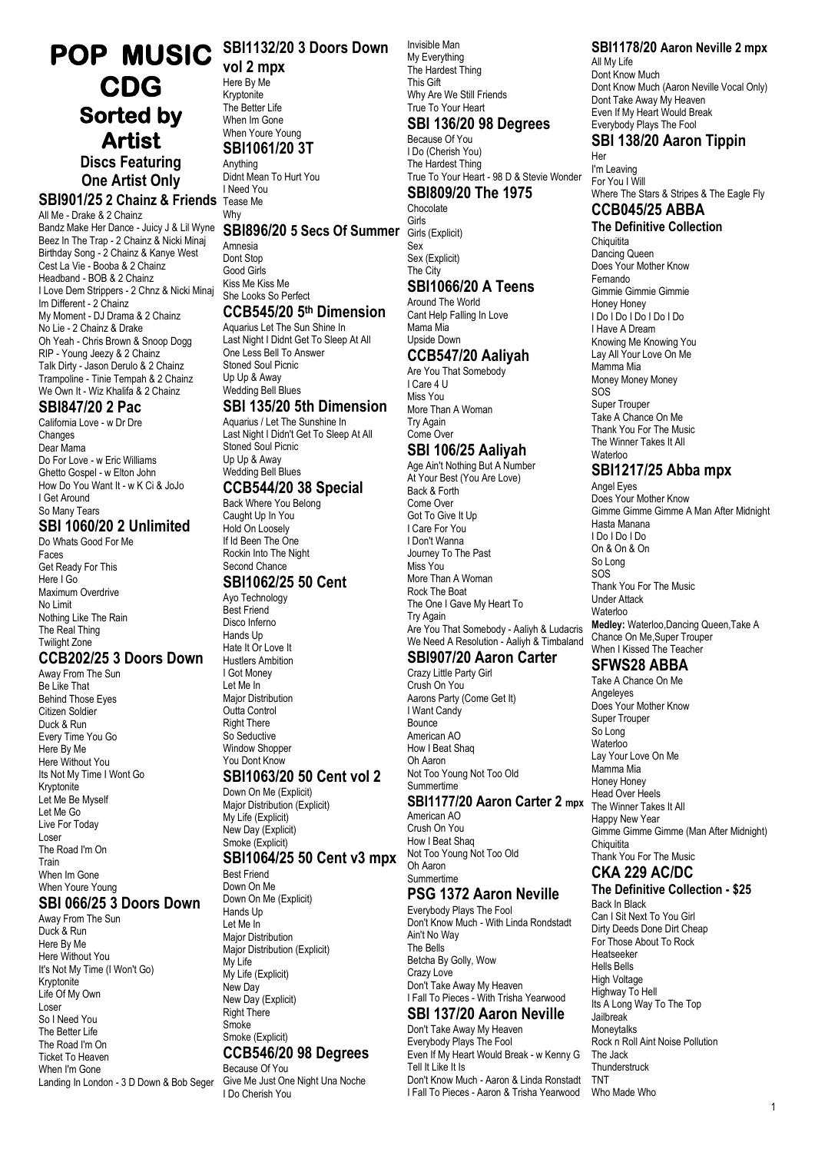# **POP MUSIC SBI1132/20 3 Doors Down CDG Sorted by Artist**

**Discs Featuring One Artist Only**

**SBI901/25 2 Chainz & Friends** Tease Me

All Me - Drake & 2 Chainz Bandz Make Her Dance - Juicy J & Lil Wyne **SBI896/20 5 Secs Of Summer** Girls Beez In The Trap - 2 Chainz & Nicki Minaj Birthday Song - 2 Chainz & Kanye West Cest La Vie - Booba & 2 Chainz Headband - BOB & 2 Chainz I Love Dem Strippers - 2 Chnz & Nicki Minaj Im Different - 2 Chainz My Moment - DJ Drama & 2 Chainz No Lie - 2 Chainz & Drake Oh Yeah - Chris Brown & Snoop Dogg RIP - Young Jeezy & 2 Chainz Talk Dirty - Jason Derulo & 2 Chainz Trampoline - Tinie Tempah & 2 Chainz We Own It - Wiz Khalifa & 2 Chainz

#### **SBI847/20 2 Pac**

California Love - w Dr Dre **Changes** Dear Mama Do For Love - w Eric Williams Ghetto Gospel - w Elton John How Do You Want It - w K Ci & JoJo I Get Around So Many Tears

#### **SBI 1060/20 2 Unlimited**

Do Whats Good For Me Faces Get Ready For This Here I Go Maximum Overdrive No Limit Nothing Like The Rain The Real Thing Twilight Zone

#### **CCB202/25 3 Doors Down**

Away From The Sun Be Like That Behind Those Eyes Citizen Soldier Duck & Run Every Time You Go Here By Me Here Without You Its Not My Time I Wont Go Kryptonite Let Me Be Myself Let Me Go Live For Today Loser The Road I'm On Train When Im Gone When Youre Young

# **SBI 066/25 3 Doors Down**

Away From The Sun Duck & Run Here By Me Here Without You It's Not My Time (I Won't Go) Kryptonite Life Of My Own Loser So I Need You The Better Life The Road I'm On Ticket To Heaven When I'm Gone Landing In London - 3 D Down & Bob Seger

**vol 2 mpx** Here By Me Kryptonite The Better Life When Im Gone When Youre Young **SBI1061/20 3T**

Anything Didnt Mean To Hurt You I Need You

# Why

Amnesia Dont Stop Good Girls Kiss Me Kiss Me She Looks So Perfect

## **CCB545/20 5 th Dimension**

Aquarius Let The Sun Shine In Last Night I Didnt Get To Sleep At All One Less Bell To Answer Stoned Soul Picnic Up Up & Away Wedding Bell Blues **SBI 135/20 5th Dimension**

# Aquarius / Let The Sunshine In

Last Night I Didn't Get To Sleep At All Stoned Soul Picnic Up Up & Away Wedding Bell Blues

#### **CCB544/20 38 Special**

Back Where You Belong Caught Up In You Hold On Loosely If Id Been The One Rockin Into The Night Second Chance

# **SBI1062/25 50 Cent**

Ayo Technology Best Friend Disco Inferno Hands Up Hate It Or Love It Hustlers Ambition I Got Money Let Me In **Major Distribution** Outta Control Right There So Seductive Window Shopper You Dont Know

#### **SBI1063/20 50 Cent vol 2** Down On Me (Explicit)

Maior Distribution (Explicit) My Life (Explicit) New Day (Explicit) Smoke (Explicit)

#### **SBI1064/25 50 Cent v3 mpx**

Best Friend Down On Me Down On Me (Explicit) Hands Up Let Me In Major Distribution Major Distribution (Explicit) My Life My Life (Explicit) New Day New Day (Explicit) Right There Smoke Smoke (Explicit) **CCB546/20 98 Degrees** Because Of You

Give Me Just One Night Una Noche I Do Cherish You

Invisible Man My Everything The Hardest Thing This Gift Why Are We Still Friends True To Your Heart **SBI 136/20 98 Degrees**

#### Because Of You I Do (Cherish You) The Hardest Thing True To Your Heart - 98 D & Stevie Wonder

# **SBI809/20 The 1975**

Chocolate<br>Girls Girls (Explicit) Sex Sex (Explicit) The City

## **SBI1066/20 A Teens**

Around The World Cant Help Falling In Love Mama Mia Upside Down

#### **CCB547/20 Aaliyah**

Are You That Somebody I Care 4 U Miss You More Than A Woman Try Again Come Over

## **SBI 106/25 Aaliyah**

Age Ain't Nothing But A Number At Your Best (You Are Love) Back & Forth Come Over Got To Give It Up I Care For You I Don't Wanna Journey To The Past Miss You More Than A Woman Rock The Boat The One I Gave My Heart To Try Again Are You That Somebody - Aaliyh & Ludacris We Need A Resolution - Aaliyh & Timbaland

# **SBI907/20 Aaron Carter**

Crazy Little Party Girl Crush On You Aarons Party (Come Get It) I Want Candy Bounce American AO How I Beat Shan Oh Aaron Not Too Young Not Too Old Summertime

#### **SBI1177/20 Aaron Carter 2 mpx**

American AO Crush On You How I Beat Shaq Not Too Young Not Too Old Oh Aaron Summertime

# **PSG 1372 Aaron Neville**

Everybody Plays The Fool Don't Know Much - With Linda Rondstadt Ain't No Way The Bells Betcha By Golly, Wow Crazy Love Don't Take Away My Heaven I Fall To Pieces - With Trisha Yearwood

## **SBI 137/20 Aaron Neville**

Don't Take Away My Heaven Everybody Plays The Fool Even If My Heart Would Break - w Kenny G Tell It Like It Is Don't Know Much - Aaron & Linda Ronstadt I Fall To Pieces - Aaron & Trisha Yearwood

#### **SBI1178/20 Aaron Neville 2 mpx**

All My Life Dont Know Much Dont Know Much (Aaron Neville Vocal Only) Dont Take Away My Heaven Even If My Heart Would Break Everybody Plays The Fool

#### **SBI 138/20 Aaron Tippin** Her

I'm Leaving For You I Will Where The Stars & Stripes & The Eagle Fly **CCB045/25 ABBA**

# **The Definitive Collection**

**Chiquitita** Dancing Queen Does Your Mother Know Fernando Gimmie Gimmie Gimmie Honey Honey I Do I Do I Do I Do I Do I Have A Dream Knowing Me Knowing You Lay All Your Love On Me Mamma Mia Money Money Money SOS Super Trouper Take A Chance On Me Thank You For The Music The Winner Takes It All Waterloo

## **SBI1217/25 Abba mpx**

Angel Eyes Does Your Mother Know Gimme Gimme Gimme A Man After Midnight Hasta Manana I Do I Do I Do On & On & On So Long SOS Thank You For The Music Under Attack Waterloo **Medley:** Waterloo,Dancing Queen,Take A Chance On Me,Super Trouper When I Kissed The Teacher

# **SFWS28 ABBA**

Take A Chance On Me Angeleyes Does Your Mother Know Super Trouper So Long **Waterloo** Lay Your Love On Me Mamma Mia Honey Honey Head Over Heels The Winner Takes It All Happy New Year Gimme Gimme Gimme (Man After Midnight) **Chiquitita** Thank You For The Music

# **CKA 229 AC/DC**

#### **The Definitive Collection - \$25** Back In Black

Can I Sit Next To You Girl Dirty Deeds Done Dirt Cheap For Those About To Rock Heatseeker Hells Bells High Voltage Highway To Hell Its A Long Way To The Top Jailbreak Moneytalks Rock n Roll Aint Noise Pollution The Jack **Thunderstruck** TNT Who Made Who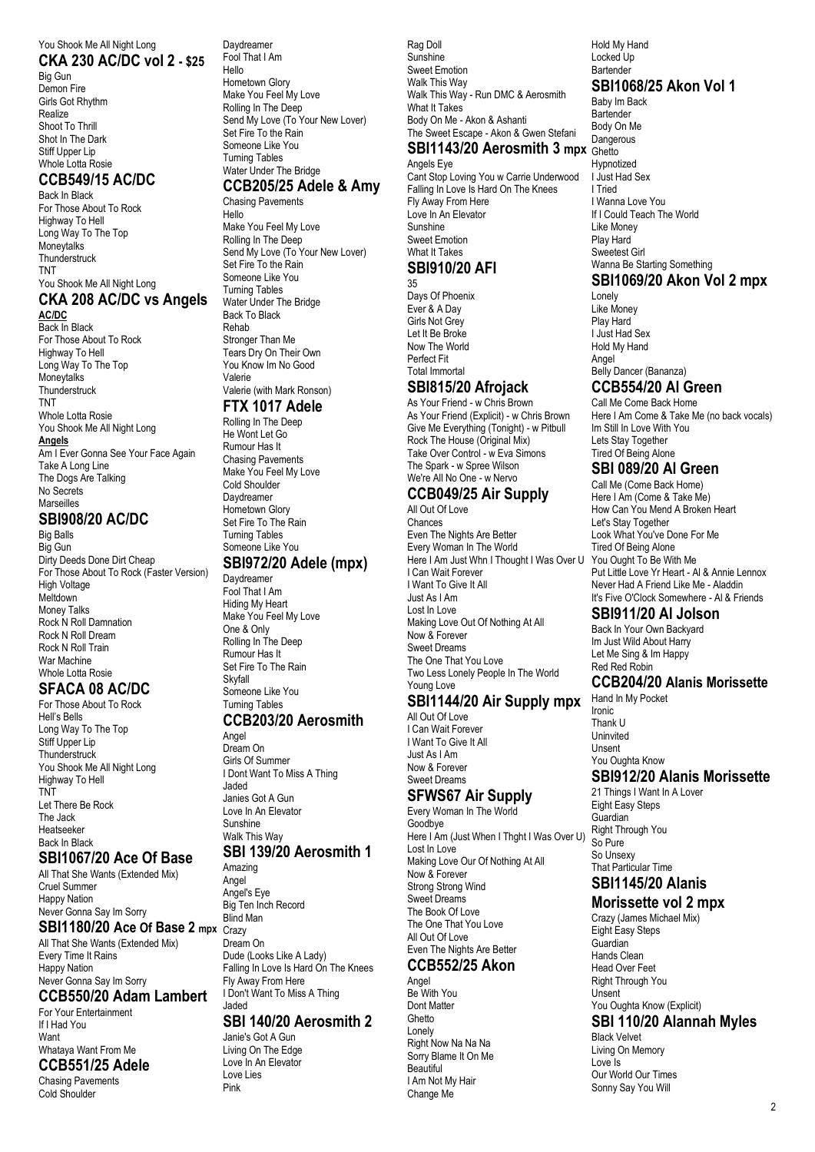#### You Shook Me All Night Long **CKA 230 AC/DC vol 2 - \$25**

Big Gun Demon Fire Girls Got Rhythm Realize Shoot To Thrill Shot In The Dark Stiff Upper Lip Whole Lotta Rosie

## **CCB549/15 AC/DC**

Back In Black For Those About To Rock Highway To Hell Long Way To The Top **Moneytalks Thunderstruck** TNT You Shook Me All Night Long

#### **CKA 208 AC/DC vs Angels AC/DC**

Back In Black For Those About To Rock Highway To Hell Long Way To The Top **Moneytalks Thunderstruck** TNT Whole Lotta Rosie You Shook Me All Night Long **Angels** Am I Ever Gonna See Your Face Again Take A Long Line The Dogs Are Talking No Secrets Marseilles

#### **SBI908/20 AC/DC**

Big Balls Big Gun Dirty Deeds Done Dirt Cheap For Those About To Rock (Faster Version) High Voltage Meltdown Money Talks Rock N Roll Damnation Rock N Roll Dream Rock N Roll Train War Machine Whole Lotta Rosie

# **SFACA 08 AC/DC**

For Those About To Rock Hell's Bells Long Way To The Top Stiff Upper Lip Thunderstruck You Shook Me All Night Long Highway To Hell TNT Let There Be Rock

#### The Jack Heatseeker Back In Black

#### **SBI1067/20 Ace Of Base**

All That She Wants (Extended Mix) Cruel Summer Happy Nation Never Gonna Say Im Sorry

**SBI1180/20 Ace Of Base 2 mpx** Crazy All That She Wants (Extended Mix) Every Time It Rains Happy Nation Never Gonna Say Im Sorry

#### **CCB550/20 Adam Lambert**

For Your Entertainment If I Had You **Want** Whataya Want From Me

## **CCB551/25 Adele**

Chasing Pavements Cold Shoulder

Daydreamer Fool That I Am Hello Hometown Glory Make You Feel My Love Rolling In The Deep Send My Love (To Your New Lover) Set Fire To the Rain Someone Like You Turning Tables Water Under The Bridge **CCB205/25 Adele & Amy**

# Chasing Pavements

Hello Make You Feel My Love Rolling In The Deep Send My Love (To Your New Lover) Set Fire To the Rain Someone Like You Turning Tables Water Under The Bridge Back To Black Rehab Stronger Than Me Tears Dry On Their Own You Know Im No Good Valerie Valerie (with Mark Ronson)

#### **FTX 1017 Adele**

Rolling In The Deep He Wont Let Go Rumour Has It Chasing Pavements Make You Feel My Love Cold Shoulder Daydreamer Hometown Glory Set Fire To The Rain Turning Tables Someone Like You

#### **SBI972/20 Adele (mpx)**

Daydreamer Fool That I Am Hiding My Heart Make You Feel My Love One & Only Rolling In The Deep Rumour Has It Set Fire To The Rain Skyfall Someone Like You Turning Tables

#### **CCB203/20 Aerosmith**

Angel Dream On Girls Of Summer I Dont Want To Miss A Thing Jaded Janies Got A Gun Love In An Elevator Sunshine Walk This Way **SBI 139/20 Aerosmith 1** Amazing

Angel Angel's Eye Big Ten Inch Record

Blind Man Dream On Dude (Looks Like A Lady) Falling In Love Is Hard On The Knees Fly Away From Here I Don't Want To Miss A Thing Jaded

#### **SBI 140/20 Aerosmith 2**

Janie's Got A Gun Living On The Edge Love In An Elevator Love Lies Pink

Rag Doll Sunshine Sweet Emotion Walk This Way Walk This Way - Run DMC & Aerosmith What It Takes Body On Me - Akon & Ashanti The Sweet Escape - Akon & Gwen Stefani **SBI1143/20 Aerosmith 3 mpx** Ghetto

# Angels Eye

Cant Stop Loving You w Carrie Underwood Falling In Love Is Hard On The Knees Fly Away From Here Love In An Elevator Sunshine Sweet Emotion What It Takes **SBI910/20 AFI** 35

Days Of Phoenix Ever & A Day Girls Not Grey

Let It Be Broke Now The World Perfect Fit Total Immortal

## **SBI815/20 Afrojack**

As Your Friend - w Chris Brown As Your Friend (Explicit) - w Chris Brown Give Me Everything (Tonight) - w Pitbull Rock The House (Original Mix) Take Over Control - w Eva Simons The Spark - w Spree Wilson We're All No One - w Nervo

# **CCB049/25 Air Supply**

All Out Of Love Chances Even The Nights Are Better Every Woman In The World Here I Am Just Whn I Thought I Was Over U I Can Wait Forever I Want To Give It All Just As I Am Lost In Love Making Love Out Of Nothing At All Now & Forever Sweet Dreams The One That You Love Two Less Lonely People In The World Young Love

## **SBI1144/20 Air Supply mpx**

All Out Of Love I Can Wait Forever I Want To Give It All Just As I Am Now & Forever Sweet Dreams

# **SFWS67 Air Supply**

Every Woman In The World Goodbye Here I Am (Just When I Thght I Was Over U) Lost In Love Making Love Our Of Nothing At All Now & Forever Strong Strong Wind Sweet Dreams The Book Of Love The One That You Love All Out Of Love Even The Nights Are Better

## **CCB552/25 Akon**

Angel Be With You Dont Matter Ghetto Lonely Right Now Na Na Na Sorry Blame It On Me **Beautiful** I Am Not My Hair Change Me

Hold My Hand Locked Up **Bartender SBI1068/25 Akon Vol 1** Baby Im Back **Bartender** Body On Me Dangerous Hypnotized I Just Had Sex I Tried I Wanna Love You If I Could Teach The World Like Money

#### Sweetest Girl Wanna Be Starting Something

**SBI1069/20 Akon Vol 2 mpx** Lonely Like Money Play Hard I Just Had Sex Hold My Hand Angel Belly Dancer (Bananza)

Play Hard

# **CCB554/20 Al Green**

Call Me Come Back Home Here I Am Come & Take Me (no back vocals) Im Still In Love With You Lets Stay Together Tired Of Being Alone

# **SBI 089/20 Al Green**

Call Me (Come Back Home) Here I Am (Come & Take Me) How Can You Mend A Broken Heart Let's Stay Together Look What You've Done For Me Tired Of Being Alone You Ought To Be With Me Put Little Love Yr Heart - Al & Annie Lennox Never Had A Friend Like Me - Aladdin It's Five O'Clock Somewhere - Al & Friends

#### **SBI911/20 Al Jolson**

Back In Your Own Backyard Im Just Wild About Harry Let Me Sing & Im Happy Red Red Robin

#### **CCB204/20 Alanis Morissette**

Hand In My Pocket Ironic Thank U Uninvited Unsent You Oughta Know

## **SBI912/20 Alanis Morissette**

21 Things I Want In A Lover Eight Easy Steps **Guardian** Right Through You So Pure So Unsexy That Particular Time **SBI1145/20 Alanis** 

# **Morissette vol 2 mpx**

Crazy (James Michael Mix) Eight Easy Steps Guardian Hands Clean Head Over Feet Right Through You Unsent You Oughta Know (Explicit)

#### **SBI 110/20 Alannah Myles**

Black Velvet Living On Memory Love Is Our World Our Times Sonny Say You Will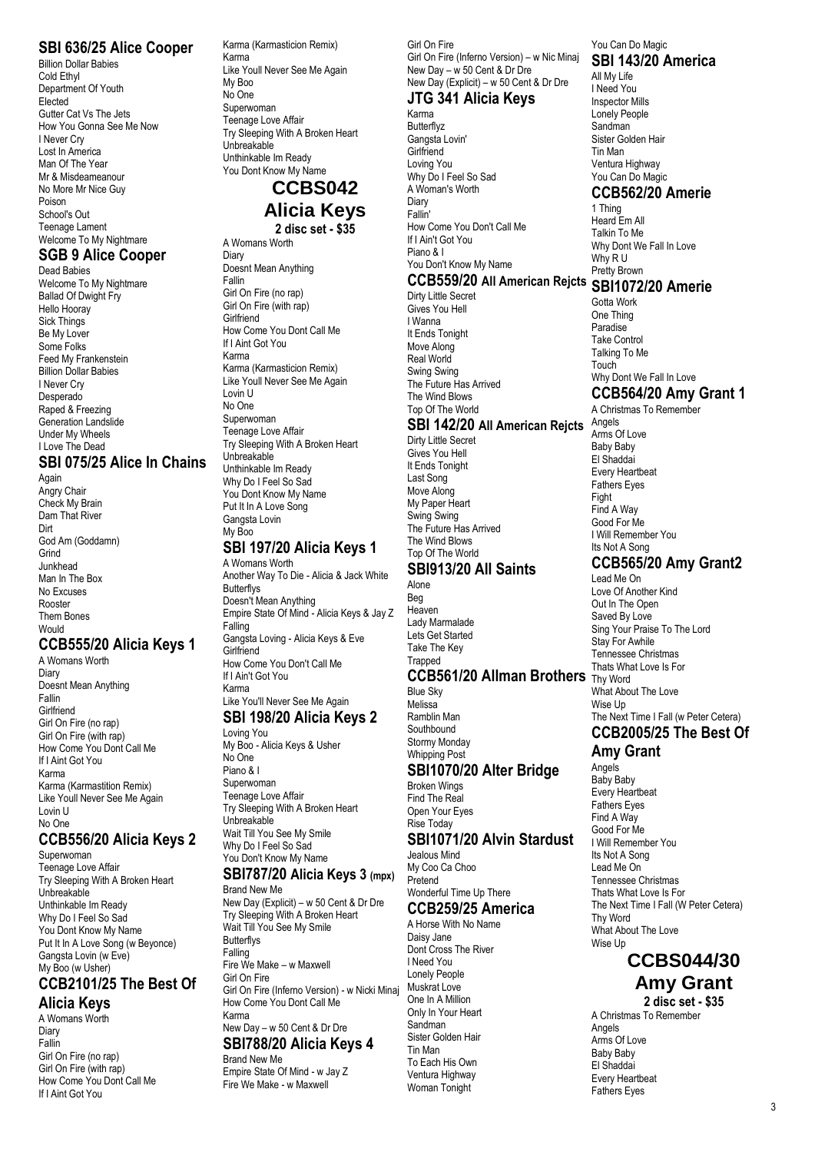#### **SBI 636/25 Alice Cooper**

Billion Dollar Babies Cold Ethyl Department Of Youth **Flected** Gutter Cat Vs The Jets How You Gonna See Me Now I Never Cry Lost In America Man Of The Year Mr & Misdeameanour No More Mr Nice Guy Poison School's Out Teenage Lament Welcome To My Nightmare

# **SGB 9 Alice Cooper**

Dead Babies Welcome To My Nightmare Ballad Of Dwight Fry Hello Hooray Sick Things Be My Lover Some Folks Feed My Frankenstein Billion Dollar Babies I Never Cry **Desperado** Raped & Freezing Generation Landslide Under My Wheels I Love The Dead

## **SBI 075/25 Alice In Chains**

Again Angry Chair Check My Brain Dam That River Dirt God Am (Goddamn) Grind Junkhead Man In The Box No Excuses Rooster Them Bones Would

#### **CCB555/20 Alicia Keys 1**

A Womans Worth Diary Doesnt Mean Anything Fallin **Girlfriend** Girl On Fire (no rap) Girl On Fire (with rap) How Come You Dont Call Me If I Aint Got You Karma Karma (Karmastition Remix) Like Youll Never See Me Again Lovin U No One

#### **CCB556/20 Alicia Keys 2**

Superwoman Teenage Love Affair Try Sleeping With A Broken Heart Unbreakable Unthinkable Im Ready Why Do I Feel So Sad You Dont Know My Name Put It In A Love Song (w Beyonce) Gangsta Lovin (w Eve) My Boo (w Usher) **CCB2101/25 The Best Of**

# **Alicia Keys**

A Womans Worth Diary Fallin Girl On Fire (no rap) Girl On Fire (with rap) How Come You Dont Call Me If I Aint Got You

Karma (Karmasticion Remix) Karma Like Youll Never See Me Again My Boo No One Superwoman Teenage Love Affair Try Sleeping With A Broken Heart Unbreakable Unthinkable Im Ready You Dont Know My Name

#### **CCBS042 Alicia Keys 2 disc set - \$35**

A Womans Worth **Diary** Doesnt Mean Anything Fallin Girl On Fire (no rap) Girl On Fire (with rap) **Girlfriend** How Come You Dont Call Me If I Aint Got You Karma Karma (Karmasticion Remix) Like Youll Never See Me Again Lovin U No One Superwoman Teenage Love Affair Try Sleeping With A Broken Heart Unbreakable Unthinkable Im Ready Why Do I Feel So Sad You Dont Know My Name Put It In A Love Song Gangsta Lovin My Boo

## **SBI 197/20 Alicia Keys 1**

A Womans Worth Another Way To Die - Alicia & Jack White **Butterflys** Doesn't Mean Anything Empire State Of Mind - Alicia Keys & Jay Z **Falling** Gangsta Loving - Alicia Keys & Eve **Girlfriend** How Come You Don't Call Me If I Ain't Got You Karma Like You'll Never See Me Again

# **SBI 198/20 Alicia Keys 2**

Loving You My Boo - Alicia Keys & Usher No One Piano & I Superwoman Teenage Love Affair Try Sleeping With A Broken Heart Unbreakable Wait Till You See My Smile Why Do I Feel So Sad You Don't Know My Name

#### **SBI787/20 Alicia Keys 3 (mpx)** Brand New Me

New Day (Explicit) – w 50 Cent & Dr Dre Try Sleeping With A Broken Heart Wait Till You See My Smile **Butterflys** Falling Fire We Make – w Maxwell Girl On Fire Girl On Fire (Inferno Version) - w Nicki Minaj How Come You Dont Call Me Karma New Day – w 50 Cent & Dr Dre **SBI788/20 Alicia Keys 4** Brand New Me Empire State Of Mind - w Jay Z Fire We Make - w Maxwell

Girl On Fire Girl On Fire (Inferno Version) – w Nic Minaj New Day – w 50 Cent & Dr Dre New Day (Explicit) – w 50 Cent & Dr Dre

# **JTG 341 Alicia Keys**

Karma Butterflyz Gangsta Lovin' **Girlfriend** Loving You Why Do I Feel So Sad A Woman's Worth Diary Fallin' How Come You Don't Call Me If I Ain't Got You Piano & I You Don't Know My Name

# **CCB559/20 All American Rejcts SBI1072/20 Amerie**

Dirty Little Secret Gives You Hell I Wanna It Ends Tonight Move Along Real World Swing Swing The Future Has Arrived The Wind Blows Top Of The World

#### **SBI 142/20 All American Rejcts**

Dirty Little Secret Gives You Hell It Ends Tonight Last Song Move Along My Paper Heart Swing Swing The Future Has Arrived The Wind Blows Top Of The World

#### **SBI913/20 All Saints**

Alone Beg Heaven Lady Marmalade Lets Get Started Take The Key **Trapped CCB561/20 Allman Brothers** Thy Word Blue Sky Melissa Ramblin Man **Southbound** Stormy Monday

Whipping Post

#### **SBI1070/20 Alter Bridge** Broken Wings

Find The Real Open Your Eyes Rise Today **SBI1071/20 Alvin Stardust**

#### Jealous Mind

My Coo Ca Choo Pretend Wonderful Time Up There

#### **CCB259/25 America**

A Horse With No Name Daisy Jane Dont Cross The River I Need You Lonely People Muskrat Love One In A Million Only In Your Heart Sandman Sister Golden Hair Tin Man To Each His Own Ventura Highway Woman Tonight

#### You Can Do Magic **SBI 143/20 America**

All My Life I Need You Inspector Mills Lonely People Sandman Sister Golden Hair Tin Man Ventura Highway You Can Do Magic **CCB562/20 Amerie**

1 Thing Heard Em All Talkin To Me Why Dont We Fall In Love Why R U Pretty Brown

Gotta Work One Thing Paradise Take Control Talking To Me **Touch** Why Dont We Fall In Love **CCB564/20 Amy Grant 1**

A Christmas To Remember Angels Arms Of Love Baby Baby El Shaddai Every Heartbeat Fathers Eyes Fight Find A Way Good For Me I Will Remember You Its Not A Song

# **CCB565/20 Amy Grant2**

Lead Me On Love Of Another Kind Out In The Open Saved By Love Sing Your Praise To The Lord Stay For Awhile Tennessee Christmas Thats What Love Is For What About The Love Wise Up The Next Time I Fall (w Peter Cetera) **CCB2005/25 The Best Of**

#### **Amy Grant**

Angels Baby Baby Every Heartbeat Fathers Eyes Find A Way Good For Me I Will Remember You Its Not A Song Lead Me On Tennessee Christmas Thats What Love Is For The Next Time I Fall (W Peter Cetera) Thy Word What About The Love Wise Up

## **CCBS044/30 Amy Grant**

**2 disc set - \$35** A Christmas To Remember Angels Arms Of Love Baby Baby El Shaddai Every Heartbeat Fathers Eyes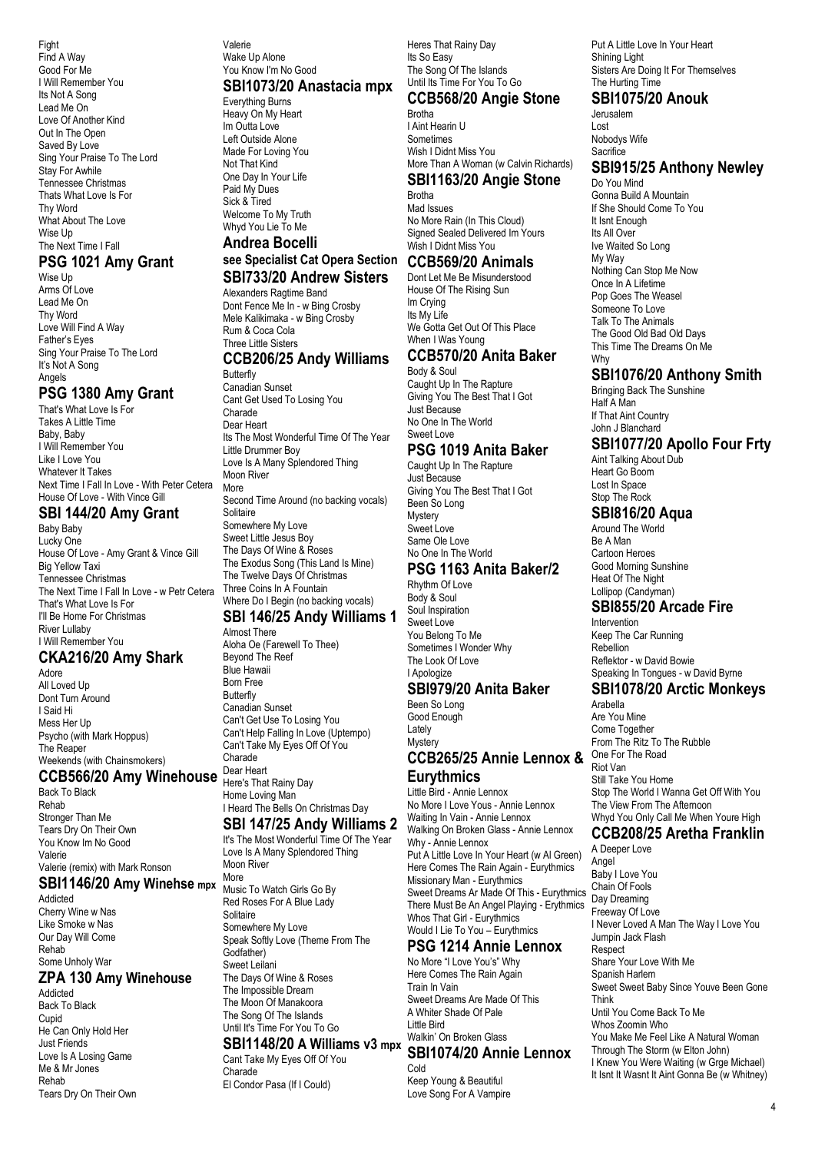Fight Find A Way Good For Me I Will Remember You Its Not A Song Lead Me On Love Of Another Kind Out In The Open Saved By Love Sing Your Praise To The Lord Stay For Awhile Tennessee Christmas Thats What Love Is For Thy Word What About The Love Wise Up The Next Time I Fall

#### **PSG 1021 Amy Grant**

Wise Up Arms Of Love Lead Me On Thy Word Love Will Find A Way Father's Eyes Sing Your Praise To The Lord It's Not A Song Angels

#### **PSG 1380 Amy Grant**

That's What Love Is For Takes A Little Time Baby, Baby I Will Remember You Like I Love You Whatever It Takes Next Time I Fall In Love - With Peter Cetera House Of Love - With Vince Gill

#### **SBI 144/20 Amy Grant**

Baby Baby Lucky One House Of Love - Amy Grant & Vince Gill Big Yellow Taxi Tennessee Christmas The Next Time I Fall In Love - w Petr Cetera That's What Love Is For I'll Be Home For Christmas River Lullaby I Will Remember You

## **CKA216/20 Amy Shark**

Adore All Loved Up Dont Turn Around I Said Hi Mess Her Up Psycho (with Mark Hoppus) The Reaper Weekends (with Chainsmokers)

## **CCB566/20 Amy Winehouse** Dear Heart

Back To Black Rehab Stronger Than Me Tears Dry On Their Own You Know Im No Good Valerie Valerie (remix) with Mark Ronson

# **SBI1146/20 Amy Winehse mpx** More

Addicted Cherry Wine w Nas Like Smoke w Nas Our Day Will Come Rehab Some Unholy War

#### **ZPA 130 Amy Winehouse**

Addicted Back To Black Cupid He Can Only Hold Her Just Friends Love Is A Losing Game Me & Mr Jones Rehab Tears Dry On Their Own Valerie Wake Up Alone You Know I'm No Good

#### **SBI1073/20 Anastacia mpx**

Everything Burns Heavy On My Heart Im Outta Love Left Outside Alone Made For Loving You Not That Kind One Day In Your Life Paid My Dues Sick & Tired Welcome To My Truth Whyd You Lie To Me

## **Andrea Bocelli see Specialist Cat Opera Section CCB569/20 Animals**

#### **SBI733/20 Andrew Sisters** Alexanders Ragtime Band

Dont Fence Me In - w Bing Crosby Mele Kalikimaka - w Bing Crosby Rum & Coca Cola Three Little Sisters

# **CCB206/25 Andy Williams**

Butterfly Canadian Sunset Cant Get Used To Losing You Charade Dear Heart Its The Most Wonderful Time Of The Year Little Drummer Boy Love Is A Many Splendored Thing Moon River More Second Time Around (no backing vocals) Solitaire Somewhere My Love Sweet Little Jesus Boy The Days Of Wine & Roses The Exodus Song (This Land Is Mine) The Twelve Days Of Christmas Three Coins In A Fountain Where Do I Begin (no backing vocals)

## **SBI 146/25 Andy Williams 1**

Almost There Aloha Oe (Farewell To Thee) Beyond The Reef Blue Hawaii Born Free Butterfly Canadian Sunset Can't Get Use To Losing You Can't Help Falling In Love (Uptempo) Can't Take My Eyes Off Of You Charade Here's That Rainy Day

Home Loving Man I Heard The Bells On Christmas Day

## **SBI 147/25 Andy Williams 2**

It's The Most Wonderful Time Of The Year Love Is A Many Splendored Thing Moon River<br>More Music To Watch Girls Go By Red Roses For A Blue Lady Solitaire Somewhere My Love Speak Softly Love (Theme From The Godfather) Sweet Leilani The Days Of Wine & Roses The Impossible Dream The Moon Of Manakoora The Song Of The Islands Until It's Time For You To Go

## **SBI1148/20 A Williams v3 mpx**

Cant Take My Eyes Off Of You Charade El Condor Pasa (If I Could)

Heres That Rainy Day Its So Easy The Song Of The Islands Until Its Time For You To Go

#### **CCB568/20 Angie Stone** Brotha

I Aint Hearin U Sometimes Wish I Didnt Miss You More Than A Woman (w Calvin Richards)

#### **SBI1163/20 Angie Stone**

Brotha Mad Issues No More Rain (In This Cloud) Signed Sealed Delivered Im Yours Wish I Didnt Miss You

Dont Let Me Be Misunderstood House Of The Rising Sun Im Crying Its My Life We Gotta Get Out Of This Place When I Was Young

#### **CCB570/20 Anita Baker**

Body & Soul Caught Up In The Rapture Giving You The Best That I Got Just Because No One In The World Sweet Love

#### **PSG 1019 Anita Baker**

Caught Up In The Rapture Just Because Giving You The Best That I Got Been So Long Mystery Sweet Love Same Ole Love No One In The World

#### **PSG 1163 Anita Baker/2**

Rhythm Of Love Body & Soul Soul Inspiration Sweet Love You Belong To Me Sometimes I Wonder Why The Look Of Love I Apologize

# **SBI979/20 Anita Baker**

Been So Long Good Enough Lately **Mystery CCB265/25 Annie Lennox &** 

# **Eurythmics**

Little Bird - Annie Lennox No More I Love Yous - Annie Lennox Waiting In Vain - Annie Lennox Walking On Broken Glass - Annie Lennox Why - Annie Lennox Put A Little Love In Your Heart (w Al Green) Here Comes The Rain Again - Eurythmics Missionary Man - Eurythmics Sweet Dreams Ar Made Of This - Eurythmics There Must Be An Angel Playing - Erythmics Whos That Girl - Eurythmics Would I Lie To You – Eurythmics

## **PSG 1214 Annie Lennox**

No More "I Love You's" Why Here Comes The Rain Again Train In Vain Sweet Dreams Are Made Of This A Whiter Shade Of Pale Little Bird Walkin' On Broken Glass

**SBI1074/20 Annie Lennox** Cold Keep Young & Beautiful Love Song For A Vampire

Put A Little Love In Your Heart Shining Light Sisters Are Doing It For Themselves The Hurting Time

## **SBI1075/20 Anouk**

Jerusalem Lost Nobodys Wife **Sacrifice** 

#### **SBI915/25 Anthony Newley**

Do You Mind Gonna Build A Mountain If She Should Come To You It Isnt Enough Its All Over Ive Waited So Long My Way Nothing Can Stop Me Now Once In A Lifetime Pop Goes The Weasel Someone To Love Talk To The Animals The Good Old Bad Old Days This Time The Dreams On Me **Why** 

## **SBI1076/20 Anthony Smith**

Bringing Back The Sunshine Half A Man If That Aint Country John J Blanchard

# **SBI1077/20 Apollo Four Frty**

Aint Talking About Dub Heart Go Boom Lost In Space Stop The Rock

#### **SBI816/20 Aqua**

Around The World Be A Man Cartoon Heroes Good Morning Sunshine Heat Of The Night Lollipop (Candyman)

#### **SBI855/20 Arcade Fire**

Intervention Keep The Car Running Rebellion Reflektor - w David Bowie Speaking In Tongues - w David Byrne

#### **SBI1078/20 Arctic Monkeys** Arabella

Are You Mine Come Together From The Ritz To The Rubble One For The Road Riot Van Still Take You Home Stop The World I Wanna Get Off With You The View From The Afternoon Whyd You Only Call Me When Youre High

#### **CCB208/25 Aretha Franklin**

A Deeper Love Angel Baby I Love You Chain Of Fools Day Dreaming Freeway Of Love I Never Loved A Man The Way I Love You Jumpin Jack Flash Respect Share Your Love With Me Spanish Harlem Sweet Sweet Baby Since Youve Been Gone Think Until You Come Back To Me Whos Zoomin Who You Make Me Feel Like A Natural Woman Through The Storm (w Elton John) I Knew You Were Waiting (w Grge Michael) It Isnt It Wasnt It Aint Gonna Be (w Whitney)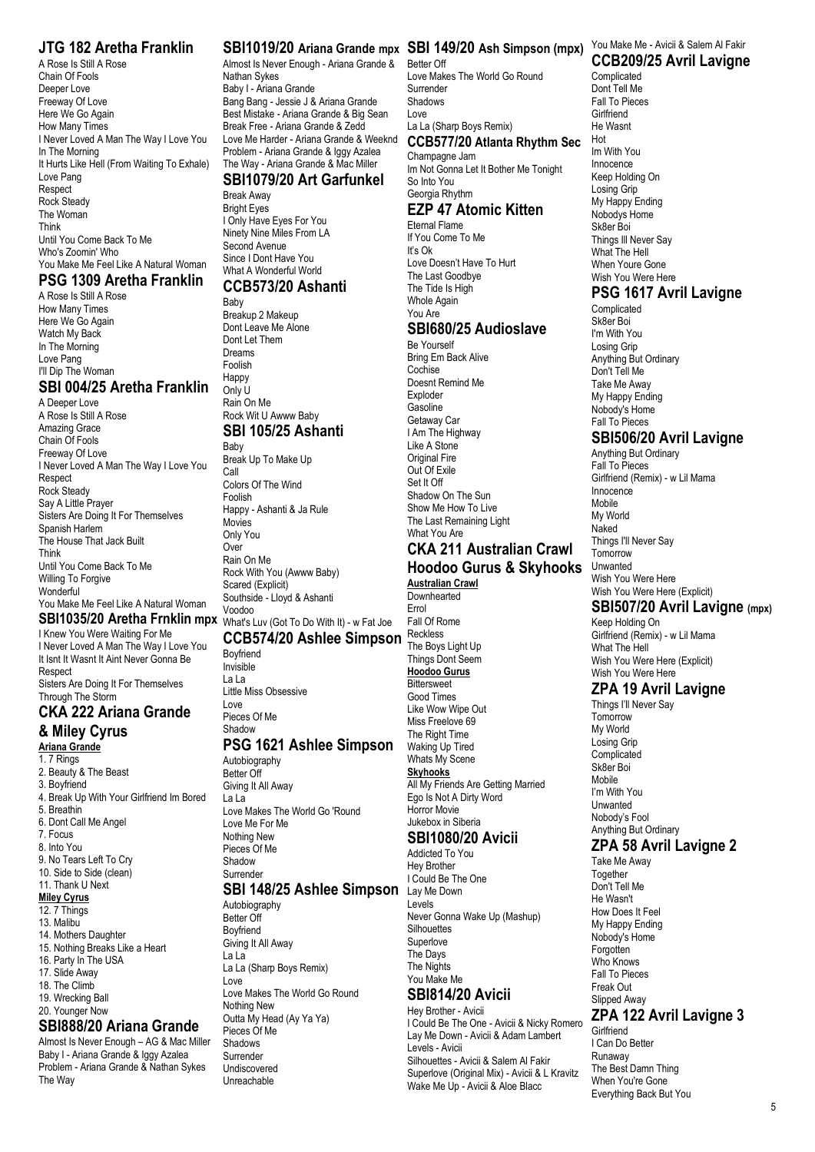#### **JTG 182 Aretha Franklin**

A Rose Is Still A Rose Chain Of Fools Deeper Love Freeway Of Love Here We Go Again How Many Times I Never Loved A Man The Way I Love You In The Morning It Hurts Like Hell (From Waiting To Exhale) Love Pang Respect Rock Steady The Woman Think Until You Come Back To Me Who's Zoomin' Who You Make Me Feel Like A Natural Woman

#### **PSG 1309 Aretha Franklin**

A Rose Is Still A Rose How Many Times Here We Go Again Watch My Back In The Morning Love Pang I'll Dip The Woman

## **SBI 004/25 Aretha Franklin**

A Deeper Love A Rose Is Still A Rose Amazing Grace Chain Of Fools Freeway Of Love I Never Loved A Man The Way I Love You **Respect** Rock Steady Say A Little Prayer Sisters Are Doing It For Themselves Spanish Harlem The House That Jack Built Think Until You Come Back To Me Willing To Forgive **Wonderful** You Make Me Feel Like A Natural Woman

I Knew You Were Waiting For Me I Never Loved A Man The Way I Love You It Isnt It Wasnt It Aint Never Gonna Be Respect Sisters Are Doing It For Themselves Through The Storm

# **CKA 222 Ariana Grande**

**& Miley Cyrus Ariana Grande** 1. 7 Rings 2. Beauty & The Beast 3. Boyfriend 4. Break Up With Your Girlfriend Im Bored 5. Breathin 6. Dont Call Me Angel 7. Focus 8. Into You 9. No Tears Left To Cry 10. Side to Side (clean) 11 Thank U Next **Miley Cyrus** 12. 7 Things 13. Malibu 14. Mothers Daughter

- 15. Nothing Breaks Like a Heart 16. Party In The USA
- 17. Slide Away
- 18. The Climb
- 19. Wrecking Ball
- 20. Younger Now

#### **SBI888/20 Ariana Grande**

Almost Is Never Enough – AG & Mac Miller Baby I - Ariana Grande & Iggy Azalea Problem - Ariana Grande & Nathan Sykes The Way

Almost Is Never Enough - Ariana Grande & Nathan Sykes Baby I - Ariana Grande Bang Bang - Jessie J & Ariana Grande Best Mistake - Ariana Grande & Big Sean Break Free - Ariana Grande & Zedd Love Me Harder - Ariana Grande & Weeknd Problem - Ariana Grande & Iggy Azalea The Way - Ariana Grande & Mac Miller

## **SBI1079/20 Art Garfunkel**

Break Away Bright Eyes I Only Have Eyes For You Ninety Nine Miles From LA Second Avenue Since I Dont Have You What A Wonderful World

#### **CCB573/20 Ashanti** Baby

Breakup 2 Makeup Dont Leave Me Alone Dont Let Them Dreams Foolish Happy Only U Rain On Me Rock Wit U Awww Baby **SBI 105/25 Ashanti** Baby Break Up To Make Up Call Colors Of The Wind Foolish Happy - Ashanti & Ja Rule Movies Only You Over Rain On Me Rock With You (Awww Baby) Scared (Explicit) Southside - Lloyd & Ashanti Voodoo

# **SBI1035/20 Aretha Frnklin mpx** What's Luv (Got To Do With It) - w Fat Joe

**CCB574/20 Ashlee Simpson** Reckless Boyfriend Invisible

La La Little Miss Obsessive Love Pieces Of Me

# **Shadow**

**PSG 1621 Ashlee Simpson** Autobiography Better Off Giving It All Away La La Love Makes The World Go 'Round Love Me For Me Nothing New Pieces Of Me Shadow Surrender

#### **SBI 148/25 Ashlee Simpson**

Autobiography Better Off Boyfriend Giving It All Away La La La La (Sharp Boys Remix) Love Love Makes The World Go Round Nothing New Outta My Head (Ay Ya Ya) Pieces Of Me Shadows Surrender Undiscovered Unreachable

#### **SBI1019/20 Ariana Grande mpx SBI 149/20 Ash Simpson (mpx)** You Make Me - Avicii & Salem Al Fakir

Better Off Love Makes The World Go Round Surrender Shadows Love La La (Sharp Boys Remix) **CCB577/20 Atlanta Rhythm Sec**

# Champagne Jam

Im Not Gonna Let It Bother Me Tonight So Into You Georgia Rhythm

#### **EZP 47 Atomic Kitten**

Eternal Flame If You Come To Me It's Ok Love Doesn't Have To Hurt The Last Goodbye The Tide Is High Whole Again You Are

#### **SBI680/25 Audioslave**

Be Yourself Bring Em Back Alive Cochise Doesnt Remind Me Exploder **Gasoline** Getaway Car I Am The Highway Like A Stone Original Fire Out Of Exile Set It Off Shadow On The Sun Show Me How To Live The Last Remaining Light What You Are

#### **CKA 211 Australian Crawl Hoodoo Gurus & Skyhooks**

**Australian Crawl Downhearted** Errol Fall Of Rome

The Boys Light Up Things Dont Seem **Hoodoo Gurus Bittersweet** Good Times Like Wow Wipe Out Miss Freelove 69 The Right Time Waking Up Tired Whats My Scene **Skyhooks** All My Friends Are Getting Married Ego Is Not A Dirty Word Horror Movie Jukebox in Siberia

#### **SBI1080/20 Avicii** Addicted To You

Hey Brother I Could Be The One Lay Me Down Levels Never Gonna Wake Up (Mashup) **Silhouettes** Superlove The Days The Nights You Make Me

# **SBI814/20 Avicii**

Hey Brother - Avicii I Could Be The One - Avicii & Nicky Romero Lay Me Down - Avicii & Adam Lambert Levels - Avicii Silhouettes - Avicii & Salem Al Fakir Superlove (Original Mix) - Avicii & L Kravitz Wake Me Up - Avicii & Aloe Blacc

# **CCB209/25 Avril Lavigne**

Complicated Dont Tell Me Fall To Pieces **Girlfriend** He Wasnt Hot Im With You Innocence Keep Holding On Losing Grip My Happy Ending Nobodys Home Sk8er Boi Things Ill Never Say What The Hell When Youre Gone Wish You Were Here

# **PSG 1617 Avril Lavigne**

Complicated Sk8er Boi I'm With You Losing Grip Anything But Ordinary Don't Tell Me Take Me Away My Happy Ending Nobody's Home Fall To Pieces

#### **SBI506/20 Avril Lavigne**

Anything But Ordinary Fall To Pieces Girlfriend (Remix) - w Lil Mama Innocence Mobile My World Naked Things I'll Never Say **Tomorrow** Unwanted Wish You Were Here Wish You Were Here (Explicit)

## **SBI507/20 Avril Lavigne (mpx)**

Keep Holding On Girlfriend (Remix) - w Lil Mama What The Hell Wish You Were Here (Explicit) Wish You Were Here

#### **ZPA 19 Avril Lavigne**

Things I'll Never Say **Tomorrow** My World Losing Grip **Complicated** Sk8er Boi Mobile I'm With You Unwanted Nobody's Fool Anything But Ordinary

# **ZPA 58 Avril Lavigne 2**

Take Me Away Together Don't Tell Me He Wasn't How Does It Feel My Happy Ending Nobody's Home Forgotten Who Knows Fall To Pieces Freak Out Slipped Away

## **ZPA 122 Avril Lavigne 3**

**Girlfriend** I Can Do Better Runaway The Best Damn Thing When You're Gone Everything Back But You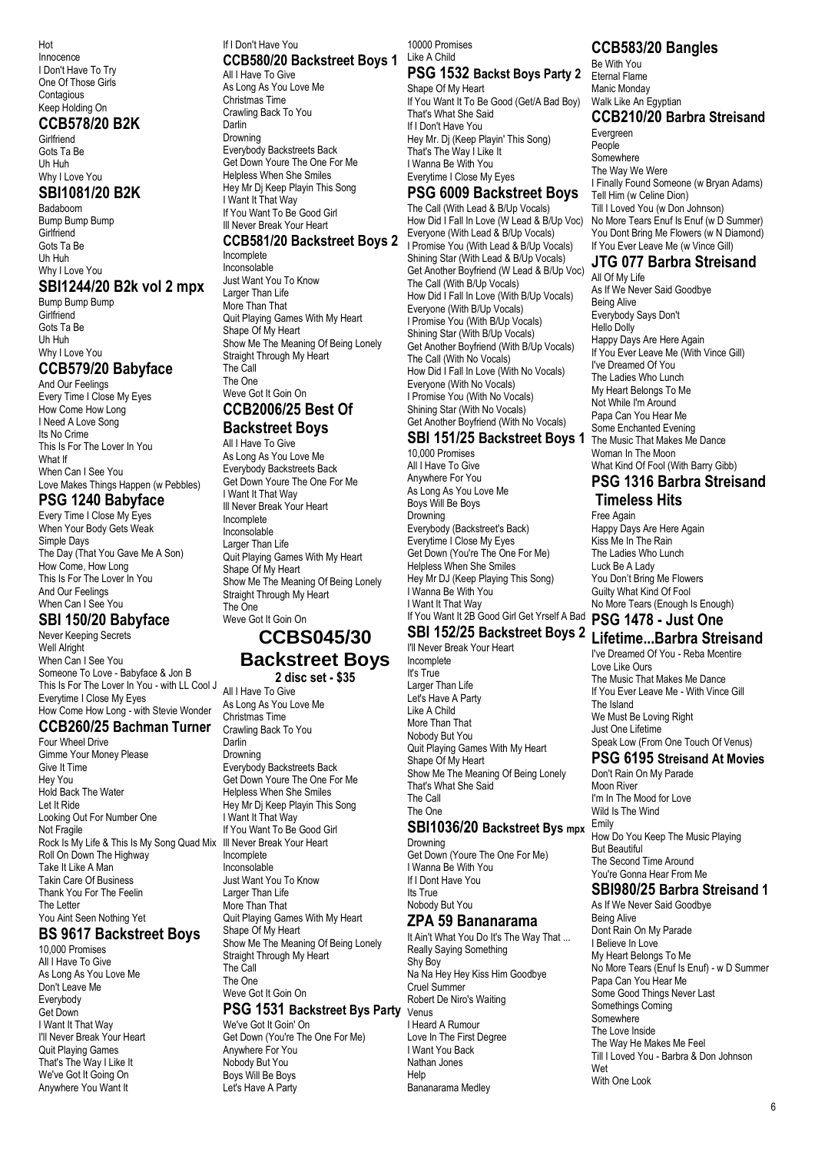Hot Innocence I Don't Have To Try One Of Those Girls **Contagious** Keep Holding On

#### **CCB578/20 B2K**

**Girlfriend** Gots Ta Be Uh Huh Why I Love You

#### **SBI1081/20 B2K**

Badaboom Bump Bump Bump **Girlfriend** Gots Ta Be Uh Huh Why I Love You

#### **SBI1244/20 B2k vol 2 mpx**

Bump Bump Bump **Girlfriend** Gots Ta Be Uh Huh Why I Love You

#### **CCB579/20 Babyface**

And Our Feelings Every Time I Close My Eyes How Come How Long I Need A Love Song Its No Crime This Is For The Lover In You What If When Can I See You Love Makes Things Happen (w Pebbles)

#### **PSG 1240 Babyface**

Every Time I Close My Eyes When Your Body Gets Weak Simple Days The Day (That You Gave Me A Son) How Come, How Long This Is For The Lover In You And Our Feelings When Can I See You

#### **SBI 150/20 Babyface**

Never Keeping Secrets Well Alright When Can I See You Someone To Love - Babyface & Jon B This Is For The Lover In You - with LL Cool J Everytime I Close My Eyes How Come How Long - with Stevie Wonder

#### **CCB260/25 Bachman Turner**

Four Wheel Drive Gimme Your Money Please Give It Time Hey You Hold Back The Water Let It Ride Looking Out For Number One Not Fragile Rock Is My Life & This Is My Song Quad Mix Ill Never Break Your Heart Roll On Down The Highway Take It Like A Man Takin Care Of Business Thank You For The Feelin The Letter You Aint Seen Nothing Yet

#### **BS 9617 Backstreet Boys** 10,000 Promises

All I Have To Give As Long As You Love Me Don't Leave Me Everybody Get Down I Want It That Way I'll Never Break Your Heart Quit Playing Games That's The Way I Like It We've Got It Going On Anywhere You Want It

#### If I Don't Have You **CCB580/20 Backstreet Boys 1** All I Have To Give As Long As You Love Me

Christmas Time Crawling Back To You Darlin Drowning Everybody Backstreets Back Get Down Youre The One For Me Helpless When She Smiles Hey Mr Dj Keep Playin This Song I Want It That Way If You Want To Be Good Girl Ill Never Break Your Heart

#### **CCB581/20 Backstreet Boys 2** Incomplete

Inconsolable Just Want You To Know Larger Than Life More Than That Quit Playing Games With My Heart Shape Of My Heart Show Me The Meaning Of Being Lonely Straight Through My Heart The Call The One Weve Got It Goin On **CCB2006/25 Best Of**

# **Backstreet Boys**

All I Have To Give As Long As You Love Me Everybody Backstreets Back Get Down Youre The One For Me I Want It That Way Ill Never Break Your Heart Incomplete Inconsolable Larger Than Life Quit Playing Games With My Heart Shape Of My Heart Show Me The Meaning Of Being Lonely Straight Through My Heart The One Weve Got It Goin On

# **CCBS045/30**

**Backstreet Boys 2 disc set - \$35**

All I Have To Give As Long As You Love Me Christmas Time Crawling Back To You Darlin Drowning Everybody Backstreets Back Get Down Youre The One For Me Helpless When She Smiles Hey Mr Dj Keep Playin This Song I Want It That Way If You Want To Be Good Girl Incomplete Inconsolable Just Want You To Know Larger Than Life More Than That Quit Playing Games With My Heart Shape Of My Heart Show Me The Meaning Of Being Lonely Straight Through My Heart The Call The One Weve Got It Goin On

# **PSG 1531 Backstreet Bys Party**

We've Got It Goin' On Get Down (You're The One For Me) Anywhere For You Nobody But You Boys Will Be Boys Let's Have A Party

10000 Promises Like A Child

#### **PSG 1532 Backst Boys Party 2** Shape Of My Heart

If You Want It To Be Good (Get/A Bad Boy) That's What She Said If I Don't Have You Hey Mr. Dj (Keep Playin' This Song) That's The Way I Like It I Wanna Be With You Everytime I Close My Eyes

#### **PSG 6009 Backstreet Boys**

The Call (With Lead & B/Up Vocals) How Did I Fall In Love (W Lead & B/Up Voc) Everyone (With Lead & B/Up Vocals) I Promise You (With Lead & B/Up Vocals) Shining Star (With Lead & B/Up Vocals) Get Another Boyfriend (W Lead & B/Up Voc) The Call (With B/Up Vocals) How Did I Fall In Love (With B/Up Vocals) Everyone (With B/Up Vocals) I Promise You (With B/Up Vocals) Shining Star (With B/Up Vocals) Get Another Boyfriend (With B/Up Vocals) The Call (With No Vocals) How Did I Fall In Love (With No Vocals) Everyone (With No Vocals) I Promise You (With No Vocals) Shining Star (With No Vocals) Get Another Boyfriend (With No Vocals)

#### **SBI 151/25 Backstreet Boys 1** 10,000 Promises

All I Have To Give Anywhere For You As Long As You Love Me Boys Will Be Boys **Drowning** Everybody (Backstreet's Back) Everytime I Close My Eyes Get Down (You're The One For Me) Helpless When She Smiles Hey Mr DJ (Keep Playing This Song) I Wanna Be With You I Want It That Way

# If You Want It 2B Good Girl Get Yrself A Bad **PSG 1478 - Just One**

I'll Never Break Your Heart Incomplete It's True Larger Than Life Let's Have A Party Like A Child More Than That Nobody But You Quit Playing Games With My Heart Shape Of My Heart Show Me The Meaning Of Being Lonely That's What She Said The Call The One

# **SBI1036/20 Backstreet Bys mpx**

Drowning Get Down (Youre The One For Me) I Wanna Be With You If I Dont Have You Its True Nobody But You

#### **ZPA 59 Bananarama**

It Ain't What You Do It's The Way That ... Really Saying Something Shy Boy Na Na Hey Hey Kiss Him Goodbye Cruel Summer Robert De Niro's Waiting Venus I Heard A Rumour Love In The First Degree I Want You Back Nathan Jones Help Bananarama Medley

# **CCB583/20 Bangles**

Be With You Eternal Flame Manic Monday Walk Like An Egyptian

# **CCB210/20 Barbra Streisand**

Evergreen People Somewhere The Way We Were I Finally Found Someone (w Bryan Adams) Tell Him (w Celine Dion) Till I Loved You (w Don Johnson) No More Tears Enuf Is Enuf (w D Summer) You Dont Bring Me Flowers (w N Diamond) If You Ever Leave Me (w Vince Gill)

#### **JTG 077 Barbra Streisand**

All Of My Life As If We Never Said Goodbye Being Alive Everybody Says Don't Hello Dolly Happy Days Are Here Again If You Ever Leave Me (With Vince Gill) I've Dreamed Of You The Ladies Who Lunch My Heart Belongs To Me Not While I'm Around Papa Can You Hear Me Some Enchanted Evening The Music That Makes Me Dance Woman In The Moon What Kind Of Fool (With Barry Gibb)

#### **PSG 1316 Barbra Streisand Timeless Hits**

Free Again Happy Days Are Here Again Kiss Me In The Rain The Ladies Who Lunch Luck Be A Lady You Don't Bring Me Flowers Guilty What Kind Of Fool No More Tears (Enough Is Enough)

# **SBI 152/25 Backstreet Boys 2 Lifetime...Barbra Streisand**

I've Dreamed Of You - Reba Mcentire Love Like Ours The Music That Makes Me Dance If You Ever Leave Me - With Vince Gill The Island We Must Be Loving Right Just One Lifetime Speak Low (From One Touch Of Venus)

## **PSG 6195 Streisand At Movies**

Don't Rain On My Parade Moon River I'm In The Mood for Love Wild Is The Wind Emily How Do You Keep The Music Playing But Beautiful The Second Time Around You're Gonna Hear From Me

# **SBI980/25 Barbra Streisand 1**

As If We Never Said Goodbye Being Alive Dont Rain On My Parade I Believe In Love My Heart Belongs To Me No More Tears (Enuf Is Enuf) - w D Summer Papa Can You Hear Me Some Good Things Never Last Somethings Coming Somewhere The Love Inside The Way He Makes Me Feel Till I Loved You - Barbra & Don Johnson Wet With One Look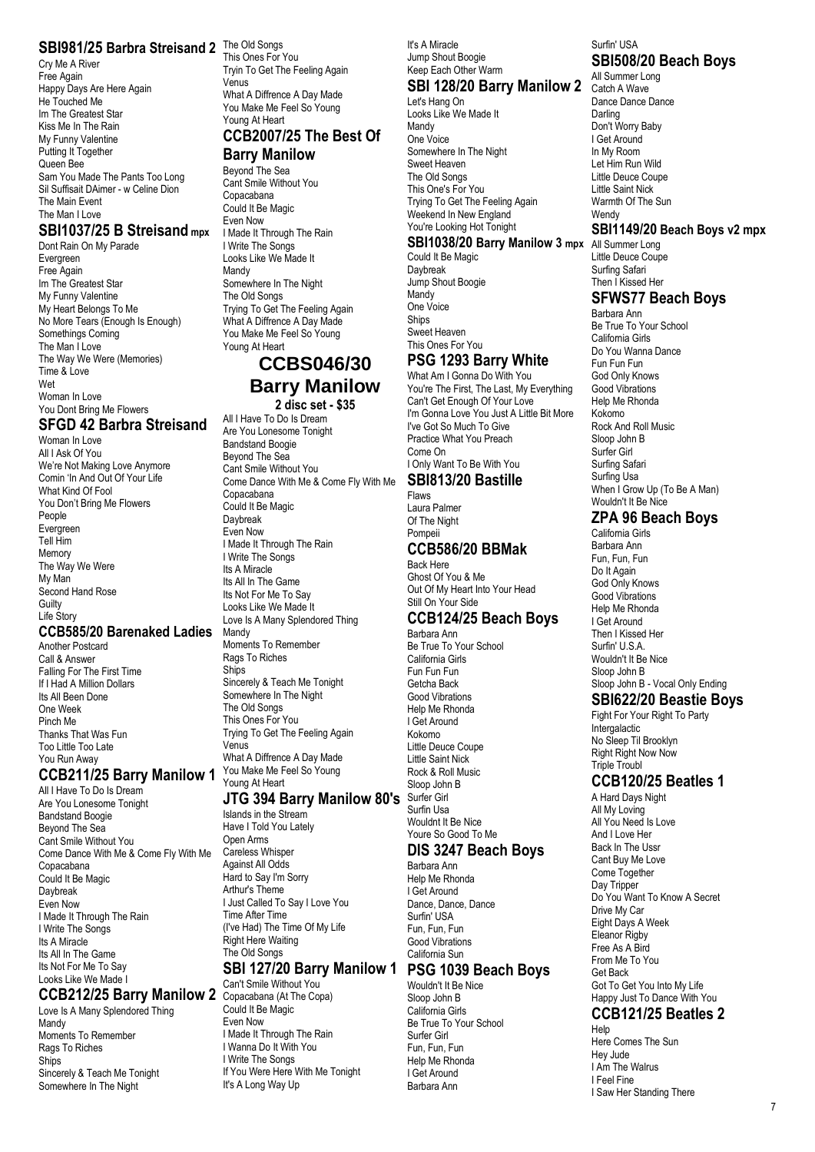#### **SBI981/25 Barbra Streisand 2** The Old Songs

Cry Me A River Free Again Happy Days Are Here Again He Touched Me Im The Greatest Star Kiss Me In The Rain My Funny Valentine Putting It Together Queen Bee Sam You Made The Pants Too Long Sil Suffisait DAimer - w Celine Dion The Main Event The Man I Love

#### **SBI1037/25 B Streisand mpx**

Dont Rain On My Parade Evergreen Free Again Im The Greatest Star My Funny Valentine My Heart Belongs To Me No More Tears (Enough Is Enough) Somethings Coming The Man I Love The Way We Were (Memories) Time & Love Wet Woman In Love You Dont Bring Me Flowers

# **SFGD 42 Barbra Streisand**

Woman In Love All I Ask Of You We're Not Making Love Anymore Comin 'In And Out Of Your Life What Kind Of Fool You Don't Bring Me Flowers People Evergreen Tell Him Memory The Way We Were My Man Second Hand Rose **Guilty** Life Story

#### **CCB585/20 Barenaked Ladies**

Another Postcard Call & Answer Falling For The First Time If I Had A Million Dollars Its All Been Done One Week Pinch Me Thanks That Was Fun Too Little Too Late You Run Away

#### **CCB211/25 Barry Manilow 1** You Make Me Feel So Young

All I Have To Do Is Dream Are You Lonesome Tonight Bandstand Boogie Beyond The Sea Cant Smile Without You Come Dance With Me & Come Fly With Me Copacabana Could It Be Magic Daybreak Even Now I Made It Through The Rain I Write The Songs Its A Miracle Its All In The Game Its Not For Me To Say Looks Like We Made I

#### **CCB212/25 Barry Manilow 2** Copacabana (At The Copa)

Love Is A Many Splendored Thing Mandy Moments To Remember Rags To Riches **Ships** Sincerely & Teach Me Tonight Somewhere In The Night

This Ones For You Tryin To Get The Feeling Again Venus What A Diffrence A Day Made You Make Me Feel So Young Young At Heart

# **CCB2007/25 The Best Of**

# **Barry Manilow**

Beyond The Sea Cant Smile Without You Copacabana Could It Be Magic Even Now I Made It Through The Rain I Write The Songs Looks Like We Made It Mandy Somewhere In The Night The Old Songs Trying To Get The Feeling Again What A Diffrence A Day Made You Make Me Feel So Young Young At Heart

# **CCBS046/30 Barry Manilow**

#### **2 disc set - \$35**

All I Have To Do Is Dream Are You Lonesome Tonight Bandstand Boogie Beyond The Sea Cant Smile Without You Come Dance With Me & Come Fly With Me Copacabana Could It Be Magic Daybreak Even Now I Made It Through The Rain I Write The Songs Its A Miracle Its All In The Game Its Not For Me To Say Looks Like We Made It Love Is A Many Splendored Thing Mandy Moments To Remember Rags To Riches **Ships** Sincerely & Teach Me Tonight Somewhere In The Night The Old Songs This Ones For You Trying To Get The Feeling Again Venus What A Diffrence A Day Made Young At Heart

#### **JTG 394 Barry Manilow 80's**

Islands in the Stream Have I Told You Lately Open Arms Careless Whisper Against All Odds Hard to Say I'm Sorry Arthur's Theme I Just Called To Say I Love You Time After Time (I've Had) The Time Of My Life Right Here Waiting The Old Songs

#### **SBI 127/20 Barry Manilow 1 PSG 1039 Beach Boys**

Can't Smile Without You Could It Be Magic Even Now I Made It Through The Rain I Wanna Do It With You I Write The Songs If You Were Here With Me Tonight It's A Long Way Up

#### It's A Miracle Jump Shout Boogie Keep Each Other Warm

# **SBI 128/20 Barry Manilow 2** Catch A Wave

Let's Hang On Looks Like We Made It Mandy One Voice Somewhere In The Night Sweet Heaven The Old Songs This One's For You Trying To Get The Feeling Again Weekend In New England You're Looking Hot Tonight

#### **SBI1038/20 Barry Manilow 3 mpx** All Summer Long

Could It Be Magic Daybreak Jump Shout Boogie Mandy One Voice Ships Sweet Heaven This Ones For You

# **PSG 1293 Barry White**

What Am I Gonna Do With You You're The First, The Last, My Everything Can't Get Enough Of Your Love I'm Gonna Love You Just A Little Bit More I've Got So Much To Give Practice What You Preach Come On I Only Want To Be With You

#### **SBI813/20 Bastille** Flaws

Laura Palmer Of The Night Pompeii

#### **CCB586/20 BBMak**

Back Here Ghost Of You & Me Out Of My Heart Into Your Head Still On Your Side

#### **CCB124/25 Beach Boys**

Barbara Ann Be True To Your School California Girls Fun Fun Fun Getcha Back Good Vibrations Help Me Rhonda I Get Around Kokomo Little Deuce Coupe Little Saint Nick Rock & Roll Music Sloop John B Surfer Girl Surfin Usa Wouldnt It Be Nice Youre So Good To Me

#### **DIS 3247 Beach Boys**

Help Me Rhonda I Get Around Dance, Dance, Dance Surfin' USA Fun, Fun, Fun Good Vibrations California Sun

Wouldn't It Be Nice Sloop John B California Girls Be True To Your School Surfer Girl Fun, Fun, Fun Help Me Rhonda I Get Around Barbara Ann

#### Surfin' USA **SBI508/20 Beach Boys**

All Summer Long Dance Dance Dance Darling Don't Worry Baby I Get Around In My Room Let Him Run Wild Little Deuce Coupe Little Saint Nick Warmth Of The Sun **Wendy** 

#### **SBI1149/20 Beach Boys v2 mpx**

Little Deuce Coupe Surfing Safari Then I Kissed Her

#### **SFWS77 Beach Boys** Barbara Ann

Be True To Your School California Girls Do You Wanna Dance Fun Fun Fun God Only Knows Good Vibrations Help Me Rhonda Kokomo Rock And Roll Music Sloop John B Surfer Girl Surfing Safari Surfing Usa When I Grow Up (To Be A Man) Wouldn't It Be Nice

## **ZPA 96 Beach Boys**

California Girls Barbara Ann Fun, Fun, Fun Do It Again God Only Knows Good Vibrations Help Me Rhonda I Get Around Then I Kissed Her Surfin' U.S.A. Wouldn't It Be Nice Sloop John B Sloop John B - Vocal Only Ending

#### **SBI622/20 Beastie Boys** Fight For Your Right To Party

Intergalactic No Sleep Til Brooklyn Right Right Now Now Triple Troubl

#### **CCB120/25 Beatles 1**

A Hard Days Night All My Loving All You Need Is Love And I Love Her Back In The Ussr Cant Buy Me Love Come Together Day Tripper Do You Want To Know A Secret Drive My Car Eight Days A Week Eleanor Rigby Free As A Bird From Me To You Get Back Got To Get You Into My Life Happy Just To Dance With You **CCB121/25 Beatles 2**

#### Help

Here Comes The Sun Hey Jude I Am The Walrus I Feel Fine I Saw Her Standing There

Barbara Ann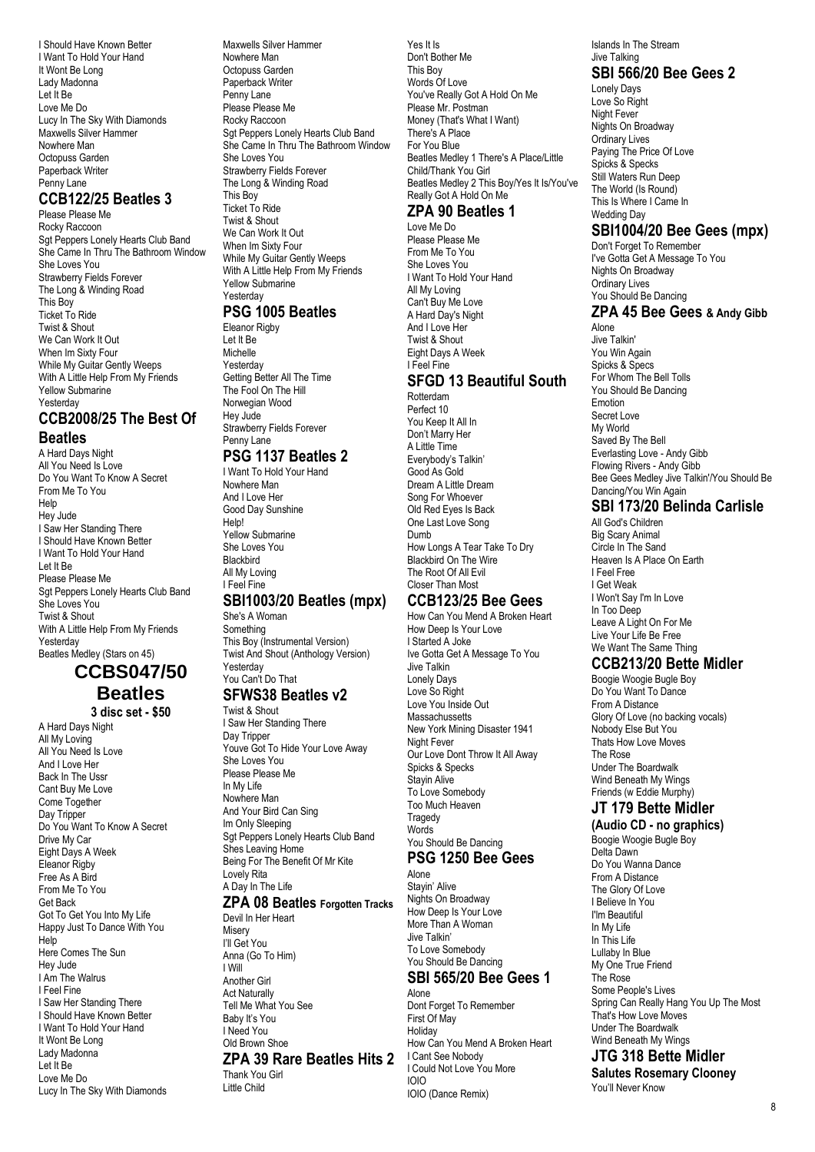I Should Have Known Better I Want To Hold Your Hand It Wont Be Long Lady Madonna Let It Be Love Me Do Lucy In The Sky With Diamonds Maxwells Silver Hammer Nowhere Man Octopuss Garden Paperback Writer Penny Lane

## **CCB122/25 Beatles 3**

Please Please Me Rocky Raccoon Sat Peppers Lonely Hearts Club Band She Came In Thru The Bathroom Window She Loves You Strawberry Fields Forever The Long & Winding Road This Boy Ticket To Ride Twist & Shout We Can Work It Out When Im Sixty Four While My Guitar Gently Weeps With A Little Help From My Friends Yellow Submarine **Yesterday** 

#### **CCB2008/25 The Best Of Beatles**

A Hard Days Night All You Need Is Love Do You Want To Know A Secret From Me To You Help Hey Jude I Saw Her Standing There I Should Have Known Better I Want To Hold Your Hand Let It Be Please Please Me Sgt Peppers Lonely Hearts Club Band She Loves You Twist & Shout With A Little Help From My Friends Yesterday Beatles Medley (Stars on 45)

## **CCBS047/50 Beatles 3 disc set - \$50**

A Hard Days Night All My Loving All You Need Is Love And I Love Her Back In The Ussr Cant Buy Me Love Come Together Day Tripper Do You Want To Know A Secret Drive My Car Eight Days A Week Eleanor Rigby Free As A Bird From Me To You Get Back Got To Get You Into My Life Happy Just To Dance With You Help Here Comes The Sun Hey Jude I Am The Walrus I Feel Fine I Saw Her Standing There I Should Have Known Better I Want To Hold Your Hand It Wont Be Long Lady Madonna Let It Be Love Me Do Lucy In The Sky With Diamonds Maxwells Silver Hammer Nowhere Man Octopuss Garden Paperback Writer Penny Lane Please Please Me Rocky Raccoon Sat Peppers Lonely Hearts Club Band She Came In Thru The Bathroom Window She Loves You Strawberry Fields Forever The Long & Winding Road This Boy Ticket To Ride Twist & Shout We Can Work It Out When Im Sixty Four While My Guitar Gently Weeps With A Little Help From My Friends Yellow Submarine **Yesterday** 

#### **PSG 1005 Beatles**

Eleanor Rigby Let It Be Michelle Yesterday Getting Better All The Time The Fool On The Hill Norwegian Wood Hey Jude Strawberry Fields Forever Penny Lane

## **PSG 1137 Beatles 2**

I Want To Hold Your Hand Nowhere Man And I Love Her Good Day Sunshine Help! Yellow Submarine She Loves You **Blackbird** All My Loving I Feel Fine

#### **SBI1003/20 Beatles (mpx)** She's A Woman

Something This Boy (Instrumental Version) Twist And Shout (Anthology Version) Yesterday You Can't Do That

#### **SFWS38 Beatles v2**

Twist & Shout I Saw Her Standing There Day Tripper Youve Got To Hide Your Love Away She Loves You Please Please Me In My Life Nowhere Man And Your Bird Can Sing Im Only Sleeping Sgt Peppers Lonely Hearts Club Band Shes Leaving Home Being For The Benefit Of Mr Kite Lovely Rita A Day In The Life

#### **ZPA 08 Beatles Forgotten Tracks**

Devil In Her Heart Misery I'll Get You Anna (Go To Him) I Will Another Girl Act Naturally Tell Me What You See Baby It's You I Need You Old Brown Shoe **ZPA 39 Rare Beatles Hits 2**

Thank You Girl Little Child

Yes It Is Don't Bother Me This Boy Words Of Love You've Really Got A Hold On Me Please Mr. Postman Money (That's What I Want) There's A Place For You Blue Beatles Medley 1 There's A Place/Little Child/Thank You Girl Beatles Medley 2 This Boy/Yes It Is/You've Really Got A Hold On Me

## **ZPA 90 Beatles 1**

Love Me Do Please Please Me From Me To You She Loves You I Want To Hold Your Hand All My Loving Can't Buy Me Love A Hard Day's Night And I Love Her Twist & Shout Eight Days A Week I Feel Fine

#### **SFGD 13 Beautiful South** Rotterdam

Perfect 10 You Keep It All In Don't Marry Her A Little Time Everybody's Talkin' Good As Gold Dream A Little Dream Song For Whoever Old Red Eyes Is Back One Last Love Song Dumb How Longs A Tear Take To Dry Blackbird On The Wire The Root Of All Evil Closer Than Most

#### **CCB123/25 Bee Gees**

How Can You Mend A Broken Heart How Deep Is Your Love I Started A Joke Ive Gotta Get A Message To You Jive Talkin Lonely Days Love So Right Love You Inside Out **Massachussetts** New York Mining Disaster 1941 Night Fever Our Love Dont Throw It All Away Spicks & Specks Stayin Alive To Love Somebody Too Much Heaven **Tragedy** Words You Should Be Dancing **PSG 1250 Bee Gees**

## Alone

Stayin' Alive Nights On Broadway How Deep Is Your Love More Than A Woman Jive Talkin' To Love Somebody You Should Be Dancing

# **SBI 565/20 Bee Gees 1**

Alone Dont Forget To Remember First Of May Holiday How Can You Mend A Broken Heart I Cant See Nobody I Could Not Love You More IOIO IOIO (Dance Remix)

Islands In The Stream Jive Talking

# **SBI 566/20 Bee Gees 2**

Lonely Days Love So Right Night Fever Nights On Broadway Ordinary Lives Paying The Price Of Love Spicks & Specks Still Waters Run Deep The World (Is Round) This Is Where I Came In Wedding Day

# **SBI1004/20 Bee Gees (mpx)**

Don't Forget To Remember I've Gotta Get A Message To You Nights On Broadway Ordinary Lives You Should Be Dancing

#### **ZPA 45 Bee Gees & Andy Gibb** Alone

Jive Talkin' You Win Again Spicks & Specs For Whom The Bell Tolls You Should Be Dancing Emotion Secret Love My World Saved By The Bell Everlasting Love - Andy Gibb Flowing Rivers - Andy Gibb Bee Gees Medley Jive Talkin'/You Should Be Dancing/You Win Again

# **SBI 173/20 Belinda Carlisle**

All God's Children Big Scary Animal Circle In The Sand Heaven Is A Place On Earth I Feel Free I Get Weak I Won't Say I'm In Love In Too Deep Leave A Light On For Me Live Your Life Be Free We Want The Same Thing

# **CCB213/20 Bette Midler**

Boogie Woogie Bugle Boy Do You Want To Dance From A Distance Glory Of Love (no backing vocals) Nobody Else But You Thats How Love Moves The Rose Under The Boardwalk Wind Beneath My Wings Friends (w Eddie Murphy)

# **JT 179 Bette Midler**

**(Audio CD - no graphics)** Boogie Woogie Bugle Boy Delta Dawn Do You Wanna Dance From A Distance The Glory Of Love I Believe In You I'lm Beautiful In My Life In This Life Lullaby In Blue My One True Friend The Rose Some People's Lives Spring Can Really Hang You Up The Most That's How Love Moves Under The Boardwalk Wind Beneath My Wings

# **JTG 318 Bette Midler**

**Salutes Rosemary Clooney** You'll Never Know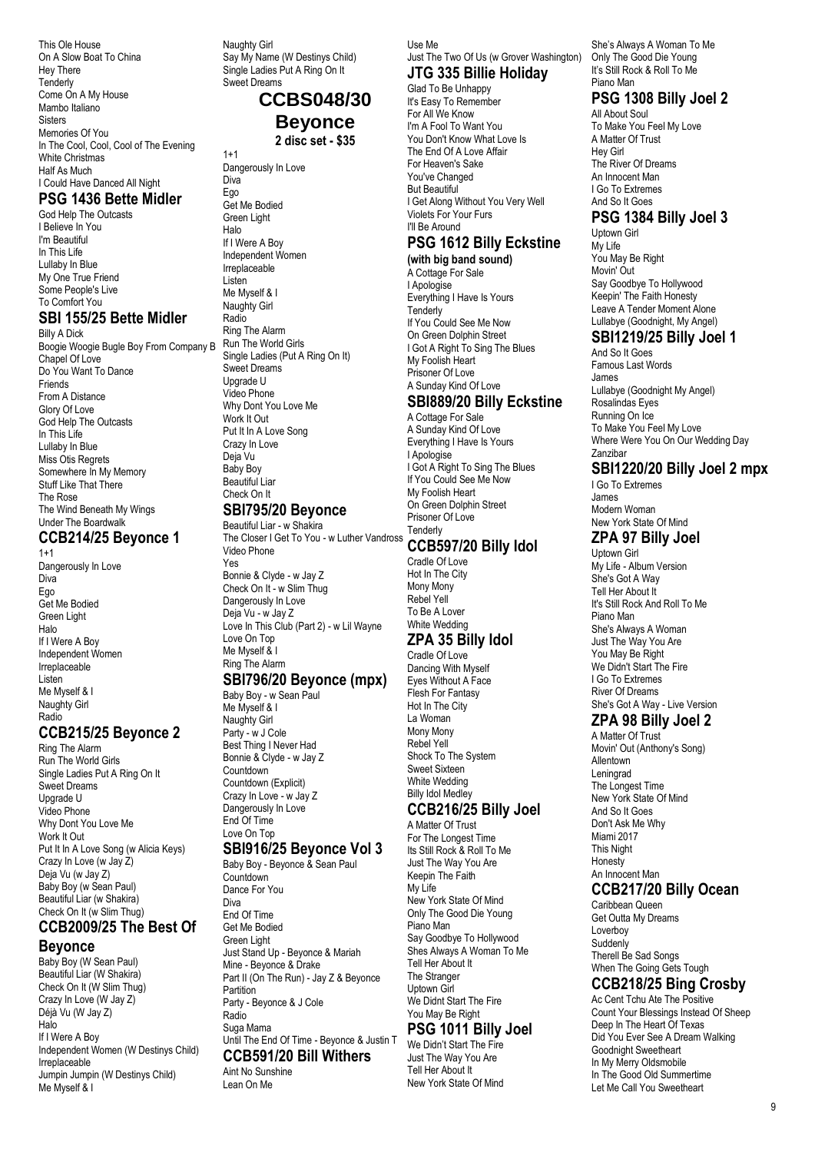This Ole House On A Slow Boat To China Hey There Tenderly Come On A My House Mambo Italiano **Sisters** Memories Of You In The Cool, Cool, Cool of The Evening White Christmas Half As Much I Could Have Danced All Night

#### **PSG 1436 Bette Midler**

God Help The Outcasts I Believe In You I'm Beautiful In This Life Lullaby In Blue My One True Friend Some People's Live To Comfort You

#### **SBI 155/25 Bette Midler**

Billy A Dick Boogie Woogie Bugle Boy From Company B Chapel Of Love Do You Want To Dance Friends From A Distance Glory Of Love God Help The Outcasts In This Life Lullaby In Blue Miss Otis Regrets Somewhere In My Memory Stuff Like That There The Rose The Wind Beneath My Wings Under The Boardwalk

## **CCB214/25 Beyonce 1**

 $1+1$ Dangerously In Love **Diva** Ego Get Me Bodied Green Light Halo If I Were A Boy Independent Women Irreplaceable Listen Me Myself & I Naughty Girl Radio

#### **CCB215/25 Beyonce 2**

Ring The Alarm Run The World Girls Single Ladies Put A Ring On It Sweet Dreams Upgrade U Video Phone Why Dont You Love Me Work It Out Put It In A Love Song (w Alicia Keys) Crazy In Love (w Jay Z) Deja Vu (w Jay Z) Baby Boy (w Sean Paul) Beautiful Liar (w Shakira) Check On It (w Slim Thug)

#### **CCB2009/25 The Best Of Beyonce**

Baby Boy (W Sean Paul) Beautiful Liar (W Shakira) Check On It (W Slim Thug) Crazy In Love (W Jay Z) Déjà Vu (W Jay Z) Halo If I Were A Boy Independent Women (W Destinys Child) Irreplaceable Jumpin Jumpin (W Destinys Child) Me Myself & I

Naughty Girl Say My Name (W Destinys Child) Single Ladies Put A Ring On It Sweet Dreams

# **CCBS048/30 Beyonce**

**2 disc set - \$35** Dangerously In Love

 $1+1$ 

Diva Ego Get Me Bodied Green Light Halo If I Were A Boy Independent Women Irreplaceable Listen Me Myself & I Naughty Girl Radio Ring The Alarm Run The World Girls Single Ladies (Put A Ring On It) Sweet Dreams Upgrade U Video Phone Why Dont You Love Me Work It Out Put It In A Love Song Crazy In Love Deja Vu Baby Boy Beautiful Liar Check On It

## **SBI795/20 Beyonce**

Beautiful Liar - w Shakira The Closer I Get To You - w Luther Vandross Video Phone Yes Bonnie & Clyde - w Jay Z Check On It - w Slim Thug Dangerously In Love Deja Vu - w Jay Z Love In This Club (Part 2) - w Lil Wayne Love On Top Me Myself & I Ring The Alarm

#### **SBI796/20 Beyonce (mpx)**

Baby Boy - w Sean Paul Me Myself & I Naughty Girl Party - w J Cole Best Thing I Never Had Bonnie & Clyde - w Jay Z Countdown Countdown (Explicit) Crazy In Love - w Jay Z Dangerously In Love End Of Time Love On Top

#### **SBI916/25 Beyonce Vol 3**

Baby Boy - Beyonce & Sean Paul Countdown Dance For You Diva End Of Time Get Me Bodied Green Light Just Stand Up - Beyonce & Mariah Mine - Beyonce & Drake Part II (On The Run) - Jay Z & Beyonce **Partition** Party - Beyonce & J Cole Radio Suga Mama Until The End Of Time - Beyonce & Justin T **CCB591/20 Bill Withers**

#### Aint No Sunshine Lean On Me

Use Me

#### Just The Two Of Us (w Grover Washington) **JTG 335 Billie Holiday**

Glad To Be Unhappy It's Easy To Remember For All We Know I'm A Fool To Want You You Don't Know What Love Is The End Of A Love Affair For Heaven's Sake You've Changed But Beautiful I Get Along Without You Very Well Violets For Your Furs I'll Be Around

# **PSG 1612 Billy Eckstine**

**(with big band sound)** A Cottage For Sale I Apologise Everything I Have Is Yours **Tenderly** If You Could See Me Now On Green Dolphin Street I Got A Right To Sing The Blues My Foolish Heart Prisoner Of Love A Sunday Kind Of Love

# **SBI889/20 Billy Eckstine**

A Cottage For Sale A Sunday Kind Of Love Everything I Have Is Yours I Apologise I Got A Right To Sing The Blues If You Could See Me Now My Foolish Heart On Green Dolphin Street Prisoner Of Love **Tenderly** 

#### **CCB597/20 Billy Idol**

Cradle Of Love Hot In The City Mony Mony Rebel Yell To Be A Lover White Wedding

## **ZPA 35 Billy Idol**

Cradle Of Love Dancing With Myself Eyes Without A Face Flesh For Fantasy Hot In The City La Woman Mony Mony Rebel Yell Shock To The System Sweet Sixteen White Wedding Billy Idol Medley

# **CCB216/25 Billy Joel**

A Matter Of Trust For The Longest Time Its Still Rock & Roll To Me Just The Way You Are Keepin The Faith My Life New York State Of Mind Only The Good Die Young Piano Man Say Goodbye To Hollywood Shes Always A Woman To Me Tell Her About It The Stranger Uptown Girl We Didnt Start The Fire You May Be Right

# **PSG 1011 Billy Joel**

We Didn't Start The Fire Just The Way You Are Tell Her About It New York State Of Mind

She's Always A Woman To Me Only The Good Die Young It's Still Rock & Roll To Me Piano Man

#### **PSG 1308 Billy Joel 2**

All About Soul To Make You Feel My Love A Matter Of Trust Hey Girl The River Of Dreams An Innocent Man I Go To Extremes And So It Goes

#### **PSG 1384 Billy Joel 3**

Uptown Girl My Life You May Be Right Movin' Out Say Goodbye To Hollywood Keepin' The Faith Honesty Leave A Tender Moment Alone Lullabye (Goodnight, My Angel)

#### **SBI1219/25 Billy Joel 1**

And So It Goes Famous Last Words James Lullabye (Goodnight My Angel) Rosalindas Eyes Running On Ice To Make You Feel My Love Where Were You On Our Wedding Day Zanzibar

## **SBI1220/20 Billy Joel 2 mpx**

I Go To Extremes James Modern Woman New York State Of Mind

## **ZPA 97 Billy Joel**

Uptown Girl My Life - Album Version She's Got A Way Tell Her About It It's Still Rock And Roll To Me Piano Man She's Always A Woman Just The Way You Are You May Be Right We Didn't Start The Fire I Go To Extremes River Of Dreams She's Got A Way - Live Version

## **ZPA 98 Billy Joel 2**

A Matter Of Trust Movin' Out (Anthony's Song) Allentown Leningrad The Longest Time New York State Of Mind And So It Goes Don't Ask Me Why Miami 2017 This Night Honesty An Innocent Man

#### **CCB217/20 Billy Ocean**

Caribbean Queen Get Outta My Dreams Loverboy **Suddenly** Therell Be Sad Songs When The Going Gets Tough

#### **CCB218/25 Bing Crosby**

Ac Cent Tchu Ate The Positive Count Your Blessings Instead Of Sheep Deep In The Heart Of Texas Did You Ever See A Dream Walking Goodnight Sweetheart In My Merry Oldsmobile In The Good Old Summertime Let Me Call You Sweetheart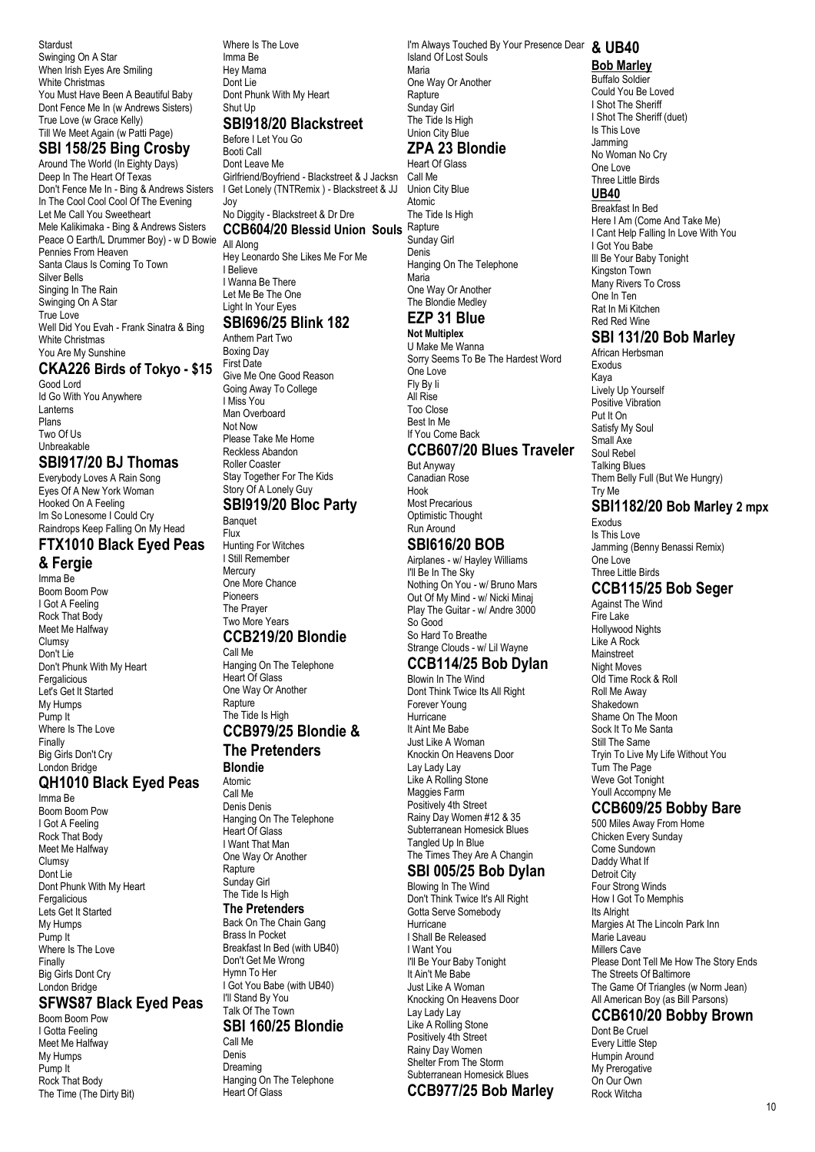Stardust Swinging On A Star When Irish Eyes Are Smiling White Christmas You Must Have Been A Beautiful Baby Dont Fence Me In (w Andrews Sisters) True Love (w Grace Kelly) Till We Meet Again (w Patti Page)

#### **SBI 158/25 Bing Crosby**

Around The World (In Eighty Days) Deep In The Heart Of Texas Don't Fence Me In - Bing & Andrews Sisters I Get Lonely (TNTRemix ) - Blackstreet & JJ In The Cool Cool Cool Of The Evening Let Me Call You Sweetheart Mele Kalikimaka - Bing & Andrews Sisters Peace O Earth/L Drummer Boy) - w D Bowie Pennies From Heaven Santa Claus Is Coming To Town Silver Bells Singing In The Rain Swinging On A Star True Love Well Did You Evah - Frank Sinatra & Bing White Christmas You Are My Sunshine

#### **CKA226 Birds of Tokyo - \$15**

Good Lord Id Go With You Anywhere Lanterns Plans Two Of Us Unbreakable

#### **SBI917/20 BJ Thomas**

Everybody Loves A Rain Song Eyes Of A New York Woman Hooked On A Feeling Im So Lonesome I Could Cry Raindrops Keep Falling On My Head **FTX1010 Black Eyed Peas**

#### **& Fergie**

Imma Be Boom Boom Pow I Got A Feeling Rock That Body Meet Me Halfway Clumsy Don't Lie Don't Phunk With My Heart Fergalicious Let's Get It Started My Humps Pump It Where Is The Love Finally Big Girls Don't Cry London Bridge

## **QH1010 Black Eyed Peas**

Imma Be Boom Boom Pow I Got A Feeling Rock That Body Meet Me Halfway Clumsy Dont Lie Dont Phunk With My Heart Fergalicious Lets Get It Started My Humps Pump It Where Is The Love Finally Big Girls Dont Cry London Bridge

#### **SFWS87 Black Eyed Peas**

Boom Boom Pow I Gotta Feeling Meet Me Halfway My Humps Pump It Rock That Body The Time (The Dirty Bit) Where Is The Love Imma Be Hey Mama Dont Lie Dont Phunk With My Heart Shut Up

## **SBI918/20 Blackstreet**

Before I Let You Go Booti Call Dont Leave Me Girlfriend/Boyfriend - Blackstreet & J Jacksn Joy

# No Diggity - Blackstreet & Dr Dre

**CCB604/20 Blessid Union Souls** Rapture All Along Hey Leonardo She Likes Me For Me I Believe I Wanna Be There Let Me Be The One Light In Your Eyes

#### **SBI696/25 Blink 182**

Anthem Part Two Boxing Day First Date Give Me One Good Reason Going Away To College I Miss You Man Overhoard Not Now Please Take Me Home Reckless Abandon Roller Coaster Stay Together For The Kids Story Of A Lonely Guy **SBI919/20 Bloc Party Banquet** 

## Flux Hunting For Witches

I Still Remember Mercury One More Chance Pioneers The Prayer Two More Years **CCB219/20 Blondie**

## Call Me

Hanging On The Telephone Heart Of Glass One Way Or Another **Rapture** The Tide Is High

#### **CCB979/25 Blondie & The Pretenders**

**Blondie** Atomic

Call Me Denis Denis Hanging On The Telephone Heart Of Glass I Want That Man One Way Or Another Rapture Sunday Girl The Tide Is High **The Pretenders** Back On The Chain Gang Brass In Pocket Breakfast In Bed (with UB40) Don't Get Me Wrong Hymn To Her I Got You Babe (with UB40) I'll Stand By You Talk Of The Town **SBI 160/25 Blondie**

#### Call Me Denis

Dreaming Hanging On The Telephone Heart Of Glass

I'm Always Touched By Your Presence Dear **& UB40** Island Of Lost Souls Maria One Way Or Another Rapture Sunday Girl The Tide Is High Union City Blue

# **ZPA 23 Blondie**

Heart Of Glass Call Me Union City Blue Atomic The Tide Is High Sunday Girl Denis Hanging On The Telephone Maria One Way Or Another The Blondie Medley

## **EZP 31 Blue**

**Not Multiplex** U Make Me Wanna Sorry Seems To Be The Hardest Word One Love Fly By Ii All Rise Too Close Best In Me If You Come Back

#### **CCB607/20 Blues Traveler**

But Anyway Canadian Rose Hook Most Precarious Optimistic Thought Run Around

#### **SBI616/20 BOB**

Airplanes - w/ Hayley Williams I'll Be In The Sky Nothing On You - w/ Bruno Mars Out Of My Mind - w/ Nicki Minaj Play The Guitar - w/ Andre 3000 So Good So Hard To Breathe Strange Clouds - w/ Lil Wayne

## **CCB114/25 Bob Dylan**

Blowin In The Wind Dont Think Twice Its All Right Forever Young Hurricane It Aint Me Babe Just Like A Woman Knockin On Heavens Door Lay Lady Lay Like A Rolling Stone Maggies Farm Positively 4th Street Rainy Day Women #12 & 35 Subterranean Homesick Blues Tangled Up In Blue The Times They Are A Changin

# **SBI 005/25 Bob Dylan**

Blowing In The Wind Don't Think Twice It's All Right Gotta Serve Somebody **Hurricane** I Shall Be Released I Want You I'll Be Your Baby Tonight It Ain't Me Babe Just Like A Woman Knocking On Heavens Door Lay Lady Lay Like A Rolling Stone Positively 4th Street Rainy Day Women Shelter From The Storm Subterranean Homesick Blues

# **CCB977/25 Bob Marley**

# **Bob Marley**

Buffalo Soldier Could You Be Loved I Shot The Sheriff I Shot The Sheriff (duet) Is This Love Jamming No Woman No Cry One Love Three Little Birds **UB40** Breakfast In Bed Here I Am (Come And Take Me) I Cant Help Falling In Love With You I Got You Babe Ill Be Your Baby Tonight Kingston Town Many Rivers To Cross One In Ten Rat In Mi Kitchen

## **SBI 131/20 Bob Marley**

Red Red Wine

African Herbsman Exodus Kaya Lively Up Yourself Positive Vibration Put It On Satisfy My Soul Small Axe Soul Rebel Talking Blues Them Belly Full (But We Hungry) Try Me

#### **SBI1182/20 Bob Marley 2 mpx** Exodus

Is This Love Jamming (Benny Benassi Remix) One Love Three Little Birds **CCB115/25 Bob Seger** Against The Wind

Fire Lake Hollywood Nights Like A Rock **Mainstreet** Night Moves Old Time Rock & Roll Roll Me Away Shakedown Shame On The Moon Sock It To Me Santa Still The Same Tryin To Live My Life Without You Turn The Page Weve Got Tonight Youll Accompny Me

## **CCB609/25 Bobby Bare**

500 Miles Away From Home Chicken Every Sunday Come Sundown Daddy What If Detroit City Four Strong Winds How I Got To Memphis Its Alright Margies At The Lincoln Park Inn Marie Laveau Millers Cave Please Dont Tell Me How The Story Ends The Streets Of Baltimore The Game Of Triangles (w Norm Jean) All American Boy (as Bill Parsons)

# **CCB610/20 Bobby Brown**

Dont Be Cruel Every Little Step Humpin Around My Prerogative On Our Own Rock Witcha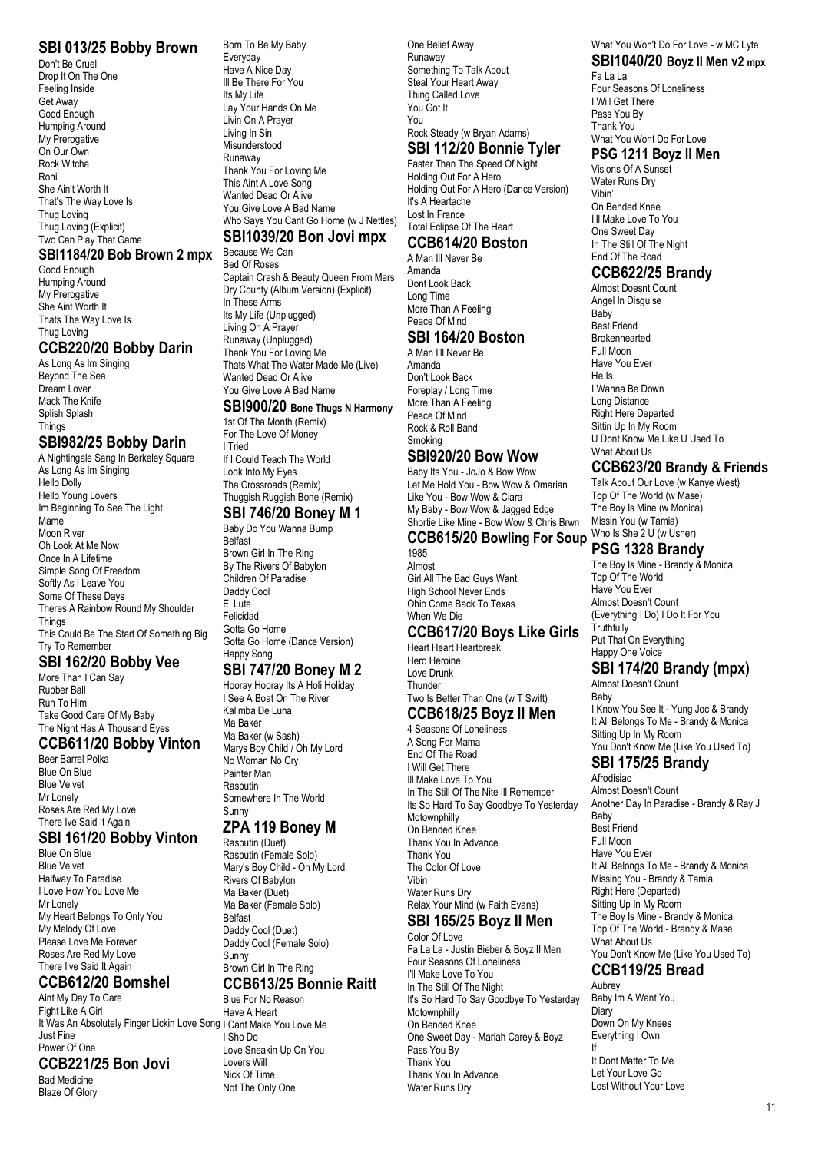#### **SBI 013/25 Bobby Brown**

Don't Be Cruel Drop It On The One Feeling Inside Get Away Good Enough Humping Around My Prerogative On Our Own Rock Witcha Roni She Ain't Worth It That's The Way Love Is Thug Loving Thug Loving (Explicit) Two Can Play That Game

#### **SBI1184/20 Bob Brown 2 mpx**

Good Enough Humping Around My Prerogative She Aint Worth It Thats The Way Love Is Thug Loving

#### **CCB220/20 Bobby Darin**

As Long As Im Singing Beyond The Sea Dream Lover Mack The Knife Splish Splash **Things** 

#### **SBI982/25 Bobby Darin**

A Nightingale Sang In Berkeley Square As Long As Im Singing Hello Dolly Hello Young Lovers Im Beginning To See The Light Mame<sup>T</sup> Moon River Oh Look At Me Now Once In A Lifetime Simple Song Of Freedom Softly As I Leave You Some Of These Days Theres A Rainbow Round My Shoulder **Things** This Could Be The Start Of Something Big Try To Remember

## **SBI 162/20 Bobby Vee**

More Than I Can Say Rubber Ball Run To Him Take Good Care Of My Baby The Night Has A Thousand Eyes

#### **CCB611/20 Bobby Vinton**

Beer Barrel Polka Blue On Blue Blue Velvet Mr Lonely Roses Are Red My Love There Ive Said It Again

#### **SBI 161/20 Bobby Vinton**

Blue On Blue Blue Velvet Halfway To Paradise I Love How You Love Me Mr Lonely My Heart Belongs To Only You My Melody Of Love Please Love Me Forever Roses Are Red My Love There I've Said It Again

#### **CCB612/20 Bomshel**

Aint My Day To Care Fight Like A Girl It Was An Absolutely Finger Lickin Love Song I Cant Make You Love Me Just Fine Power Of One **CCB221/25 Bon Jovi**

Bad Medicine Blaze Of Glory

#### Born To Be My Baby Everyday Have A Nice Day Ill Be There For You Its My Life Lay Your Hands On Me Livin On A Prayer Living In Sin Misunderstood Runaway Thank You For Loving Me This Aint A Love Song Wanted Dead Or Alive You Give Love A Bad Name Who Says You Cant Go Home (w J Nettles)

## **SBI1039/20 Bon Jovi mpx**

Because We Can

Bed Of Roses Captain Crash & Beauty Queen From Mars Dry County (Album Version) (Explicit) In These Arms Its My Life (Unplugged) Living On A Prayer Runaway (Unplugged) Thank You For Loving Me Thats What The Water Made Me (Live) Wanted Dead Or Alive You Give Love A Bad Name

## **SBI900/20 Bone Thugs N Harmony**

1st Of Tha Month (Remix) For The Love Of Money I Tried If I Could Teach The World Look Into My Eyes

Tha Crossroads (Remix) Thuggish Ruggish Bone (Remix)

# **SBI 746/20 Boney M 1**

Baby Do You Wanna Bump Belfast Brown Girl In The Ring By The Rivers Of Babylon Children Of Paradise Daddy Cool El Lute Felicidad Gotta Go Home Gotta Go Home (Dance Version) Happy Song

#### **SBI 747/20 Boney M 2**

Hooray Hooray Its A Holi Holiday I See A Boat On The River Kalimba De Luna Ma Baker Ma Baker (w Sash) Marys Boy Child / Oh My Lord No Woman No Cry Painter Man Rasputin Somewhere In The World Sunny

#### **ZPA 119 Boney M**

Rasputin (Duet) Rasputin (Female Solo) Mary's Boy Child - Oh My Lord Rivers Of Babylon Ma Baker (Duet) Ma Baker (Female Solo) Belfast Daddy Cool (Duet) Daddy Cool (Female Solo) **Sunny** Brown Girl In The Ring **CCB613/25 Bonnie Raitt**

## Blue For No Reason

Have A Heart I Sho Do Love Sneakin Up On You Lovers Will Nick Of Time Not The Only One

One Belief Away Runaway Something To Talk About Steal Your Heart Away Thing Called Love You Got It You Rock Steady (w Bryan Adams)

#### **SBI 112/20 Bonnie Tyler**

Faster Than The Speed Of Night Holding Out For A Hero Holding Out For A Hero (Dance Version) It's A Heartache Lost In France Total Eclipse Of The Heart **CCB614/20 Boston**

A Man Ill Never Be Amanda Dont Look Back Long Time More Than A Feeling Peace Of Mind

## **SBI 164/20 Boston**

A Man I'll Never Be Amanda Don't Look Back Foreplay / Long Time More Than A Feeling Peace Of Mind Rock & Roll Band Smoking

#### **SBI920/20 Bow Wow**

Baby Its You - JoJo & Bow Wow Let Me Hold You - Bow Wow & Omarian Like You - Bow Wow & Ciara My Baby - Bow Wow & Jagged Edge Shortie Like Mine - Bow Wow & Chris Brwn

# **CCB615/20 Bowling For Soup**

1985 Almost Girl All The Bad Guys Want High School Never Ends Ohio Come Back To Texas When We Die

#### **CCB617/20 Boys Like Girls**

Heart Heart Heartbreak Hero Heroine Love Drunk **Thunder** Two Is Better Than One (w T Swift) **CCB618/25 Boyz II Men**

#### 4 Seasons Of Loneliness

A Song For Mama End Of The Road I Will Get There Ill Make Love To You In The Still Of The Nite III Remember Its So Hard To Say Goodbye To Yesterday Motownphilly On Bended Knee Thank You In Advance Thank You The Color Of Love Vibin Water Runs Dry Relax Your Mind (w Faith Evans)

## **SBI 165/25 Boyz II Men**

Color Of Love Fa La La - Justin Bieber & Boyz II Men Four Seasons Of Loneliness I'll Make Love To You In The Still Of The Night It's So Hard To Say Goodbye To Yesterday Motownphilly On Bended Knee One Sweet Day - Mariah Carey & Boyz Pass You By Thank You Thank You In Advance Water Runs Dry

#### What You Won't Do For Love - w MC Lyte **SBI1040/20 Boyz II Men v2 mpx**

Fa La La Four Seasons Of Loneliness I Will Get There Pass You By Thank You What You Wont Do For Love

#### **PSG 1211 Boyz II Men**

Visions Of A Sunset Water Runs Dry Vibin' On Bended Knee I'll Make Love To You One Sweet Day In The Still Of The Night End Of The Road

**CCB622/25 Brandy**

Almost Doesnt Count Angel In Disguise Baby Best Friend Brokenhearted Full Moon Have You Ever He Is I Wanna Be Down Long Distance Right Here Departed Sittin Up In My Room U Dont Know Me Like U Used To What About Us

#### **CCB623/20 Brandy & Friends**

Talk About Our Love (w Kanye West) Top Of The World (w Mase) The Boy Is Mine (w Monica) Missin You (w Tamia) Who Is She 2 U (w Usher)

#### **PSG 1328 Brandy**

The Boy Is Mine - Brandy & Monica Top Of The World Have You Ever Almost Doesn't Count (Everything I Do) I Do It For You **Truthfully** Put That On Everything Happy One Voice

#### **SBI 174/20 Brandy (mpx)** Almost Doesn't Count

Baby I Know You See It - Yung Joc & Brandy It All Belongs To Me - Brandy & Monica Sitting Up In My Room You Don't Know Me (Like You Used To)

# **SBI 175/25 Brandy**

Afrodisiac

Almost Doesn't Count Another Day In Paradise - Brandy & Ray J **Baby** Best Friend Full Moon Have You Ever It All Belongs To Me - Brandy & Monica Missing You - Brandy & Tamia Right Here (Departed) Sitting Up In My Room The Boy Is Mine - Brandy & Monica Top Of The World - Brandy & Mase What About Us You Don't Know Me (Like You Used To)

# **CCB119/25 Bread**

Aubrey Baby Im A Want You Diary Down On My Knees Everything I Own If

It Dont Matter To Me Let Your Love Go Lost Without Your Love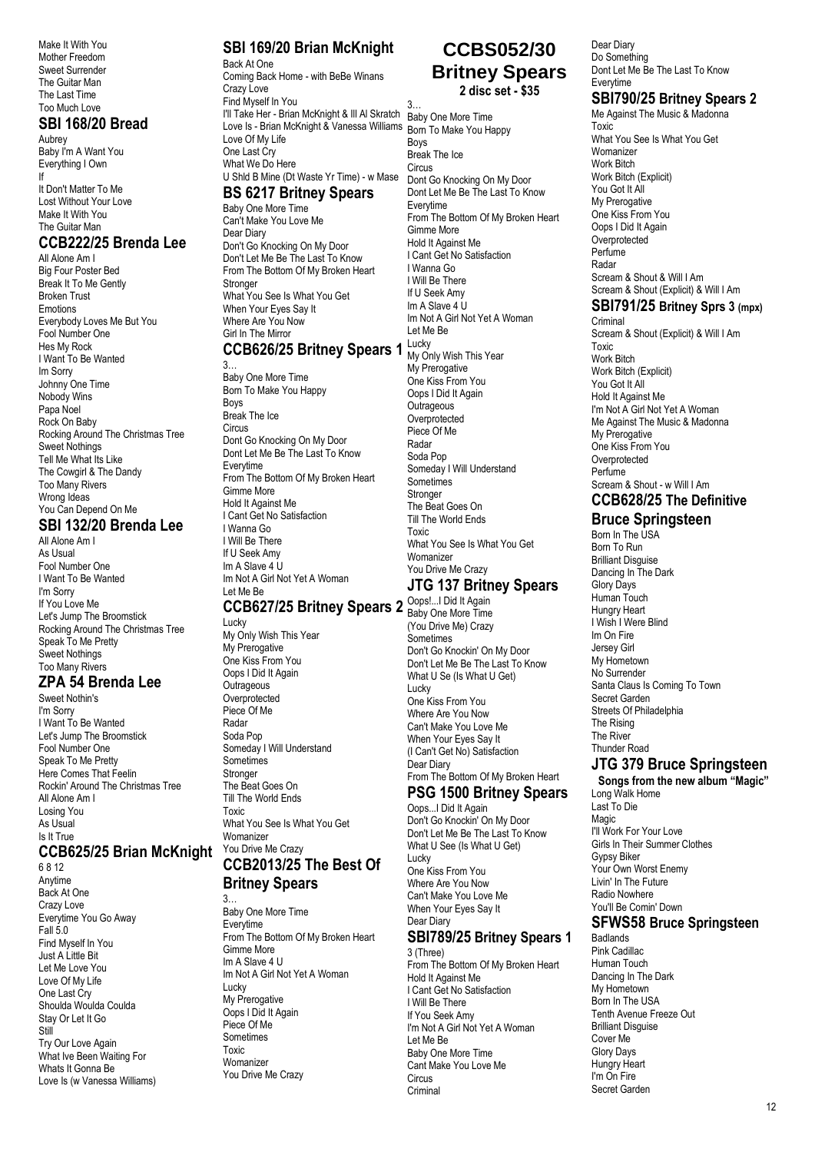Make It With You Mother Freedom Sweet Surrender The Guitar Man The Last Time Too Much Love

#### **SBI 168/20 Bread**

Aubrey Baby I'm A Want You Everything I Own If It Don't Matter To Me Lost Without Your Love Make It With You The Guitar Man

#### **CCB222/25 Brenda Lee**

All Alone Am I Big Four Poster Bed Break It To Me Gently Broken Trust Emotions Everybody Loves Me But You Fool Number One Hes My Rock I Want To Be Wanted Im Sorry Johnny One Time Nobody Wins Papa Noel Rock On Baby Rocking Around The Christmas Tree Sweet Nothings Tell Me What Its Like The Cowgirl & The Dandy Too Many Rivers Wrong Ideas You Can Depend On Me

#### **SBI 132/20 Brenda Lee** All Alone Am I

As Usual Fool Number One I Want To Be Wanted I'm Sorry If You Love Me Let's Jump The Broomstick Rocking Around The Christmas Tree Speak To Me Pretty Sweet Nothings Too Many Rivers

# **ZPA 54 Brenda Lee**

Sweet Nothin's I'm Sorry I Want To Be Wanted Let's Jump The Broomstick Fool Number One Speak To Me Pretty Here Comes That Feelin Rockin' Around The Christmas Tree All Alone Am I Losing You As Usual Is It True

#### **CCB625/25 Brian McKnight**

6 8 12 Anytime Back At One Crazy Love Everytime You Go Away Fall 5.0 Find Myself In You Just A Little Bit Let Me Love You Love Of My Life One Last Cry Shoulda Woulda Coulda Stay Or Let It Go Still Try Our Love Again What Ive Been Waiting For Whats It Gonna Be Love Is (w Vanessa Williams)

# **SBI 169/20 Brian McKnight**

Back At One Coming Back Home - with BeBe Winans Crazy Love Find Myself In You I'll Take Her - Brian McKnight & Ill Al Skratch Baby One More Time Love Is - Brian McKnight & Vanessa Williams Born To Make You Happy Love Of My Life One Last Cry What We Do Here U Shld B Mine (Dt Waste Yr Time) - w Mase 3…

#### **BS 6217 Britney Spears**

Baby One More Time Can't Make You Love Me Dear Diary Don't Go Knocking On My Door Don't Let Me Be The Last To Know From The Bottom Of My Broken Heart Stronger What You See Is What You Get When Your Eyes Say It Where Are You Now Girl In The Mirror

## **CCB626/25 Britney Spears 1 Lucky**

3… Baby One More Time Born To Make You Happy Boys Break The Ice **Circus** Dont Go Knocking On My Door Dont Let Me Be The Last To Know Everytime From The Bottom Of My Broken Heart Gimme More Hold It Against Me I Cant Get No Satisfaction I Wanna Go I Will Be There If U Seek Amy Im A Slave 4 U Im Not A Girl Not Yet A Woman Let Me Be

# **CCB627/25 Britney Spears 2 COPS!...I Did It Again**

Lucky My Only Wish This Year My Prerogative One Kiss From You Oops I Did It Again Outrageous **Overprotected** Piece Of Me Radar Soda Pop Someday I Will Understand **Sometimes** Stronger The Beat Goes On Till The World Ends Toxic What You See Is What You Get Womanizer You Drive Me Crazy

#### **CCB2013/25 The Best Of Britney Spears** 3…

Baby One More Time Everytime From The Bottom Of My Broken Heart Gimme More Im A Slave 4 U Im Not A Girl Not Yet A Woman Lucky My Prerogative Oops I Did It Again Piece Of Me Sometimes Toxic Womanizer You Drive Me Crazy

#### **CCBS052/30 Britney Spears 2 disc set - \$35**

Boys Break The Ice **Circus** Dont Go Knocking On My Door Dont Let Me Be The Last To Know Everytime From The Bottom Of My Broken Heart Gimme More Hold It Against Me I Cant Get No Satisfaction I Wanna Go I Will Be There If U Seek Amy Im A Slave 4 U Im Not A Girl Not Yet A Woman Let Me Be My Only Wish This Year My Prerogative One Kiss From You Oops I Did It Again **Outrageous Overprotected** Piece Of Me Radar Soda Pop Someday I Will Understand **Sometimes** Stronger The Beat Goes On Till The World Ends Toxic What You See Is What You Get Womanizer You Drive Me Crazy

# **JTG 137 Britney Spears**

Baby One More Time (You Drive Me) Crazy **Sometimes** Don't Go Knockin' On My Door Don't Let Me Be The Last To Know What U Se (Is What U Get) **Lucky** One Kiss From You Where Are You Now Can't Make You Love Me When Your Eyes Say It (I Can't Get No) Satisfaction Dear Diary From The Bottom Of My Broken Heart **PSG 1500 Britney Spears**

# Oops...I Did It Again

Don't Go Knockin' On My Door Don't Let Me Be The Last To Know What U See (Is What U Get) Lucky One Kiss From You Where Are You Now Can't Make You Love Me When Your Eyes Say It Dear Diary

#### **SBI789/25 Britney Spears 1** 3 (Three)

From The Bottom Of My Broken Heart Hold It Against Me I Cant Get No Satisfaction I Will Be There If You Seek Amy I'm Not A Girl Not Yet A Woman Let Me Be Baby One More Time Cant Make You Love Me **Circus** Criminal

Dear Diary Do Something Dont Let Me Be The Last To Know Everytime

# **SBI790/25 Britney Spears 2**

Me Against The Music & Madonna Toxic What You See Is What You Get Womanizer Work Bitch Work Bitch (Explicit) You Got It All My Prerogative One Kiss From You Oops I Did It Again Overprotected Perfume Radar Scream & Shout & Will I Am Scream & Shout (Explicit) & Will I Am

# **SBI791/25 Britney Sprs 3 (mpx)**

Criminal Scream & Shout (Explicit) & Will I Am Toxic Work Bitch Work Bitch (Explicit) You Got It All Hold It Against Me I'm Not A Girl Not Yet A Woman Me Against The Music & Madonna My Prerogative One Kiss From You Overprotected Perfume Scream & Shout - w Will I Am **CCB628/25 The Definitive**

# **Bruce Springsteen**

Born In The USA Born To Run Brilliant Disguise Dancing In The Dark Glory Days Human Touch Hungry Heart I Wish I Were Blind Im On Fire Jersey Girl My Hometown No Surrender Santa Claus Is Coming To Town Secret Garden Streets Of Philadelphia The Rising The River Thunder Road

# **JTG 379 Bruce Springsteen**

**Songs from the new album "Magic"** Long Walk Home Last To Die Magic I'll Work For Your Love Girls In Their Summer Clothes Gypsy Biker Your Own Worst Enemy Livin' In The Future Radio Nowhere You'll Be Comin' Down

#### **SFWS58 Bruce Springsteen** Badlands

Pink Cadillac Human Touch Dancing In The Dark My Hometown Born In The USA Tenth Avenue Freeze Out Brilliant Disquise Cover Me Glory Days Hungry Heart I'm On Fire Secret Garden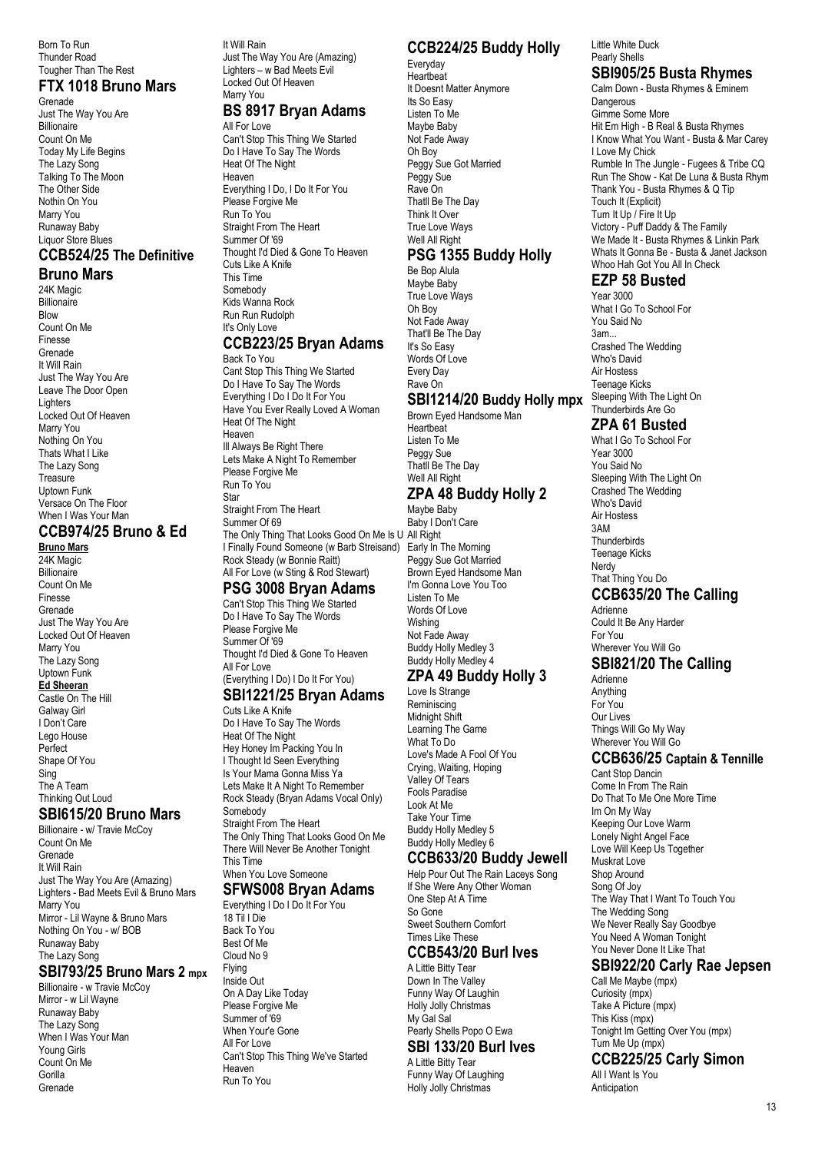Born To Run Thunder Road Tougher Than The Rest

#### **FTX 1018 Bruno Mars**

Grenade Just The Way You Are Billionaire Count On Me Today My Life Begins The Lazy Song Talking To The Moon The Other Side Nothin On You Marry You Runaway Baby Liquor Store Blues

# **CCB524/25 The Definitive**

**Bruno Mars** 24K Magic **Billionaire** 

Blow Count On Me Finesse Grenade It Will Rain Just The Way You Are Leave The Door Open Lighters Locked Out Of Heaven Marry You Nothing On You Thats What I Like The Lazy Song Treasure Uptown Funk Versace On The Floor When I Was Your Man

## **CCB974/25 Bruno & Ed**

**Bruno Mars** 24K Magic **Billionaire** Count On Me Finesse Grenade Just The Way You Are Locked Out Of Heaven Marry You The Lazy Song Uptown Funk **Ed Sheeran** Castle On The Hill Galway Girl I Don't Care Lego House Perfect Shape Of You Sing The A Team Thinking Out Loud

#### **SBI615/20 Bruno Mars**

Billionaire - w/ Travie McCoy Count On Me Grenade It Will Rain Just The Way You Are (Amazing) Lighters - Bad Meets Evil & Bruno Mars Marry You Mirror - Lil Wayne & Bruno Mars Nothing On You - w/ BOB Runaway Baby The Lazy Song

#### **SBI793/25 Bruno Mars 2 mpx**

Billionaire - w Travie McCoy Mirror - w Lil Wayne Runaway Baby The Lazy Song When I Was Your Man Young Girls Count On Me **Gorilla** Grenade

It Will Rain Just The Way You Are (Amazing) Lighters – w Bad Meets Evil Locked Out Of Heaven Marry You

# **BS 8917 Bryan Adams**

All For Love Can't Stop This Thing We Started Do I Have To Say The Words Heat Of The Night Heaven Everything I Do, I Do It For You Please Forgive Me Run To You Straight From The Heart Summer Of '69 Thought I'd Died & Gone To Heaven Cuts Like A Knife This Time Somebody Kids Wanna Rock Run Run Rudolph It's Only Love

#### **CCB223/25 Bryan Adams** Back To You

Cant Stop This Thing We Started Do I Have To Say The Words Everything I Do I Do It For You Have You Ever Really Loved A Woman Heat Of The Night Heaven Ill Always Be Right There Lets Make A Night To Remember Please Forgive Me Run To You Star Straight From The Heart Summer Of 69 The Only Thing That Looks Good On Me Is U All Right I Finally Found Someone (w Barb Streisand) Early In The Morning Rock Steady (w Bonnie Raitt)

#### All For Love (w Sting & Rod Stewart) **PSG 3008 Bryan Adams**

Can't Stop This Thing We Started Do I Have To Say The Words Please Forgive Me Summer Of '69 Thought I'd Died & Gone To Heaven All For Love

#### (Everything I Do) I Do It For You) **SBI1221/25 Bryan Adams**

Cuts Like A Knife Do I Have To Say The Words Heat Of The Night Hey Honey Im Packing You In I Thought Id Seen Everything Is Your Mama Gonna Miss Ya Lets Make It A Night To Remember Rock Steady (Bryan Adams Vocal Only) Somebody Straight From The Heart The Only Thing That Looks Good On Me There Will Never Be Another Tonight This Time When You Love Someone

# **SFWS008 Bryan Adams**

Everything I Do I Do It For You 18 Til I Die Back To You Best Of Me Cloud No 9 Flying Inside Out On A Day Like Today Please Forgive Me Summer of '69 When Your'e Gone All For Love Can't Stop This Thing We've Started Heaven Run To You

# **CCB224/25 Buddy Holly**

Everyday **Heartbeat** It Doesnt Matter Anymore Its So Easy Listen To Me Maybe Baby Not Fade Away Oh Boy Peggy Sue Got Married Peggy Sue Rave On Thatll Be The Day Think It Over True Love Ways Well All Right

## **PSG 1355 Buddy Holly**

Be Bop Alula Maybe Baby True Love Ways Oh Boy Not Fade Away That'll Be The Day It's So Easy Words Of Love Every Day Rave On

## **SBI1214/20 Buddy Holly mpx**

Brown Eyed Handsome Man Heartbeat Listen To Me Peggy Sue Thatll Be The Day Well All Right

# **ZPA 48 Buddy Holly 2**

Maybe Baby Baby I Don't Care Peggy Sue Got Married Brown Eyed Handsome Man I'm Gonna Love You Too Listen To Me Words Of Love Wishing Not Fade Away Buddy Holly Medley 3 Buddy Holly Medley 4

# **ZPA 49 Buddy Holly 3**

Love Is Strange Reminiscing Midnight Shift Learning The Game What To Do Love's Made A Fool Of You Crying, Waiting, Hoping Valley Of Tears Fools Paradise Look At Me Take Your Time Buddy Holly Medley 5 Buddy Holly Medley 6

## **CCB633/20 Buddy Jewell**

Help Pour Out The Rain Laceys Song If She Were Any Other Woman One Step At A Time So Gone Sweet Southern Comfort Times Like These

# **CCB543/20 Burl Ives**

A Little Bitty Tear Down In The Valley Funny Way Of Laughin Holly Jolly Christmas My Gal Sal Pearly Shells Popo O Ewa

## **SBI 133/20 Burl Ives**

A Little Bitty Tear Funny Way Of Laughing Holly Jolly Christmas

#### Little White Duck Pearly Shells

## **SBI905/25 Busta Rhymes**

Calm Down - Busta Rhymes & Eminem Dangerous Gimme Some More Hit Em High - B Real & Busta Rhymes I Know What You Want - Busta & Mar Carey I Love My Chick Rumble In The Jungle - Fugees & Tribe CQ Run The Show - Kat De Luna & Busta Rhym Thank You - Busta Rhymes & Q Tip Touch It (Explicit) Turn It Up / Fire It Up Victory - Puff Daddy & The Family We Made It - Busta Rhymes & Linkin Park Whats It Gonna Be - Busta & Janet Jackson Whoo Hah Got You All In Check

#### **EZP 58 Busted**

Year 3000 What I Go To School For You Said No 3am... Crashed The Wedding Who's David Air Hostess Teenage Kicks Sleeping With The Light On Thunderbirds Are Go

## **ZPA 61 Busted**

What I Go To School For Year 3000 You Said No Sleeping With The Light On Crashed The Wedding Who's David Air Hostess 3AM **Thunderbirds** Teenage Kicks Nerdy That Thing You Do

## **CCB635/20 The Calling**

Adrienne Could It Be Any Harder For You Wherever You Will Go

# **SBI821/20 The Calling**

Adrienne Anything For You Our Lives Things Will Go My Way Wherever You Will Go

## **CCB636/25 Captain & Tennille**

Cant Stop Dancin Come In From The Rain Do That To Me One More Time Im On My Way Keeping Our Love Warm Lonely Night Angel Face Love Will Keep Us Together Muskrat Love Shop Around Song Of Joy The Way That I Want To Touch You The Wedding Song We Never Really Say Goodbye You Need A Woman Tonight You Never Done It Like That

# **SBI922/20 Carly Rae Jepsen**

Call Me Maybe (mpx) Curiosity (mpx) Take A Picture (mpx) This Kiss (mpx) Tonight Im Getting Over You (mpx) Turn Me Up (mpx)

#### **CCB225/25 Carly Simon** All I Want Is You

Anticipation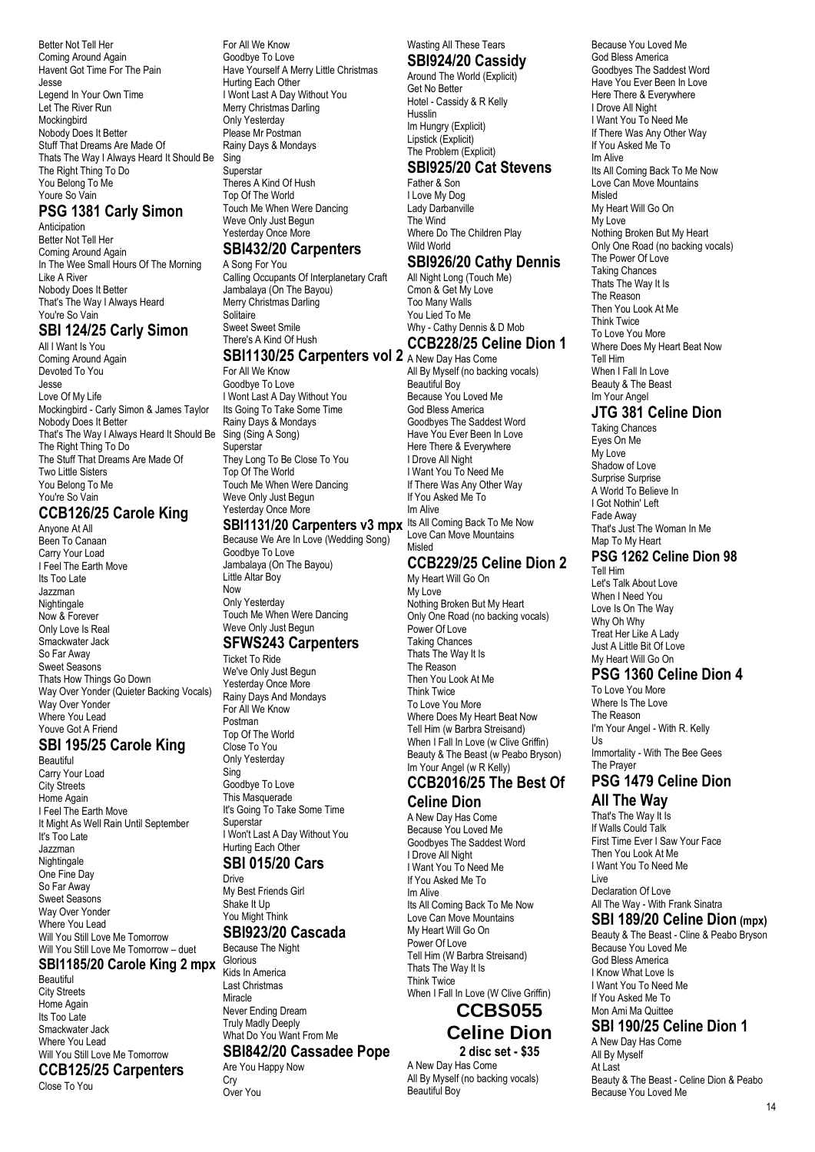Better Not Tell Her Coming Around Again Havent Got Time For The Pain Jesse Legend In Your Own Time Let The River Run **Mockingbird** Nobody Does It Better Stuff That Dreams Are Made Of Thats The Way I Always Heard It Should Be The Right Thing To Do You Belong To Me Youre So Vain

## **PSG 1381 Carly Simon**

Anticipation Better Not Tell Her Coming Around Again In The Wee Small Hours Of The Morning Like A River Nobody Does It Better That's The Way I Always Heard You're So Vain

## **SBI 124/25 Carly Simon**

All I Want Is You Coming Around Again Devoted To You Jesse Love Of My Life Mockingbird - Carly Simon & James Taylor Nobody Does It Better That's The Way I Always Heard It Should Be The Right Thing To Do The Stuff That Dreams Are Made Of Two Little Sisters You Belong To Me You're So Vain

## **CCB126/25 Carole King**

Anyone At All Been To Canaan Carry Your Load I Feel The Earth Move Its Too Late Jazzman Nightingale Now & Forever Only Love Is Real Smackwater Jack So Far Away Sweet Seasons Thats How Things Go Down Way Over Yonder (Quieter Backing Vocals) Way Over Yonder Where You Lead Youve Got A Friend

#### **SBI 195/25 Carole King**

Beautiful Carry Your Load City Streets Home Again I Feel The Earth Move It Might As Well Rain Until September It's Too Late Jazzman Nightingale One Fine Day So Far Away Sweet Seasons Way Over Yonder Where You Lead Will You Still Love Me Tomorrow Will You Still Love Me Tomorrow – duet **SBI1185/20 Carole King 2 mpx** Beautiful City Streets

Home Again Its Too Late Smackwater Jack Where You Lead Will You Still Love Me Tomorrow **CCB125/25 Carpenters**

Close To You

For All We Know Goodbye To Love Have Yourself A Merry Little Christmas Hurting Each Other I Wont Last A Day Without You Merry Christmas Darling Only Yesterday Please Mr Postman Rainy Days & Mondays **Sing** Superstar

Theres A Kind Of Hush Top Of The World Touch Me When Were Dancing Weve Only Just Begun Yesterday Once More

# **SBI432/20 Carpenters**

A Song For You Calling Occupants Of Interplanetary Craft Jambalaya (On The Bayou) Merry Christmas Darling **Solitaire** Sweet Sweet Smile There's A Kind Of Hush

#### **SBI1130/25 Carpenters vol 2** A New Day Has Come

For All We Know Goodbye To Love I Wont Last A Day Without You Its Going To Take Some Time Rainy Days & Mondays Sing (Sing A Song) **Superstar** They Long To Be Close To You Top Of The World Touch Me When Were Dancing Weve Only Just Begun Yesterday Once More

Because We Are In Love (Wedding Song) Goodbye To Love Jambalaya (On The Bayou) Little Altar Boy Now Only Yesterday Touch Me When Were Dancing Weve Only Just Begun

#### **SFWS243 Carpenters**

Ticket To Ride We've Only Just Begun Yesterday Once More Rainy Days And Mondays For All We Know Postman Top Of The World Close To You Only Yesterday Sing Goodbye To Love This Masquerade It's Going To Take Some Time I Won't Last A Day Without You Hurting Each Other

#### **SBI 015/20 Cars**

My Best Friends Girl **SBI923/20 Cascada**

What Do You Want From Me

#### **SBI842/20 Cassadee Pope**

Are You Happy Now

Wasting All These Tears **SBI924/20 Cassidy**

Around The World (Explicit) Get No Better Hotel - Cassidy & R Kelly Husslin Im Hungry (Explicit) Lipstick (Explicit) The Problem (Explicit)

#### **SBI925/20 Cat Stevens** Father & Son

I Love My Dog Lady Darbanville The Wind Where Do The Children Play Wild World

#### **SBI926/20 Cathy Dennis**

All Night Long (Touch Me) Cmon & Get My Love Too Many Walls You Lied To Me Why - Cathy Dennis & D Mob **CCB228/25 Celine Dion 1**

**SBI1131/20 Carpenters v3 mpx** Its All Coming Back To Me Now All By Myself (no backing vocals) Beautiful Boy Because You Loved Me God Bless America Goodbyes The Saddest Word Have You Ever Been In Love Here There & Everywhere I Drove All Night I Want You To Need Me If There Was Any Other Way If You Asked Me To Im Alive Love Can Move Mountains Misled

#### **CCB229/25 Celine Dion 2**

My Heart Will Go On My Love Nothing Broken But My Heart Only One Road (no backing vocals) Power Of Love Taking Chances Thats The Way It Is The Reason Then You Look At Me Think Twice To Love You More Where Does My Heart Beat Now Tell Him (w Barbra Streisand) When I Fall In Love (w Clive Griffin) Beauty & The Beast (w Peabo Bryson) Im Your Angel (w R Kelly)

#### **CCB2016/25 The Best Of Celine Dion**

A New Day Has Come Because You Loved Me Goodbyes The Saddest Word I Drove All Night I Want You To Need Me If You Asked Me To Im Alive Its All Coming Back To Me Now Love Can Move Mountains My Heart Will Go On Power Of Love Tell Him (W Barbra Streisand) Thats The Way It Is Think Twice When I Fall In Love (W Clive Griffin)

# **CCBS055 Celine Dion**

**2 disc set - \$35** A New Day Has Come All By Myself (no backing vocals) Beautiful Boy

Because You Loved Me God Bless America Goodbyes The Saddest Word Have You Ever Been In Love Here There & Everywhere I Drove All Night I Want You To Need Me If There Was Any Other Way If You Asked Me To Im Alive Its All Coming Back To Me Now Love Can Move Mountains Misled My Heart Will Go On My Love Nothing Broken But My Heart Only One Road (no backing vocals) The Power Of Love Taking Chances Thats The Way It Is The Reason Then You Look At Me Think Twice To Love You More Where Does My Heart Beat Now Tell Him When I Fall In Love Beauty & The Beast Im Your Angel

#### **JTG 381 Celine Dion**

Taking Chances Eyes On Me My Love Shadow of Love Surprise Surprise A World To Believe In I Got Nothin' Left Fade Away That's Just The Woman In Me Map To My Heart **PSG 1262 Celine Dion 98** Tell Him

Let's Talk About Love When I Need You Love Is On The Way Why Oh Why Treat Her Like A Lady Just A Little Bit Of Love My Heart Will Go On

#### **PSG 1360 Celine Dion 4**

To Love You More Where Is The Love The Reason I'm Your Angel - With R. Kelly Us

Immortality - With The Bee Gees The Prayer

#### **PSG 1479 Celine Dion All The Way**

That's The Way It Is If Walls Could Talk First Time Ever I Saw Your Face Then You Look At Me I Want You To Need Me Live Declaration Of Love All The Way - With Frank Sinatra

## **SBI 189/20 Celine Dion (mpx)**

Beauty & The Beast - Cline & Peabo Bryson Because You Loved Me God Bless America I Know What Love Is I Want You To Need Me If You Asked Me To Mon Ami Ma Quittee

## **SBI 190/25 Celine Dion 1**

A New Day Has Come All By Myself At Last Beauty & The Beast - Celine Dion & Peabo Because You Loved Me

# **Superstar** Drive

Shake It Up You Might Think Because The Night

> **Crv** Over You

Glorious Kids In America Last Christmas Miracle Never Ending Dream Truly Madly Deeply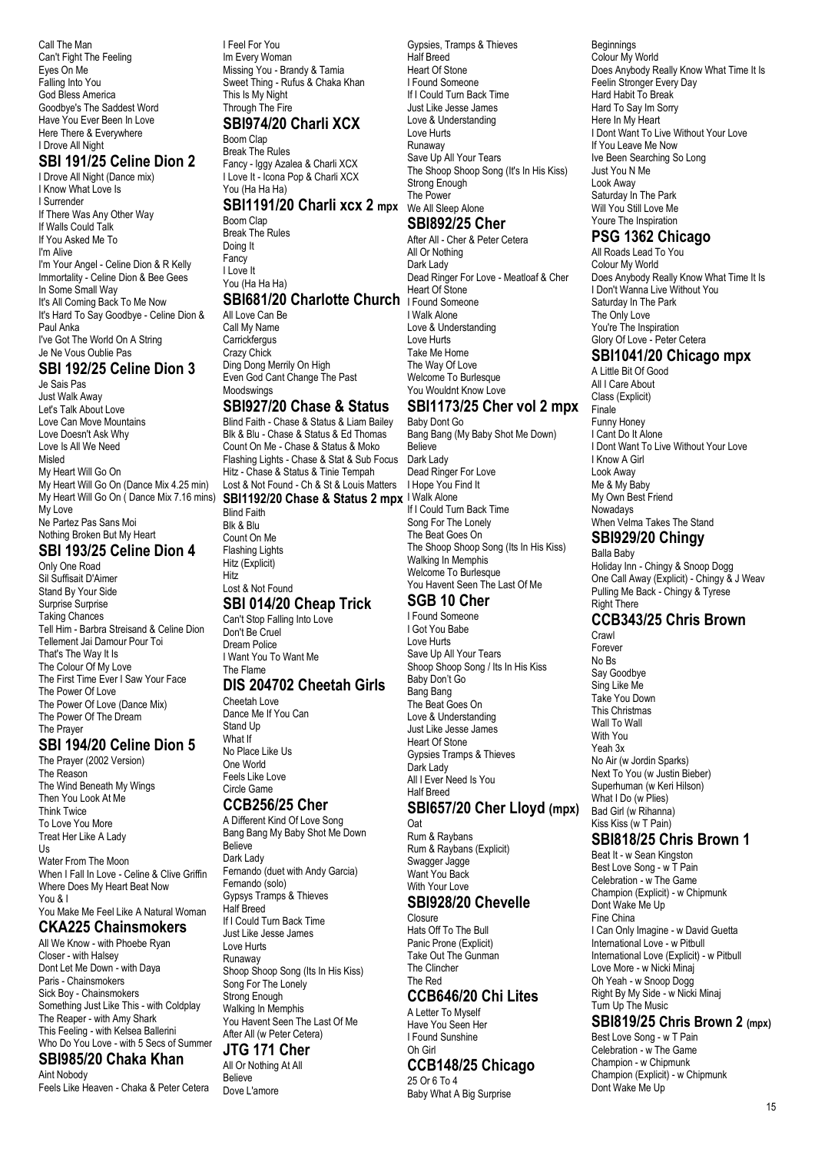Call The Man Can't Fight The Feeling Eyes On Me Falling Into You God Bless America Goodbye's The Saddest Word Have You Ever Been In Love Here There & Everywhere I Drove All Night

#### **SBI 191/25 Celine Dion 2**

I Drove All Night (Dance mix) I Know What Love Is I Surrender If There Was Any Other Way If Walls Could Talk If You Asked Me To I'm Alive I'm Your Angel - Celine Dion & R Kelly Immortality - Celine Dion & Bee Gees In Some Small Way It's All Coming Back To Me Now It's Hard To Say Goodbye - Celine Dion & Paul Anka I've Got The World On A String Je Ne Vous Oublie Pas

#### **SBI 192/25 Celine Dion 3**

Je Sais Pas Just Walk Away Let's Talk About Love Love Can Move Mountains Love Doesn't Ask Why Love Is All We Need Misled My Heart Will Go On My Heart Will Go On (Dance Mix 4.25 min) My Love Ne Partez Pas Sans Moi Nothing Broken But My Heart

#### **SBI 193/25 Celine Dion 4**

Only One Road Sil Suffisait D'Aimer Stand By Your Side Surprise Surprise Taking Chances Tell Him - Barbra Streisand & Celine Dion Tellement Jai Damour Pour Toi That's The Way It Is The Colour Of My Love The First Time Ever I Saw Your Face The Power Of Love The Power Of Love (Dance Mix) The Power Of The Dream The Prayer

#### **SBI 194/20 Celine Dion 5**

The Prayer (2002 Version) The Reason The Wind Beneath My Wings Then You Look At Me Think Twice To Love You More Treat Her Like A Lady Us Water From The Moon When I Fall In Love - Celine & Clive Griffin Where Does My Heart Beat Now You & I You Make Me Feel Like A Natural Woman **CKA225 Chainsmokers**

#### All We Know - with Phoebe Ryan Closer - with Halsey

Dont Let Me Down - with Daya Paris - Chainsmokers Sick Boy - Chainsmokers Something Just Like This - with Coldplay The Reaper - with Amy Shark This Feeling - with Kelsea Ballerini Who Do You Love - with 5 Secs of Summer

#### **SBI985/20 Chaka Khan** Aint Nobody

Feels Like Heaven - Chaka & Peter Cetera

I Feel For You Im Every Woman Missing You - Brandy & Tamia Sweet Thing - Rufus & Chaka Khan This Is My Night Through The Fire **SBI974/20 Charli XCX**

Boom Clap Break The Rules Fancy - Iggy Azalea & Charli XCX I Love It - Icona Pop & Charli XCX You (Ha Ha Ha)

#### **SBI1191/20 Charli xcx 2 mpx**

Boom Clap Break The Rules Doing It Fancy I Love It You (Ha Ha Ha)

#### **SBI681/20 Charlotte Church I Found Someone**

All Love Can Be Call My Name **Carrickfergus** Crazy Chick Ding Dong Merrily On High Even God Cant Change The Past Moodswings

#### **SBI927/20 Chase & Status**

My Heart Will Go On ( Dance Mix 7.16 mins) **SBI1192/20 Chase & Status 2 mpx** I Walk Alone Blind Faith - Chase & Status & Liam Bailey Blk & Blu - Chase & Status & Ed Thomas Count On Me - Chase & Status & Moko Flashing Lights - Chase & Stat & Sub Focus Dark Lady Hitz - Chase & Status & Tinie Tempah Lost & Not Found - Ch & St & Louis Matters

Blind Faith Blk & Blu Count On Me Flashing Lights Hitz (Explicit) Hitz Lost & Not Found

#### **SBI 014/20 Cheap Trick**

Can't Stop Falling Into Love Don't Be Cruel Dream Police I Want You To Want Me The Flame

#### **DIS 204702 Cheetah Girls**

Cheetah Love Dance Me If You Can Stand Up What If No Place Like Us One World Feels Like Love Circle Game

#### **CCB256/25 Cher**

A Different Kind Of Love Song Bang Bang My Baby Shot Me Down **Believe** Dark Lady Fernando (duet with Andy Garcia) Fernando (solo) Gypsys Tramps & Thieves Half Breed If I Could Turn Back Time Just Like Jesse James Love Hurts Runaway Shoop Shoop Song (Its In His Kiss) Song For The Lonely Strong Enough Walking In Memphis You Havent Seen The Last Of Me After All (w Peter Cetera)

#### **JTG 171 Cher**

All Or Nothing At All Believe Dove L'amore

Gypsies, Tramps & Thieves Half Breed Heart Of Stone I Found Someone If I Could Turn Back Time Just Like Jesse James Love & Understanding Love Hurts Runaway Save Up All Your Tears The Shoop Shoop Song (It's In His Kiss) Strong Enough The Power We All Sleep Alone **SBI892/25 Cher**

# After All - Cher & Peter Cetera

All Or Nothing Dark Lady Dead Ringer For Love - Meatloaf & Cher Heart Of Stone I Walk Alone Love & Understanding Love Hurts Take Me Home The Way Of Love Welcome To Burlesque You Wouldnt Know Love

## **SBI1173/25 Cher vol 2 mpx**

Baby Dont Go Bang Bang (My Baby Shot Me Down) **Believe** Dead Ringer For Love I Hope You Find It If I Could Turn Back Time Song For The Lonely The Beat Goes On The Shoop Shoop Song (Its In His Kiss) Walking In Memphis Welcome To Burlesque You Havent Seen The Last Of Me **SGB 10 Cher**

# I Found Someone

I Got You Babe Love Hurts Save Up All Your Tears Shoop Shoop Song / Its In His Kiss Baby Don't Go Bang Bang The Beat Goes On Love & Understanding Just Like Jesse James Heart Of Stone Gypsies Tramps & Thieves Dark Lady All I Ever Need Is You Half Breed

#### **SBI657/20 Cher Lloyd (mpx)**

Oat Rum & Raybans Rum & Raybans (Explicit) Swagger Jagge Want You Back With Your Love

#### **SBI928/20 Chevelle**

Closure Hats Off To The Bull Panic Prone (Explicit) Take Out The Gunman The Clincher The Red

## **CCB646/20 Chi Lites**

A Letter To Myself Have You Seen Her I Found Sunshine Oh Girl

#### **CCB148/25 Chicago**

25 Or 6 To 4 Baby What A Big Surprise Beginnings Colour My World Does Anybody Really Know What Time It Is Feelin Stronger Every Day Hard Habit To Break Hard To Say Im Sorry Here In My Heart I Dont Want To Live Without Your Love If You Leave Me Now Ive Been Searching So Long Just You N Me Look Away Saturday In The Park Will You Still Love Me Youre The Inspiration

## **PSG 1362 Chicago**

All Roads Lead To You Colour My World Does Anybody Really Know What Time It Is I Don't Wanna Live Without You Saturday In The Park The Only Love You're The Inspiration Glory Of Love - Peter Cetera

# **SBI1041/20 Chicago mpx**

A Little Bit Of Good All I Care About Class (Explicit) Finale Funny Honey I Cant Do It Alone I Dont Want To Live Without Your Love I Know A Girl Look Away Me & My Baby My Own Best Friend Nowadays When Velma Takes The Stand

#### **SBI929/20 Chingy**

Balla Baby Holiday Inn - Chingy & Snoop Dogg One Call Away (Explicit) - Chingy & J Weav Pulling Me Back - Chingy & Tyrese Right There

# **CCB343/25 Chris Brown**

Crawl Forever No Bs Say Goodbye Sing Like Me Take You Down This Christmas Wall To Wall With You Yeah 3x No Air (w Jordin Sparks) Next To You (w Justin Bieber) Superhuman (w Keri Hilson) What I Do (w Plies) Bad Girl (w Rihanna) Kiss Kiss (w T Pain)

#### **SBI818/25 Chris Brown 1**

Beat It - w Sean Kingston Best Love Song - w T Pain Celebration - w The Game Champion (Explicit) - w Chipmunk Dont Wake Me Up Fine China I Can Only Imagine - w David Guetta International Love - w Pitbull International Love (Explicit) - w Pitbull Love More - w Nicki Minaj Oh Yeah - w Snoop Dogg Right By My Side - w Nicki Minaj Turn Up The Music

#### **SBI819/25 Chris Brown 2 (mpx)**

Best Love Song - w T Pain Celebration - w The Game Champion - w Chipmunk Champion (Explicit) - w Chipmunk Dont Wake Me Up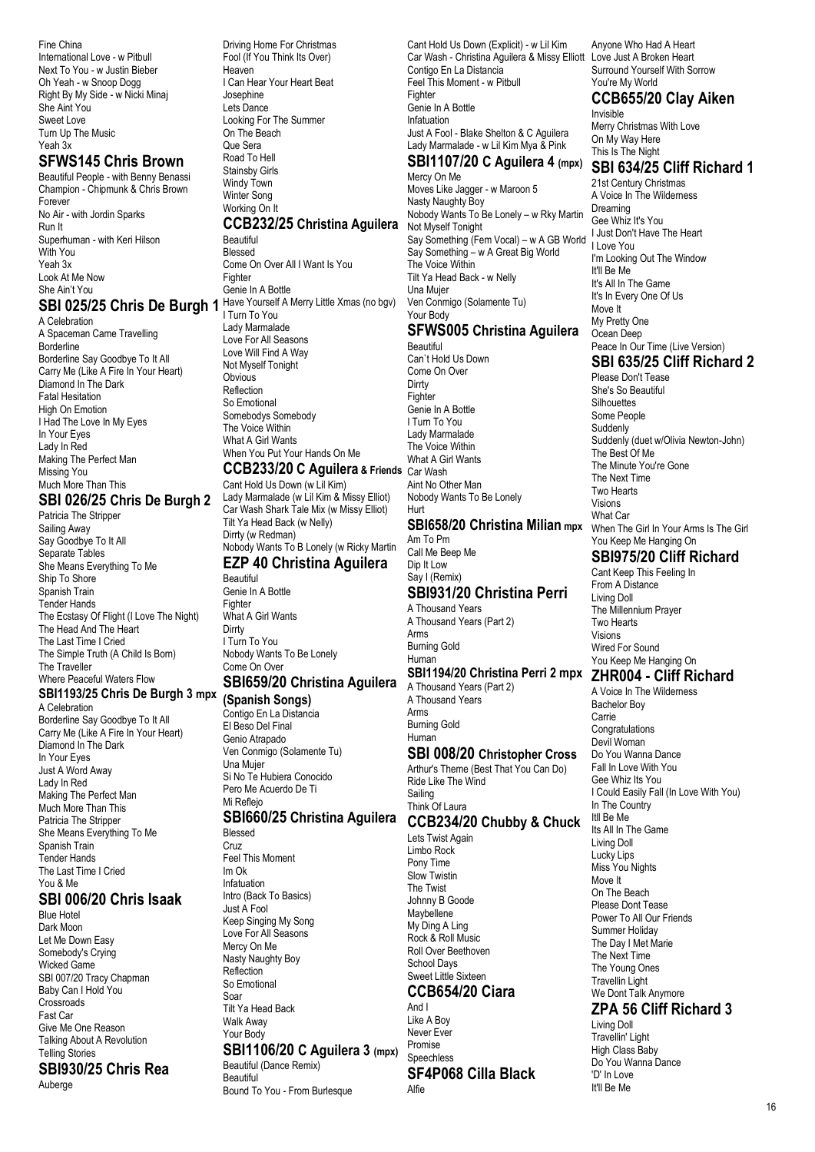Fine China International Love - w Pitbull Next To You - w Justin Bieber Oh Yeah - w Snoop Dogg Right By My Side - w Nicki Minaj She Aint You Sweet Love Turn Up The Music Yeah 3x

## **SFWS145 Chris Brown**

Beautiful People - with Benny Benassi Champion - Chipmunk & Chris Brown Forever No Air - with Jordin Sparks Run It Superhuman - with Keri Hilson With You Yeah 3x Look At Me Now She Ain't You

A Celebration A Spaceman Came Travelling Borderline Borderline Say Goodbye To It All Carry Me (Like A Fire In Your Heart) Diamond In The Dark Fatal Hesitation High On Emotion I Had The Love In My Eyes In Your Eyes Lady In Red Making The Perfect Man Missing You Much More Than This

#### **SBI 026/25 Chris De Burgh 2**

Patricia The Stripper Sailing Away Say Goodbye To It All Separate Tables She Means Everything To Me Ship To Shore Spanish Train Tender Hands The Ecstasy Of Flight (I Love The Night) The Head And The Heart The Last Time I Cried The Simple Truth (A Child Is Born) The Traveller Where Peaceful Waters Flow **SBI1193/25 Chris De Burgh 3 mpx** A Celebration Borderline Say Goodbye To It All Carry Me (Like A Fire In Your Heart) Diamond In The Dark In Your Eyes Just A Word Away Lady In Red Making The Perfect Man

Much More Than This Patricia The Stripper She Means Everything To Me Spanish Train Tender Hands The Last Time I Cried You & Me

#### **SBI 006/20 Chris Isaak**

Blue Hotel Dark Moon Let Me Down Easy Somebody's Crying Wicked Game SBI 007/20 Tracy Chapman Baby Can I Hold You Crossroads Fast Car Give Me One Reason Talking About A Revolution Telling Stories **SBI930/25 Chris Rea** Auberge

**SBI 025/25 Chris De Burgh 1** Have Yourself A Merry Little Xmas (no bgv) Driving Home For Christmas Fool (If You Think Its Over) Heaven I Can Hear Your Heart Beat Josephine Lets Dance Looking For The Summer On The Beach Que Sera Road To Hell Stainsby Girls Windy Town Winter Song Working On It **CCB232/25 Christina Aguilera** Beautiful Blessed Come On Over All I Want Is You Fighter Genie In A Bottle I Turn To You Lady Marmalade Love For All Seasons Love Will Find A Way Not Myself Tonight Obvious Reflection So Emotional Somebodys Somebody The Voice Within What A Girl Wants When You Put Your Hands On Me **CCB233/20 C Aguilera & Friends** Car Wash Cant Hold Us Down (w Lil Kim) Lady Marmalade (w Lil Kim & Missy Elliot) Car Wash Shark Tale Mix (w Missy Elliot) Tilt Ya Head Back (w Nelly) Dirrty (w Redman) Nobody Wants To B Lonely (w Ricky Martin

#### **EZP 40 Christina Aguilera**

Beautiful Genie In A Bottle Fighter What A Girl Wants **Dirrty** I Turn To You Nobody Wants To Be Lonely Come On Over

# **SBI659/20 Christina Aguilera**

**(Spanish Songs)** Contigo En La Distancia El Beso Del Final Genio Atrapado Ven Conmigo (Solamente Tu) Una Mujer Si No Te Hubiera Conocido Pero Me Acuerdo De Ti Mi Reflejo

# **SBI660/25 Christina Aguilera**

Blessed Cruz Feel This Moment Im Ok Infatuation Intro (Back To Basics) Just A Fool Keep Singing My Song Love For All Seasons Mercy On Me Nasty Naughty Boy Reflection So Emotional Soar Tilt Ya Head Back Walk Away Your Body

#### **SBI1106/20 C Aguilera 3 (mpx)**

Speechless

Alfie

**SF4P068 Cilla Black**

Beautiful (Dance Remix) **Beautiful** Bound To You - From Burlesque

Cant Hold Us Down (Explicit) - w Lil Kim Car Wash - Christina Aguilera & Missy Elliott Contigo En La Distancia Feel This Moment - w Pitbull Fighter Genie In A Bottle Infatuation Just A Fool - Blake Shelton & C Aguilera Lady Marmalade - w Lil Kim Mya & Pink **SBI1107/20 C Aguilera 4 (mpx)** Mercy On Me Moves Like Jagger - w Maroon 5 Nasty Naughty Boy Nobody Wants To Be Lonely – w Rky Martin Not Myself Tonight Say Something (Fem Vocal) – w A GB World Say Something – w A Great Big World The Voice Within Tilt Ya Head Back - w Nelly Una Mujer Ven Conmigo (Solamente Tu) Your Body **SFWS005 Christina Aguilera** Beautiful Can`t Hold Us Down Come On Over Dirrty Fighter Genie In A Bottle I Turn To You Lady Marmalade The Voice Within What A Girl Wants Aint No Other Man Nobody Wants To Be Lonely Hurt **SBI658/20 Christina Milian mpx** Am To Pm Call Me Beep Me Dip It Low Say I (Remix) **SBI931/20 Christina Perri** A Thousand Years A Thousand Years (Part 2) Arms Burning Gold Human **SBI1194/20 Christina Perri 2 mpx** A Thousand Years (Part 2) A Thousand Years Arms Burning Gold Human **SBI 008/20 Christopher Cross** Arthur's Theme (Best That You Can Do) Ride Like The Wind Sailing Think Of Laura **CCB234/20 Chubby & Chuck** Lets Twist Again Limbo Rock Pony Time Slow Twistin The Twist Johnny B Goode Maybellene My Ding A Ling Rock & Roll Music Roll Over Beethoven School Days Sweet Little Sixteen **CCB654/20 Ciara** And I Like A Boy Never Ever Promise

Anyone Who Had A Heart Love Just A Broken Heart Surround Yourself With Sorrow You're My World **CCB655/20 Clay Aiken**

#### Invisible Merry Christmas With Love On My Way Here

This Is The Night **SBI 634/25 Cliff Richard 1** 21st Century Christmas A Voice In The Wilderness Dreaming Gee Whiz It's You I Just Don't Have The Heart I Love You I'm Looking Out The Window It'll Be Me It's All In The Game It's In Every One Of Us Move It My Pretty One Ocean Deep Peace In Our Time (Live Version)

# **SBI 635/25 Cliff Richard 2**

Please Don't Tease She's So Beautiful **Silhouettes** Some People Suddenly Suddenly (duet w/Olivia Newton-John) The Best Of Me The Minute You're Gone The Next Time Two Hearts Visions What Car When The Girl In Your Arms Is The Girl You Keep Me Hanging On

## **SBI975/20 Cliff Richard**

Cant Keep This Feeling In From A Distance Living Doll The Millennium Prayer Two Hearts Visions Wired For Sound You Keep Me Hanging On

#### **ZHR004 - Cliff Richard**

A Voice In The Wilderness Bachelor Boy Carrie **Congratulations** Devil Woman Do You Wanna Dance Fall In Love With You Gee Whiz Its You I Could Easily Fall (In Love With You) In The Country Itll Be Me Its All In The Game Living Doll Lucky Lips Miss You Nights Move It On The Beach Please Dont Tease Power To All Our Friends Summer Holiday The Day I Met Marie The Next Time The Young Ones Travellin Light We Dont Talk Anymore

## **ZPA 56 Cliff Richard 3**

Living Doll Travellin' Light High Class Baby Do You Wanna Dance 'D' In Love It'll Be Me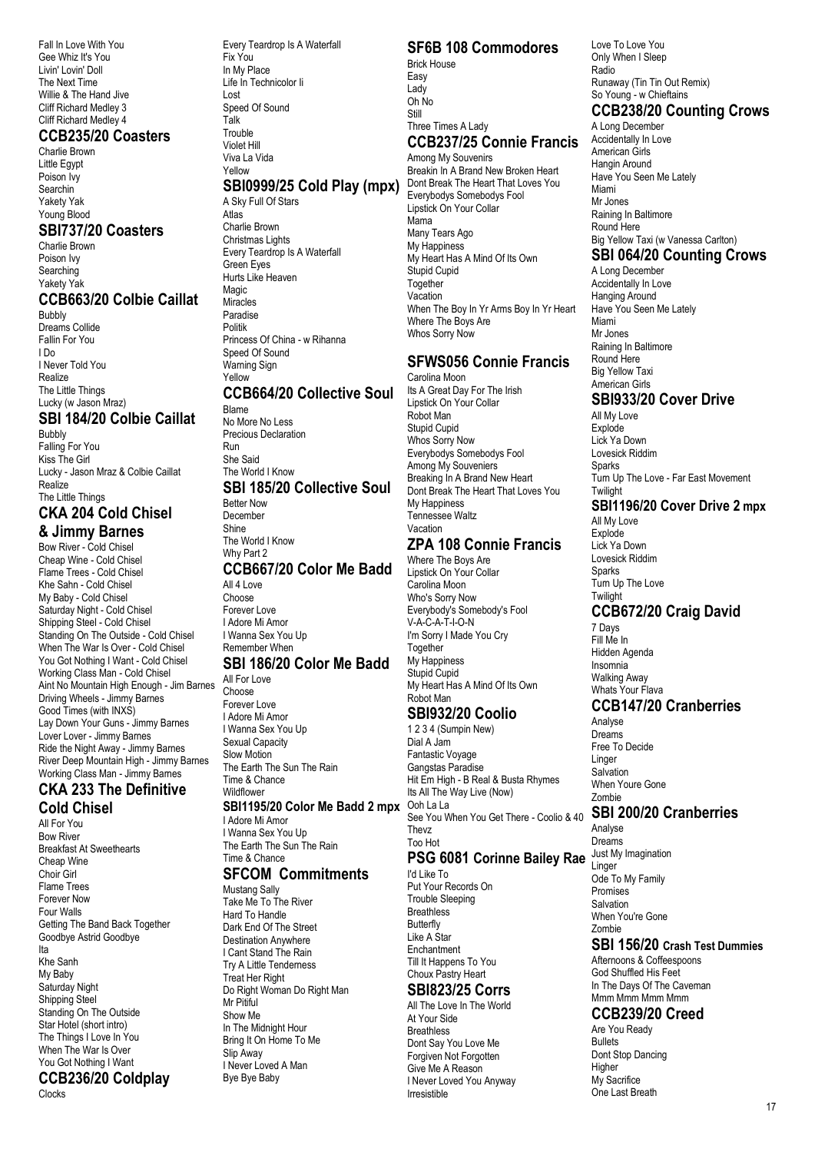Fall In Love With You Gee Whiz It's You Livin' Lovin' Doll The Next Time Willie & The Hand Jive Cliff Richard Medley 3 Cliff Richard Medley 4

#### **CCB235/20 Coasters**

Charlie Brown Little Egypt Poison Ivy Searchin Yakety Yak Young Blood

#### **SBI737/20 Coasters**

Charlie Brown Poison Ivy Searching Yakety Yak

#### **CCB663/20 Colbie Caillat**

Bubbly Dreams Collide Fallin For You I Do I Never Told You Realize The Little Things Lucky (w Jason Mraz)

## **SBI 184/20 Colbie Caillat**

Bubbly Falling For You Kiss The Girl Lucky - Jason Mraz & Colbie Caillat Realize The Little Things

#### **CKA 204 Cold Chisel & Jimmy Barnes**

# Bow River - Cold Chisel

Cheap Wine - Cold Chisel Flame Trees - Cold Chisel Khe Sahn - Cold Chisel My Baby - Cold Chisel Saturday Night - Cold Chisel Shipping Steel - Cold Chisel Standing On The Outside - Cold Chisel When The War Is Over - Cold Chisel You Got Nothing I Want - Cold Chisel Working Class Man - Cold Chisel Aint No Mountain High Enough - Jim Barnes Driving Wheels - Jimmy Barnes Good Times (with INXS) Lay Down Your Guns - Jimmy Barnes Lover Lover - Jimmy Barnes Ride the Night Away - Jimmy Barnes River Deep Mountain High - Jimmy Barnes Working Class Man - Jimmy Barnes

#### **CKA 233 The Definitive Cold Chisel**

All For You Bow River Breakfast At Sweethearts Cheap Wine Choir Girl Flame Trees Forever Now Four Walls Getting The Band Back Together Goodbye Astrid Goodbye Ita Khe Sanh My Baby Saturday Night Shipping Steel Standing On The Outside Star Hotel (short intro) The Things I Love In You When The War Is Over You Got Nothing I Want

# **CCB236/20 Coldplay**

Clocks

Every Teardrop Is A Waterfall Fix You In My Place Life In Technicolor Ii Lost Speed Of Sound Talk Trouble Violet Hill Viva La Vida Yellow

# **SBI0999/25 Cold Play (mpx)**

A Sky Full Of Stars Atlas Charlie Brown Christmas Lights Every Teardrop Is A Waterfall Green Eyes Hurts Like Heaven Magic Miracles Paradise Politik Princess Of China - w Rihanna Speed Of Sound Warning Sign Yellow **CCB664/20 Collective Soul**

#### Blame No More No Less Precious Declaration Run She Said The World I Know

# **SBI 185/20 Collective Soul**

Better Now December Shine The World I Know Why Part 2

# **CCB667/20 Color Me Badd**

All 4 Love Choose Forever Love I Adore Mi Amor I Wanna Sex You Up Remember When

#### **SBI 186/20 Color Me Badd**

All For Love Choose Forever Love I Adore Mi Amor I Wanna Sex You Up Sexual Capacity Slow Motion The Earth The Sun The Rain Time & Chance Wildflower

#### **SBI1195/20 Color Me Badd 2 mpx** Ooh La La

I Adore Mi Amor I Wanna Sex You Up The Earth The Sun The Rain Time & Chance

#### **SFCOM Commitments**

Mustang Sally Take Me To The River Hard To Handle Dark End Of The Street Destination Anywhere I Cant Stand The Rain Try A Little Tenderness Treat Her Right Do Right Woman Do Right Man Mr Pitiful Show Me In The Midnight Hour Bring It On Home To Me Slip Away I Never Loved A Man Bye Bye Baby

# **SF6B 108 Commodores**

Brick House Easy Lady Oh No Still Three Times A Lady

#### **CCB237/25 Connie Francis** Among My Souvenirs

Breakin In A Brand New Broken Heart Dont Break The Heart That Loves You Everybodys Somebodys Fool Lipstick On Your Collar Mama Many Tears Ago My Happiness My Heart Has A Mind Of Its Own Stupid Cupid Together Vacation When The Boy In Yr Arms Boy In Yr Heart Where The Boys Are Whos Sorry Now

#### **SFWS056 Connie Francis** Carolina Moon

Its A Great Day For The Irish Lipstick On Your Collar Robot Man Stupid Cupid Whos Sorry Now Everybodys Somebodys Fool Among My Souveniers Breaking In A Brand New Heart Dont Break The Heart That Loves You My Happiness my nappliesse<br>Tennessee Waltz Vacation

# **ZPA 108 Connie Francis**

Where The Boys Are Lipstick On Your Collar Carolina Moon Who's Sorry Now Everybody's Somebody's Fool V-A-C-A-T-I-O-N I'm Sorry I Made You Cry **Together** My Happiness Stupid Cupid My Heart Has A Mind Of Its Own Robot Man

## **SBI932/20 Coolio**

1 2 3 4 (Sumpin New) Dial A Jam Fantastic Voyage Gangstas Paradise Hit Em High - B Real & Busta Rhymes Its All The Way Live (Now) See You When You Get There - Coolio & 40 Thevz Too Hot **PSG 6081 Corinne Bailey Rae**

#### I'd Like To Put Your Records On

Trouble Sleeping **Breathless Butterfly** Like A Star **Enchantment** Till It Happens To You Choux Pastry Heart

## **SBI823/25 Corrs**

All The Love In The World At Your Side **Breathless** Dont Say You Love Me Forgiven Not Forgotten Give Me A Reason I Never Loved You Anyway Irresistible

Love To Love You Only When I Sleep Radio Runaway (Tin Tin Out Remix) So Young - w Chieftains

# **CCB238/20 Counting Crows**

A Long December Accidentally In Love American Girls Hangin Around Have You Seen Me Lately Miami Mr Jones Raining In Baltimore Round Here Big Yellow Taxi (w Vanessa Carlton)

## **SBI 064/20 Counting Crows**

A Long December Accidentally In Love Hanging Around Have You Seen Me Lately Miami Mr Jones Raining In Baltimore Round Here Big Yellow Taxi American Girls

#### **SBI933/20 Cover Drive**

All My Love Explode Lick Ya Down Lovesick Riddim Sparks Turn Up The Love - Far East Movement **Twilight** 

## **SBI1196/20 Cover Drive 2 mpx**

All My Love Explode Lick Ya Down Lovesick Riddim **Sparks** Turn Up The Love **Twilight** 

# **CCB672/20 Craig David**

7 Days Fill Me In Hidden Agenda Insomnia Walking Away Whats Your Flava

## **CCB147/20 Cranberries**

Analyse **Dreams** Free To Decide Linger **Salvation** When Youre Gone Zombie

#### **SBI 200/20 Cranberries**

Analyse Dreams Just My Imagination Linger Ode To My Family Promises Salvation When You're Gone Zombie

## **SBI 156/20 Crash Test Dummies**

Afternoons & Coffeespoons God Shuffled His Feet In The Days Of The Caveman Mmm Mmm Mmm Mmm

## **CCB239/20 Creed**

Are You Ready Bullets Dont Stop Dancing Higher My Sacrifice One Last Breath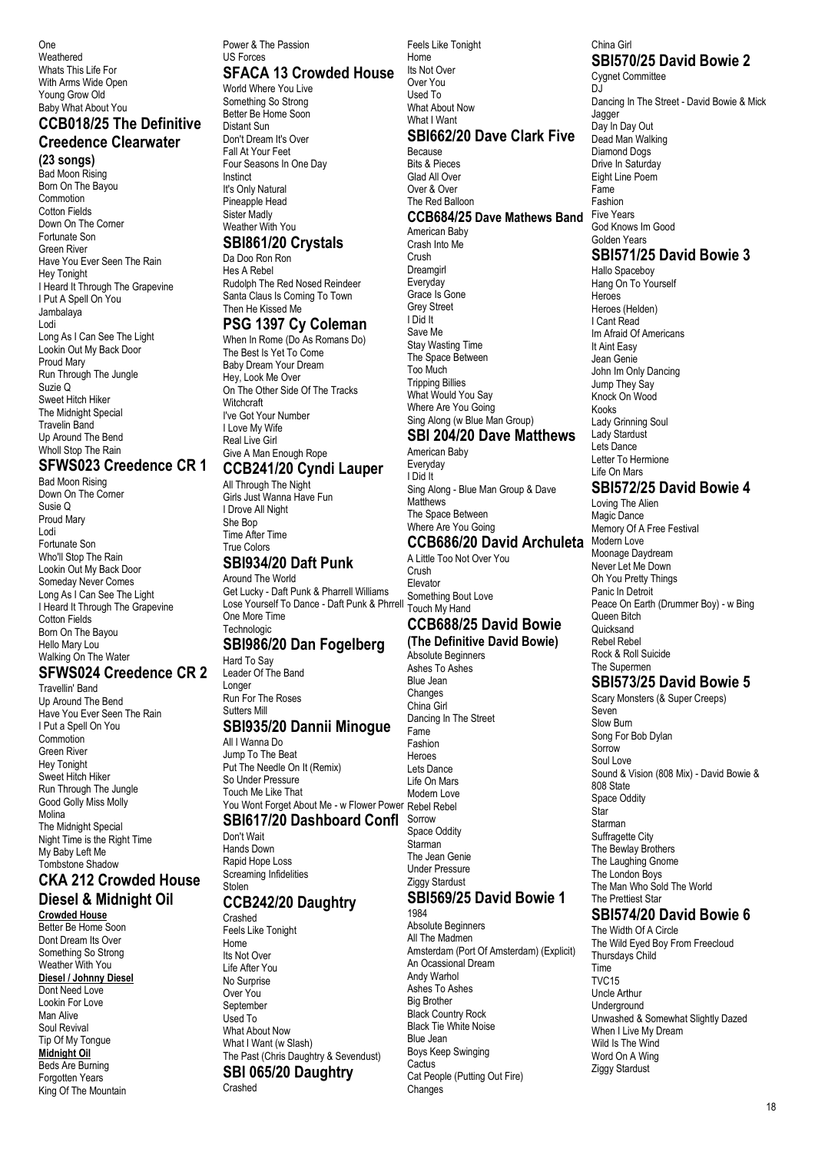One Weathered Whats This Life For With Arms Wide Open Young Grow Old Baby What About You

#### **CCB018/25 The Definitive Creedence Clearwater**

**(23 songs)** Bad Moon Rising Born On The Bayou Commotion Cotton Fields Down On The Corner Fortunate Son Green River Have You Ever Seen The Rain Hey Tonight I Heard It Through The Grapevine I Put A Spell On You Jambalaya Lodi Long As I Can See The Light Lookin Out My Back Door Proud Mary Run Through The Jungle Suzie Q Sweet Hitch Hiker The Midnight Special Travelin Band Up Around The Bend Wholl Stop The Rain

#### **SFWS023 Creedence CR 1**

Bad Moon Rising Down On The Corner Susie Q Proud Mary Lodi Fortunate Son Who'll Stop The Rain Lookin Out My Back Door Someday Never Comes Long As I Can See The Light I Heard It Through The Grapevine Cotton Fields Born On The Bayou Hello Mary Lou Walking On The Water

#### **SFWS024 Creedence CR 2** Travellin' Band

Up Around The Bend Have You Ever Seen The Rain I Put a Spell On You Commotion Green River Hey Tonight Sweet Hitch Hiker Run Through The Jungle Good Golly Miss Molly Molina The Midnight Special Night Time is the Right Time My Baby Left Me Tombstone Shadow

#### **CKA 212 Crowded House Diesel & Midnight Oil**

**Crowded House** Better Be Home Soon Dont Dream Its Over Something So Strong Weather With You **Diesel / Johnny Diesel** Dont Need Love Lookin For Love Man Alive Soul Revival Tip Of My Tongue **Midnight Oil** Beds Are Burning Forgotten Years King Of The Mountain

#### Power & The Passion US Forces

## **SFACA 13 Crowded House**

World Where You Live Something So Strong Better Be Home Soon Distant Sun Don't Dream It's Over Fall At Your Feet Four Seasons In One Day Instinct It's Only Natural Pineapple Head Sister Madly Weather With You **SBI861/20 Crystals** 

# Da Doo Ron Ron

Hes A Rebel Rudolph The Red Nosed Reindeer Santa Claus Is Coming To Town Then He Kissed Me

## **PSG 1397 Cy Coleman**

When In Rome (Do As Romans Do) The Best Is Yet To Come Baby Dream Your Dream Hey, Look Me Over On The Other Side Of The Tracks **Witchcraft** I've Got Your Number I Love My Wife Real Live Girl Give A Man Enough Rope

## **CCB241/20 Cyndi Lauper**

All Through The Night Girls Just Wanna Have Fun I Drove All Night She Bop Time After Time True Colors

#### **SBI934/20 Daft Punk**

Around The World Get Lucky - Daft Punk & Pharrell Williams Lose Yourself To Dance - Daft Punk & Phrrell One More Time **Technologic** 

## **SBI986/20 Dan Fogelberg**

Hard To Say Leader Of The Band Longer Run For The Roses Sutters Mill

#### **SBI935/20 Dannii Minogue**

All I Wanna Do Jump To The Beat Put The Needle On It (Remix) So Under Pressure Touch Me Like That You Wont Forget About Me - w Flower Power Rebel Rebel

# **SBI617/20 Dashboard Confl**

Don't Wait Hands Down Rapid Hope Loss Screaming Infidelities Stolen

#### **CCB242/20 Daughtry**

Crashed Feels Like Tonight Home Its Not Over Life After You No Surprise Over You September Used To What About Now What I Want (w Slash) The Past (Chris Daughtry & Sevendust) **SBI 065/20 Daughtry** Crashed

Its Not Over Over You Used To What About Now What I Want **SBI662/20 Dave Clark Five** Because Bits & Pieces Glad All Over Over & Over The Red Balloon **CCB684/25 Dave Mathews Band** American Baby Crash Into Me Crush **Dreamgirl Everyday** Grace Is Gone Grey Street I Did It Save Me Stay Wasting Time The Space Between Too Much Tripping Billies What Would You Say Where Are You Going Sing Along (w Blue Man Group)

Feels Like Tonight Home

#### **SBI 204/20 Dave Matthews** American Baby

Everyday I Did It Sing Along - Blue Man Group & Dave **Matthews** The Space Between Where Are You Going **CCB686/20 David Archuleta**

A Little Too Not Over You Crush Elevator Something Bout Love Touch My Hand

#### **CCB688/25 David Bowie (The Definitive David Bowie)**

Absolute Beginners Ashes To Ashes Blue Jean Changes China Girl Dancing In The Street Fame Fashion Heroes Lets Dance Life On Mars Modern Love Sorrow Space Oddity Starman The Jean Genie Under Pressure Ziggy Stardust

# **SBI569/25 David Bowie 1**

1984 Absolute Beginners All The Madmen Amsterdam (Port Of Amsterdam) (Explicit) An Ocassional Dream Andy Warhol Ashes To Ashes Big Brother Black Country Rock Black Tie White Noise Blue Jean Boys Keep Swinging **Cactus** Cat People (Putting Out Fire) Changes

#### China Girl **SBI570/25 David Bowie 2**

Cygnet Committee DJ. Dancing In The Street - David Bowie & Mick Jagger Day In Day Out Dead Man Walking Diamond Dogs Drive In Saturday Eight Line Poem Fame Fashion Five Years God Knows Im Good Golden Years **SBI571/25 David Bowie 3** Hallo Spaceboy

Hang On To Yourself **Heroes** Heroes (Helden) I Cant Read Im Afraid Of Americans It Aint Easy Jean Genie John Im Only Dancing Jump They Say Knock On Wood Kooks Lady Grinning Soul Lady Stardust Lets Dance Letter To Hermione Life On Mars

# **SBI572/25 David Bowie 4**

Loving The Alien Magic Dance Memory Of A Free Festival Modern Love Moonage Daydream Never Let Me Down Oh You Pretty Things Panic In Detroit Peace On Earth (Drummer Boy) - w Bing Queen Bitch **Quicksand** Rebel Rebel Rock & Roll Suicide The Supermen

# **SBI573/25 David Bowie 5**

Scary Monsters (& Super Creeps) Seven Slow Burn Song For Bob Dylan Sorrow Soul Love Sound & Vision (808 Mix) - David Bowie & 808 State Space Oddity Star Starman Suffragette City The Bewlay Brothers The Laughing Gnome The London Boys The Man Who Sold The World The Prettiest Star

# **SBI574/20 David Bowie 6**

The Width Of A Circle The Wild Eyed Boy From Freecloud Thursdays Child Time TVC15 Uncle Arthur **Underground** Unwashed & Somewhat Slightly Dazed When I Live My Dream Wild Is The Wind Word On A Wing Ziggy Stardust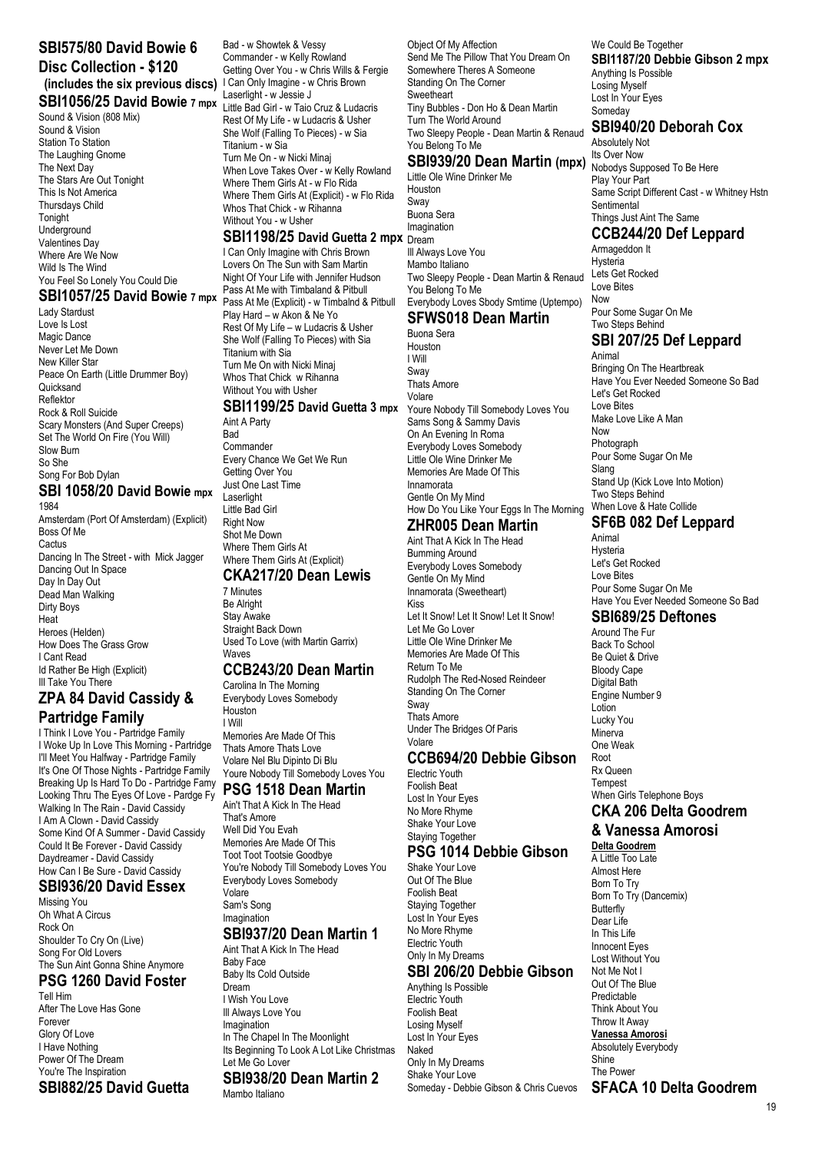# **SBI575/80 David Bowie 6 Disc Collection - \$120**

#### **(includes the six previous discs)** I Can Only Imagine - w Chris Brown **SBI1056/25 David Bowie 7 mpx**

Sound & Vision (808 Mix) Sound & Vision Station To Station The Laughing Gnome The Next Day The Stars Are Out Tonight This Is Not America Thursdays Child **Tonight** Underground Valentines Day Where Are We Now Wild Is The Wind You Feel So Lonely You Could Die

#### **SBI1057/25 David Bowie 7 mpx**

Lady Stardust Love Is Lost Magic Dance Never Let Me Down New Killer Star Peace On Earth (Little Drummer Boy) **Ouicksand** Reflektor Rock & Roll Suicide Scary Monsters (And Super Creeps) Set The World On Fire (You Will) Slow Burn So She Song For Bob Dylan

#### **SBI 1058/20 David Bowie mpx** 1984

Amsterdam (Port Of Amsterdam) (Explicit) Boss Of Me **Cactus** Dancing In The Street - with Mick Jagger Dancing Out In Space Day In Day Out Dead Man Walking Dirty Boys Heat Heroes (Helden) How Does The Grass Grow I Cant Read Id Rather Be High (Explicit) **III Take You There** 

#### **ZPA 84 David Cassidy & Partridge Family**

I Think I Love You - Partridge Family I Woke Up In Love This Morning - Partridge I'll Meet You Halfway - Partridge Family It's One Of Those Nights - Partridge Family Breaking Up Is Hard To Do - Partridge Famy Looking Thru The Eyes Of Love - Pardge Fy Walking In The Rain - David Cassidy I Am A Clown - David Cassidy Some Kind Of A Summer - David Cassidy Could It Be Forever - David Cassidy Daydreamer - David Cassidy How Can I Be Sure - David Cassidy

#### **SBI936/20 David Essex**

Missing You Oh What A Circus Rock On Shoulder To Cry On (Live) Song For Old Lovers The Sun Aint Gonna Shine Anymore

## **PSG 1260 David Foster**

Tell Him After The Love Has Gone Forever Glory Of Love I Have Nothing Power Of The Dream You're The Inspiration **SBI882/25 David Guetta**

Bad - w Showtek & Vessy Commander - w Kelly Rowland Getting Over You - w Chris Wills & Fergie Laserlight - w Jessie J Little Bad Girl - w Taio Cruz & Ludacris Rest Of My Life - w Ludacris & Usher She Wolf (Falling To Pieces) - w Sia Titanium - w Sia Turn Me On - w Nicki Minaj When Love Takes Over - w Kelly Rowland Where Them Girls At - w Flo Rida Where Them Girls At (Explicit) - w Flo Rida Whos That Chick - w Rihanna Without You - w Usher

#### **SBI1198/25 David Guetta 2 mpx** Dream

I Can Only Imagine with Chris Brown Lovers On The Sun with Sam Martin Night Of Your Life with Jennifer Hudson Pass At Me with Timbaland & Pitbull Pass At Me (Explicit) - w Timbalnd & Pitbull Play Hard – w Akon & Ne Yo Rest Of My Life – w Ludacris & Usher She Wolf (Falling To Pieces) with Sia Titanium with Sia Turn Me On with Nicki Minaj Whos That Chick w Rihanna Without You with Usher

#### **SBI1199/25 David Guetta 3 mpx** Aint A Party

**Bad** Commander Every Chance We Get We Run Getting Over You Just One Last Time Laserlight Little Bad Girl Right Now Shot Me Down Where Them Girls At Where Them Girls At (Explicit) **CKA217/20 Dean Lewis** 7 Minutes Be Alright

Stay Awake

Straight Back Down Used To Love (with Martin Garrix) **Waves** 

#### **CCB243/20 Dean Martin**

Carolina In The Morning Everybody Loves Somebody Houston I Will Memories Are Made Of This Thats Amore Thats Love Volare Nel Blu Dipinto Di Blu Youre Nobody Till Somebody Loves You

#### **PSG 1518 Dean Martin**

Ain't That A Kick In The Head That's Amore Well Did You Evah Memories Are Made Of This Toot Toot Tootsie Goodbye You're Nobody Till Somebody Loves You Everybody Loves Somebody Volare Sam's Song Imagination **SBI937/20 Dean Martin 1**

#### Aint That A Kick In The Head

Baby Face Baby Its Cold Outside Dream I Wish You Love Ill Always Love You Imagination In The Chapel In The Moonlight Its Beginning To Look A Lot Like Christmas Let Me Go Lover **SBI938/20 Dean Martin 2** Mambo Italiano

Object Of My Affection Send Me The Pillow That You Dream On Somewhere Theres A Someone Standing On The Corner **Sweetheart** Tiny Bubbles - Don Ho & Dean Martin Turn The World Around Two Sleepy People - Dean Martin & Renaud You Belong To Me **SBI939/20 Dean Martin (mpx)**

Little Ole Wine Drinker Me Houston Sway Buona Sera Imagination

Ill Always Love You Mambo Italiano Two Sleepy People - Dean Martin & Renaud You Belong To Me Everybody Loves Sbody Smtime (Uptempo)

# **SFWS018 Dean Martin**

Buona Sera Houston I Will Sway Thats Amore Volare Youre Nobody Till Somebody Loves You Sams Song & Sammy Davis On An Evening In Roma Everybody Loves Somebody Little Ole Wine Drinker Me Memories Are Made Of This Innamorata Gentle On My Mind How Do You Like Your Eggs In The Morning

## **ZHR005 Dean Martin**

Aint That A Kick In The Head Bumming Around Everybody Loves Somebody Gentle On My Mind Innamorata (Sweetheart) Kiss Let It Snow! Let It Snow! Let It Snow! Let Me Go Lover Little Ole Wine Drinker Me Memories Are Made Of This Return To Me Rudolph The Red-Nosed Reindeer Standing On The Corner Sway Thats Amore Under The Bridges Of Paris Volare

#### **CCB694/20 Debbie Gibson**

Electric Youth Foolish Beat Lost In Your Eyes No More Rhyme Shake Your Love Staying Together

#### **PSG 1014 Debbie Gibson**

Shake Your Love Out Of The Blue Foolish Beat Staying Together Lost In Your Eyes No More Rhyme Electric Youth Only In My Dreams

#### **SBI 206/20 Debbie Gibson**

Anything Is Possible Electric Youth Foolish Beat Losing Myself Lost In Your Eyes Naked Only In My Dreams Shake Your Love Someday - Debbie Gibson & Chris Cuevos

We Could Be Together **SBI1187/20 Debbie Gibson 2 mpx** Anything Is Possible Losing Myself Lost In Your Eyes Someday

#### **SBI940/20 Deborah Cox**

Absolutely Not Its Over Now Nobodys Supposed To Be Here Play Your Part Same Script Different Cast - w Whitney Hstn Sentimental Things Just Aint The Same

**CCB244/20 Def Leppard**

Armageddon It Hysteria Lets Get Rocked Love Bites Now Pour Some Sugar On Me Two Steps Behind **SBI 207/25 Def Leppard** Animal

Bringing On The Heartbreak Have You Ever Needed Someone So Bad Let's Get Rocked Love Bites Make Love Like A Man Now Photograph Pour Some Sugar On Me Slang Stand Up (Kick Love Into Motion) Two Steps Behind When Love & Hate Collide **SF6B 082 Def Leppard**

Animal Hysteria Let's Get Rocked Love Bites Pour Some Sugar On Me Have You Ever Needed Someone So Bad

#### **SBI689/25 Deftones**

Around The Fur Back To School Be Quiet & Drive Bloody Cape Digital Bath Engine Number 9 Lotion Lucky You **Minerva** One Weak Root Rx Queen Tempest When Girls Telephone Boys **CKA 206 Delta Goodrem** 

# **& Vanessa Amorosi**

**Delta Goodrem** A Little Too Late Almost Here Born To Try Born To Try (Dancemix) **Butterfly** Dear Life In This Life Innocent Eyes Lost Without You Not Me Not I Out Of The Blue Predictable Think About You Throw It Away **Vanessa Amorosi** Absolutely Everybody Shine The Power **SFACA 10 Delta Goodrem**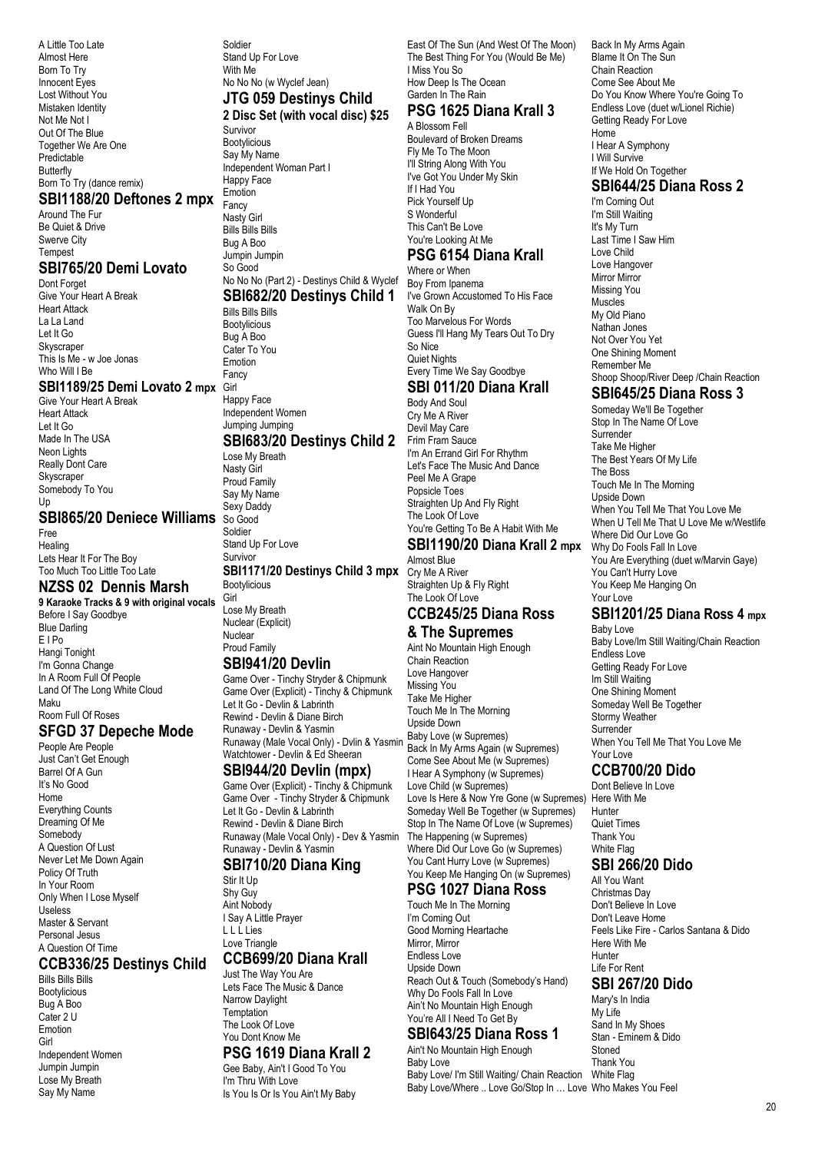A Little Too Late Almost Here Born To Try Innocent Eyes Lost Without You Mistaken Identity Not Me Not I Out Of The Blue Together We Are One Predictable Butterfly Born To Try (dance remix)

#### **SBI1188/20 Deftones 2 mpx**

Around The Fur Be Quiet & Drive Swerve City **Tempest** 

#### **SBI765/20 Demi Lovato**

Dont Forget Give Your Heart A Break Heart Attack La La Land Let It Go Skyscraper This Is Me - w Joe Jonas Who Will I Be

#### **SBI1189/25 Demi Lovato 2 mpx** Girl

Give Your Heart A Break Heart Attack Let It Go Made In The USA Neon Lights Really Dont Care **Skyscraper** Somebody To You Up

## **SBI865/20 Deniece Williams** So Good

Free Healing Lets Hear It For The Boy Too Much Too Little Too Late

## **NZSS 02 Dennis Marsh**

**9 Karaoke Tracks & 9 with original vocals** Before I Say Goodbye Blue Darling E I Po Hangi Tonight I'm Gonna Change In A Room Full Of People Land Of The Long White Cloud Maku Room Full Of Roses

## **SFGD 37 Depeche Mode**

People Are People Just Can't Get Enough Barrel Of A Gun It's No Good Home Everything Counts Dreaming Of Me Somebody A Question Of Lust Never Let Me Down Again Policy Of Truth In Your Room Only When I Lose Myself Useless Master & Servant Personal Jesus A Question Of Time

#### **CCB336/25 Destinys Child**

Bills Bills Bills Bootylicious Bug A Boo Cater 2 U Emotion Girl Independent Women Jumpin Jumpin Lose My Breath Say My Name

Soldier Stand Up For Love With Me No No No (w Wyclef Jean) **JTG 059 Destinys Child 2 Disc Set (with vocal disc) \$25**

Survivor Bootylicious Say My Name Independent Woman Part I Happy Face Emotion **Fancy** Nasty Girl Bills Bills Bills Bug A Boo Jumpin Jumpin So Good

#### No No No (Part 2) - Destinys Child & Wyclef Boy From Ipanema **SBI682/20 Destinys Child 1**

Bills Bills Bills Bootylicious Bug A Boo Cater To You Emotion Fancy Happy Face

#### Independent Women Jumping Jumping **SBI683/20 Destinys Child 2** Frim Fram Sauce

#### Lose My Breath Nasty Girl

Proud Family Say My Name Sexy Daddy Soldier Stand Up For Love Survivor

#### **SBI1171/20 Destinys Child 3 mpx** Bootylicious

Girl Lose My Breath Nuclear (Explicit) Nuclear Proud Family

#### **SBI941/20 Devlin**

Game Over - Tinchy Stryder & Chipmunk Game Over (Explicit) - Tinchy & Chipmunk Let It Go - Devlin & Labrinth Rewind - Devlin & Diane Birch<br>Runaway - Devlin & Yasmin Runaway - Devlin & Yasmin Runaway (Male Vocal Only) - Dvlin & Yasmin Watchtower - Devlin & Ed Sheeran

#### **SBI944/20 Devlin (mpx)**

Game Over (Explicit) - Tinchy & Chipmunk Game Over - Tinchy Stryder & Chipmunk Let It Go - Devlin & Labrinth Rewind - Devlin & Diane Birch Runaway (Male Vocal Only) - Dev & Yasmin Runaway - Devlin & Yasmin

## **SBI710/20 Diana King**

Stir It Up Shy Guy Aint Nobody I Say A Little Prayer L L L Lies Love Triangle

# **CCB699/20 Diana Krall**

Just The Way You Are Lets Face The Music & Dance Narrow Daylight **Temptation** The Look Of Love You Dont Know Me

## **PSG 1619 Diana Krall 2**

Gee Baby, Ain't I Good To You

I'm Thru With Love Is You Is Or Is You Ain't My Baby East Of The Sun (And West Of The Moon) The Best Thing For You (Would Be Me) I Miss You So How Deep Is The Ocean Garden In The Rain

# **PSG 1625 Diana Krall 3**

A Blossom Fell Boulevard of Broken Dreams Fly Me To The Moon I'll String Along With You I've Got You Under My Skin If I Had You Pick Yourself Up S Wonderful This Can't Be Love You're Looking At Me

# **PSG 6154 Diana Krall**

Where or When I've Grown Accustomed To His Face Walk On By Too Marvelous For Words Guess I'll Hang My Tears Out To Dry So Nice Quiet Nights Every Time We Say Goodbye

# **SBI 011/20 Diana Krall**

Body And Soul Cry Me A River Devil May Care I'm An Errand Girl For Rhythm Let's Face The Music And Dance Peel Me A Grape Popsicle Toes Straighten Up And Fly Right The Look Of Love You're Getting To Be A Habit With Me **SBI1190/20 Diana Krall 2 mpx**

#### Almost Blue Cry Me A River Straighten Up & Fly Right The Look Of Love

# **CCB245/25 Diana Ross**

#### **& The Supremes** Aint No Mountain High Enough

Chain Reaction Love Hangover Missing You Take Me Higher Touch Me In The Morning Upside Down Baby Love (w Supremes) Back In My Arms Again (w Supremes) Come See About Me (w Supremes) I Hear A Symphony (w Supremes) Love Child (w Supremes) Love Is Here & Now Yre Gone (w Supremes) Here With Me Someday Well Be Together (w Supremes) Stop In The Name Of Love (w Supremes) The Happening (w Supremes) Where Did Our Love Go (w Supremes) You Cant Hurry Love (w Supremes) You Keep Me Hanging On (w Supremes)

#### **PSG 1027 Diana Ross**

Touch Me In The Morning I'm Coming Out Good Morning Heartache Mirror, Mirror Endless Love Upside Down Reach Out & Touch (Somebody's Hand) Why Do Fools Fall In Love Ain't No Mountain High Enough You're All I Need To Get By

## **SBI643/25 Diana Ross 1**

Ain't No Mountain High Enough Baby Love Baby Love/ I'm Still Waiting/ Chain Reaction White Flag Baby Love/Where .. Love Go/Stop In … Love Who Makes You FeelStoned Thank You

Back In My Arms Again Blame It On The Sun Chain Reaction Come See About Me Do You Know Where You're Going To Endless Love (duet w/Lionel Richie) Getting Ready For Love Home I Hear A Symphony I Will Survive If We Hold On Together

#### **SBI644/25 Diana Ross 2**

I'm Coming Out I'm Still Waiting It's My Turn Last Time I Saw Him Love Child Love Hangover Mirror Mirror Missing You Muscles My Old Piano Nathan Jones Not Over You Yet One Shining Moment Remember Me Shoop Shoop/River Deep /Chain Reaction

#### **SBI645/25 Diana Ross 3**

Someday We'll Be Together Stop In The Name Of Love **Surrender** Take Me Higher The Best Years Of My Life The Boss Touch Me In The Morning Upside Down When You Tell Me That You Love Me When U Tell Me That U Love Me w/Westlife Where Did Our Love Go Why Do Fools Fall In Love You Are Everything (duet w/Marvin Gaye) You Can't Hurry Love You Keep Me Hanging On Your Love

#### **SBI1201/25 Diana Ross 4 mpx** Baby Love

Baby Love/Im Still Waiting/Chain Reaction Endless Love Getting Ready For Love Im Still Waiting One Shining Moment Someday Well Be Together Stormy Weather **Surrender** When You Tell Me That You Love Me Your Love

#### **CCB700/20 Dido**

Dont Believe In Love Hunter Quiet Times Thank You White Flag

# **SBI 266/20 Dido**

All You Want Christmas Day Don't Believe In Love Don't Leave Home Feels Like Fire - Carlos Santana & Dido Here With Me Hunter Life For Rent

# **SBI 267/20 Dido**

Mary's In India My Life Sand In My Shoes Stan - Eminem & Dido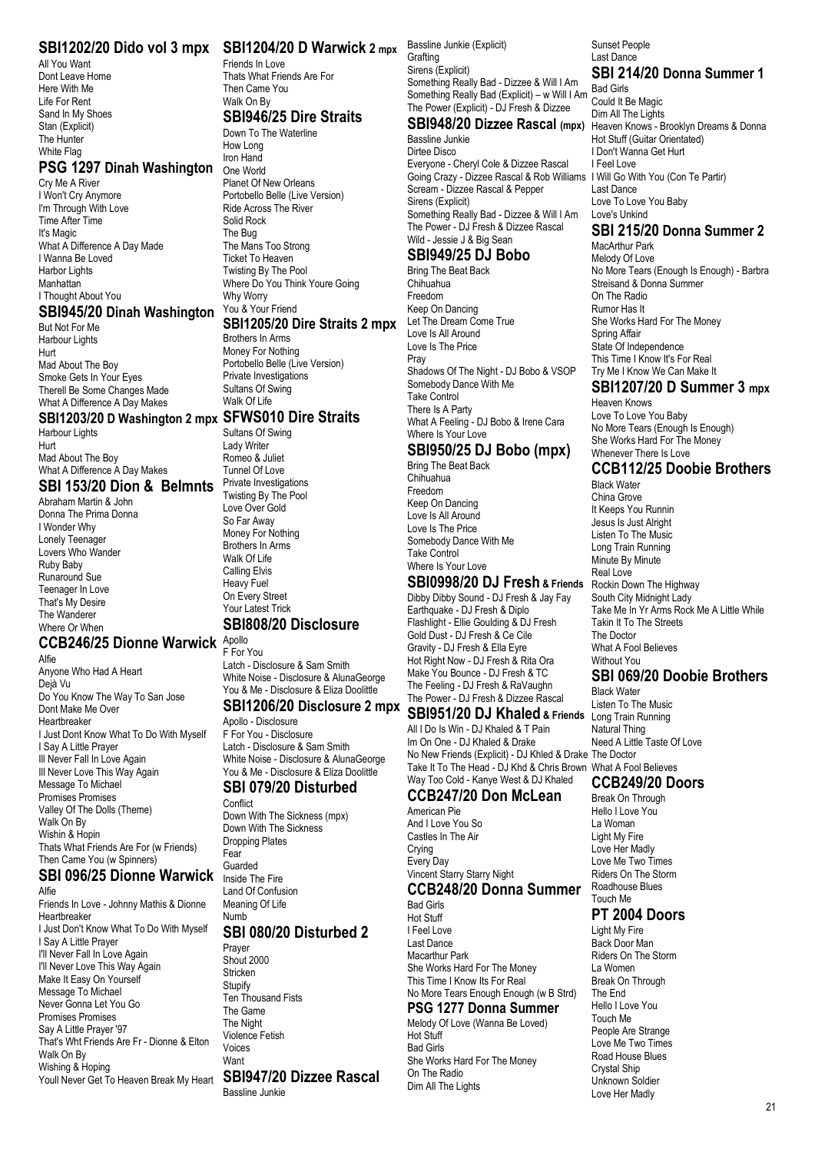All You Want Dont Leave Home Here With Me Life For Rent Sand In My Shoes Stan (Explicit) The Hunter White Flag

#### **PSG 1297 Dinah Washington**

Cry Me A River I Won't Cry Anymore I'm Through With Love Time After Time It's Magic What A Difference A Day Made I Wanna Be Loved Harbor Lights Manhattan I Thought About You

#### **SBI945/20 Dinah Washington**

But Not For Me Harbour Lights Hurt Mad About The Boy Smoke Gets In Your Eyes Therell Be Some Changes Made What A Difference A Day Makes

#### **SBI1203/20 D Washington 2 mpx SFWS010 Dire Straits**

Harbour Lights Hurt Mad About The Boy What A Difference A Day Makes **SBI 153/20 Dion & Belmnts**

Abraham Martin & John Donna The Prima Donna I Wonder Why Lonely Teenager Lovers Who Wander Ruby Baby Runaround Sue Teenager In Love That's My Desire The Wanderer Where Or When

#### **CCB246/25 Dionne Warwick** Apollo

Alfie Anyone Who Had A Heart Dejà Vu Do You Know The Way To San Jose Dont Make Me Over Heartbreaker I Just Dont Know What To Do With Myself I Say A Little Prayer Ill Never Fall In Love Again Ill Never Love This Way Again Message To Michael Promises Promises Valley Of The Dolls (Theme) Walk On By Wishin & Hopin Thats What Friends Are For (w Friends) Then Came You (w Spinners) **SBI 096/25 Dionne Warwick**

#### Alfie

Friends In Love - Johnny Mathis & Dionne Heartbreaker I Just Don't Know What To Do With Myself I Say A Little Prayer I'll Never Fall In Love Again I'll Never Love This Way Again Make It Easy On Yourself Message To Michael Never Gonna Let You Go Promises Promises Say A Little Prayer '97 That's Wht Friends Are Fr - Dionne & Elton Walk On By Wishing & Hoping Youll Never Get To Heaven Break My Heart

#### **SBI1202/20 Dido vol 3 mpx SBI1204/20 D Warwick 2 mpx** Bassline Junkie (Explicit) Friends In Love

#### Then Came You Walk On By

Thats What Friends Are For

# **SBI946/25 Dire Straits**

Down To The Waterline How Long Iron Hand One World Planet Of New Orleans Portobello Belle (Live Version) Ride Across The River Solid Rock The Bug The Mans Too Strong Ticket To Heaven Twisting By The Pool Where Do You Think Youre Going Why Worry You & Your Friend

#### **SBI1205/20 Dire Straits 2 mpx**

Brothers In Arms Money For Nothing Portobello Belle (Live Version) Private Investigations Sultans Of Swing Walk Of Life

Sultans Of Swing Lady Writer Romeo & Juliet Tunnel Of Love Private Investigations Twisting By The Pool Love Over Gold So Far Away Money For Nothing Brothers In Arms Walk Of Life Calling Elvis Heavy Fuel On Every Street Your Latest Trick **SBI808/20 Disclosure**

F For You Latch - Disclosure & Sam Smith

#### You & Me - Disclosure & Eliza Doolittle **SBI1206/20 Disclosure 2 mpx**

Apollo - Disclosure F For You - Disclosure Latch - Disclosure & Sam Smith White Noise - Disclosure & AlunaGeorge You & Me - Disclosure & Eliza Doolittle **SBI 079/20 Disturbed**

White Noise - Disclosure & AlunaGeorge

#### Conflict

Down With The Sickness (mpx) Down With The Sickness Dropping Plates Fear Guarded Inside The Fire Land Of Confusion Meaning Of Life Numb **SBI 080/20 Disturbed 2**

#### Prayer

Shout 2000 Stricken **Stupify** Ten Thousand Fists The Game The Night Violence Fetish Voices Want **SBI947/20 Dizzee Rascal**

Bassline Junkie

**Grafting** Sirens (Explicit) Something Really Bad - Dizzee & Will I Am Something Really Bad (Explicit) – w Will I Am The Power (Explicit) - DJ Fresh & Dizzee

Bassline Junkie Dirtee Disco Everyone - Cheryl Cole & Dizzee Rascal Going Crazy - Dizzee Rascal & Rob Williams I Will Go With You (Con Te Partir) Scream - Dizzee Rascal & Pepper Sirens (Explicit) Something Really Bad - Dizzee & Will I Am The Power - DJ Fresh & Dizzee Rascal Wild - Jessie J & Big Sean

#### **SBI949/25 DJ Bobo**

Bring The Beat Back Chihuahua Freedom Keep On Dancing Let The Dream Come True Love Is All Around Love Is The Price Pray Shadows Of The Night - DJ Bobo & VSOP Somebody Dance With Me Take Control There Is A Party What A Feeling - DJ Bobo & Irene Cara Where Is Your Love

#### **SBI950/25 DJ Bobo (mpx)**

Bring The Beat Back Chihuahua Freedom Keep On Dancing Love Is All Around Love Is The Price Somebody Dance With Me Take Control Where Is Your Love

# **SBI0998/20 DJ Fresh & Friends**

Dibby Dibby Sound - DJ Fresh & Jay Fay Earthquake - DJ Fresh & Diplo Flashlight - Ellie Goulding & DJ Fresh Gold Dust - DJ Fresh & Ce Cile Gravity - DJ Fresh & Ella Eyre Hot Right Now - DJ Fresh & Rita Ora Make You Bounce - DJ Fresh & TC The Feeling - DJ Fresh & RaVaughn The Power - DJ Fresh & Dizzee Rascal

All I Do Is Win - DJ Khaled & T Pain Im On One - DJ Khaled & Drake No New Friends (Explicit) - DJ Khled & Drake The Doctor Take It To The Head - DJ Khd & Chris Brown What A Fool Believes Way Too Cold - Kanye West & DJ Khaled

## **CCB247/20 Don McLean**

American Pie And I Love You So Castles In The Air Crying Every Day Vincent Starry Starry Night **CCB248/20 Donna Summer** Bad Girls

Hot Stuff I Feel Love Last Dance Macarthur Park She Works Hard For The Money This Time I Know Its For Real No More Tears Enough Enough (w B Strd)

#### **PSG 1277 Donna Summer**

Melody Of Love (Wanna Be Loved) Hot Stuff Bad Girls She Works Hard For The Money On The Radio Dim All The Lights

Sunset People Last Dance

#### **SBI 214/20 Donna Summer 1** Bad Girls

**SBI948/20 Dizzee Rascal (mpx)** Heaven Knows - Brooklyn Dreams & Donna Could It Be Magic Dim All The Lights Hot Stuff (Guitar Orientated) I Don't Wanna Get Hurt I Feel Love Last Dance Love To Love You Baby Love's Unkind

# **SBI 215/20 Donna Summer 2**

MacArthur Park Melody Of Love No More Tears (Enough Is Enough) - Barbra Streisand & Donna Summer On The Radio Rumor Has It She Works Hard For The Money Spring Affair State Of Independence This Time I Know It's For Real Try Me I Know We Can Make It

## **SBI1207/20 D Summer 3 mpx**

Heaven Knows Love To Love You Baby No More Tears (Enough Is Enough) She Works Hard For The Money Whenever There Is Love

## **CCB112/25 Doobie Brothers**

Black Water China Grove It Keeps You Runnin Jesus Is Just Alright Listen To The Music Long Train Running Minute By Minute Real Love Rockin Down The Highway South City Midnight Lady Take Me In Yr Arms Rock Me A Little While Takin It To The Streets The Doctor What A Fool Believes Without You

## **SBI 069/20 Doobie Brothers**

**SBI951/20 DJ Khaled & Friends** Listen To The Music **Black Water**<br>Listen To The Music Long Train Running Natural Thing Need A Little Taste Of Love

#### **CCB249/20 Doors**

Break On Through Hello I Love You La Woman Light My Fire Love Her Madly Love Me Two Times Riders On The Storm Roadhouse Blues Touch Me

#### **PT 2004 Doors**

Light My Fire Back Door Man Riders On The Storm La Women Break On Through The End Hello I Love You Touch Me People Are Strange Love Me Two Times Road House Blues Crystal Ship Unknown Soldier Love Her Madly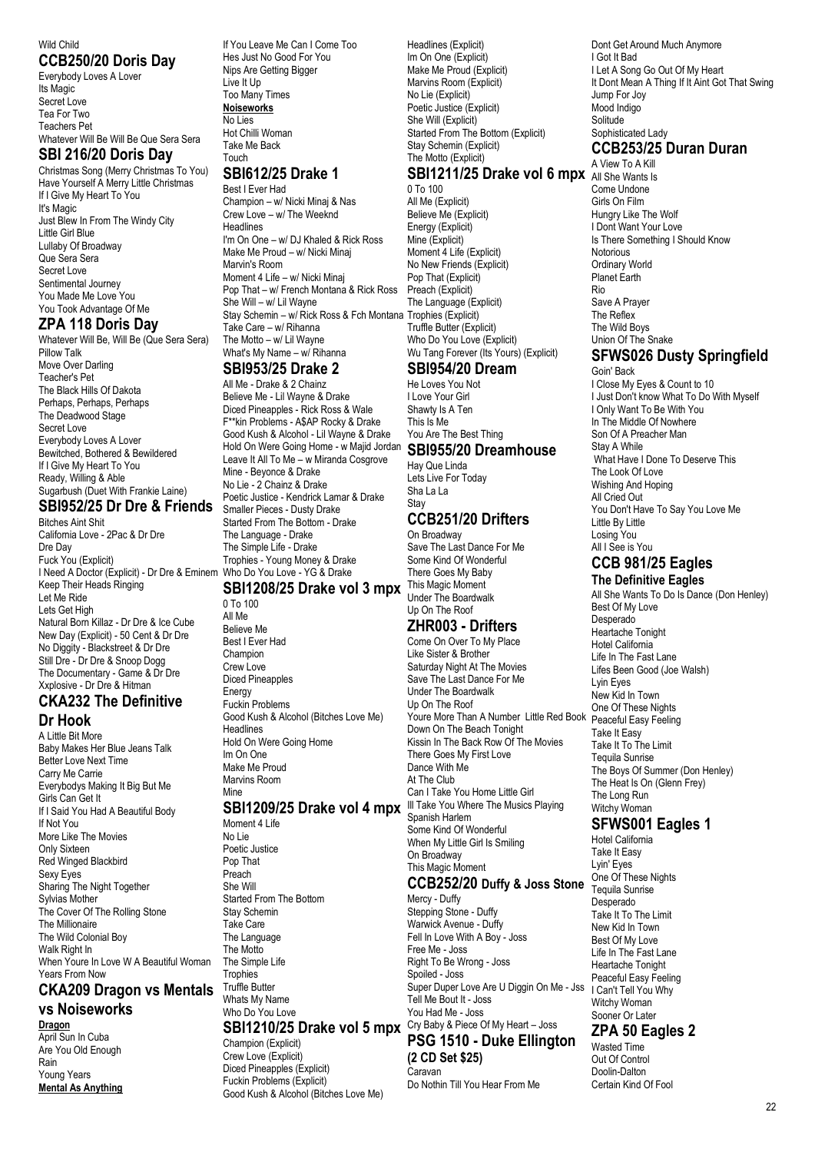#### Wild Child **CCB250/20 Doris Day**

Everybody Loves A Lover Its Magic Secret Love Tea For Two Teachers Pet Whatever Will Be Will Be Que Sera Sera

#### **SBI 216/20 Doris Day**

Christmas Song (Merry Christmas To You) Have Yourself A Merry Little Christmas If I Give My Heart To You It's Magic Just Blew In From The Windy City Little Girl Blue Lullaby Of Broadway Que Sera Sera Secret Love Sentimental Journey You Made Me Love You You Took Advantage Of Me

## **ZPA 118 Doris Day**

Whatever Will Be, Will Be (Que Sera Sera) Pillow Talk Move Over Darling Teacher's Pet The Black Hills Of Dakota Perhaps, Perhaps, Perhaps The Deadwood Stage Secret Love Everybody Loves A Lover Bewitched, Bothered & Bewildered If I Give My Heart To You Ready, Willing & Able Sugarbush (Duet With Frankie Laine)

#### **SBI952/25 Dr Dre & Friends**

Bitches Aint Shit California Love - 2Pac & Dr Dre Dre Day Fuck You (Explicit) I Need A Doctor (Explicit) - Dr Dre & Eminem Who Do You Love - YG & Drake Keep Their Heads Ringing Let Me Ride Lets Get High Natural Born Killaz - Dr Dre & Ice Cube New Day (Explicit) - 50 Cent & Dr Dre No Diggity - Blackstreet & Dr Dre Still Dre - Dr Dre & Snoop Dogg The Documentary - Game & Dr Dre Xxplosive - Dr Dre & Hitman

#### **CKA232 The Definitive Dr Hook**

A Little Bit More Baby Makes Her Blue Jeans Talk

Better Love Next Time Carry Me Carrie Everybodys Making It Big But Me Girls Can Get It If I Said You Had A Beautiful Body If Not You More Like The Movies Only Sixteen Red Winged Blackbird Sexy Eyes Sharing The Night Together Sylvias Mother The Cover Of The Rolling Stone The Millionaire The Wild Colonial Boy Walk Right In When Youre In Love W A Beautiful Woman Years From Now

# **CKA209 Dragon vs Mentals**

#### **vs Noiseworks Dragon**

April Sun In Cuba Are You Old Enough Rain Young Years **Mental As Anything** If You Leave Me Can I Come Too Hes Just No Good For You Nips Are Getting Bigger Live It Up Too Many Times **Noiseworks** No Lies Hot Chilli Woman Take Me Back Touch

# **SBI612/25 Drake 1**

Best I Ever Had Champion – w/ Nicki Minaj & Nas Crew Love – w/ The Weeknd **Headlines** I'm On One – w/ DJ Khaled & Rick Ross Make Me Proud – w/ Nicki Minaj Marvin's Room Moment 4 Life – w/ Nicki Minaj Pop That – w/ French Montana & Rick Ross She Will – w/ Lil Wayne Stay Schemin – w/ Rick Ross & Fch Montana Trophies (Explicit) Take Care – w/ Rihanna The Motto – w/ Lil Wayne What's My Name – w/ Rihanna

## **SBI953/25 Drake 2**

All Me - Drake & 2 Chainz Believe Me - Lil Wayne & Drake Diced Pineapples - Rick Ross & Wale F\*\*kin Problems - A\$AP Rocky & Drake Good Kush & Alcohol - Lil Wayne & Drake Hold On Were Going Home - w Majid Jordan **SBI955/20 Dreamhouse** Leave It All To Me – w Miranda Cosgrove Mine - Beyonce & Drake No Lie - 2 Chainz & Drake Poetic Justice - Kendrick Lamar & Drake Smaller Pieces - Dusty Drake Started From The Bottom - Drake The Language - Drake The Simple Life - Drake Trophies - Young Money & Drake

# **SBI1208/25 Drake vol 3 mpx** This Magic Moment

0 To 100 All Me Believe Me Best I Ever Had Champion Crew Love Diced Pineapples **Energy** Fuckin Problems Good Kush & Alcohol (Bitches Love Me) Headlines Hold On Were Going Home Im On One Make Me Proud Marvins Room Mine

#### **SBI1209/25 Drake vol 4 mpx** III Take You Where The Musics Playing

Moment 4 Life No Lie Poetic Justice Pop That Preach She Will Started From The Bottom Stay Schemin Take Care The Language The Motto The Simple Life **Trophies** Truffle Butter Whats My Name Who Do You Love

## **SBI1210/25 Drake vol 5 mpx** Cry Baby & Piece Of My Heart – Joss

Champion (Explicit) Crew Love (Explicit) Diced Pineapples (Explicit) Fuckin Problems (Explicit) Good Kush & Alcohol (Bitches Love Me)

Headlines (Explicit) Im On One (Explicit) Make Me Proud (Explicit) Marvins Room (Explicit) No Lie (Explicit) Poetic Justice (Explicit) She Will (Explicit) Started From The Bottom (Explicit) Stay Schemin (Explicit) The Motto (Explicit) **SBI1211/25 Drake vol 6 mpx** All She Wants Is

# 0 To 100

All Me (Explicit) Believe Me (Explicit) Energy (Explicit) Mine (Explicit) Moment 4 Life (Explicit) No New Friends (Explicit) Pop That (Explicit) Preach (Explicit) The Language (Explicit) Truffle Butter (Explicit) Who Do You Love (Explicit) Wu Tang Forever (Its Yours) (Explicit)

#### **SBI954/20 Dream**

He Loves You Not I Love Your Girl Shawty Is A Ten This Is Me You Are The Best Thing

# Hay Que Linda

Lets Live For Today Sha La La **Stay** 

# **CCB251/20 Drifters**

On Broadway Save The Last Dance For Me Some Kind Of Wonderful There Goes My Baby Under The Boardwalk Up On The Roof

#### **ZHR003 - Drifters**

Come On Over To My Place Like Sister & Brother Saturday Night At The Movies Save The Last Dance For Me Under The Boardwalk Up On The Roof Youre More Than A Number Little Red Book Peaceful Easy Feeling Down On The Beach Tonight Kissin In The Back Row Of The Movies There Goes My First Love Dance With Me At The Club Can I Take You Home Little Girl Spanish Harlem Some Kind Of Wonderful When My Little Girl Is Smiling On Broadway This Magic Moment

#### **CCB252/20 Duffy & Joss Stone**

Mercy - Duffy Stepping Stone - Duffy Warwick Avenue - Duffy Fell In Love With A Boy - Joss Free Me - Joss Right To Be Wrong - Joss Spoiled - Joss Super Duper Love Are U Diggin On Me - Jss Tell Me Bout It - Joss You Had Me - Joss **PSG 1510 - Duke Ellington**

#### **(2 CD Set \$25)** Caravan

Do Nothin Till You Hear From Me

Dont Get Around Much Anymore I Got It Bad I Let A Song Go Out Of My Heart It Dont Mean A Thing If It Aint Got That Swing Jump For Joy Mood Indigo Solitude Sophisticated Lady

#### **CCB253/25 Duran Duran** A View To A Kill

Come Undone Girls On Film Hungry Like The Wolf I Dont Want Your Love Is There Something I Should Know Notorious Ordinary World Planet Earth Rio Save A Prayer The Reflex The Wild Boys Union Of The Snake

## **SFWS026 Dusty Springfield**

Goin' Back I Close My Eyes & Count to 10 I Just Don't know What To Do With Myself I Only Want To Be With You In The Middle Of Nowhere Son Of A Preacher Man Stay A While What Have I Done To Deserve This The Look Of Love Wishing And Hoping All Cried Out You Don't Have To Say You Love Me Little By Little Losing You All I See is You

#### **CCB 981/25 Eagles The Definitive Eagles**

All She Wants To Do Is Dance (Don Henley) Best Of My Love Desperado Heartache Tonight Hotel California Life In The Fast Lane Lifes Been Good (Joe Walsh) Lyin Eyes New Kid In Town One Of These Nights Take It Easy Take It To The Limit Tequila Sunrise The Boys Of Summer (Don Henley) The Heat Is On (Glenn Frey) The Long Run Witchy Woman

## **SFWS001 Eagles 1**

Hotel California Take It Easy Lyin' Eyes One Of These Nights Tequila Sunrise Desperado Take It To The Limit New Kid In Town Best Of My Love Life In The Fast Lane Heartache Tonight Peaceful Easy Feeling I Can't Tell You Why Witchy Woman Sooner Or Later **ZPA 50 Eagles 2** Wasted Time

Out Of Control Doolin-Dalton Certain Kind Of Fool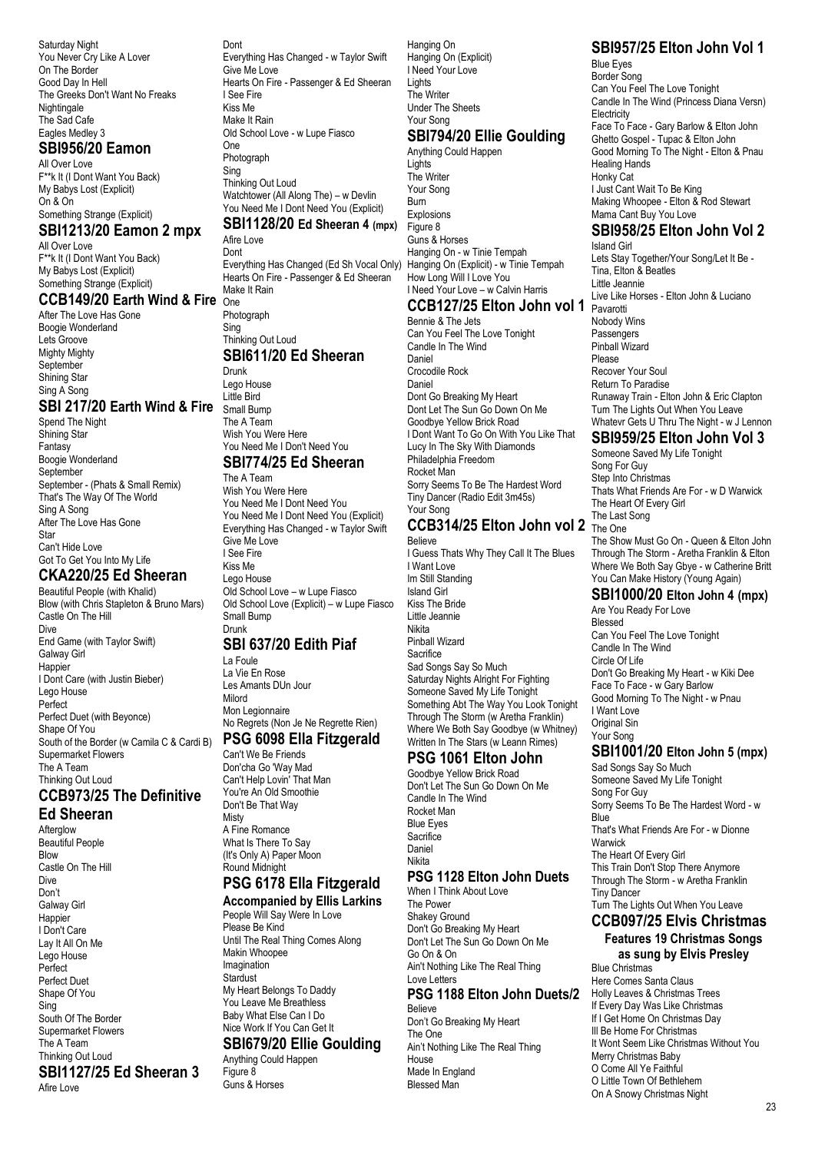Saturday Night You Never Cry Like A Lover On The Border Good Day In Hell The Greeks Don't Want No Freaks Nightingale The Sad Cafe Eagles Medley 3

# **SBI956/20 Eamon**

All Over Love F\*\*k It (I Dont Want You Back) My Babys Lost (Explicit) On & On Something Strange (Explicit)

#### **SBI1213/20 Eamon 2 mpx**

All Over Love F\*\*k It (I Dont Want You Back) My Babys Lost (Explicit) Something Strange (Explicit)

**CCB149/20 Earth Wind & Fire** One After The Love Has Gone

Boogie Wonderland Lets Groove Mighty Mighty September Shining Star Sing A Song

#### **SBI 217/20 Earth Wind & Fire**

Spend The Night Shining Star Fantasy Boogie Wonderland September September - (Phats & Small Remix) That's The Way Of The World Sing A Song After The Love Has Gone Star Can't Hide Love Got To Get You Into My Life

## **CKA220/25 Ed Sheeran**

Beautiful People (with Khalid) Blow (with Chris Stapleton & Bruno Mars) Castle On The Hill Dive End Game (with Taylor Swift) Galway Girl **Happier** I Dont Care (with Justin Bieber) Lego House Perfect Perfect Duet (with Beyonce) Shape Of You South of the Border (w Camila C & Cardi B) Supermarket Flowers The A Team Thinking Out Loud

# **CCB973/25 The Definitive**

**Ed Sheeran** Afterglow Beautiful People Blow Castle On The Hill Dive Don't Galway Girl **Happier** I Don't Care Lay It All On Me Lego House Perfect Perfect Duet Shape Of You Sing South Of The Border Supermarket Flowers The A Team Thinking Out Loud **SBI1127/25 Ed Sheeran 3** Afire Love

Dont Everything Has Changed - w Taylor Swift Give Me Love Hearts On Fire - Passenger & Ed Sheeran I See Fire Kiss Me Make It Rain Old School Love - w Lupe Fiasco One Photograph

Sing Thinking Out Loud Watchtower (All Along The) – w Devlin You Need Me I Dont Need You (Explicit)

## **SBI1128/20 Ed Sheeran 4 (mpx)**

Afire Love Dont Everything Has Changed (Ed Sh Vocal Only) Hanging On (Explicit) - w Tinie Tempah Hearts On Fire - Passenger & Ed Sheeran Make It Rain

**Photograph** Sing

## Thinking Out Loud

**SBI611/20 Ed Sheeran** Drunk Lego House Little Bird Small Bump The A Team Wish You Were Here You Need Me I Don't Need You **SBI774/25 Ed Sheeran**

## The A Team

Wish You Were Here You Need Me I Dont Need You You Need Me I Dont Need You (Explicit) Everything Has Changed - w Taylor Swift Give Me Love I See Fire Kiss Me Lego House Old School Love – w Lupe Fiasco Old School Love (Explicit) – w Lupe Fiasco Small Bump Drunk **SBI 637/20 Edith Piaf** La Foule

La Vie En Rose Les Amants DUn Jour Milord Mon Legionnaire No Regrets (Non Je Ne Regrette Rien) **PSG 6098 Ella Fitzgerald**

## Can't We Be Friends

Don'cha Go 'Way Mad Can't Help Lovin' That Man You're An Old Smoothie Don't Be That Way **Misty** A Fine Romance What Is There To Say (It's Only A) Paper Moon Round Midnight

# **PSG 6178 Ella Fitzgerald**

**Accompanied by Ellis Larkins** People Will Say Were In Love Please Be Kind Until The Real Thing Comes Along Makin Whoopee Imagination **Stardust** My Heart Belongs To Daddy You Leave Me Breathless Baby What Else Can I Do Nice Work If You Can Get It **SBI679/20 Ellie Goulding** Anything Could Happen Figure 8

Guns & Horses

Hanging On Hanging On (Explicit) I Need Your Love **Lights** The Writer Under The Sheets Your Song

#### **SBI794/20 Ellie Goulding** Anything Could Happen

Lights The Writer Your Song Burn Explosions Figure 8 Guns & Horses Hanging On - w Tinie Tempah How Long Will I Love You I Need Your Love – w Calvin Harris

# **CCB127/25 Elton John vol 1**

Bennie & The Jets Can You Feel The Love Tonight Candle In The Wind Daniel Crocodile Rock Daniel Dont Go Breaking My Heart Dont Let The Sun Go Down On Me Goodbye Yellow Brick Road I Dont Want To Go On With You Like That Lucy In The Sky With Diamonds Philadelphia Freedom Rocket Man Sorry Seems To Be The Hardest Word Tiny Dancer (Radio Edit 3m45s) Your Song

#### **CCB314/25 Elton John vol 2** The One Believe

I Guess Thats Why They Call It The Blues I Want Love Im Still Standing Island Girl Kiss The Bride Little Jeannie Nikita Pinball Wizard Sacrifice Sad Songs Say So Much Saturday Nights Alright For Fighting Someone Saved My Life Tonight Something Abt The Way You Look Tonight Through The Storm (w Aretha Franklin) Where We Both Say Goodbye (w Whitney) Written In The Stars (w Leann Rimes)

#### **PSG 1061 Elton John**

Goodbye Yellow Brick Road Don't Let The Sun Go Down On Me Candle In The Wind Rocket Man Blue Eyes **Sacrifice** Daniel Nikita

#### **PSG 1128 Elton John Duets**

When I Think About Love The Power Shakey Ground Don't Go Breaking My Heart Don't Let The Sun Go Down On Me Go On & On Ain't Nothing Like The Real Thing Love Letters **PSG 1188 Elton John Duets/2** Believe Don't Go Breaking My Heart The One Ain't Nothing Like The Real Thing House Made In England Blessed Man

# **SBI957/25 Elton John Vol 1**

Blue Eyes Border Song Can You Feel The Love Tonight Candle In The Wind (Princess Diana Versn) **Electricity** Face To Face - Gary Barlow & Elton John Ghetto Gospel - Tupac & Elton John Good Morning To The Night - Elton & Pnau Healing Hands Honky Cat I Just Cant Wait To Be King Making Whoopee - Elton & Rod Stewart Mama Cant Buy You Love

#### **SBI958/25 Elton John Vol 2**

Island Girl Lets Stay Together/Your Song/Let It Be - Tina, Elton & Beatles Little Jeannie Live Like Horses - Elton John & Luciano Pavarotti Nobody Wins **Passengers** Pinball Wizard Please Recover Your Soul Return To Paradise Runaway Train - Elton John & Eric Clapton Turn The Lights Out When You Leave Whatevr Gets U Thru The Night - w J Lennon

## **SBI959/25 Elton John Vol 3**

Someone Saved My Life Tonight Song For Guy Step Into Christmas Thats What Friends Are For - w D Warwick The Heart Of Every Girl The Last Song The Show Must Go On - Queen & Elton John Through The Storm - Aretha Franklin & Elton Where We Both Say Gbye - w Catherine Britt You Can Make History (Young Again) Are You Ready For Love

# **SBI1000/20 Elton John 4 (mpx)**

Blessed Can You Feel The Love Tonight Candle In The Wind Circle Of Life Don't Go Breaking My Heart - w Kiki Dee Face To Face - w Gary Barlow Good Morning To The Night - w Pnau I Want Love Original Sin Your Song

## **SBI1001/20 Elton John 5 (mpx)**

Sad Songs Say So Much Someone Saved My Life Tonight Song For Guy Sorry Seems To Be The Hardest Word - w **Blue** That's What Friends Are For - w Dionne Warwick The Heart Of Every Girl This Train Don't Stop There Anymore Through The Storm - w Aretha Franklin Tiny Dancer Turn The Lights Out When You Leave

#### **CCB097/25 Elvis Christmas Features 19 Christmas Songs**

**as sung by Elvis Presley** Blue Christmas Here Comes Santa Claus Holly Leaves & Christmas Trees If Every Day Was Like Christmas If I Get Home On Christmas Day Ill Be Home For Christmas It Wont Seem Like Christmas Without You Merry Christmas Baby O Come All Ye Faithful O Little Town Of Bethlehem On A Snowy Christmas Night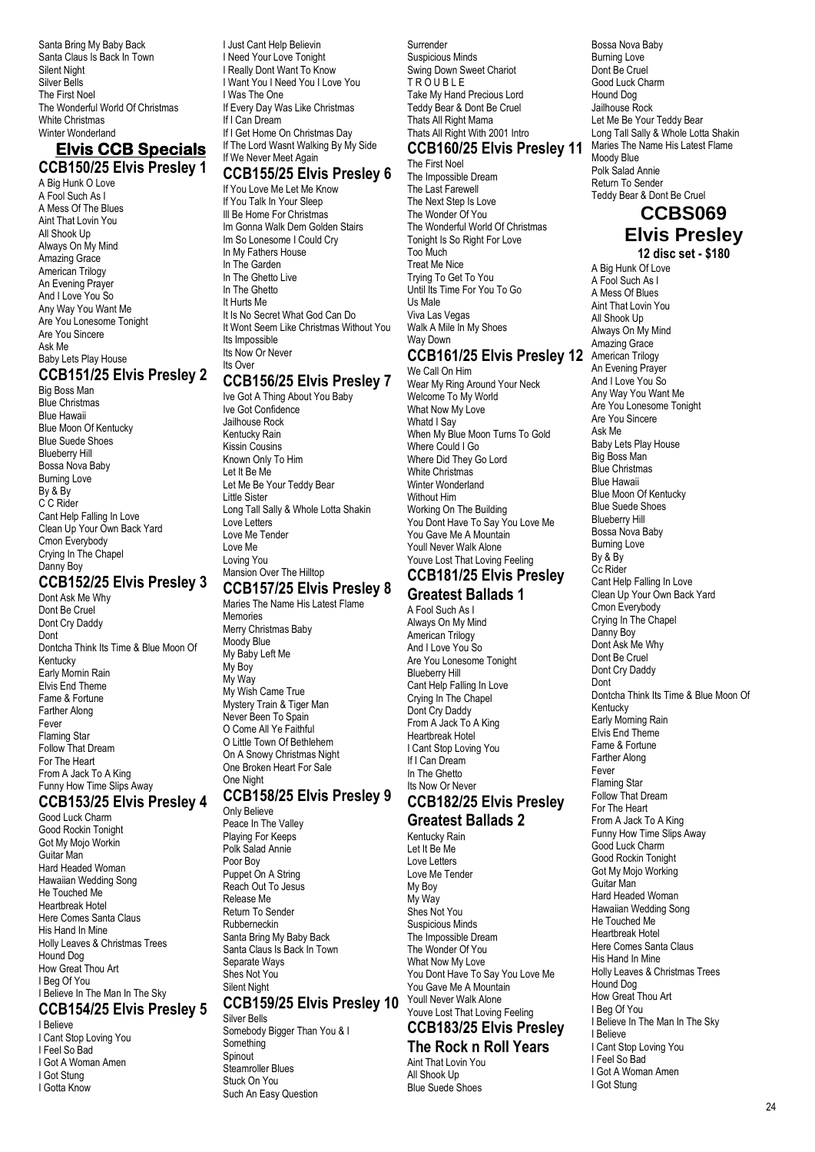Santa Bring My Baby Back Santa Claus Is Back In Town Silent Night Silver Bells The First Noel The Wonderful World Of Christmas White Christmas Winter Wonderland

#### **Elvis CCB Specials CCB150/25 Elvis Presley 1**

A Big Hunk O Love A Fool Such As I A Mess Of The Blues Aint That Lovin You All Shook Up Always On My Mind Amazing Grace American Trilogy An Evening Prayer And I Love You So Any Way You Want Me Are You Lonesome Tonight Are You Sincere Ask Me Baby Lets Play House **CCB151/25 Elvis Presley 2**

Big Boss Man Blue Christmas Blue Hawaii Blue Moon Of Kentucky Blue Suede Shoes Blueberry Hill Bossa Nova Baby Burning Love By & By C C Rider Cant Help Falling In Love Clean Up Your Own Back Yard Cmon Everybody Crying In The Chapel Danny Boy

#### **CCB152/25 Elvis Presley 3**

Dont Ask Me Why Dont Be Cruel Dont Cry Daddy Dont Dontcha Think Its Time & Blue Moon Of Kentucky Early Mornin Rain Elvis End Theme Fame & Fortune Farther Along Fever Flaming Star Follow That Dream For The Heart From A Jack To A King Funny How Time Slips Away

## **CCB153/25 Elvis Presley 4**

Good Luck Charm Good Rockin Tonight Got My Mojo Workin Guitar Man Hard Headed Woman Hawaiian Wedding Song He Touched Me Heartbreak Hotel Here Comes Santa Claus His Hand In Mine Holly Leaves & Christmas Trees Hound Dog How Great Thou Art I Beg Of You I Believe In The Man In The Sky

#### **CCB154/25 Elvis Presley 5** I Believe

I Cant Stop Loving You I Feel So Bad I Got A Woman Amen I Got Stung I Gotta Know

I Need Your Love Tonight I Really Dont Want To Know I Want You I Need You I Love You I Was The One If Every Day Was Like Christmas If I Can Dream If I Get Home On Christmas Dav If The Lord Wasnt Walking By My Side If We Never Meet Again **CCB155/25 Elvis Presley 6** If You Love Me Let Me Know If You Talk In Your Sleep Ill Be Home For Christmas Im Gonna Walk Dem Golden Stairs Im So Lonesome I Could Cry In My Fathers House In The Garden

I Just Cant Help Believin

In The Ghetto Live In The Ghetto It Hurts Me It Is No Secret What God Can Do It Wont Seem Like Christmas Without You Its Impossible Its Now Or Never Its Over

# **CCB156/25 Elvis Presley 7**

Ive Got A Thing About You Baby Ive Got Confidence Jailhouse Rock Kentucky Rain Kissin Cousins Known Only To Him Let It Be Me Let Me Be Your Teddy Bear Little Sister Long Tall Sally & Whole Lotta Shakin Love Letters Love Me Tender Love Me Loving You Mansion Over The Hilltop

## **CCB157/25 Elvis Presley 8**

Maries The Name His Latest Flame Memories Merry Christmas Baby Moody Blue My Baby Left Me My Boy My Way My Wish Came True Mystery Train & Tiger Man Never Been To Spain O Come All Ye Faithful O Little Town Of Bethlehem On A Snowy Christmas Night One Broken Heart For Sale One Night

# **CCB158/25 Elvis Presley 9**

Only Believe Peace In The Valley Playing For Keeps Polk Salad Annie Poor Boy Puppet On A String Reach Out To Jesus Release Me Return To Sender Rubberneckin Santa Bring My Baby Back Santa Claus Is Back In Town Separate Ways Shes Not You Silent Night

#### **CCB159/25 Elvis Presley 10**

Silver Bells Somebody Bigger Than You & I **Something** Spinout Steamroller Blues Stuck On You Such An Easy Question

Surrender Suspicious Minds Swing Down Sweet Chariot T R O U B L E Take My Hand Precious Lord Teddy Bear & Dont Be Cruel Thats All Right Mama Thats All Right With 2001 Intro

#### **CCB160/25 Elvis Presley 11** The First Noel

The Impossible Dream The Last Farewell The Next Step Is Love The Wonder Of You The Wonderful World Of Christmas Tonight Is So Right For Love Too Much Treat Me Nice Trying To Get To You Until Its Time For You To Go Us Male Viva Las Vegas Walk A Mile In My Shoes Way Down

#### **CCB161/25 Elvis Presley 12**

We Call On Him Wear My Ring Around Your Neck Welcome To My World What Now My Love Whatd I Say When My Blue Moon Turns To Gold Where Could I Go Where Did They Go Lord White Christmas Winter Wonderland Without Him Working On The Building You Dont Have To Say You Love Me You Gave Me A Mountain Youll Never Walk Alone Youve Lost That Loving Feeling **CCB181/25 Elvis Presley**

# **Greatest Ballads 1**

A Fool Such As I Always On My Mind American Trilogy And I Love You So Are You Lonesome Tonight Blueberry Hill Cant Help Falling In Love Crying In The Chapel Dont Cry Daddy From A Jack To A King Heartbreak Hotel I Cant Stop Loving You If I Can Dream In The Ghetto Its Now Or Never

# **CCB182/25 Elvis Presley**

#### **Greatest Ballads 2**

Kentucky Rain Let It Be Me Love Letters Love Me Tender My Boy My Way Shes Not You Suspicious Minds The Impossible Dream The Wonder Of You What Now My Love You Dont Have To Say You Love Me You Gave Me A Mountain Youll Never Walk Alone Youve Lost That Loving Feeling

#### **CCB183/25 Elvis Presley The Rock n Roll Years**

Aint That Lovin You All Shook Up Blue Suede Shoes

Bossa Nova Baby Burning Love Dont Be Cruel Good Luck Charm Hound Dog Jailhouse Rock Let Me Be Your Teddy Bear Long Tall Sally & Whole Lotta Shakin Maries The Name His Latest Flame Moody Blue Polk Salad Annie Return To Sender Teddy Bear & Dont Be Cruel

#### **CCBS069 Elvis Presley**

**12 disc set - \$180**

A Big Hunk Of Love A Fool Such As I A Mess Of Blues Aint That Lovin You All Shook Up Always On My Mind Amazing Grace American Trilogy An Evening Prayer And I Love You So Any Way You Want Me Are You Lonesome Tonight Are You Sincere Ask Me Baby Lets Play House Big Boss Man Blue Christmas Blue Hawaii Blue Moon Of Kentucky Blue Suede Shoes Blueberry Hill Bossa Nova Baby Burning Love By & By Cc Rider Cant Help Falling In Love Clean Up Your Own Back Yard Cmon Everybody Crying In The Chapel Danny Boy Dont Ask Me Why Dont Be Cruel Dont Cry Daddy Dont Dontcha Think Its Time & Blue Moon Of Kentucky Early Morning Rain Elvis End Theme Fame & Fortune Farther Along Fever Flaming Star Follow That Dream For The Heart From A Jack To A King Funny How Time Slips Away Good Luck Charm Good Rockin Tonight Got My Mojo Working Guitar Man Hard Headed Woman Hawaiian Wedding Song He Touched Me Heartbreak Hotel Here Comes Santa Claus His Hand In Mine Holly Leaves & Christmas Trees Hound Dog How Great Thou Art I Beg Of You I Believe In The Man In The Sky I Believe I Cant Stop Loving You I Feel So Bad I Got A Woman Amen I Got Stung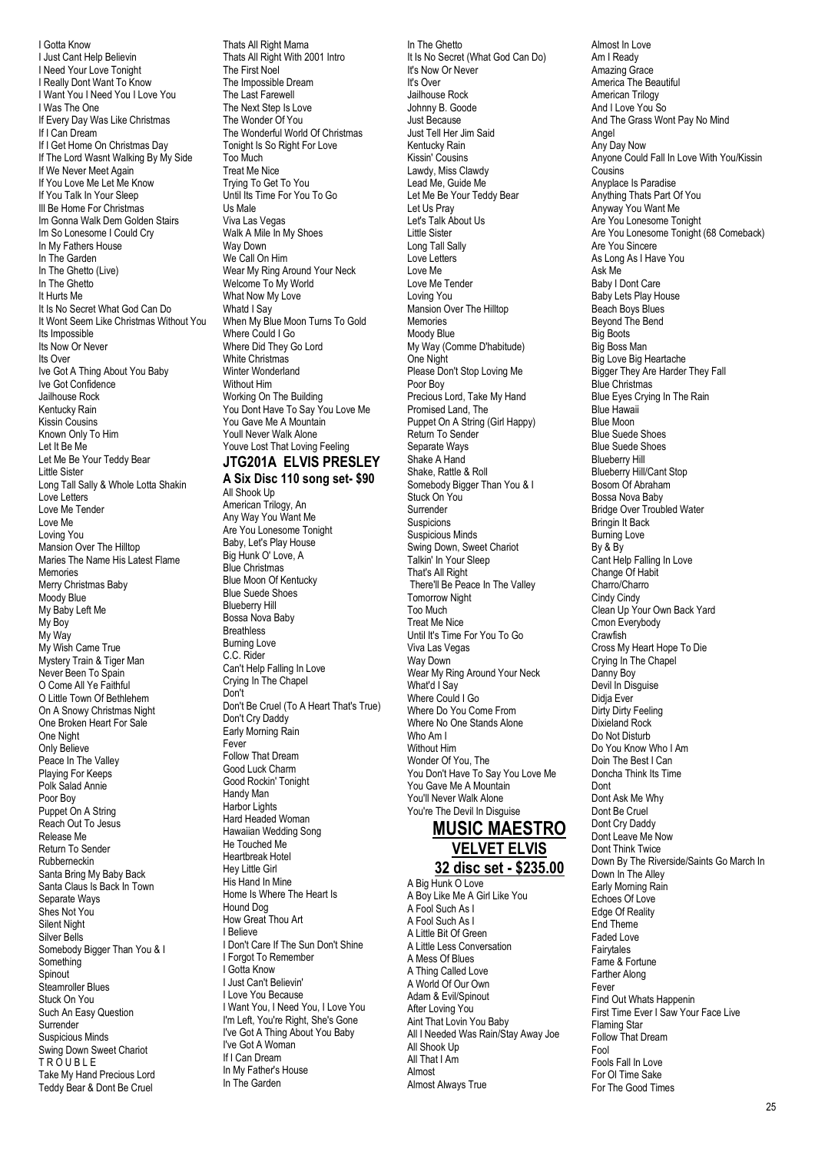I Gotta Know I Just Cant Help Believin I Need Your Love Tonight I Really Dont Want To Know I Want You I Need You I Love You I Was The One If Every Day Was Like Christmas If I Can Dream If I Get Home On Christmas Day If The Lord Wasnt Walking By My Side If We Never Meet Again If You Love Me Let Me Know If You Talk In Your Sleep Ill Be Home For Christmas Im Gonna Walk Dem Golden Stairs Im So Lonesome I Could Cry In My Fathers House In The Garden In The Ghetto (Live) In The Ghetto It Hurts Me It Is No Secret What God Can Do It Wont Seem Like Christmas Without You Its Impossible Its Now Or Never Its Over Ive Got A Thing About You Baby Ive Got Confidence Jailhouse Rock Kentucky Rain Kissin Cousins Known Only To Him Let It Be Me Let Me Be Your Teddy Bear Little Sister Long Tall Sally & Whole Lotta Shakin Love Letters Love Me Tender Love Me Loving You Mansion Over The Hilltop Maries The Name His Latest Flame Memories Merry Christmas Baby Moody Blue My Baby Left Me My Boy My Way My Wish Came True Mystery Train & Tiger Man Never Been To Spain O Come All Ye Faithful O Little Town Of Bethlehem On A Snowy Christmas Night One Broken Heart For Sale One Night Only Believe Peace In The Valley Playing For Keeps Polk Salad Annie Poor Boy Puppet On A String Reach Out To Jesus Release Me Return To Sender Rubberneckin Santa Bring My Baby Back Santa Claus Is Back In Town Separate Ways Shes Not You Silent Night Silver Bells Somebody Bigger Than You & I Something **Spinout** Steamroller Blues Stuck On You Such An Easy Question Surrender Suspicious Minds Swing Down Sweet Chariot TR<sub>OUBLE</sub> Take My Hand Precious Lord Teddy Bear & Dont Be Cruel

Thats All Right Mama Thats All Right With 2001 Intro The First Noel The Impossible Dream The Last Farewell The Next Step Is Love The Wonder Of You The Wonderful World Of Christmas Tonight Is So Right For Love Too Much Treat Me Nice Trying To Get To You Until Its Time For You To Go Us Male Viva Las Vegas Walk A Mile In My Shoes Way Down We Call On Him Wear My Ring Around Your Neck Welcome To My World What Now My Love Whatd I Say When My Blue Moon Turns To Gold Where Could I Go Where Did They Go Lord White Christmas Winter Wonderland Without Him Working On The Building You Dont Have To Say You Love Me You Gave Me A Mountain Youll Never Walk Alone Youve Lost That Loving Feeling **JTG201A ELVIS PRESLEY**

# **A Six Disc 110 song set- \$90**

All Shook Up American Trilogy, An Any Way You Want Me Are You Lonesome Tonight Baby, Let's Play House Big Hunk O' Love, A Blue Christmas Blue Moon Of Kentucky Blue Suede Shoes Blueberry Hill Bossa Nova Baby **Breathless** Burning Love C.C. Rider Can't Help Falling In Love Crying In The Chapel Don't Don't Be Cruel (To A Heart That's True) Don't Cry Daddy Early Morning Rain Fever Follow That Dream Good Luck Charm Good Rockin' Tonight Handy Man Harbor Lights Hard Headed Woman Hawaiian Wedding Song He Touched Me Heartbreak Hotel Hey Little Girl His Hand In Mine Home Is Where The Heart Is Hound Dog How Great Thou Art I Believe I Don't Care If The Sun Don't Shine I Forgot To Remember I Gotta Know I Just Can't Believin' I Love You Because I Want You, I Need You, I Love You I'm Left, You're Right, She's Gone I've Got A Thing About You Baby I've Got A Woman If I Can Dream In My Father's House

In The Garden

In The Ghetto It Is No Secret (What God Can Do) It's Now Or Never It's Over Jailhouse Rock Johnny B. Goode Just Because Just Tell Her Jim Said Kentucky Rain Kissin' Cousins Lawdy, Miss Clawdy Lead Me, Guide Me Let Me Be Your Teddy Bear Let Us Pray Let's Talk About Us Little Sister Long Tall Sally Love Letters Love Me Love Me Tender Loving You Mansion Over The Hilltop Memories Moody Blue My Way (Comme D'habitude) One Night Please Don't Stop Loving Me Poor Boy Precious Lord, Take My Hand Promised Land, The Puppet On A String (Girl Happy) Return To Sender Separate Ways Shake A Hand Shake, Rattle & Roll Somebody Bigger Than You & I Stuck On You Surrender Suspicions Suspicious Minds Swing Down, Sweet Chariot Talkin' In Your Sleep That's All Right There'll Be Peace In The Valley Tomorrow Night Too Much Treat Me Nice Until It's Time For You To Go Viva Las Vegas Way Down Wear My Ring Around Your Neck What'd I Say Where Could I Go Where Do You Come From Where No One Stands Alone Who Am I Without Him Wonder Of You, The You Don't Have To Say You Love Me You Gave Me A Mountain You'll Never Walk Alone You're The Devil In Disguise

#### **MUSIC MAESTRO VELVET ELVIS 32 disc set - \$235.00**

A Big Hunk O Love A Boy Like Me A Girl Like You A Fool Such As I A Fool Such As I A Little Bit Of Green A Little Less Conversation A Mess Of Blues A Thing Called Love A World Of Our Own Adam & Evil/Spinout After Loving You Aint That Lovin You Baby All I Needed Was Rain/Stay Away Joe All Shook Up All That I Am Almost Almost Always True

Almost In Love Am I Ready Amazing Grace America The Beautiful American Trilogy And I Love You So And The Grass Wont Pay No Mind Angel Any Day Now Anyone Could Fall In Love With You/Kissin Cousins Anyplace Is Paradise Anything Thats Part Of You Anyway You Want Me Are You Lonesome Tonight Are You Lonesome Tonight (68 Comeback) Are You Sincere As Long As I Have You Ask Me Baby I Dont Care Baby Lets Play House Beach Boys Blues Beyond The Bend Big Boots Big Boss Man Big Love Big Heartache Bigger They Are Harder They Fall Blue Christmas Blue Eyes Crying In The Rain Blue Hawaii Blue Moon Blue Suede Shoes Blue Suede Shoes Blueberry Hill Blueberry Hill/Cant Stop Bosom Of Abraham Bossa Nova Baby Bridge Over Troubled Water Bringin It Back Burning Love By & By Cant Help Falling In Love Change Of Habit Charro/Charro Cindy Cindy Clean Up Your Own Back Yard Cmon Everybody Crawfish Cross My Heart Hope To Die Crying In The Chapel Danny Boy Devil In Disguise Didja Ever Dirty Dirty Feeling Dixieland Rock Do Not Disturb Do You Know Who I Am Doin The Best I Can Doncha Think Its Time Dont Dont Ask Me Why Dont Be Cruel Dont Cry Daddy Dont Leave Me Now Dont Think Twice Down By The Riverside/Saints Go March In Down In The Alley Early Morning Rain Echoes Of Love Edge Of Reality End Theme Faded Love Fairytales Fame & Fortune Farther Along Fever Find Out Whats Happenin First Time Ever I Saw Your Face Live Flaming Star Follow That Dream Fool Fools Fall In Love For Ol Time Sake For The Good Times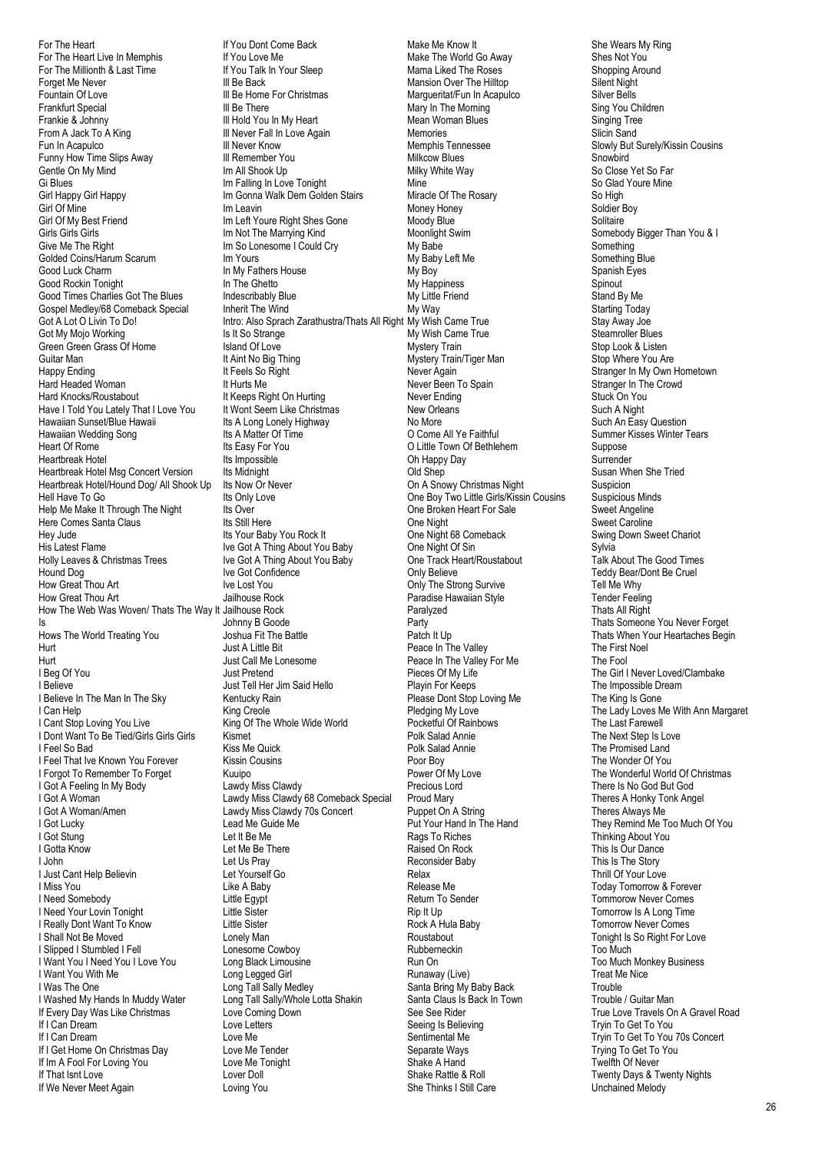For The Heart For The Heart Live In Memphis For The Millionth & Last Time Forget Me Never Fountain Of Love Frankfurt Special Frankie & Johnny From A Jack To A King Fun In Acapulco Funny How Time Slips Away Gentle On My Mind Gi Blues Girl Happy Girl Happy Girl Of Mine Girl Of My Best Friend Girls Girls Girls Give Me The Right Golded Coins/Harum Scarum Good Luck Charm Good Rockin Tonight Good Times Charlies Got The Blues Gospel Medley/68 Comeback Special Got A Lot O Livin To Do! Got My Mojo Working Green Green Grass Of Home Guitar Man Happy Ending Hard Headed Woman Hard Knocks/Roustabout Have I Told You Lately That I Love You Hawaiian Sunset/Blue Hawaii Hawaiian Wedding Song Heart Of Rome Heartbreak Hotel Heartbreak Hotel Msg Concert Version Heartbreak Hotel/Hound Dog/ All Shook Up Hell Have To Go Help Me Make It Through The Night Here Comes Santa Claus Hey Jude His Latest Flame Holly Leaves & Christmas Trees Hound Dog How Great Thou Art How Great Thou Art How The Web Was Woven/ Thats The Way It Jailhouse Rock Is Hows The World Treating You Hurt Hurt I Beg Of You I Believe I Believe In The Man In The Sky I Can Help I Cant Stop Loving You Live I Dont Want To Be Tied/Girls Girls Girls I Feel So Bad I Feel That Ive Known You Forever I Forgot To Remember To Forget I Got A Feeling In My Body I Got A Woman I Got A Woman/Amen I Got Lucky I Got Stung I Gotta Know I John I Just Cant Help Believin I Miss You I Need Somebody I Need Your Lovin Tonight I Really Dont Want To Know I Shall Not Be Moved I Slipped I Stumbled I Fell I Want You I Need You I Love You I Want You With Me I Was The One I Washed My Hands In Muddy Water If Every Day Was Like Christmas If I Can Dream If I Can Dream If I Get Home On Christmas Day If Im A Fool For Loving You If That Isnt Love If We Never Meet Again

If You Dont Come Back If You Love Me If You Talk In Your Sleep Ill Be Back Ill Be Home For Christmas Ill Be There Ill Hold You In My Heart Ill Never Fall In Love Again Ill Never Know Ill Remember You Im All Shook Up Im Falling In Love Tonight Im Gonna Walk Dem Golden Stairs Im Leavin Im Left Youre Right Shes Gone Im Not The Marrying Kind Im So Lonesome I Could Cry Im Yours In My Fathers House In The Ghetto Indescribably Blue Inherit The Wind Intro: Also Sprach Zarathustra/Thats All Right Is It So Strange Island Of Love It Aint No Big Thing It Feels So Right It Hurts Me It Keeps Right On Hurting It Wont Seem Like Christmas Its A Long Lonely Highway Its A Matter Of Time Its Easy For You Its Impossible Its Midnight Its Now Or Never Its Only Love Its Over Its Still Here Its Your Baby You Rock It Ive Got A Thing About You Baby Ive Got A Thing About You Baby Ive Got Confidence Ive Lost You Jailhouse Rock Johnny B Goode Joshua Fit The Battle Just A Little Bit Just Call Me Lonesome Just Pretend Just Tell Her Jim Said Hello Kentucky Rain King Creole King Of The Whole Wide World Kismet Kiss Me Quick Kissin Cousins Kuuipo Lawdy Miss Clawdy Lawdy Miss Clawdy 68 Comeback Special Lawdy Miss Clawdy 70s Concert Lead Me Guide Me Let It Be Me Let Me Be There Let Us Pray Let Yourself Go Like A Baby Little Egypt Little Sister Little Sister Lonely Man Lonesome Cowboy Long Black Limousine Long Legged Girl Long Tall Sally Medley Long Tall Sally/Whole Lotta Shakin Love Coming Down Love Letters Love Me Love Me Tender Love Me Tonight Lover Doll Loving You

Make Me Know It Make The World Go Away Mama Liked The Roses Mansion Over The Hilltop Margueritat/Fun In Acapulco Mary In The Morning Mean Woman Blues Memories Memphis Tennessee Milkcow Blues Milky White Way Mine Miracle Of The Rosary Money Honey Moody Blue Moonlight Swim My Babe My Baby Left Me My Boy My Happiness My Little Friend My Way My Wish Came True My Wish Came True Mystery Train Mystery Train/Tiger Man Never Again Never Been To Spain Never Ending New Orleans No More O Come All Ye Faithful O Little Town Of Bethlehem Oh Happy Day Old Shep On A Snowy Christmas Night One Boy Two Little Girls/Kissin Cousins One Broken Heart For Sale One Night One Night 68 Comeback One Night Of Sin One Track Heart/Roustabout Only Believe Only The Strong Survive Paradise Hawaiian Style Paralyzed Party Patch It Up Peace In The Valley Peace In The Valley For Me Pieces Of My Life Playin For Keeps Please Dont Stop Loving Me Pledging My Love Pocketful Of Rainbows Polk Salad Annie Polk Salad Annie Poor Boy Power Of My Love Precious Lord Proud Mary Puppet On A String Put Your Hand In The Hand Rags To Riches Raised On Rock Reconsider Baby Relax Release Me Return To Sender Rip It Up Rock A Hula Baby Roustabout Rubberneckin Run On Runaway (Live) Santa Bring My Baby Back Santa Claus Is Back In Town See See Rider Seeing Is Believing Sentimental Me Separate Ways Shake A Hand Shake Rattle & Roll She Thinks I Still Care

She Wears My Ring Shes Not You Shopping Around Silent Night Silver Bells Sing You Children Singing Tree Slicin Sand Slowly But Surely/Kissin Cousins Snowbird So Close Yet So Far So Glad Youre Mine So High Soldier Boy Solitaire Somebody Bigger Than You & I Something Something Blue Spanish Eyes **Spinout** Stand By Me Starting Today Stay Away Joe Steamroller Blues Stop Look & Listen Stop Where You Are Stranger In My Own Hometown Stranger In The Crowd Stuck On You Such A Night Such An Easy Question Summer Kisses Winter Tears Suppose Surrender Susan When She Tried Suspicion Suspicious Minds Sweet Angeline Sweet Caroline Swing Down Sweet Chariot Sylvia Talk About The Good Times Teddy Bear/Dont Be Cruel Tell Me Why Tender Feeling Thats All Right Thats Someone You Never Forget Thats When Your Heartaches Begin The First Noel The Fool The Girl I Never Loved/Clambake The Impossible Dream The King Is Gone The Lady Loves Me With Ann Margaret The Last Farewell The Next Step Is Love The Promised Land The Wonder Of You The Wonderful World Of Christmas There Is No God But God Theres A Honky Tonk Angel Theres Always Me They Remind Me Too Much Of You Thinking About You This Is Our Dance This Is The Story Thrill Of Your Love Today Tomorrow & Forever Tommorow Never Comes Tomorrow Is A Long Time Tomorrow Never Comes Tonight Is So Right For Love Too Much Too Much Monkey Business Treat Me Nice **Trouble** Trouble / Guitar Man True Love Travels On A Gravel Road Tryin To Get To You Tryin To Get To You 70s Concert Trying To Get To You Twelfth Of Never Twenty Days & Twenty Nights

Unchained Melody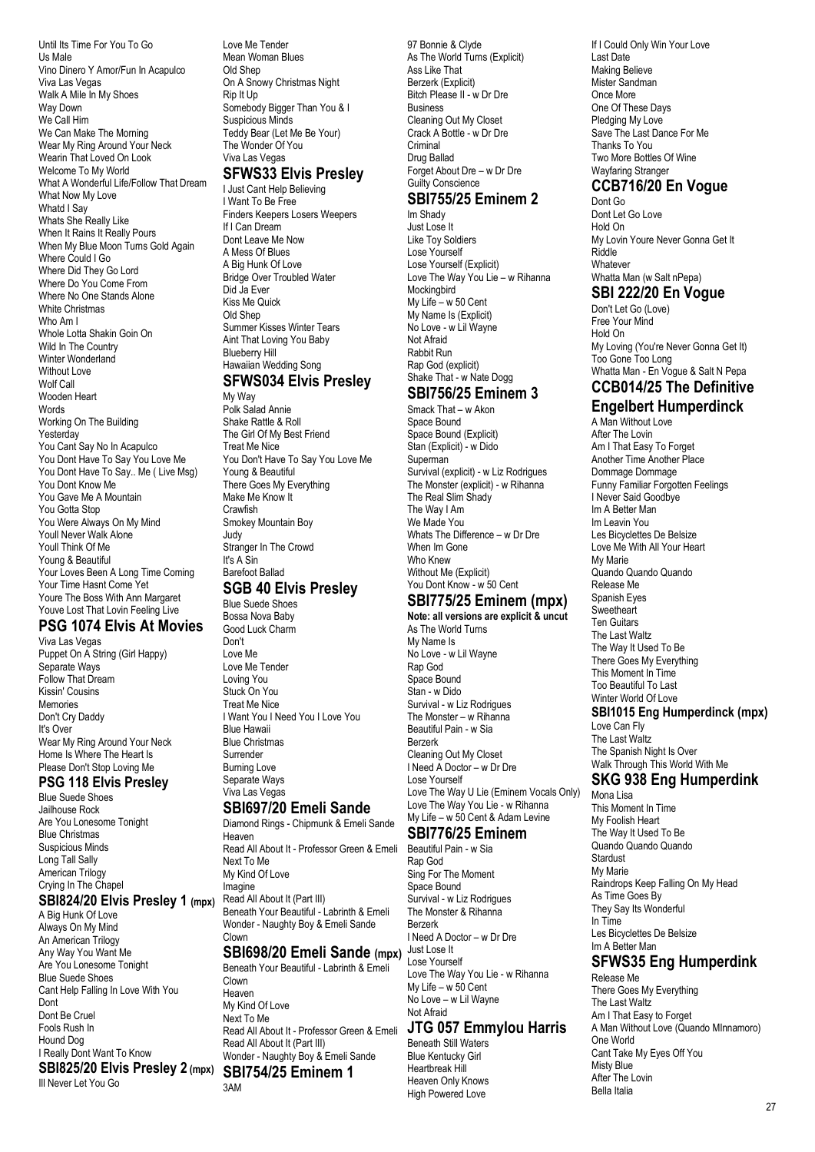Until Its Time For You To Go Us Male Vino Dinero Y Amor/Fun In Acapulco Viva Las Vegas Walk A Mile In My Shoes Way Down We Call Him We Can Make The Morning Wear My Ring Around Your Neck Wearin That Loved On Look Welcome To My World What A Wonderful Life/Follow That Dream What Now My Love Whatd I Say Whats She Really Like When It Rains It Really Pours When My Blue Moon Turns Gold Again Where Could I Go Where Did They Go Lord Where Do You Come From Where No One Stands Alone White Christmas Who Am I Whole Lotta Shakin Goin On Wild In The Country Winter Wonderland Without Love Wolf Call Wooden Heart Words Working On The Building Yesterday You Cant Say No In Acapulco You Dont Have To Say You Love Me You Dont Have To Say.. Me ( Live Msg) You Dont Know Me You Gave Me A Mountain You Gotta Stop You Were Always On My Mind Youll Never Walk Alone Youll Think Of Me Young & Beautiful Your Loves Been A Long Time Coming Your Time Hasnt Come Yet Youre The Boss With Ann Margaret Youve Lost That Lovin Feeling Live **PSG 1074 Elvis At Movies**

#### Viva Las Vegas

Puppet On A String (Girl Happy) Separate Ways Follow That Dream Kissin' Cousins Memories Don't Cry Daddy It's Over Wear My Ring Around Your Neck Home Is Where The Heart Is Please Don't Stop Loving Me

#### **PSG 118 Elvis Presley**

Blue Suede Shoes Jailhouse Rock Are You Lonesome Tonight Blue Christmas Suspicious Minds Long Tall Sally American Trilogy Crying In The Chapel

#### **SBI824/20 Elvis Presley 1 (mpx)**

A Big Hunk Of Love Always On My Mind An American Trilogy Any Way You Want Me Are You Lonesome Tonight Blue Suede Shoes Cant Help Falling In Love With You Dont Dont Be Cruel Fools Rush In Hound Dog I Really Dont Want To Know **SBI825/20 Elvis Presley 2 (mpx) SBI754/25 Eminem 1** Ill Never Let You Go

Love Me Tender Mean Woman Blues Old Shep On A Snowy Christmas Night Rip It Up Somebody Bigger Than You & I Suspicious Minds Teddy Bear (Let Me Be Your) The Wonder Of You Viva Las Vegas **SFWS33 Elvis Presley**

# I Just Cant Help Believing

I Want To Be Free Finders Keepers Losers Weepers If I Can Dream Dont Leave Me Now A Mess Of Blues A Big Hunk Of Love Bridge Over Troubled Water Did Ja Ever Kiss Me Quick Old Shep Summer Kisses Winter Tears Aint That Loving You Baby Blueberry Hill Hawaiian Wedding Song **SFWS034 Elvis Presley**

# My Way

Polk Salad Annie Shake Rattle & Roll The Girl Of My Best Friend Treat Me Nice You Don't Have To Say You Love Me Young & Beautiful There Goes My Everything Make Me Know It **Crawfish** Smokey Mountain Boy Judy Stranger In The Crowd It's A Sin Barefoot Ballad **SGB 40 Elvis Presley** Blue Suede Shoes Bossa Nova Baby

# Good Luck Charm

Don't Love Me Love Me Tender Loving You Stuck On You Treat Me Nice I Want You I Need You I Love You Blue Hawaii Blue Christmas **Surrender** Burning Love Separate Ways Viva Las Vegas

## **SBI697/20 Emeli Sande**

Diamond Rings - Chipmunk & Emeli Sande Heaven Read All About It - Professor Green & Emeli Next To Me My Kind Of Love Imagine Read All About It (Part III) Beneath Your Beautiful - Labrinth & Emeli Wonder - Naughty Boy & Emeli Sande Clown

#### **SBI698/20 Emeli Sande (mpx)** Just Lose It

Beneath Your Beautiful - Labrinth & Emeli Clown Heaven My Kind Of Love Next To Me Read All About It - Professor Green & Emeli Read All About It (Part III) Wonder - Naughty Boy & Emeli Sande 3AM

97 Bonnie & Clyde As The World Turns (Explicit) Ass Like That Berzerk (Explicit) Bitch Please II - w Dr Dre Business Cleaning Out My Closet Crack A Bottle - w Dr Dre **Criminal** Drug Ballad Forget About Dre – w Dr Dre Guilty Conscience

## **SBI755/25 Eminem 2**

Im Shady Just Lose It Like Toy Soldiers Lose Yourself Lose Yourself (Explicit) Love The Way You Lie – w Rihanna Mockingbird My Life – w 50 Cent My Name Is (Explicit) No Love - w Lil Wayne Not Afraid Rabbit Run Rap God (explicit) Shake That - w Nate Dogg

#### **SBI756/25 Eminem 3**

Smack That – w Akon Space Bound Space Bound (Explicit) Stan (Explicit) - w Dido Superman Survival (explicit) - w Liz Rodrigues The Monster (explicit) - w Rihanna The Real Slim Shady The Way I Am We Made You Whats The Difference – w Dr Dre When Im Gone Who Knew Without Me (Explicit) You Dont Know - w 50 Cent

#### **SBI775/25 Eminem (mpx) Note: all versions are explicit & uncut**

As The World Turns My Name Is No Love - w Lil Wayne Rap God Space Bound Stan - w Dido Survival - w Liz Rodrigues The Monster – w Rihanna Beautiful Pain - w Sia Berzerk Cleaning Out My Closet I Need A Doctor – w Dr Dre Lose Yourself Love The Way U Lie (Eminem Vocals Only) Love The Way You Lie - w Rihanna My Life – w 50 Cent & Adam Levine

#### **SBI776/25 Eminem**

Beautiful Pain - w Sia Rap God Sing For The Moment Space Bound Survival - w Liz Rodrigues The Monster & Rihanna Berzerk I Need A Doctor – w Dr Dre Lose Yourself Love The Way You Lie - w Rihanna My Life –  $w$  50 Cent No Love – w Lil Wayne Not Afraid

# **JTG 057 Emmylou Harris**

Beneath Still Waters Blue Kentucky Girl Heartbreak Hill Heaven Only Knows High Powered Love

If I Could Only Win Your Love Last Date Making Believe Mister Sandman Once More One Of These Days Pledging My Love Save The Last Dance For Me Thanks To You Two More Bottles Of Wine Wayfaring Stranger

## **CCB716/20 En Vogue**

Dont Go Dont Let Go Love Hold On My Lovin Youre Never Gonna Get It Riddle Whatever Whatta Man (w Salt nPepa)

# **SBI 222/20 En Vogue**

Don't Let Go (Love) Free Your Mind Hold On My Loving (You're Never Gonna Get It) Too Gone Too Long Whatta Man - En Vogue & Salt N Pepa **CCB014/25 The Definitive**

#### **Engelbert Humperdinck**

A Man Without Love After The Lovin Am I That Fasy To Forget Another Time Another Place Dommage Dommage Funny Familiar Forgotten Feelings I Never Said Goodbye Im A Better Man Im Leavin You Les Bicyclettes De Belsize Love Me With All Your Heart My Marie Quando Quando Quando Release Me Spanish Eyes Sweetheart Ten Guitars The Last Waltz The Way It Used To Be There Goes My Everything This Moment In Time Too Beautiful To Last Winter World Of Love **SBI1015 Eng Humperdinck (mpx)** Love Can Fly The Last Waltz

#### The Spanish Night Is Over Walk Through This World With Me

## **SKG 938 Eng Humperdink**

Mona Lisa This Moment In Time My Foolish Heart The Way It Used To Be Quando Quando Quando Stardust My Marie Raindrops Keep Falling On My Head As Time Goes By They Say Its Wonderful In Time Les Bicyclettes De Belsize Im A Better Man **SFWS35 Eng Humperdink**

Release Me There Goes My Everything The Last Waltz Am I That Easy to Forget A Man Without Love (Quando MInnamoro) One World Cant Take My Eyes Off You Misty Blue After The Lovin Bella Italia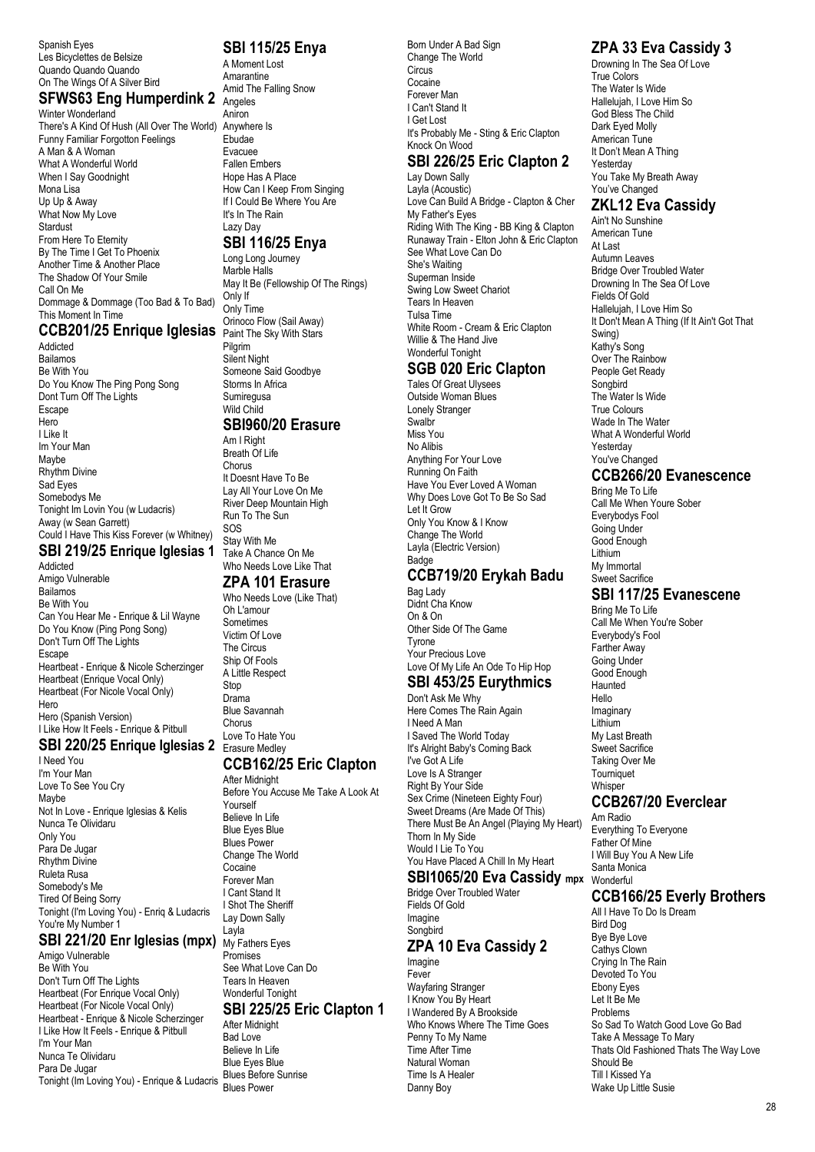Spanish Eyes Les Bicyclettes de Belsize Quando Quando Quando On The Wings Of A Silver Bird

#### **SFWS63 Eng Humperdink 2**

Winter Wonderland There's A Kind Of Hush (All Over The World) Anywhere Is Funny Familiar Forgotton Feelings A Man & A Woman What A Wonderful World When I Say Goodnight Mona Lisa Up Up & Away What Now My Love Stardust From Here To Eternity By The Time I Get To Phoenix Another Time & Another Place The Shadow Of Your Smile Call On Me Dommage & Dommage (Too Bad & To Bad) This Moment In Time

#### **CCB201/25 Enrique Iglesias** Paint The Sky With Stars

Addicted Bailamos Be With You Do You Know The Ping Pong Song Dont Turn Off The Lights Escape Hero I Like It Im Your Man Maybe Rhythm Divine Sad Eyes Somebodys Me Tonight Im Lovin You (w Ludacris) Away (w Sean Garrett) Could I Have This Kiss Forever (w Whitney)

#### **SBI 219/25 Enrique Iglesias 1**

Addicted Amigo Vulnerable Bailamos Be With You Can You Hear Me - Enrique & Lil Wayne Do You Know (Ping Pong Song) Don't Turn Off The Lights Escape Heartbeat - Enrique & Nicole Scherzinger Heartbeat (Enrique Vocal Only) Heartbeat (For Nicole Vocal Only) Hero Hero (Spanish Version) I Like How It Feels - Enrique & Pitbull

#### **SBI 220/25 Enrique Iglesias 2** Erasure Medley

I Need You I'm Your Man Love To See You Cry Maybe Not In Love - Enrique Iglesias & Kelis Nunca Te Olividaru Only You Para De Jugar Rhythm Divine Ruleta Rusa Somebody's Me Tired Of Being Sorry Tonight (I'm Loving You) - Enriq & Ludacris You're My Number 1

#### **SBI 221/20 Enr Iglesias (mpx)** My Fathers Eyes

Amigo Vulnerable Be With You Don't Turn Off The Lights Heartbeat (For Enrique Vocal Only) Heartbeat (For Nicole Vocal Only) Heartbeat - Enrique & Nicole Scherzinger I Like How It Feels - Enrique & Pitbull I'm Your Man Nunca Te Olividaru Para De Jugar Tonight (Im Loving You) - Enrique & Ludacris Blues Power

#### **SBI 115/25 Enya**

A Moment Lost Amarantine Amid The Falling Snow Angeles Aniron Ebudae Evacuee Fallen Embers Hope Has A Place How Can I Keep From Singing If I Could Be Where You Are It's In The Rain Lazy Day

#### **SBI 116/25 Enya**

Long Long Journey Marble Halls May It Be (Fellowship Of The Rings) Only If Only Time Orinoco Flow (Sail Away) Pilgrim Silent Night Someone Said Goodbye Storms In Africa **Sumiregusa** Wild Child

#### **SBI960/20 Erasure**

Am I Right Breath Of Life Chorus It Doesnt Have To Be Lay All Your Love On Me River Deep Mountain High Run To The Sun SOS Stay With Me Take A Chance On Me Who Needs Love Like That

#### **ZPA 101 Erasure**

Who Needs Love (Like That) Oh L'amour Sometimes Victim Of Love The Circus Ship Of Fools A Little Respect **Stop** Drama Blue Savannah Chorus Love To Hate You

#### **CCB162/25 Eric Clapton**

After Midnight Before You Accuse Me Take A Look At Yourself Believe In Life Blue Eyes Blue Blues Power Change The World Cocaine Forever Man I Cant Stand It I Shot The Sheriff Lay Down Sally Layla Promises See What Love Can Do Tears In Heaven Wonderful Tonight

#### **SBI 225/25 Eric Clapton 1**

After Midnight Bad Love Believe In Life Blue Eyes Blue Blues Before Sunrise Born Under A Bad Sign Change The World **Circus** Cocaine Forever Man I Can't Stand It I Get Lost It's Probably Me - Sting & Eric Clapton Knock On Wood

## **SBI 226/25 Eric Clapton 2**

Lay Down Sally Layla (Acoustic) Love Can Build A Bridge - Clapton & Cher My Father's Eyes Riding With The King - BB King & Clapton Runaway Train - Elton John & Eric Clapton See What Love Can Do She's Waiting Superman Inside Swing Low Sweet Chariot Tears In Heaven Tulsa Time White Room - Cream & Eric Clapton Willie & The Hand Jive Wonderful Tonight

# **SGB 020 Eric Clapton**

Tales Of Great Ulysees Outside Woman Blues Lonely Stranger **Swalbr** Miss You No Alibis Anything For Your Love Running On Faith Have You Ever Loved A Woman Why Does Love Got To Be So Sad Let It Grow Only You Know & I Know Change The World Layla (Electric Version) **Badge** 

#### **CCB719/20 Erykah Badu** Bag Lady

Didnt Cha Know On & On Other Side Of The Game Tyrone Your Precious Love Love Of My Life An Ode To Hip Hop

# **SBI 453/25 Eurythmics**

Don't Ask Me Why Here Comes The Rain Again I Need A Man I Saved The World Today It's Alright Baby's Coming Back I've Got A Life Love Is A Stranger Right By Your Side Sex Crime (Nineteen Eighty Four) Sweet Dreams (Are Made Of This) There Must Be An Angel (Playing My Heart) Thorn In My Side Would I Lie To You You Have Placed A Chill In My Heart

## **SBI1065/20 Eva Cassidy mpx**

Bridge Over Troubled Water Fields Of Gold Imagine Songbird

#### **ZPA 10 Eva Cassidy 2**

Imagine Fever Wayfaring Stranger I Know You By Heart I Wandered By A Brookside Who Knows Where The Time Goes Penny To My Name Time After Time Natural Woman Time Is A Healer Danny Boy

## **ZPA 33 Eva Cassidy 3**

Drowning In The Sea Of Love True Colors The Water Is Wide Hallelujah, I Love Him So God Bless The Child Dark Eyed Molly American Tune It Don't Mean A Thing Yesterday You Take My Breath Away You've Changed

## **ZKL12 Eva Cassidy**

Ain't No Sunshine American Tune At Last Autumn Leaves Bridge Over Troubled Water Drowning In The Sea Of Love Fields Of Gold Hallelujah, I Love Him So It Don't Mean A Thing (If It Ain't Got That Swing) Kathy's Song Over The Rainbow People Get Ready Sonabird The Water Is Wide True Colours Wade In The Water What A Wonderful World Yesterday You've Changed

## **CCB266/20 Evanescence**

Bring Me To Life Call Me When Youre Sober Everybodys Fool Going Under Good Enough Lithium My Immortal Sweet Sacrifice

# **SBI 117/25 Evanescene**

Bring Me To Life Call Me When You're Sober Everybody's Fool Farther Away Going Under Good Enough Haunted Hello Imaginary Lithium My Last Breath Sweet Sacrifice Taking Over Me Tourniquet **Whisper** 

## **CCB267/20 Everclear**

Am Radio Everything To Everyone Father Of Mine I Will Buy You A New Life Santa Monica Wonderful

## **CCB166/25 Everly Brothers**

All I Have To Do Is Dream Bird Dog Bye Bye Love Cathys Clown Crying In The Rain Devoted To You Ebony Eyes Let It Be Me Problems So Sad To Watch Good Love Go Bad Take A Message To Mary Thats Old Fashioned Thats The Way Love Should Be Till I Kissed Ya Wake Up Little Susie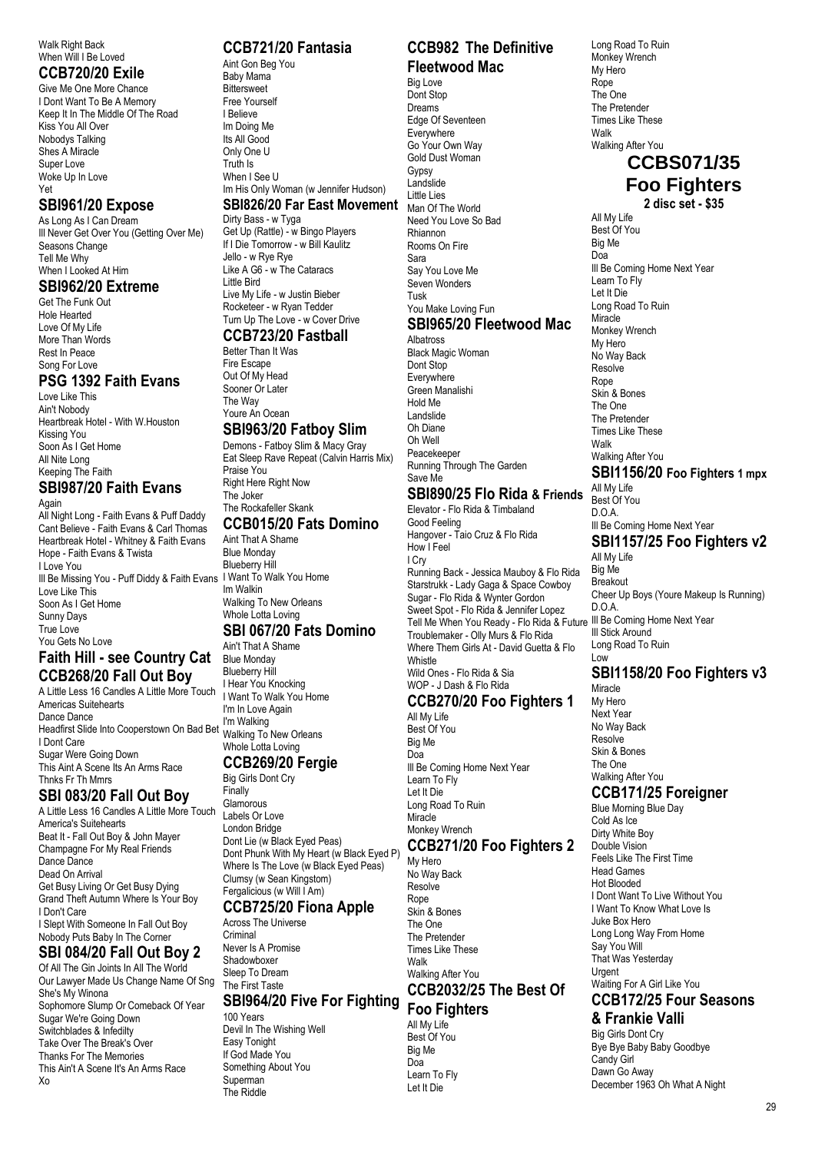Walk Right Back When Will I Be Loved

#### **CCB720/20 Exile**

Give Me One More Chance I Dont Want To Be A Memory Keep It In The Middle Of The Road Kiss You All Over Nobodys Talking Shes A Miracle Super Love Woke Up In Love Yet

#### **SBI961/20 Expose**

As Long As I Can Dream Ill Never Get Over You (Getting Over Me) Seasons Change Tell Me Why When I Looked At Him

#### **SBI962/20 Extreme**

Get The Funk Out Hole Hearted Love Of My Life More Than Words Rest In Peace Song For Love

#### **PSG 1392 Faith Evans**

Love Like This Ain't Nobody Heartbreak Hotel - With W.Houston Kissing You Soon As I Get Home All Nite Long Keeping The Faith **SBI987/20 Faith Evans**

#### Again

All Night Long - Faith Evans & Puff Daddy Cant Believe - Faith Evans & Carl Thomas Heartbreak Hotel - Whitney & Faith Evans Hope - Faith Evans & Twista I Love You Ill Be Missing You - Puff Diddy & Faith Evans I Want To Walk You Home Love Like This Soon As I Get Home Sunny Days True Love You Gets No Love **Faith Hill - see Country Cat**

# **CCB268/20 Fall Out Boy**

A Little Less 16 Candles A Little More Touch Americas Suitehearts Dance Dance I'm Walking<br>Headfirst Slide Into Cooperstown On Bad Bet <sub>Walking</sub> To I Dont Care Sugar Were Going Down This Aint A Scene Its An Arms Race Thnks Fr Th Mmrs

## **SBI 083/20 Fall Out Boy**

A Little Less 16 Candles A Little More Touch America's Suitehearts Beat It - Fall Out Boy & John Mayer Champagne For My Real Friends Dance Dance Dead On Arrival Get Busy Living Or Get Busy Dying Grand Theft Autumn Where Is Your Boy I Don't Care I Slept With Someone In Fall Out Boy Nobody Puts Baby In The Corner

# **SBI 084/20 Fall Out Boy 2**

Of All The Gin Joints In All The World Our Lawyer Made Us Change Name Of Sng She's My Winona Sophomore Slump Or Comeback Of Year Sugar We're Going Down Switchblades & Infedilty Take Over The Break's Over Thanks For The Memories This Ain't A Scene It's An Arms Race Xo

## **CCB721/20 Fantasia**

Aint Gon Beg You Baby Mama **Bittersweet** Free Yourself I Believe Im Doing Me Its All Good Only One U Truth Is When I See U Im His Only Woman (w Jennifer Hudson)

#### **SBI826/20 Far East Movement**

Dirty Bass - w Tyga Get Up (Rattle) - w Bingo Players If I Die Tomorrow - w Bill Kaulitz Jello - w Rye Rye Like A G6 - w The Cataracs Little Bird Live My Life - w Justin Bieber Rocketeer - w Ryan Tedder Turn Up The Love - w Cover Drive

## **CCB723/20 Fastball**

Better Than It Was Fire Escape Out Of My Head Sooner Or Later The Way Youre An Ocean

#### **SBI963/20 Fatboy Slim**

Demons - Fatboy Slim & Macy Gray Eat Sleep Rave Repeat (Calvin Harris Mix) Praise You Right Here Right Now The Joker The Rockafeller Skank

#### **CCB015/20 Fats Domino**

Aint That A Shame Blue Monday Blueberry Hill Im Walkin Walking To New Orleans Whole Lotta Loving

## **SBI 067/20 Fats Domino**

Ain't That A Shame Blue Monday Blueberry Hill I Hear You Knocking I Want To Walk You Home I'm In Love Again<br>I'm Walking Walking To New Orleans Whole Lotta Loving

#### **CCB269/20 Fergie**

Big Girls Dont Cry Finally Glamorous Labels Or Love London Bridge Dont Lie (w Black Eyed Peas) Dont Phunk With My Heart (w Black Eyed P) Where Is The Love (w Black Eyed Peas) Clumsy (w Sean Kingstom) Fergalicious (w Will I Am) **CCB725/20 Fiona Apple**

# Across The Universe

**Criminal** Never Is A Promise **Shadowhoxer** Sleep To Dream The First Taste

# **SBI964/20 Five For Fighting**

100 Years Devil In The Wishing Well Easy Tonight If God Made You Something About You Superman The Riddle

#### **CCB982 The Definitive Fleetwood Mac**

Big Love Dont Stop Dreams Edge Of Seventeen Everywhere Go Your Own Way Gold Dust Woman Gypsy Landslide Little Lies Man Of The World Need You Love So Bad Rhiannon Rooms On Fire Sara Say You Love Me Seven Wonders Tusk You Make Loving Fun **SBI965/20 Fleetwood Mac** Albatross Black Magic Woman Dont Stop Everywhere

Green Manalishi Hold Me Landslide Oh Diane Oh Well Peacekeeper Running Through The Garden Save Me

#### **SBI890/25 Flo Rida & Friends**

Elevator - Flo Rida & Timbaland Good Feeling Hangover - Taio Cruz & Flo Rida How I Feel I Cry Running Back - Jessica Mauboy & Flo Rida Starstrukk - Lady Gaga & Space Cowboy Sugar - Flo Rida & Wynter Gordon Sweet Spot - Flo Rida & Jennifer Lopez Tell Me When You Ready - Flo Rida & Future Ill Be Coming Home Next Year Troublemaker - Olly Murs & Flo Rida Where Them Girls At - David Guetta & Flo Whistle Wild Ones - Flo Rida & Sia WOP - J Dash & Flo Rida

# **CCB270/20 Foo Fighters 1**

All My Life Best Of You Big Me Doa Ill Be Coming Home Next Year Learn To Fly Let It Die Long Road To Ruin Miracle Monkey Wrench **CCB271/20 Foo Fighters 2**

My Hero No Way Back **Resolve** Rope Skin & Bones The One The Pretender Times Like These Walk Walking After You

#### **CCB2032/25 The Best Of Foo Fighters**

All My Life Best Of You Big Me Doa Learn To Fly Let It Die

Monkey Wrench My Hero Rope The One The Pretender Times Like These Walk Walking After You **CCBS071/35 Foo Fighters 2 disc set - \$35** All My Life Best Of You Big Me Doa Ill Be Coming Home Next Year Learn To Fly Let It Die Long Road To Ruin **Miracle** Monkey Wrench My Hero No Way Back Resolve Rope Skin & Bones The One The Pretender Times Like These Walk Walking After You **SBI1156/20 Foo Fighters 1 mpx** All My Life Best Of You  $D^0A$ Ill Be Coming Home Next Year **SBI1157/25 Foo Fighters v2** All My Life Big Me **Breakout** Cheer Up Boys (Youre Makeup Is Running) D.O.A. Ill Stick Around Long Road To Ruin Low

Long Road To Ruin

#### **SBI1158/20 Foo Fighters v3** Miracle

My Hero Next Year No Way Back Resolve Skin & Bones The One Walking After You

## **CCB171/25 Foreigner**

Blue Morning Blue Day Cold As Ice Dirty White Boy Double Vision Feels Like The First Time Head Games Hot Blooded I Dont Want To Live Without You I Want To Know What Love Is Juke Box Hero Long Long Way From Home Say You Will That Was Yesterday Urgent Waiting For A Girl Like You **CCB172/25 Four Seasons**

## **& Frankie Valli**

Big Girls Dont Cry Bye Bye Baby Baby Goodbye Candy Girl Dawn Go Away December 1963 Oh What A Night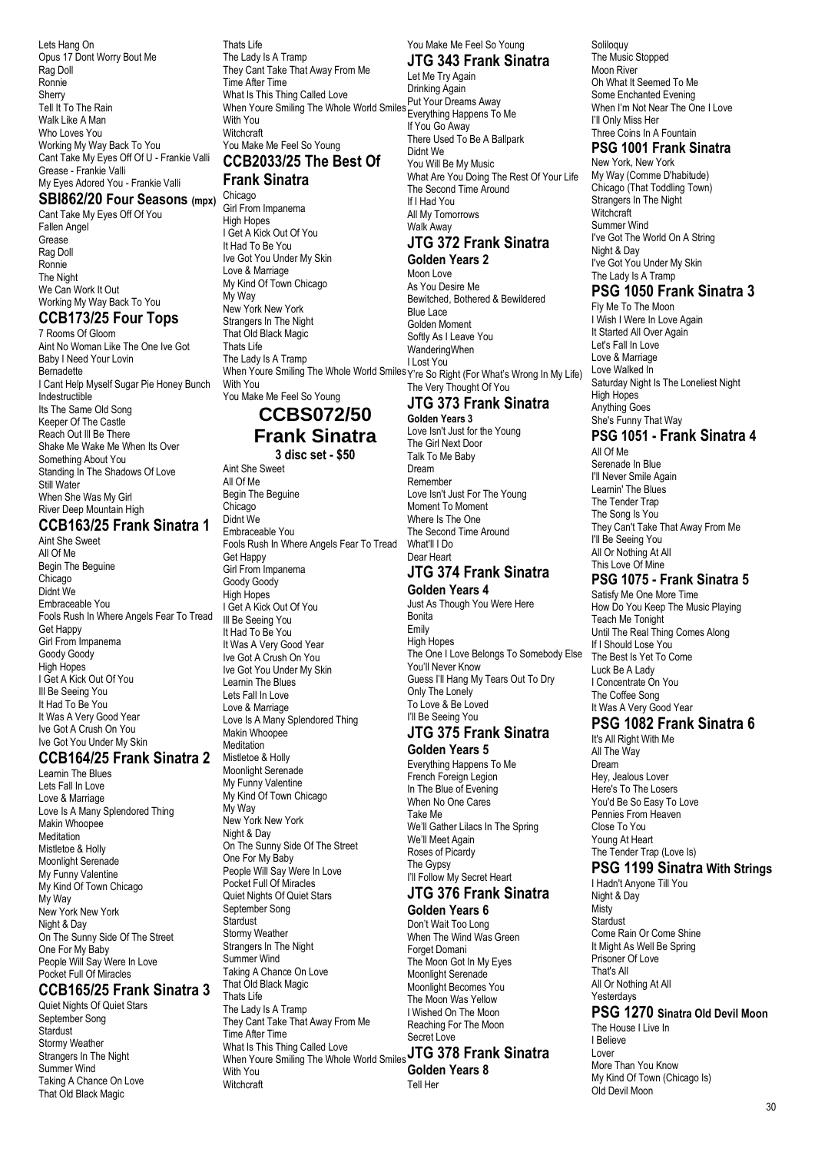Lets Hang On Opus 17 Dont Worry Bout Me Rag Doll Ronnie Sherry Tell It To The Rain Walk Like A Man Who Loves You Working My Way Back To You Cant Take My Eyes Off Of U - Frankie Valli Grease - Frankie Valli My Eyes Adored You - Frankie Valli

#### **SBI862/20 Four Seasons (mpx)**

Cant Take My Eyes Off Of You Fallen Angel Grease Rag Doll Ronnie The Night We Can Work It Out Working My Way Back To You

#### **CCB173/25 Four Tops**

7 Rooms Of Gloom Aint No Woman Like The One Ive Got Baby I Need Your Lovin Bernadette I Cant Help Myself Sugar Pie Honey Bunch Indestructible Its The Same Old Song Keeper Of The Castle Reach Out Ill Be There Shake Me Wake Me When Its Over Something About You Standing In The Shadows Of Love Still Water When She Was My Girl River Deep Mountain High

#### **CCB163/25 Frank Sinatra 1**

Aint She Sweet All Of Me Begin The Beguine Chicago Didnt We Embraceable You Fools Rush In Where Angels Fear To Tread Get Happy Girl From Impanema Goody Goody High Hopes I Get A Kick Out Of You Ill Be Seeing You It Had To Be You It Was A Very Good Year Ive Got A Crush On You Ive Got You Under My Skin

#### **CCB164/25 Frank Sinatra 2**

Learnin The Blues Lets Fall In Love Love & Marriage Love Is A Many Splendored Thing Makin Whoopee Meditation Mistletoe & Holly Moonlight Serenade My Funny Valentine My Kind Of Town Chicago My Way New York New York Night & Day On The Sunny Side Of The Street One For My Baby People Will Say Were In Love Pocket Full Of Miracles

#### **CCB165/25 Frank Sinatra 3**

Quiet Nights Of Quiet Stars September Song Stardust Stormy Weather Strangers In The Night Summer Wind Taking A Chance On Love That Old Black Magic

Thats Life The Lady Is A Tramp They Cant Take That Away From Me Time After Time What Is This Thing Called Love When Youre Smiling The Whole World Smiles With You **Witchcraft** You Make Me Feel So Young **CCB2033/25 The Best Of**

#### **Frank Sinatra**

Chicago Girl From Impanema High Hopes I Get A Kick Out Of You It Had To Be You Ive Got You Under My Skin Love & Marriage My Kind Of Town Chicago My Way New York New York Strangers In The Night That Old Black Magic Thats Life The Lady Is A Tramp With You You Make Me Feel So Young

# **CCBS072/50 Frank Sinatra**

# **3 disc set - \$50**

Aint She Sweet All Of Me Begin The Beguine Chicago Didnt We Embraceable You Fools Rush In Where Angels Fear To Tread Get Happy Girl From Impanema Goody Goody High Hopes I Get A Kick Out Of You Ill Be Seeing You It Had To Be You It Was A Very Good Year Ive Got A Crush On You Ive Got You Under My Skin Learnin The Blues Lets Fall In Love Love & Marriage Love Is A Many Splendored Thing Makin Whoopee Meditation Mistletoe & Holly Moonlight Serenade My Funny Valentine My Kind Of Town Chicago My Way New York New York Night & Day On The Sunny Side Of The Street One For My Baby People Will Say Were In Love Pocket Full Of Miracles Quiet Nights Of Quiet Stars September Song **Stardust** Stormy Weather Strangers In The Night Summer Wind Taking A Chance On Love That Old Black Magic Thats Life The Lady Is A Tramp They Cant Take That Away From Me Time After Time<br>What Is This Thing Called Love What Is This Thing Called Love When Youre Smiling The Whole World Smiles **JTG 378 Frank Sinatra**  With You **Witchcraft** 

You Make Me Feel So Young

#### **JTG 343 Frank Sinatra** Let Me Try Again

Drinking Again Put Your Dreams Away Everything Happens To Me If You Go Away There Used To Be A Ballpark Didnt We You Will Be My Music What Are You Doing The Rest Of Your Life The Second Time Around If I Had You All My Tomorrows Walk Away

## **JTG 372 Frank Sinatra**

When Youre Smiling The Whole World Smiles Y're So Right (For What's Wrong In My Life) **Golden Years 2** Moon Love As You Desire Me Bewitched, Bothered & Bewildered Blue Lace Golden Moment Softly As I Leave You WanderingWhen I Lost You The Very Thought Of You

# **JTG 373 Frank Sinatra**

**Golden Years 3** Love Isn't Just for the Young The Girl Next Door Talk To Me Baby Dream Remember Love Isn't Just For The Young Moment To Moment Where Is The One The Second Time Around What'll I Do Dear Heart **JTG 374 Frank Sinatra** 

# **Golden Years 4**

Just As Though You Were Here Bonita Emily High Hopes The One I Love Belongs To Somebody Flse You'll Never Know Guess I'll Hang My Tears Out To Dry Only The Lonely To Love & Be Loved I'll Be Seeing You

# **JTG 375 Frank Sinatra**

**Golden Years 5** Everything Happens To Me French Foreign Legion In The Blue of Evening When No One Cares Take Me We'll Gather Lilacs In The Spring We'll Meet Again Roses of Picardy The Gypsy I'll Follow My Secret Heart

#### **JTG 376 Frank Sinatra Golden Years 6**

Don't Wait Too Long When The Wind Was Green Forget Domani The Moon Got In My Eyes Moonlight Serenade Moonlight Becomes You The Moon Was Yellow I Wished On The Moon Reaching For The Moon Secret Love **Golden Years 8**

Tell Her

Soliloquy The Music Stopped Moon River Oh What It Seemed To Me Some Enchanted Evening When I'm Not Near The One I Love I'll Only Miss Her Three Coins In A Fountain

## **PSG 1001 Frank Sinatra**

New York, New York My Way (Comme D'habitude) Chicago (That Toddling Town) Strangers In The Night Witchcraft Summer Wind I've Got The World On A String Night & Day I've Got You Under My Skin The Lady Is A Tramp

## **PSG 1050 Frank Sinatra 3**

Fly Me To The Moon I Wish I Were In Love Again It Started All Over Again Let's Fall In Love Love & Marriage Love Walked In Saturday Night Is The Loneliest Night High Hopes Anything Goes She's Funny That Way **PSG 1051 - Frank Sinatra 4**

All Of Me Serenade In Blue I'll Never Smile Again Learnin' The Blues The Tender Trap The Song Is You They Can't Take That Away From Me I'll Be Seeing You All Or Nothing At All This Love Of Mine

## **PSG 1075 - Frank Sinatra 5**

Satisfy Me One More Time How Do You Keep The Music Playing Teach Me Tonight Until The Real Thing Comes Along If I Should Lose You The Best Is Yet To Come Luck Be A Lady I Concentrate On You The Coffee Song It Was A Very Good Year

#### **PSG 1082 Frank Sinatra 6**

It's All Right With Me All The Way Dream Hey, Jealous Lover Here's To The Losers You'd Be So Easy To Love Pennies From Heaven Close To You Young At Heart The Tender Trap (Love Is)

#### **PSG 1199 Sinatra With Strings**

I Hadn't Anyone Till You Night & Day Misty **Stardust** Come Rain Or Come Shine It Might As Well Be Spring Prisoner Of Love That's All All Or Nothing At All Yesterdays **PSG 1270 Sinatra Old Devil Moon** The House II ive In I Believe Lover More Than You Know My Kind Of Town (Chicago Is) Old Devil Moon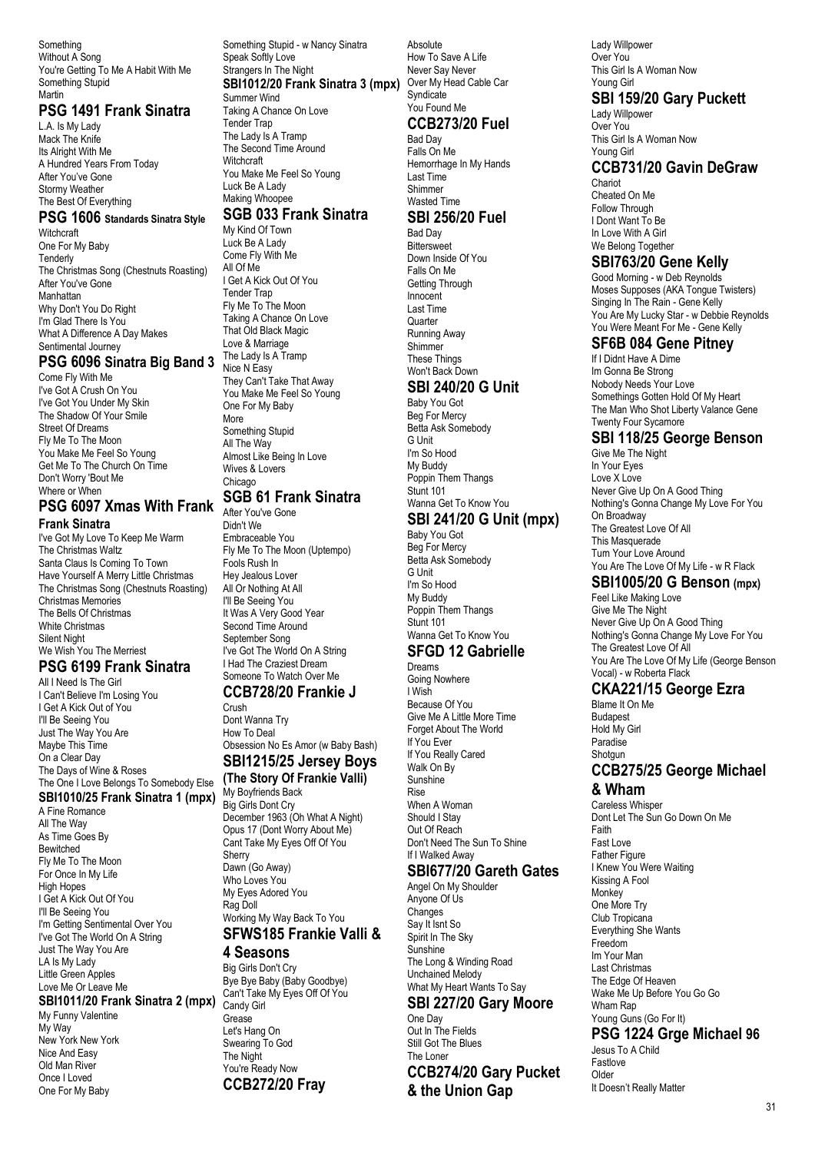Something Without A Song You're Getting To Me A Habit With Me Something Stupid Martin

#### **PSG 1491 Frank Sinatra**

L.A. Is My Lady Mack The Knife Its Alright With Me A Hundred Years From Today After You've Gone Stormy Weather The Best Of Everything

## **PSG 1606 Standards Sinatra Style**

Witchcraft One For My Baby **Tenderly** The Christmas Song (Chestnuts Roasting) After You've Gone Manhattan Why Don't You Do Right I'm Glad There Is You What A Difference A Day Makes Sentimental Journey

#### **PSG 6096 Sinatra Big Band 3**

Come Fly With Me I've Got A Crush On You I've Got You Under My Skin The Shadow Of Your Smile Street Of Dreams Fly Me To The Moon You Make Me Feel So Young Get Me To The Church On Time Don't Worry 'Bout Me Where or When

#### **PSG 6097 Xmas With Frank Frank Sinatra**

I've Got My Love To Keep Me Warm The Christmas Waltz Santa Claus Is Coming To Town Have Yourself A Merry Little Christmas The Christmas Song (Chestnuts Roasting) Christmas Memories The Bells Of Christmas White Christmas Silent Night We Wish You The Merriest

#### **PSG 6199 Frank Sinatra**

All I Need Is The Girl I Can't Believe I'm Losing You I Get A Kick Out of You I'll Be Seeing You Just The Way You Are Maybe This Time On a Clear Day The Days of Wine & Roses The One I Love Belongs To Somebody Else

#### **SBI1010/25 Frank Sinatra 1 (mpx)**

A Fine Romance All The Way As Time Goes By Bewitched Fly Me To The Moon For Once In My Life High Hopes I Get A Kick Out Of You I'll Be Seeing You I'm Getting Sentimental Over You I've Got The World On A String Just The Way You Are LA Is My Lady Little Green Apples Love Me Or Leave Me

**SBI1011/20 Frank Sinatra 2 (mpx)** Candy Girl My Funny Valentine

My Way New York New York Nice And Easy Old Man River Once I Loved One For My Baby

Something Stupid - w Nancy Sinatra Speak Softly Love Strangers In The Night **SBI1012/20 Frank Sinatra 3 (mpx)** Summer Wind

Taking A Chance On Love Tender Trap The Lady Is A Tramp The Second Time Around **Witchcraft** You Make Me Feel So Young Luck Be A Lady Making Whoopee

#### **SGB 033 Frank Sinatra**

My Kind Of Town Luck Be A Lady Come Fly With Me All Of Me I Get A Kick Out Of You Tender Trap Fly Me To The Moon Taking A Chance On Love That Old Black Magic Love & Marriage The Lady Is A Tramp Nice N Easy They Can't Take That Away You Make Me Feel So Young One For My Baby More Something Stupid All The Way Almost Like Being In Love Wives & Lovers Chicago **SGB 61 Frank Sinatra**

## After You've Gone

Didn't We Embraceable You Fly Me To The Moon (Uptempo) Fools Rush In Hey Jealous Lover All Or Nothing At All I'll Be Seeing You It Was A Very Good Year Second Time Around September Song I've Got The World On A String I Had The Craziest Dream Someone To Watch Over Me

#### **CCB728/20 Frankie J** Crush

Dont Wanna Try How To Deal Obsession No Es Amor (w Baby Bash) **SBI1215/25 Jersey Boys**

#### **(The Story Of Frankie Valli)**

My Boyfriends Back Big Girls Dont Cry December 1963 (Oh What A Night) Opus 17 (Dont Worry About Me) Cant Take My Eyes Off Of You Sherry Dawn (Go Away) Who Loves You My Eyes Adored You Rag Doll Working My Way Back To You **SFWS185 Frankie Valli & 4 Seasons**

#### Big Girls Don't Cry Bye Bye Baby (Baby Goodbye) Can't Take My Eyes Off Of You Grease Let's Hang On Swearing To God The Night

You're Ready Now **CCB272/20 Fray**

Absolute How To Save A Life Never Say Never Over My Head Cable Car **Syndicate** You Found Me **CCB273/20 Fuel** Bad Day Falls On Me Hemorrhage In My Hands Last Time Shimmer

#### Wasted Time **SBI 256/20 Fuel**

Bad Day **Bittersweet** Down Inside Of You Falls On Me Getting Through Innocent Last Time **Quarter** Running Away Shimmer These Things Won't Back Down **SBI 240/20 G Unit**

Baby You Got Beg For Mercy Betta Ask Somebody G Unit I'm So Hood My Buddy Poppin Them Thangs Stunt 101 Wanna Get To Know You

#### **SBI 241/20 G Unit (mpx)**

Baby You Got Beg For Mercy Betta Ask Somebody G Unit I'm So Hood My Buddy Poppin Them Thangs Stunt 101 Wanna Get To Know You

## **SFGD 12 Gabrielle**

Dreams Going Nowhere I Wish Because Of You Give Me A Little More Time Forget About The World If You Ever If You Really Cared Walk On By Sunshine Rise When A Woman Should I Stay Out Of Reach Don't Need The Sun To Shine If I Walked Away

#### **SBI677/20 Gareth Gates**

Angel On My Shoulder Anyone Of Us Changes Say It Isnt So Spirit In The Sky Sunshine The Long & Winding Road Unchained Melody What My Heart Wants To Say

#### **SBI 227/20 Gary Moore**

One Day Out In The Fields Still Got The Blues The Loner **CCB274/20 Gary Pucket & the Union Gap**

Lady Willpower Over You This Girl Is A Woman Now Young Girl

## **SBI 159/20 Gary Puckett**

Lady Willpower Over You This Girl Is A Woman Now Young Girl

## **CCB731/20 Gavin DeGraw**

Chariot Cheated On Me Follow Through I Dont Want To Be In Love With A Girl We Belong Together

#### **SBI763/20 Gene Kelly**

Good Morning - w Deb Reynolds Moses Supposes (AKA Tongue Twisters) Singing In The Rain - Gene Kelly You Are My Lucky Star - w Debbie Reynolds You Were Meant For Me - Gene Kelly

#### **SF6B 084 Gene Pitney**

If I Didnt Have A Dime Im Gonna Be Strong Nobody Needs Your Love Somethings Gotten Hold Of My Heart The Man Who Shot Liberty Valance Gene Twenty Four Sycamore

#### **SBI 118/25 George Benson**

Give Me The Night In Your Eyes Love X Love Never Give Up On A Good Thing Nothing's Gonna Change My Love For You On Broadway The Greatest Love Of All This Masquerade Turn Your Love Around You Are The Love Of My Life - w R Flack

# **SBI1005/20 G Benson (mpx)**

Feel Like Making Love Give Me The Night Never Give Up On A Good Thing Nothing's Gonna Change My Love For You The Greatest Love Of All You Are The Love Of My Life (George Benson Vocal) - w Roberta Flack

#### **CKA221/15 George Ezra**

Blame It On Me Budapest Hold My Girl Paradise Shotgun **CCB275/25 George Michael & Wham**

Careless Whisper Dont Let The Sun Go Down On Me Faith Fast Love Father Figure I Knew You Were Waiting Kissing A Fool **Monkey** One More Try Club Tropicana Everything She Wants Freedom Im Your Man Last Christmas The Edge Of Heaven Wake Me Up Before You Go Go Wham Rap Young Guns (Go For It) **PSG 1224 Grge Michael 96** Jesus To A Child Fastlove Older

It Doesn't Really Matter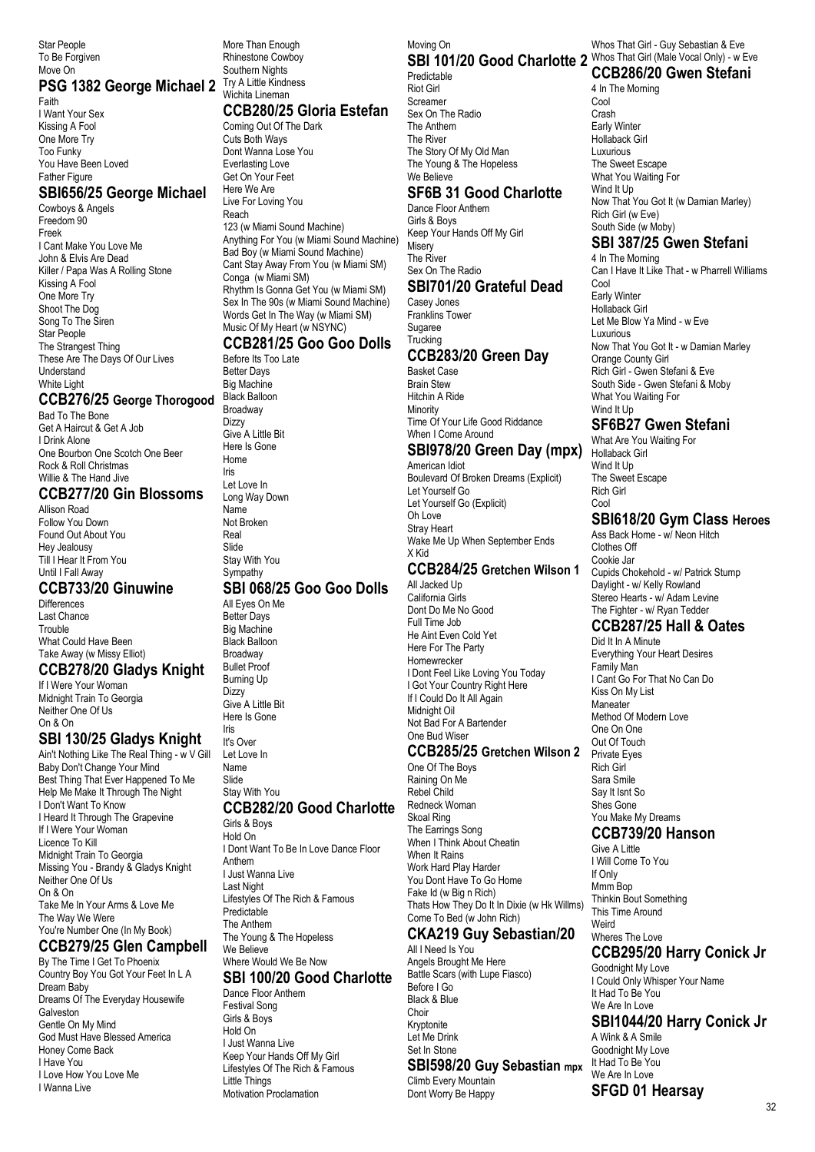Star People To Be Forgiven Move On

# PSG 1382 George Michael 2 Try A Little Kindness

Faith I Want Your Sex Kissing A Fool One More Try Too Funky You Have Been Loved Father Figure

#### **SBI656/25 George Michael**

Cowboys & Angels Freedom 90 Freek I Cant Make You Love Me John & Elvis Are Dead Killer / Papa Was A Rolling Stone Kissing A Fool One More Try Shoot The Dog Song To The Siren Star People The Strangest Thing These Are The Days Of Our Lives Understand White Light

#### **CCB276/25 George Thorogood**

Bad To The Bone Get A Haircut & Get A Job I Drink Alone One Bourbon One Scotch One Beer Rock & Roll Christmas Willie & The Hand Jive

#### **CCB277/20 Gin Blossoms**

Allison Road Follow You Down Found Out About You Hey Jealousy Till I Hear It From You Until I Fall Away

#### **CCB733/20 Ginuwine**

**Differences** Last Chance **Trouble** What Could Have Been Take Away (w Missy Elliot)

#### **CCB278/20 Gladys Knight** If I Were Your Woman

Midnight Train To Georgia Neither One Of Us On & On

## **SBI 130/25 Gladys Knight**

Ain't Nothing Like The Real Thing - w V Gill Baby Don't Change Your Mind Best Thing That Ever Happened To Me Help Me Make It Through The Night I Don't Want To Know I Heard It Through The Grapevine If I Were Your Woman Licence To Kill Midnight Train To Georgia Missing You - Brandy & Gladys Knight Neither One Of Us On & On Take Me In Your Arms & Love Me The Way We Were You're Number One (In My Book)

# **CCB279/25 Glen Campbell**

By The Time I Get To Phoenix Country Boy You Got Your Feet In L A Dream Baby Dreams Of The Everyday Housewife Galveston Gentle On My Mind God Must Have Blessed America Honey Come Back I Have You I Love How You Love Me I Wanna Live

More Than Enough Rhinestone Cowboy Southern Nights Wichita Lineman

#### **CCB280/25 Gloria Estefan**

Coming Out Of The Dark Cuts Both Ways Dont Wanna Lose You Everlasting Love Get On Your Feet Here We Are Live For Loving You Reach

123 (w Miami Sound Machine) Anything For You (w Miami Sound Machine) Bad Boy (w Miami Sound Machine) Cant Stay Away From You (w Miami SM) Conga (w Miami SM) Rhythm Is Gonna Get You (w Miami SM) Sex In The 90s (w Miami Sound Machine) Words Get In The Way (w Miami SM) Music Of My Heart (w NSYNC)

# **CCB281/25 Goo Goo Dolls**

Before Its Too Late Better Days Big Machine Black Balloon Broadway Dizzy Give A Little Bit Here Is Gone Home Iris Let Love In Long Way Down Name Not Broken Real Slide Stay With You **Sympathy** 

#### **SBI 068/25 Goo Goo Dolls**

All Eyes On Me Better Days Big Machine Black Balloon **Broadway** Bullet Proof Burning Up Dizzy Give A Little Bit Here Is Gone Iris

It's Over Let Love In Name

Slide Stay With You

#### **CCB282/20 Good Charlotte**

Girls & Boys Hold On I Dont Want To Be In Love Dance Floor Anthem I Just Wanna Live Last Night Lifestyles Of The Rich & Famous Predictable The Anthem The Young & The Hopeless We Believe

#### Where Would We Be Now **SBI 100/20 Good Charlotte**

Dance Floor Anthem Festival Song Girls & Boys Hold On I Just Wanna Live Keep Your Hands Off My Girl Lifestyles Of The Rich & Famous Little Things Motivation Proclamation

#### Moving On **SBI 101/20 Good Charlotte 2** Whos That Girl (Male Vocal Only) - w Eve

Predictable Riot Girl Screamer Sex On The Radio The Anthem The River The Story Of My Old Man The Young & The Hopeless We Believe

# **SF6B 31 Good Charlotte**

Dance Floor Anthem Girls & Boys Keep Your Hands Off My Girl **Misery** The River Sex On The Radio

# **SBI701/20 Grateful Dead**

Casey Jones Franklins Tower Sugaree **Trucking** 

#### **CCB283/20 Green Day**

Basket Case Brain Stew Hitchin A Ride Minority Time Of Your Life Good Riddance When I Come Around

#### **SBI978/20 Green Day (mpx)**

American Idiot Boulevard Of Broken Dreams (Explicit) Let Yourself Go Let Yourself Go (Explicit) Oh Love Stray Heart Wake Me Up When September Ends X Kid

#### **CCB284/25 Gretchen Wilson 1**

All Jacked Up California Girls Dont Do Me No Good Full Time Job He Aint Even Cold Yet Here For The Party Homewrecker I Dont Feel Like Loving You Today I Got Your Country Right Here If I Could Do It All Again Midnight Oil Not Bad For A Bartender One Bud Wiser

#### **CCB285/25 Gretchen Wilson 2**

One Of The Boys Raining On Me Rebel Child Redneck Woman Skoal Ring The Earrings Song When I Think About Cheatin When It Rains Work Hard Play Harder You Dont Have To Go Home Fake Id (w Big n Rich) Thats How They Do It In Dixie (w Hk Willms) Come To Bed (w John Rich)

# **CKA219 Guy Sebastian/20**

All I Need Is You Angels Brought Me Here Battle Scars (with Lupe Fiasco) Before I Go Black & Blue **Choir** Kryptonite Let Me Drink Set In Stone **SBI598/20 Guy Sebastian mpx**

## Climb Every Mountain

Dont Worry Be Happy

Whos That Girl - Guy Sebastian & Eve

**CCB286/20 Gwen Stefani** 4 In The Morning

Cool Crash Early Winter Hollaback Girl Luxurious The Sweet Escape What You Waiting For Wind It Up Now That You Got It (w Damian Marley) Rich Girl (w Eve) South Side (w Moby)

# **SBI 387/25 Gwen Stefani**

4 In The Morning Can I Have It Like That - w Pharrell Williams Cool Early Winter Hollaback Girl Let Me Blow Ya Mind - w Eve Luxurious Now That You Got It - w Damian Marley Orange County Girl Rich Girl - Gwen Stefani & Eve South Side - Gwen Stefani & Moby What You Waiting For Wind It Up

# **SF6B27 Gwen Stefani**

What Are You Waiting For Hollaback Girl Wind It Up The Sweet Escape Rich Girl Cool

# **SBI618/20 Gym Class Heroes**

Ass Back Home - w/ Neon Hitch Clothes Off Cookie Jar Cupids Chokehold - w/ Patrick Stump Daylight - w/ Kelly Rowland Stereo Hearts - w/ Adam Levine The Fighter - w/ Ryan Tedder

#### **CCB287/25 Hall & Oates** Did It In A Minute

Everything Your Heart Desires Family Man I Cant Go For That No Can Do Kiss On My List Maneater Method Of Modern Love One On One Out Of Touch Private Eyes Rich Girl Sara Smile Say It Isnt So Shes Gone You Make My Dreams

# **CCB739/20 Hanson**

Give A Little I Will Come To You If Only Mmm Bop Thinkin Bout Something This Time Around Weird Wheres The Love

## **CCB295/20 Harry Conick Jr**

Goodnight My Love I Could Only Whisper Your Name It Had To Be You We Are In Love

## **SBI1044/20 Harry Conick Jr**

A Wink & A Smile Goodnight My Love It Had To Be You We Are In Love **SFGD 01 Hearsay**

32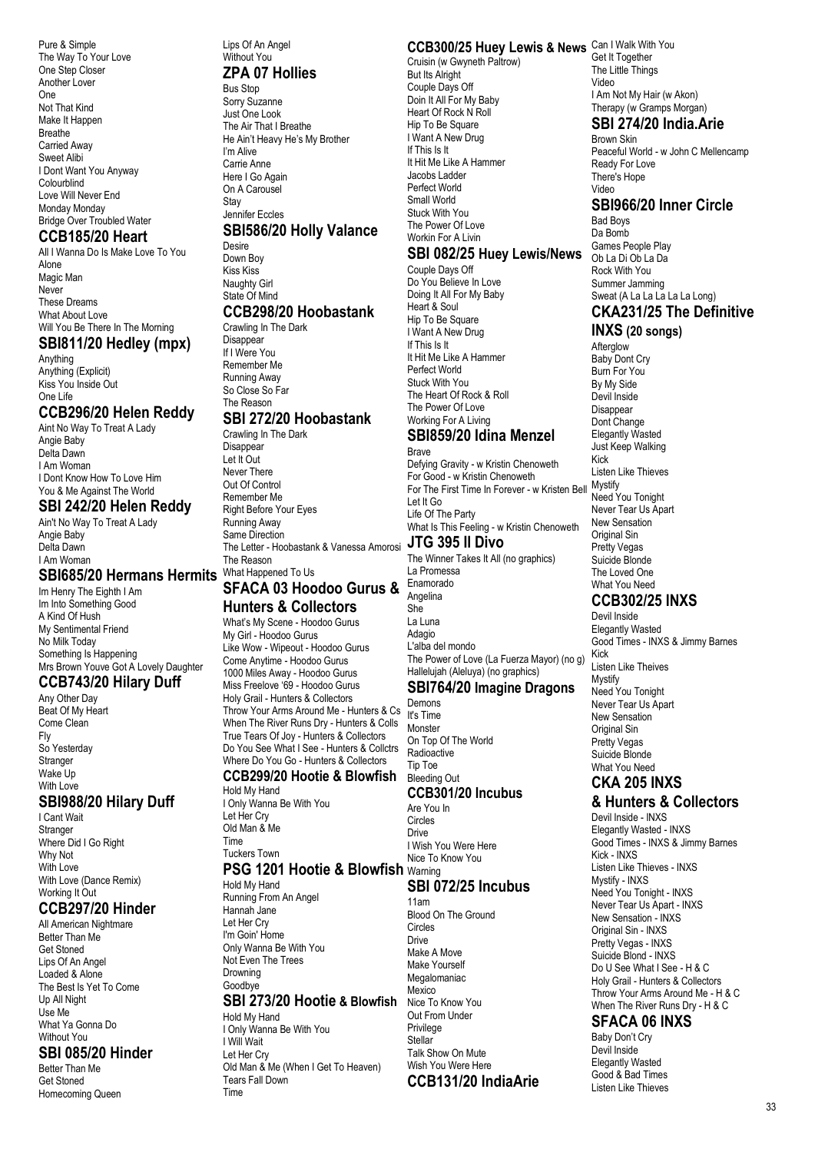Pure & Simple The Way To Your Love One Step Closer Another Lover One Not That Kind Make It Happen Breathe Carried Away Sweet Alibi I Dont Want You Anyway Colourblind Love Will Never End Monday Monday Bridge Over Troubled Water

# **CCB185/20 Heart**

All I Wanna Do Is Make Love To You Alone Magic Man **Never** These Dreams What About Love Will You Be There In The Morning

#### **SBI811/20 Hedley (mpx)**

Anything Anything (Explicit) Kiss You Inside Out One Life

#### **CCB296/20 Helen Reddy**

Aint No Way To Treat A Lady Angie Baby Delta Dawn I Am Woman I Dont Know How To Love Him You & Me Against The World

#### **SBI 242/20 Helen Reddy**

Ain't No Way To Treat A Lady Angie Baby Delta Dawn I Am Woman

#### **SBI685/20 Hermans Hermits**

Im Henry The Eighth I Am Im Into Something Good A Kind Of Hush My Sentimental Friend No Milk Today Something Is Happening Mrs Brown Youve Got A Lovely Daughter

#### **CCB743/20 Hilary Duff**

Any Other Day Beat Of My Heart Come Clean Fly So Yesterday **Stranger** Wake I In With Love

#### **SBI988/20 Hilary Duff**

I Cant Wait Stranger Where Did I Go Right Why Not With Love With Love (Dance Remix) Working It Out

#### **CCB297/20 Hinder**

All American Nightmare Better Than Me Get Stoned Lips Of An Angel Loaded & Alone The Best Is Yet To Come Up All Night Use Me What Ya Gonna Do Without You

#### **SBI 085/20 Hinder**

Better Than Me Get Stoned Homecoming Queen

#### Lips Of An Angel Without You

#### **ZPA 07 Hollies**

Bus Stop Sorry Suzanne Just One Look The Air That I Breathe He Ain't Heavy He's My Brother I'm Alive Carrie Anne Here I Go Again On A Carousel **Stav** Jennifer Eccles **SBI586/20 Holly Valance**

Desire Down Boy Kiss Kiss Naughty Girl State Of Mind **CCB298/20 Hoobastank**

#### Crawling In The Dark

**Disappear** If I Were You Remember Me Running Away So Close So Far The Reason

#### **SBI 272/20 Hoobastank**

Crawling In The Dark Disannear Let It Out Never There Out Of Control Remember Me Right Before Your Eyes Running Away Same Direction The Letter - Hoobastank & Vanessa Amorosi **JTG 395 Il Divo** The Reason What Happened To Us

#### **SFACA 03 Hoodoo Gurus & Hunters & Collectors**

What's My Scene - Hoodoo Gurus My Girl - Hoodoo Gurus Like Wow - Wipeout - Hoodoo Gurus Come Anytime - Hoodoo Gurus 1000 Miles Away - Hoodoo Gurus Miss Freelove '69 - Hoodoo Gurus Holy Grail - Hunters & Collectors Throw Your Arms Around Me - Hunters & Cs When The River Runs Dry - Hunters & Colls True Tears Of Joy - Hunters & Collectors Do You See What I See - Hunters & Collctrs Where Do You Go - Hunters & Collectors **CCB299/20 Hootie & Blowfish** Hold My Hand

I Only Wanna Be With You Let Her Cry Old Man & Me

Time Tuckers Town

#### **PSG 1201 Hootie & Blowfish** Warning

Hold My Hand Running From An Angel Hannah Jane Let Her Cry I'm Goin' Home Only Wanna Be With You Not Even The Trees Drowning Goodbye

#### **SBI 273/20 Hootie & Blowfish**

Hold My Hand I Only Wanna Be With You I Will Wait Let Her Cry Old Man & Me (When I Get To Heaven) Tears Fall Down Time

#### **CCB300/25 Huey Lewis & News** Can I Walk With You

Cruisin (w Gwyneth Paltrow) But Its Alright Couple Days Off Doin It All For My Baby Heart Of Rock N Roll Hip To Be Square I Want A New Drug If This Is It It Hit Me Like A Hammer Jacobs Ladder Perfect World Small World Stuck With You The Power Of Love Workin For A Livin

#### **SBI 082/25 Huey Lewis/News**

Couple Days Off Do You Believe In Love Doing It All For My Baby Heart & Soul Hip To Be Square I Want A New Drug If This Is It It Hit Me Like A Hammer Perfect World Stuck With You The Heart Of Rock & Roll The Power Of Love Working For A Living **SBI859/20 Idina Menzel** Brave Defying Gravity - w Kristin Chenoweth For Good - w Kristin Chenoweth For The First Time In Forever - w Kristen Bell Mystify Let It Go Life Of The Party What Is This Feeling - w Kristin Chenoweth

The Winner Takes It All (no graphics) La Promessa Enamorado

Angelina She La Luna Adagio L'alba del mondo The Power of Love (La Fuerza Mayor) (no g) Hallelujah (Aleluya) (no graphics) **SBI764/20 Imagine Dragons**

Demons It's Time Monster On Top Of The World

#### Tip Toe Bleeding Out **CCB301/20 Incubus**

## Are You In

Circles Drive I Wish You Were Here Nice To Know You

Radioactive

#### **SBI 072/25 Incubus**

11am Blood On The Ground **Circles** Drive Make A Move Make Yourself Megalomaniac Mexico Nice To Know You Out From Under Privilege **Stellar** Talk Show On Mute Wish You Were Here **CCB131/20 IndiaArie** Get It Together The Little Things Video I Am Not My Hair (w Akon) Therapy (w Gramps Morgan)

#### **SBI 274/20 India.Arie** Brown Skin

Peaceful World - w John C Mellencamp Ready For Love There's Hope Video

#### **SBI966/20 Inner Circle**

Bad Boys Da Bomb Games People Play Ob La Di Ob La Da Rock With You Summer Jamming Sweat (A La La La La La Long)

# **CKA231/25 The Definitive**

**INXS (20 songs) Afterglow** Baby Dont Cry Burn For You By My Side Devil Inside Disappear Dont Change Elegantly Wasted Just Keep Walking Kick Listen Like Thieves Need You Tonight Never Tear Us Apart New Sensation Original Sin Pretty Vegas Suicide Blonde The Loved One What You Need

## **CCB302/25 INXS**

Devil Inside Elegantly Wasted Good Times - INXS & Jimmy Barnes Kick Listen Like Theives Mystify Need You Tonight Never Tear Us Apart New Sensation Original Sin Pretty Vegas Suicide Blonde What You Need **CKA 205 INXS** 

# **& Hunters & Collectors**

Devil Inside - INXS Elegantly Wasted - INXS Good Times - INXS & Jimmy Barnes Kick - INXS Listen Like Thieves - INXS Mystify - INXS Need You Tonight - INXS Never Tear Us Apart - INXS New Sensation - INXS Original Sin - INXS Pretty Vegas - INXS Suicide Blond - INXS Do U See What I See - H & C Holy Grail - Hunters & Collectors Throw Your Arms Around Me - H & C When The River Runs Dry - H & C

## **SFACA 06 INXS**

Baby Don't Cry Devil Inside Elegantly Wasted Good & Bad Times Listen Like Thieves

#### 33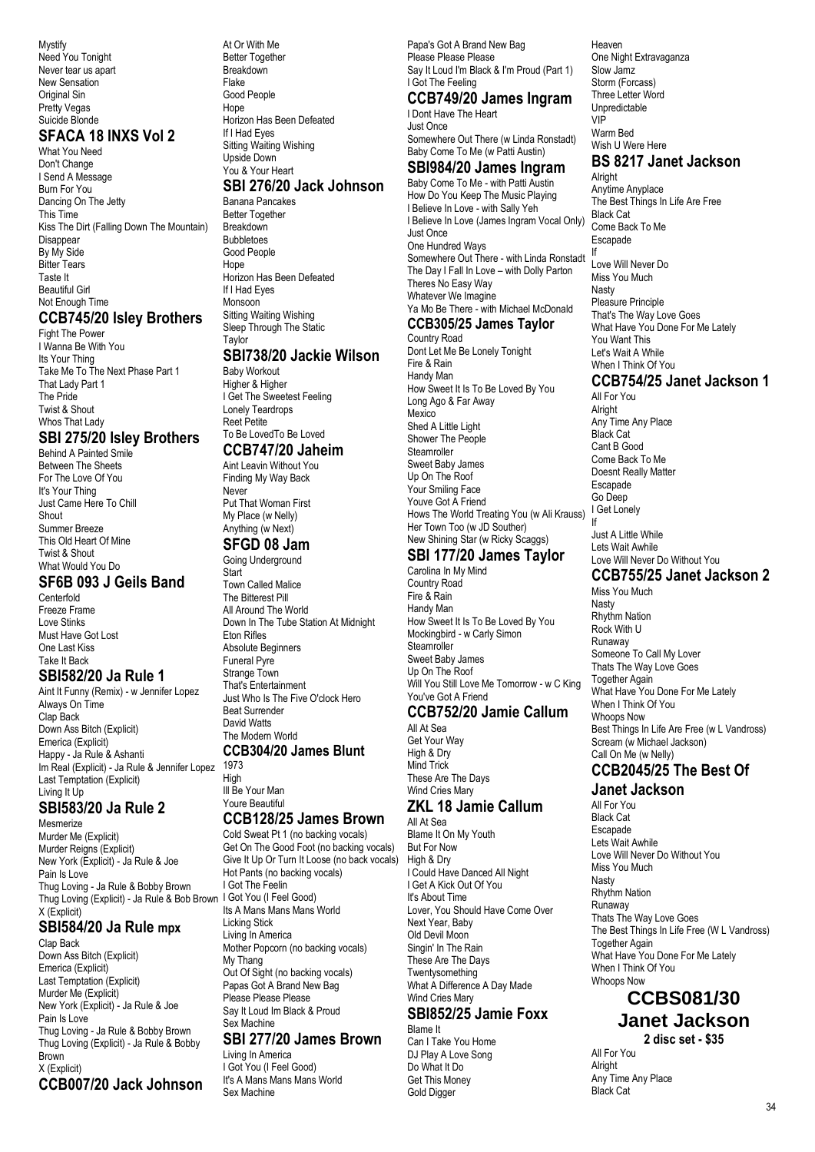Mystify Need You Tonight Never tear us apart New Sensation Original Sin Pretty Vegas Suicide Blonde

#### **SFACA 18 INXS Vol 2**

What You Need Don't Change I Send A Message Burn For You Dancing On The Jetty This Time Kiss The Dirt (Falling Down The Mountain) Disappear By My Side **Bitter Tears** Taste It Beautiful Girl Not Enough Time

#### **CCB745/20 Isley Brothers**

Fight The Power I Wanna Be With You Its Your Thing Take Me To The Next Phase Part 1 That Lady Part 1 The Pride Twist & Shout Whos That Lady

# **SBI 275/20 Isley Brothers**

Behind A Painted Smile Between The Sheets For The Love Of You It's Your Thing Just Came Here To Chill Shout Summer Breeze This Old Heart Of Mine Twist & Shout What Would You Do

#### **SF6B 093 J Geils Band**

Centerfold Freeze Frame Love Stinks Must Have Got Lost One Last Kiss Take It Back

#### **SBI582/20 Ja Rule 1**

Aint It Funny (Remix) - w Jennifer Lopez Always On Time Clap Back Down Ass Bitch (Explicit) Emerica (Explicit) Happy - Ja Rule & Ashanti Im Real (Explicit) - Ja Rule & Jennifer Lopez 1973 Last Temptation (Explicit) Living It Up

# **SBI583/20 Ja Rule 2**

Mesmerize Murder Me (Explicit) Murder Reigns (Explicit) New York (Explicit) - Ja Rule & Joe Pain Is Love Thug Loving - Ja Rule & Bobby Brown Thug Loving (Explicit) - Ja Rule & Bob Brown I Got You (I Feel Good) X (Explicit)

#### **SBI584/20 Ja Rule mpx**

Clap Back Down Ass Bitch (Explicit) Emerica (Explicit) Last Temptation (Explicit) Murder Me (Explicit) New York (Explicit) - Ja Rule & Joe Pain Is Love Thug Loving - Ja Rule & Bobby Brown Thug Loving (Explicit) - Ja Rule & Bobby Brown X (Explicit) **CCB007/20 Jack Johnson**

At Or With Me Better Together **Breakdown** Flake Good People Hope Horizon Has Been Defeated If I Had Eyes Sitting Waiting Wishing Upside Down You & Your Heart **SBI 276/20 Jack Johnson** Banana Pancakes

Better Together **Breakdown** Bubbletoes Good People Hope Horizon Has Been Defeated If I Had Eyes Monsoon Sitting Waiting Wishing Sleep Through The Static

Taylor

#### **SBI738/20 Jackie Wilson**

Baby Workout Higher & Higher I Get The Sweetest Feeling Lonely Teardrops Reet Petite To Be LovedTo Be Loved **CCB747/20 Jaheim**

#### Aint Leavin Without You

Finding My Way Back Never Put That Woman First My Place (w Nelly) Anything (w Next)

#### **SFGD 08 Jam**

Going Underground

**Start** Town Called Malice The Bitterest Pill All Around The World Down In The Tube Station At Midnight Eton Rifles Absolute Beginners Funeral Pyre Strange Town That's Entertainment Just Who Is The Five O'clock Hero Beat Surrender David Watts The Modern World **CCB304/20 James Blunt**

High Ill Be Your Man Youre Beautiful

# **CCB128/25 James Brown**

Cold Sweat Pt 1 (no backing vocals) Get On The Good Foot (no backing vocals) Give It Up Or Turn It Loose (no back vocals) Hot Pants (no backing vocals) I Got The Feelin Its A Mans Mans Mans World Licking Stick Living In America Mother Popcorn (no backing vocals) My Thang Out Of Sight (no backing vocals) Papas Got A Brand New Bag Please Please Please Say It Loud Im Black & Proud Sex Machine

## **SBI 277/20 James Brown**

Living In America I Got You (I Feel Good) It's A Mans Mans Mans World Sex Machine

Papa's Got A Brand New Bag Please Please Please Say It Loud I'm Black & I'm Proud (Part 1) I Got The Feeling

# **CCB749/20 James Ingram**

I Dont Have The Heart Just Once Somewhere Out There (w Linda Ronstadt) Baby Come To Me (w Patti Austin)

#### **SBI984/20 James Ingram** Baby Come To Me - with Patti Austin

How Do You Keep The Music Playing I Believe In Love - with Sally Yeh I Believe In Love (James Ingram Vocal Only) Just Once One Hundred Ways Somewhere Out There - with Linda Ronstadt The Day I Fall In Love – with Dolly Parton Theres No Easy Way Whatever We Imagine Ya Mo Be There - with Michael McDonald **CCB305/25 James Taylor**

Country Road Dont Let Me Be Lonely Tonight Fire & Rain Handy Man How Sweet It Is To Be Loved By You Long Ago & Far Away **Mexico** Shed A Little Light Shower The People Steamroller Sweet Baby James Up On The Roof Your Smiling Face Youve Got A Friend Hows The World Treating You (w Ali Krauss) Her Town Too (w JD Souther) New Shining Star (w Ricky Scaggs)

#### **SBI 177/20 James Taylor** Carolina In My Mind

Country Road Fire & Rain Handy Man How Sweet It Is To Be Loved By You Mockingbird - w Carly Simon **Steamroller** Sweet Baby James Up On The Roof Will You Still Love Me Tomorrow - w C King You've Got A Friend

## **CCB752/20 Jamie Callum**

All At Sea Get Your Way High & Dry Mind Trick These Are The Days Wind Cries Mary

#### **ZKL 18 Jamie Callum** All At Sea

Blame It On My Youth But For Now High & Dry I Could Have Danced All Night I Get A Kick Out Of You It's About Time Lover, You Should Have Come Over Next Year, Baby Old Devil Moon Singin' In The Rain These Are The Days **Twentysomething** What A Difference A Day Made Wind Cries Mary

#### **SBI852/25 Jamie Foxx** Blame It

Can I Take You Home DJ Play A Love Song Do What It Do Get This Money Gold Digger

Heaven One Night Extravaganza Slow Jamz Storm (Forcass) Three Letter Word Unpredictable VIP Warm Bed Wish U Were Here **BS 8217 Janet Jackson** Alright Anytime Anyplace

The Best Things In Life Are Free Black Cat Come Back To Me Escapade If Love Will Never Do Miss You Much Nasty Pleasure Principle That's The Way Love Goes What Have You Done For Me Lately You Want This Let's Wait A While When I Think Of You

## **CCB754/25 Janet Jackson 1**

All For You Alright Any Time Any Place Black Cat Cant B Good Come Back To Me Doesnt Really Matter Escapade Go Deep I Get Lonely If

Just A Little While Lets Wait Awhile Love Will Never Do Without You

#### **CCB755/25 Janet Jackson 2**

Miss You Much Nasty Rhythm Nation Rock With U Runaway Someone To Call My Lover Thats The Way Love Goes Together Again What Have You Done For Me Lately When I Think Of You Whoops Now Best Things In Life Are Free (w L Vandross) Scream (w Michael Jackson) Call On Me (w Nelly)

#### **CCB2045/25 The Best Of Janet Jackson**

All For You

Black Cat Escapade Lets Wait Awhile Love Will Never Do Without You Miss You Much Nasty Rhythm Nation Runaway Thats The Way Love Goes The Best Things In Life Free (W L Vandross) Together Again What Have You Done For Me Lately When I Think Of You Whoops Now

#### **CCBS081/30 Janet Jackson 2 disc set - \$35**

All For You Alright Any Time Any Place Black Cat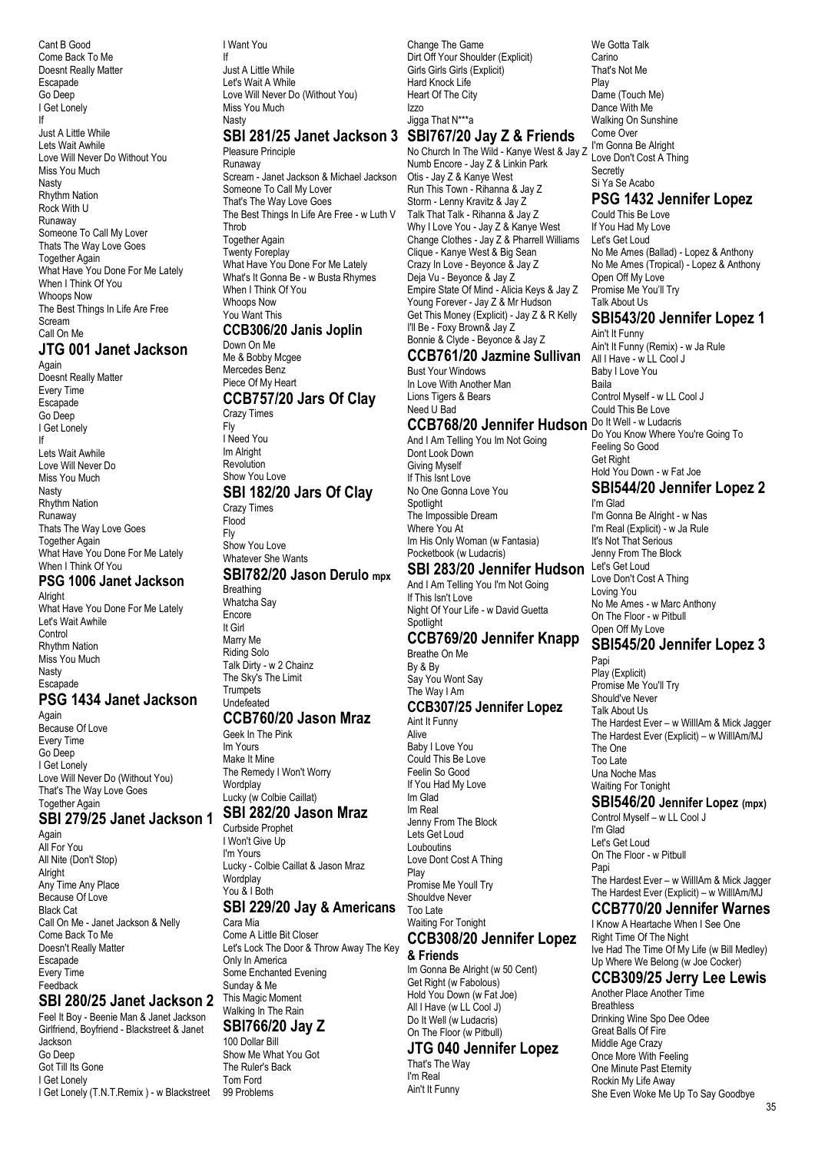Cant B Good Come Back To Me Doesnt Really Matter Escapade Go Deep I Get Lonely If Just A Little While Lets Wait Awhile Love Will Never Do Without You Miss You Much Nasty Rhythm Nation Rock With U Runaway Someone To Call My Lover Thats The Way Love Goes Together Again What Have You Done For Me Lately When I Think Of You Whoops Now The Best Things In Life Are Free Scream Call On Me **JTG 001 Janet Jackson**

Again Doesnt Really Matter Every Time Escapade Go Deep I Get Lonely If Lets Wait Awhile Love Will Never Do Miss You Much Nasty Rhythm Nation Runaway Thats The Way Love Goes Together Again What Have You Done For Me Lately When I Think Of You

#### **PSG 1006 Janet Jackson Alright**

What Have You Done For Me Lately Let's Wait Awhile **Control** Rhythm Nation Miss You Much Nasty **Escapade PSG 1434 Janet Jackson** Again Because Of Love Every Time

Go Deep I Get Lonely Love Will Never Do (Without You) That's The Way Love Goes Together Again

#### **SBI 279/25 Janet Jackson 1**

Again All For You All Nite (Don't Stop) Alright Any Time Any Place Because Of Love Black Cat Call On Me - Janet Jackson & Nelly Come Back To Me Doesn't Really Matter Escapade Every Time Feedback

## **SBI 280/25 Janet Jackson 2**

Feel It Boy - Beenie Man & Janet Jackson Girlfriend, Boyfriend - Blackstreet & Janet Jackson Go Deep Got Till Its Gone I Get Lonely I Get Lonely (T.N.T.Remix ) - w Blackstreet 99 Problems

I Want You

If Just A Little While Let's Wait A While Love Will Never Do (Without You) Miss You Much Nash

#### **SBI 281/25 Janet Jackson 3 SBI767/20 Jay Z & Friends**

Pleasure Principle Runaway Scream - Janet Jackson & Michael Jackson Someone To Call My Lover That's The Way Love Goes The Best Things In Life Are Free - w Luth V **Throb** Together Again Twenty Foreplay What Have You Done For Me Lately What's It Gonna Be - w Busta Rhymes When I Think Of You Whoops Now You Want This **CCB306/20 Janis Joplin** Down On Me Me & Bobby Mcgee Mercedes Benz Piece Of My Heart **CCB757/20 Jars Of Clay** Crazy Times Fly I Need You Im Alright Revolution Show You Love **SBI 182/20 Jars Of Clay** Crazy Times Flood Fly Show You Love Whatever She Wants **SBI782/20 Jason Derulo mpx**

Breathing Whatcha Say Encore It Girl Marry Me Riding Solo Talk Dirty - w 2 Chainz The Sky's The Limit **Trumpets** Undefeated

#### **CCB760/20 Jason Mraz**

Geek In The Pink Im Yours Make It Mine The Remedy I Won't Worry Wordplay Lucky (w Colbie Caillat)

#### **SBI 282/20 Jason Mraz**

Curbside Prophet I Won't Give Up I'm Yours Lucky - Colbie Caillat & Jason Mraz Wordplay You & I Both **SBI 229/20 Jay & Americans**

Cara Mia Come A Little Bit Closer Let's Lock The Door & Throw Away The Key Only In America Some Enchanted Evening Sunday & Me This Magic Moment Walking In The Rain **SBI766/20 Jay Z**

#### 100 Dollar Bill

Show Me What You Got The Ruler's Back Tom Ford

Change The Game Dirt Off Your Shoulder (Explicit) Girls Girls Girls (Explicit) Hard Knock Life Heart Of The City Izzo Jigga That N\*\*\*a

# No Church In The Wild - Kanye West & Jay Z

Numb Encore - Jay Z & Linkin Park Otis - Jay Z & Kanye West Run This Town - Rihanna & Jay Z Storm - Lenny Kravitz & Jay Z Talk That Talk - Rihanna & Jay Z Why I Love You - Jay Z & Kanye West Change Clothes - Jay Z & Pharrell Williams Clique - Kanye West & Big Sean Crazy In Love - Beyonce & Jay Z Deja Vu - Beyonce & Jay Z Empire State Of Mind - Alicia Keys & Jay Z Young Forever - Jay Z & Mr Hudson Get This Money (Explicit) - Jay Z & R Kelly I'll Be - Foxy Brown& Jay Z Bonnie & Clyde - Beyonce & Jay Z

#### **CCB761/20 Jazmine Sullivan** Bust Your Windows In Love With Another Man Lions Tigers & Bears

Need U Bad

# CCB768/20 Jennifer Hudson Do It Well - w Ludacris

And I Am Telling You Im Not Going Dont Look Down Giving Myself If This Isnt Love No One Gonna Love You **Spotlight** The Impossible Dream Where You At Im His Only Woman (w Fantasia) Pocketbook (w Ludacris)

#### **SBI 283/20 Jennifer Hudson**

And I Am Telling You I'm Not Going If This Isn't Love Night Of Your Life - w David Guetta Spotlight

#### **CCB769/20 Jennifer Knapp**

Breathe On Me By & By Say You Wont Say The Way I Am **CCB307/25 Jennifer Lopez** Aint It Funny Alive Baby I Love You Could This Be Love Feelin So Good If You Had My Love Im Glad Im Real Jenny From The Block Lets Get Loud Louboutins Love Dont Cost A Thing Play Promise Me Youll Try Shouldve Never Too Late Waiting For Tonight **CCB308/20 Jennifer Lopez**

# **& Friends**

Im Gonna Be Alright (w 50 Cent) Get Right (w Fabolous) Hold You Down (w Fat Joe) All I Have (w LL Cool J) Do It Well (w Ludacris) On The Floor (w Pitbull)

#### **JTG 040 Jennifer Lopez**

That's The Way I'm Real Ain't It Funny

We Gotta Talk **Carino** That's Not Me Play Dame (Touch Me) Dance With Me Walking On Sunshine Come Over I'm Gonna Be Alright Love Don't Cost A Thing **Secretly** Si Ya Se Acabo

#### **PSG 1432 Jennifer Lopez**

Could This Be Love If You Had My Love Let's Get Loud No Me Ames (Ballad) - Lopez & Anthony No Me Ames (Tropical) - Lopez & Anthony Open Off My Love Promise Me You'll Try Talk About Us

## **SBI543/20 Jennifer Lopez 1**

Ain't It Funny Ain't It Funny (Remix) - w Ja Rule All I Have - w LL Cool J Baby I Love You Baila Control Myself - w LL Cool J Could This Be Love Do You Know Where You're Going To Feeling So Good Get Right Hold You Down - w Fat Joe **SBI544/20 Jennifer Lopez 2**

I'm Glad I'm Gonna Be Alright - w Nas I'm Real (Explicit) - w Ja Rule It's Not That Serious Jenny From The Block Let's Get Loud Love Don't Cost A Thing Loving You No Me Ames - w Marc Anthony On The Floor - w Pitbull Open Off My Love

#### **SBI545/20 Jennifer Lopez 3**

Papi Play (Explicit) Promise Me You'll Try Should've Never Talk About Us The Hardest Ever – w WillIAm & Mick Jagger The Hardest Ever (Explicit) – w WillIAm/MJ The One Too Late Una Noche Mas Waiting For Tonight

#### **SBI546/20 Jennifer Lopez (mpx)**

Control Myself – w LL Cool J I'm Glad Let's Get Loud On The Floor - w Pitbull Papi The Hardest Ever – w WillIAm & Mick Jagger The Hardest Ever (Explicit) – w WillIAm/MJ **CCB770/20 Jennifer Warnes**

#### I Know A Heartache When I See One Right Time Of The Night

Ive Had The Time Of My Life (w Bill Medley) Up Where We Belong (w Joe Cocker)

## **CCB309/25 Jerry Lee Lewis**

Another Place Another Time **Breathless** Drinking Wine Spo Dee Odee Great Balls Of Fire Middle Age Crazy Once More With Feeling One Minute Past Eternity Rockin My Life Away She Even Woke Me Up To Say Goodbye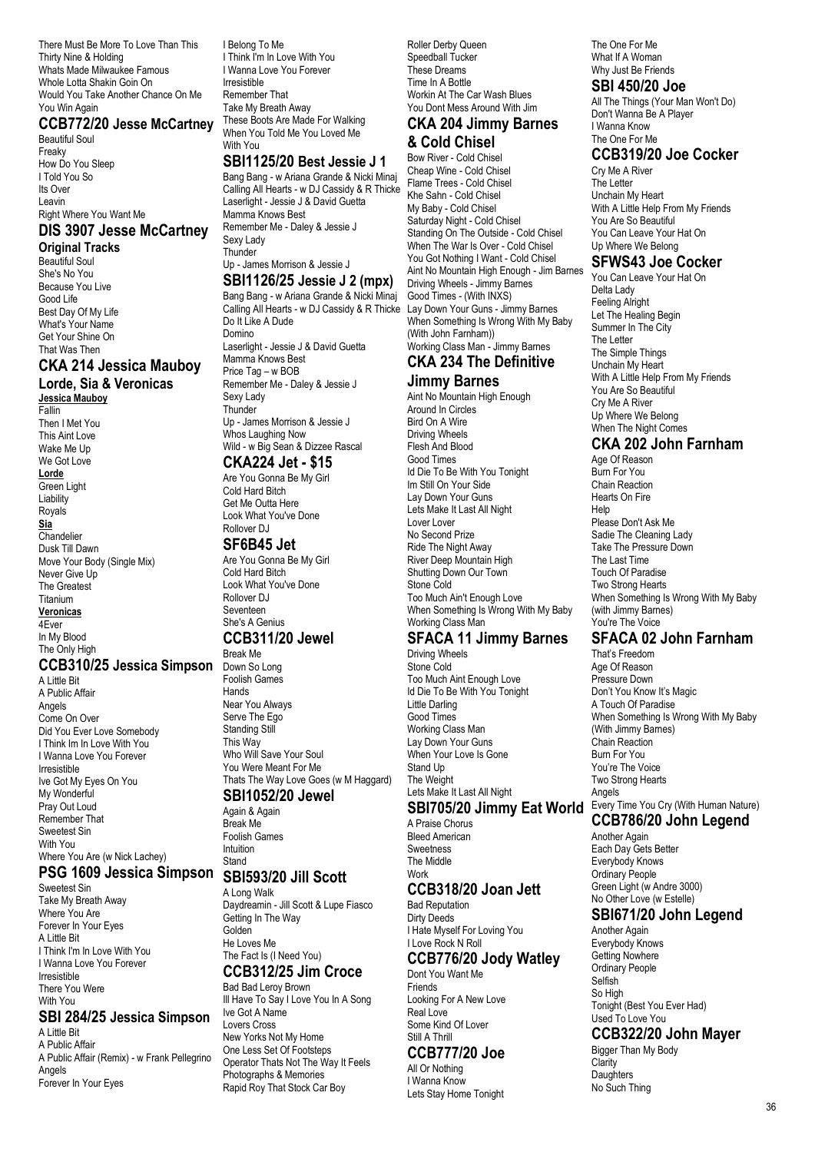There Must Be More To Love Than This Thirty Nine & Holding Whats Made Milwaukee Famous Whole Lotta Shakin Goin On Would You Take Another Chance On Me You Win Again

#### **CCB772/20 Jesse McCartney**

Beautiful Soul Freaky How Do You Sleep I Told You So Its Over Leavin Right Where You Want Me

#### **DIS 3907 Jesse McCartney**

**Original Tracks**

Beautiful Soul She's No You Because You Live Good Life Best Day Of My Life What's Your Name Get Your Shine On That Was Then

## **CKA 214 Jessica Mauboy**

**Lorde, Sia & Veronicas Jessica Mauboy**

Fallin Then I Met You This Aint Love Wake Me Up We Got Love

**Lorde**

Green Light Liability Royals **Sia Chandelier** Dusk Till Dawn Move Your Body (Single Mix) Never Give Up The Greatest Titanium **Veronicas** 4Ever In My Blood

#### The Only High

**CCB310/25 Jessica Simpson** Down So Long

A Little Bit A Public Affair Angels Come On Over Did You Ever Love Somebody I Think Im In Love With You I Wanna Love You Forever Irresistible Ive Got My Eyes On You My Wonderful Pray Out Loud Remember That Sweetest Sin With You Where You Are (w Nick Lachey)

#### **PSG 1609 Jessica Simpson**

Sweetest Sin Take My Breath Away Where You Are Forever In Your Eyes A Little Bit I Think I'm In Love With You I Wanna Love You Forever Irresistible There You Were With You

#### **SBI 284/25 Jessica Simpson**

A Little Bit A Public Affair A Public Affair (Remix) - w Frank Pellegrino Angels Forever In Your Eyes

I Belong To Me I Think I'm In Love With You I Wanna Love You Forever Irresistible Remember That Take My Breath Away These Boots Are Made For Walking When You Told Me You Loved Me With You

#### **SBI1125/20 Best Jessie J 1**

Bang Bang - w Ariana Grande & Nicki Minaj Calling All Hearts - w DJ Cassidy & R Thicke Laserlight - Jessie J & David Guetta Mamma Knows Best Remember Me - Daley & Jessie J Sexy Lady **Thunder** Up - James Morrison & Jessie J

#### **SBI1126/25 Jessie J 2 (mpx)**

Bang Bang - w Ariana Grande & Nicki Minaj Calling All Hearts - w DJ Cassidy & R Thicke Do It Like A Dude Domino Laserlight - Jessie J & David Guetta Mamma Knows Best Price Tag – w BOB Remember Me - Daley & Jessie J Sexy Lady **Thunder** Up - James Morrison & Jessie J Whos Laughing Now Wild - w Big Sean & Dizzee Rascal

## **CKA224 Jet - \$15**

Are You Gonna Be My Girl Cold Hard Bitch Get Me Outta Here Look What You've Done Rollover DJ

#### **SF6B45 Jet**

Are You Gonna Be My Girl Cold Hard Bitch Look What You've Done Rollover DJ Seventeen She's A Genius

# **CCB311/20 Jewel**

Break Me Foolish Games Hands Near You Always Serve The Ego Standing Still This Way Who Will Save Your Soul You Were Meant For Me Thats The Way Love Goes (w M Haggard) **SBI1052/20 Jewel**

Again & Again Break Me Foolish Games Intuition **Stand** 

## **SBI593/20 Jill Scott**

A Long Walk Daydreamin - Jill Scott & Lupe Fiasco Getting In The Way Golden He Loves Me The Fact Is (I Need You)

## **CCB312/25 Jim Croce**

Bad Bad Leroy Brown Ill Have To Say I Love You In A Song Ive Got A Name Lovers Cross New Yorks Not My Home One Less Set Of Footsteps Operator Thats Not The Way It Feels Photographs & Memories Rapid Roy That Stock Car Boy

Roller Derby Queen Speedball Tucker These Dreams Time In A Bottle Workin At The Car Wash Blues You Dont Mess Around With Jim

#### **CKA 204 Jimmy Barnes & Cold Chisel**

Bow River - Cold Chisel Cheap Wine - Cold Chisel Flame Trees - Cold Chisel Khe Sahn - Cold Chisel My Baby - Cold Chisel Saturday Night - Cold Chisel Standing On The Outside - Cold Chisel When The War Is Over - Cold Chisel You Got Nothing I Want - Cold Chisel Aint No Mountain High Enough - Jim Barnes Driving Wheels - Jimmy Barnes Good Times - (With INXS) Lay Down Your Guns - Jimmy Barnes When Something Is Wrong With My Baby (With John Farnham)) Working Class Man - Jimmy Barnes

#### **CKA 234 The Definitive Jimmy Barnes**

Aint No Mountain High Enough Around In Circles Bird On A Wire Driving Wheels Flesh And Blood Good Times Id Die To Be With You Tonight Im Still On Your Side Lay Down Your Guns Lets Make It Last All Night Lover Lover No Second Prize Ride The Night Away River Deep Mountain High Shutting Down Our Town Stone Cold Too Much Ain't Enough Love When Something Is Wrong With My Baby Working Class Man

#### **SFACA 11 Jimmy Barnes**

Driving Wheels Stone Cold Too Much Aint Enough Love Id Die To Be With You Tonight Little Darling Good Times Working Class Man Lay Down Your Guns When Your Love Is Gone Stand Up The Weight Lets Make It Last All Night

#### **SBI705/20 Jimmy Eat World**

A Praise Chorus Bleed American Sweetness The Middle Work

## **CCB318/20 Joan Jett**

Bad Reputation Dirty Deeds I Hate Myself For Loving You I Love Rock N Roll

## **CCB776/20 Jody Watley**

Dont You Want Me Friends Looking For A New Love Real Love

#### Some Kind Of Lover Still A Thrill

#### **CCB777/20 Joe** All Or Nothing

I Wanna Know Lets Stay Home Tonight The One For Me What If A Woman Why Just Be Friends

# **SBI 450/20 Joe**

All The Things (Your Man Won't Do) Don't Wanna Be A Player I Wanna Know The One For Me

## **CCB319/20 Joe Cocker**

Cry Me A River The Letter Unchain My Heart With A Little Help From My Friends You Are So Beautiful You Can Leave Your Hat On Up Where We Belong

#### **SFWS43 Joe Cocker**

You Can Leave Your Hat On Delta Lady Feeling Alright Let The Healing Begin Summer In The City The Letter The Simple Things Unchain My Heart With A Little Help From My Friends You Are So Beautiful Cry Me A River Up Where We Belong When The Night Comes

#### **CKA 202 John Farnham**

Age Of Reason Burn For You Chain Reaction Hearts On Fire Help Please Don't Ask Me Sadie The Cleaning Lady Take The Pressure Down The Last Time Touch Of Paradise Two Strong Hearts When Something Is Wrong With My Baby (with Jimmy Barnes) You're The Voice

## **SFACA 02 John Farnham**

That's Freedom Age Of Reason Pressure Down Don't You Know It's Magic A Touch Of Paradise When Something Is Wrong With My Baby (With Jimmy Barnes) Chain Reaction Burn For You You're The Voice Two Strong Hearts Angels Every Time You Cry (With Human Nature)

#### **CCB786/20 John Legend**

Another Again Each Day Gets Better Everybody Knows Ordinary People Green Light (w Andre 3000) No Other Love (w Estelle)

#### **SBI671/20 John Legend**

Another Again Everybody Knows Getting Nowhere Ordinary People Selfish So High Tonight (Best You Ever Had) Used To Love You

#### **CCB322/20 John Mayer**

Bigger Than My Body Clarity **Daughters** No Such Thing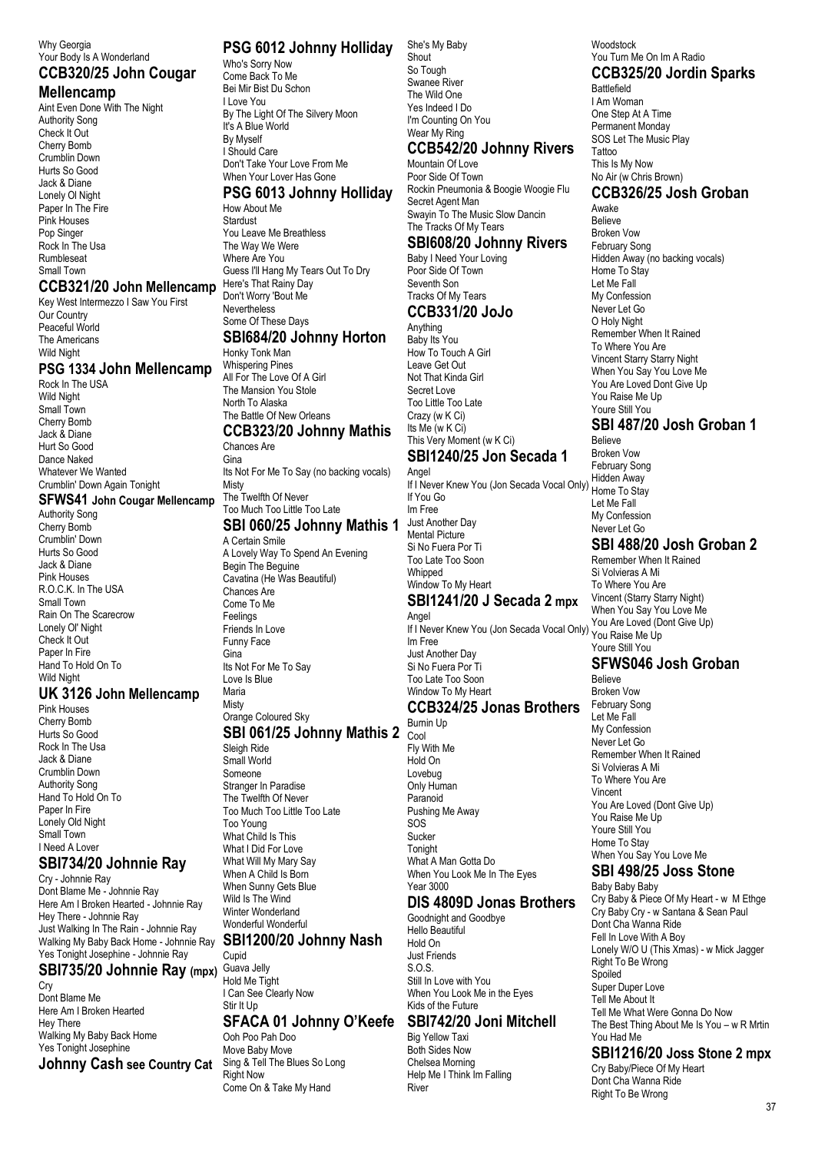#### Why Georgia Your Body Is A Wonderland

#### **CCB320/25 John Cougar Mellencamp**

Aint Even Done With The Night Authority Song Check It Out Cherry Bomb Crumblin Down Hurts So Good Jack & Diane Lonely Ol Night Paper In The Fire Pink Houses Pop Singer Rock In The Usa Rumbleseat Small Town

#### **CCB321/20 John Mellencamp** Key West Intermezzo I Saw You First

Our Country Peaceful World The Americans Wild Night

#### **PSG 1334 John Mellencamp**

Rock In The USA Wild Night Small Town Cherry Bomb Jack & Diane Hurt So Good Dance Naked Whatever We Wanted Crumblin' Down Again Tonight

**SFWS41 John Cougar Mellencamp**

Authority Song Cherry Bomb Crumblin' Down Hurts So Good Jack & Diane Pink Houses R.O.C.K. In The USA Small Town Rain On The Scarecrow Lonely Ol' Night Check It Out Paper In Fire Hand To Hold On To Wild Night

#### **UK 3126 John Mellencamp**

Pink Houses Cherry Bomb Hurts So Good Rock In The Usa Jack & Diane Crumblin Down Authority Song Hand To Hold On To Paper In Fire Lonely Old Night Small Town I Need A Lover

#### **SBI734/20 Johnnie Ray**

Cry - Johnnie Ray Dont Blame Me - Johnnie Ray Here Am I Broken Hearted - Johnnie Ray Hey There - Johnnie Ray Just Walking In The Rain - Johnnie Ray Walking My Baby Back Home - Johnnie Ray Yes Tonight Josephine - Johnnie Ray **SBI735/20 Johnnie Ray (mpx)**

Cry Dont Blame Me Here Am I Broken Hearted Hey There Walking My Baby Back Home Yes Tonight Josephine **Johnny Cash see Country Cat**

#### **PSG 6012 Johnny Holliday**

Who's Sorry Now Come Back To Me Bei Mir Bist Du Schon I Love You By The Light Of The Silvery Moon It's A Blue World By Myself I Should Care Don't Take Your Love From Me When Your Lover Has Gone

#### **PSG 6013 Johnny Holliday**

How About Me Stardust You Leave Me Breathless The Way We Were Where Are You Guess I'll Hang My Tears Out To Dry Here's That Rainy Day Don't Worry 'Bout Me **Nevertheless** Some Of These Days

# **SBI684/20 Johnny Horton**

Honky Tonk Man Whispering Pines All For The Love Of A Girl The Mansion You Stole North To Alaska

#### The Battle Of New Orleans **CCB323/20 Johnny Mathis**

Chances Are Gina

Its Not For Me To Say (no backing vocals) Misty The Twelfth Of Never Too Much Too Little Too Late

# **SBI 060/25 Johnny Mathis 1**

A Certain Smile A Lovely Way To Spend An Evening Begin The Beguine Cavatina (He Was Beautiful) Chances Are Come To Me Feelings Friends In Love Funny Face Gina Its Not For Me To Say Love Is Blue Maria **Misty** Orange Coloured Sky

# **SBI 061/25 Johnny Mathis 2**

Sleigh Ride Small World Someone Stranger In Paradise The Twelfth Of Never Too Much Too Little Too Late Too Young What Child Is This What I Did For Love What Will My Mary Say When A Child Is Born When Sunny Gets Blue Wild Is The Wind Winter Wonderland Wonderful Wonderful **SBI1200/20 Johnny Nash**

Cupid Guava Jelly Hold Me Tight I Can See Clearly Now Stir It Up

# **SFACA 01 Johnny O'Keefe SBI742/20 Joni Mitchell**

Ooh Poo Pah Doo Move Baby Move Sing & Tell The Blues So Long **Right Now** Come On & Take My Hand

She's My Baby Shout So Tough Swanee River The Wild One Yes Indeed I Do I'm Counting On You Wear My Ring

#### **CCB542/20 Johnny Rivers** Mountain Of Love

Poor Side Of Town Rockin Pneumonia & Boogie Woogie Flu Secret Agent Man Swayin To The Music Slow Dancin The Tracks Of My Tears

#### **SBI608/20 Johnny Rivers** Baby I Need Your Loving

#### Seventh Son Tracks Of My Tears **CCB331/20 JoJo** Anything

Poor Side Of Town

Baby Its You How To Touch A Girl Leave Get Out Not That Kinda Girl Secret Love Too Little Too Late Crazy (w K Ci) Its Me (w K Ci) This Very Moment (w K Ci)

# **SBI1240/25 Jon Secada 1**

Angel If I Never Knew You (Jon Secada Vocal Only) If You Go Im Free Just Another Day Mental Picture Si No Fuera Por Ti Too Late Too Soon Whipped Window To My Heart **SBI1241/20 J Secada 2 mpx** Angel

If I Never Knew You (Jon Secada Vocal Only) Im Free Just Another Day Si No Fuera Por Ti Too Late Too Soon Window To My Heart **CCB324/25 Jonas Brothers**

Burnin Up Cool Fly With Me Hold On Lovebug Only Human Paranoid Pushing Me Away SOS Sucker **Tonight** What A Man Gotta Do When You Look Me In The Eyes Year 3000

#### **DIS 4809D Jonas Brothers**

Goodnight and Goodbye Hello Beautiful Hold On Just Friends S.O.S. Still In Love with You When You Look Me in the Eyes Kids of the Future

Big Yellow Taxi Both Sides Now Chelsea Morning Help Me I Think Im Falling River

#### Woodstock You Turn Me On Im A Radio **CCB325/20 Jordin Sparks** Battlefield I Am Woman One Step At A Time

Permanent Monday SOS Let The Music Play **Tattoo** This Is My Now No Air (w Chris Brown) **CCB326/25 Josh Groban**

Awake Believe Broken Vow February Song Hidden Away (no backing vocals) Home To Stay Let Me Fall My Confession Never Let Go O Holy Night Remember When It Rained To Where You Are Vincent Starry Starry Night When You Say You Love Me You Are Loved Dont Give Up You Raise Me Up Youre Still You

# **SBI 487/20 Josh Groban 1**

Believe Broken Vow February Song Hidden Away Home To Stay Let Me Fall My Confession Never Let Go

## **SBI 488/20 Josh Groban 2**

Remember When It Rained Si Volvieras A Mi To Where You Are Vincent (Starry Starry Night) When You Say You Love Me You Are Loved (Dont Give Up) You Raise Me Up Youre Still You

## **SFWS046 Josh Groban**

Believe Broken Vow February Song Let Me Fall My Confession Never Let Go Remember When It Rained Si Volvieras A Mi To Where You Are Vincent You Are Loved (Dont Give Up) You Raise Me Up Youre Still You Home To Stay When You Say You Love Me

## **SBI 498/25 Joss Stone**

Baby Baby Baby Cry Baby & Piece Of My Heart - w M Ethge Cry Baby Cry - w Santana & Sean Paul Dont Cha Wanna Ride Fell In Love With A Boy Lonely W/O U (This Xmas) - w Mick Jagger Right To Be Wrong Spoiled Super Duper Love Tell Me About It Tell Me What Were Gonna Do Now The Best Thing About Me Is You – w R Mrtin You Had Me

#### **SBI1216/20 Joss Stone 2 mpx**

Cry Baby/Piece Of My Heart Dont Cha Wanna Ride Right To Be Wrong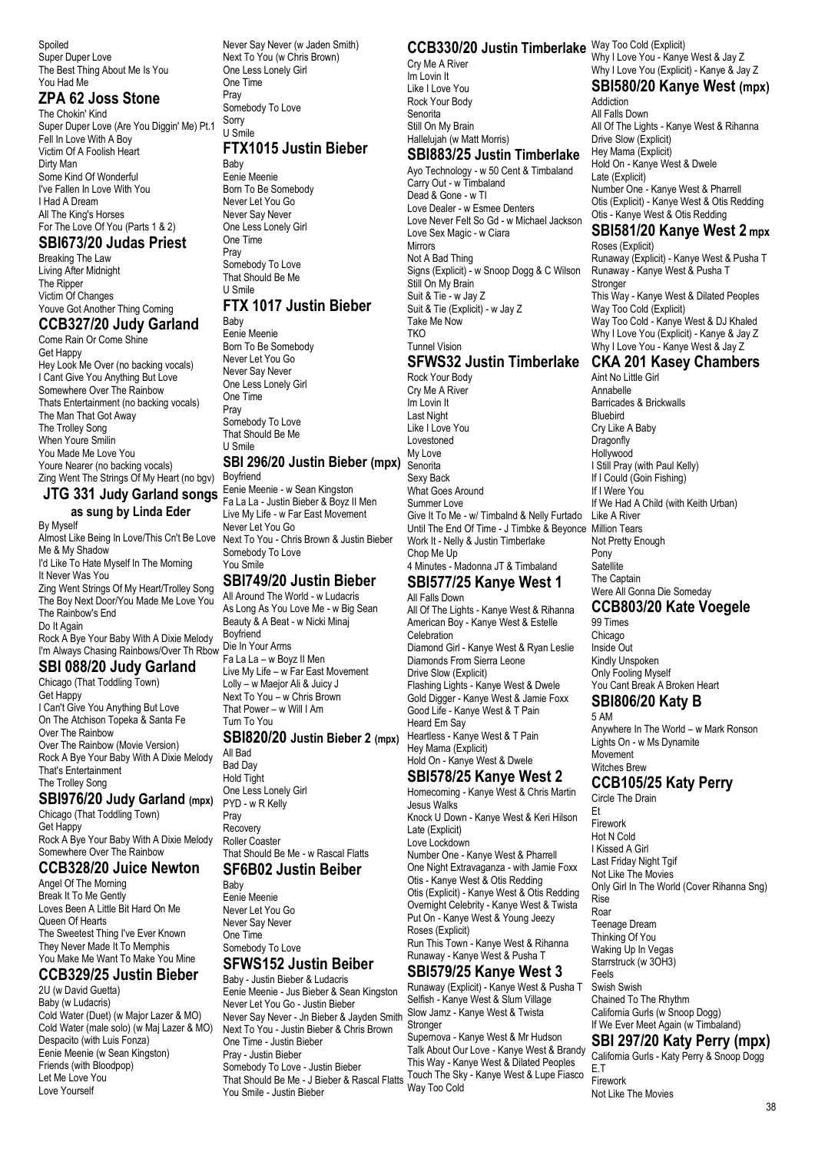Spoiled Super Duper Love The Best Thing About Me Is You You Had Me

#### **ZPA 62 Joss Stone**

The Chokin' Kind Super Duper Love (Are You Diggin' Me) Pt.1 Fell In Love With A Boy Victim Of A Foolish Heart Dirty Man Some Kind Of Wonderful I've Fallen In Love With You I Had A Dream All The King's Horses For The Love Of You (Parts 1 & 2)

#### **SBI673/20 Judas Priest**

Breaking The Law Living After Midnight The Ripper Victim Of Changes Youve Got Another Thing Coming **CCB327/20 Judy Garland** Come Rain Or Come Shine Get Happy Hey Look Me Over (no backing vocals) I Cant Give You Anything But Love Somewhere Over The Rainbow

Thats Entertainment (no backing vocals) The Man That Got Away The Trolley Song When Youre Smilin You Made Me Love You Youre Nearer (no backing vocals) Zing Went The Strings Of My Heart (no bgv)

#### **JTG 331 Judy Garland songs as sung by Linda Eder**

By Myself Almost Like Being In Love/This Cn't Be Love Me & My Shadow I'd Like To Hate Myself In The Morning It Never Was You Zing Went Strings Of My Heart/Trolley Song The Boy Next Door/You Made Me Love You The Rainbow's End Do It Again Rock A Bye Your Baby With A Dixie Melody I'm Always Chasing Rainbows/Over Th Rbow **SBI 088/20 Judy Garland**

#### Chicago (That Toddling Town)

Get Happy I Can't Give You Anything But Love On The Atchison Topeka & Santa Fe Over The Rainbow Over The Rainbow (Movie Version) Rock A Bye Your Baby With A Dixie Melody That's Entertainment The Trolley Song

#### **SBI976/20 Judy Garland (mpx)**

Chicago (That Toddling Town) Get Happy Rock A Bye Your Baby With A Dixie Melody Somewhere Over The Rainbow

# **CCB328/20 Juice Newton**

Angel Of The Morning Break It To Me Gently Loves Been A Little Bit Hard On Me Queen Of Hearts The Sweetest Thing I've Ever Known They Never Made It To Memphis You Make Me Want To Make You Mine

#### **CCB329/25 Justin Bieber**

2U (w David Guetta) Baby (w Ludacris) Cold Water (Duet) (w Major Lazer & MO) Cold Water (male solo) (w Maj Lazer & MO) Despacito (with Luis Fonza) Eenie Meenie (w Sean Kingston) Friends (with Bloodpop) Let Me Love You Love Yourself

Never Say Never (w Jaden Smith) Next To You (w Chris Brown) One Less Lonely Girl One Time Pray Somebody To Love

#### Sorry U Smile

# **FTX1015 Justin Bieber**

Baby Eenie Meenie Born To Be Somebody Never Let You Go Never Say Never One Less Lonely Girl One Time Pray Somebody To Love That Should Be Me U Smile **FTX 1017 Justin Bieber**

#### Baby

Eenie Meenie Born To Be Somebody Never Let You Go Never Say Never One Less Lonely Girl One Time Pray Somebody To Love That Should Be Me U Smile

## **SBI 296/20 Justin Bieber (mpx)**

Boyfriend Eenie Meenie - w Sean Kingston Fa La La - Justin Bieber & Boyz II Men Live My Life - w Far East Movement Never Let You Go Next To You - Chris Brown & Justin Bieber Somebody To Love You Smile

#### **SBI749/20 Justin Bieber**

All Around The World - w Ludacris As Long As You Love Me - w Big Sean Beauty & A Beat - w Nicki Minaj Boyfriend Die In Your Arms Fa La La – w Boyz II Men Live My Life – w Far East Movement Lolly – w Maejor Ali & Juicy J Next To You – w Chris Brown That Power – w Will I Am Turn To You

#### **SBI820/20 Justin Bieber 2 (mpx)**

All Bad Bad Day Hold Tight One Less Lonely Girl PYD - w R Kelly Pray Recovery Roller Coaster That Should Be Me - w Rascal Flatts

#### **SF6B02 Justin Beiber**

Baby Eenie Meenie Never Let You Go Never Say Never One Time Somebody To Love **SFWS152 Justin Beiber**

#### Baby - Justin Bieber & Ludacris Eenie Meenie - Jus Bieber & Sean Kingston Never Let You Go - Justin Bieber Never Say Never - Jn Bieber & Jayden Smith Next To You - Justin Bieber & Chris Brown One Time - Justin Bieber Pray - Justin Bieber Somebody To Love - Justin Bieber That Should Be Me - J Bieber & Rascal Flatts Touch The Sky - Kanye West & Lupe Fiasco You Smile - Justin Bieber

#### **CCB330/20 Justin Timberlake** Way Too Cold (Explicit)

Cry Me A River Im Lovin It Like I Love You Rock Your Body Senorita Still On My Brain Hallelujah (w Matt Morris)

#### **SBI883/25 Justin Timberlake**

Ayo Technology - w 50 Cent & Timbaland Carry Out - w Timbaland Dead & Gone - w TI Love Dealer - w Esmee Denters Love Never Felt So Gd - w Michael Jackson Love Sex Magic - w Ciara Mirrors Not A Bad Thing Signs (Explicit) - w Snoop Dogg & C Wilson Still On My Brain Suit & Tie - w Jay Z Suit & Tie (Explicit) - w Jay Z Take Me Now **TKO** Tunnel Vision

# **SFWS32 Justin Timberlake**

Rock Your Body Cry Me A River Im Lovin It Last Night Like I Love You Lovestoned My Love Senorita Sexy Back What Goes Around Summer Love Give It To Me - w/ Timbalnd & Nelly Furtado Until The End Of Time - J Timbke & Beyonce Million Tears Work It - Nelly & Justin Timberlake Chop Me Up 4 Minutes - Madonna JT & Timbaland

#### **SBI577/25 Kanye West 1** All Falls Down

All Of The Lights - Kanye West & Rihanna American Boy - Kanye West & Estelle Celebration Diamond Girl - Kanye West & Ryan Leslie Diamonds From Sierra Leone Drive Slow (Explicit) Flashing Lights - Kanye West & Dwele Gold Digger - Kanye West & Jamie Foxx Good Life - Kanye West & T Pain Heard Em Say Heartless - Kanye West & T Pain Hey Mama (Explicit) Hold On - Kanye West & Dwele

## **SBI578/25 Kanye West 2**

Homecoming - Kanye West & Chris Martin Jesus Walks Knock U Down - Kanye West & Keri Hilson Late (Explicit) Love Lockdown Number One - Kanye West & Pharrell One Night Extravaganza - with Jamie Foxx Otis - Kanye West & Otis Redding Otis (Explicit) - Kanye West & Otis Redding Overnight Celebrity - Kanye West & Twista Put On - Kanye West & Young Jeezy Roses (Explicit) Run This Town - Kanye West & Rihanna Runaway - Kanye West & Pusha T

## **SBI579/25 Kanye West 3**

Runaway (Explicit) - Kanye West & Pusha T Selfish - Kanye West & Slum Village Slow Jamz - Kanye West & Twista Stronger

Supernova - Kanye West & Mr Hudson Talk About Our Love - Kanye West & Brandy This Way - Kanye West & Dilated Peoples Way Too Cold

Why I Love You - Kanye West & Jay Z Why I Love You (Explicit) - Kanye & Jay Z **SBI580/20 Kanye West (mpx)**

# Addiction

All Falls Down All Of The Lights - Kanye West & Rihanna Drive Slow (Explicit) Hey Mama (Explicit) Hold On - Kanye West & Dwele Late (Explicit) Number One - Kanye West & Pharrell Otis (Explicit) - Kanye West & Otis Redding Otis - Kanye West & Otis Redding

#### **SBI581/20 Kanye West 2 mpx**

Roses (Explicit) Runaway (Explicit) - Kanye West & Pusha T Runaway - Kanye West & Pusha T Stronge This Way - Kanye West & Dilated Peoples Way Too Cold (Explicit) Way Too Cold - Kanye West & DJ Khaled Why I Love You (Explicit) - Kanye & Jay Z Why I Love You - Kanye West & Jay Z

#### **CKA 201 Kasey Chambers**

Aint No Little Girl Annabelle Barricades & Brickwalls Bluebird Cry Like A Baby **Dragonfly** Hollywood I Still Pray (with Paul Kelly) If I Could (Goin Fishing) If I Were You If We Had A Child (with Keith Urban) Like A River Not Pretty Enough Pony Satellite The Captain Were All Gonna Die Someday

# **CCB803/20 Kate Voegele**

99 Times Chicago Inside Out Kindly Unspoken Only Fooling Myself You Cant Break A Broken Heart

#### **SBI806/20 Katy B** 5 AM

Anywhere In The World – w Mark Ronson Lights On - w Ms Dynamite Movement Witches Brew

#### **CCB105/25 Katy Perry**

Circle The Drain

Et Firework Hot N Cold I Kissed A Girl Last Friday Night Tgif Not Like The Movies Only Girl In The World (Cover Rihanna Sng) Rise Roar Teenage Dream Thinking Of You Waking Up In Vegas Starrstruck (w 3OH3) Feels Swish Swish Chained To The Rhythm California Gurls (w Snoop Dogg) If We Ever Meet Again (w Timbaland)

## **SBI 297/20 Katy Perry (mpx)**

California Gurls - Katy Perry & Snoop Dogg E.T Firework Not Like The Movies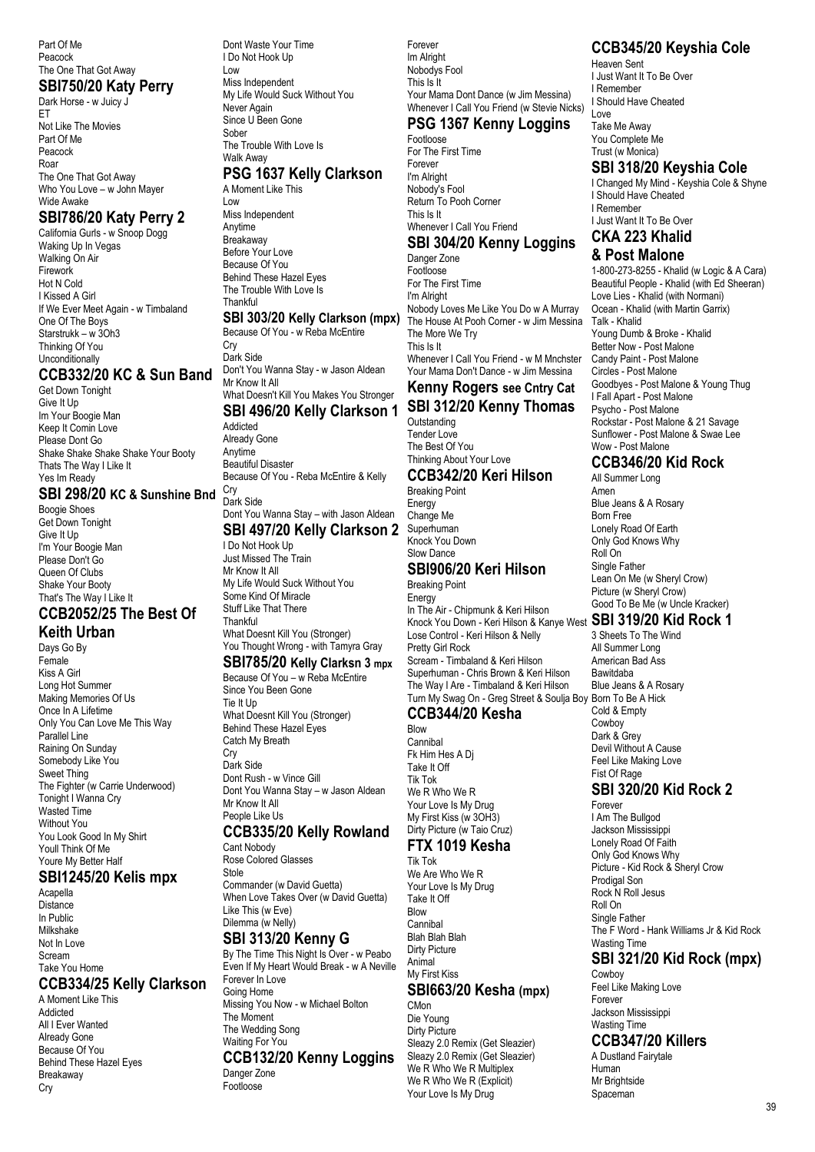Part Of Me Peacock The One That Got Away

#### **SBI750/20 Katy Perry**

Dark Horse - w Juicy J ET Not Like The Movies Part Of Me Peacock Roar The One That Got Away Who You Love – w John Mayer Wide Awake

#### **SBI786/20 Katy Perry 2**

California Gurls - w Snoop Dogg Waking Up In Vegas Walking On Air Firework Hot N Cold I Kissed A Girl If We Ever Meet Again - w Timbaland One Of The Boys Starstrukk – w 3Oh3 Thinking Of You **Unconditionally** 

#### **CCB332/20 KC & Sun Band**

Get Down Tonight Give It Up Im Your Boogie Man Keep It Comin Love Please Dont Go Shake Shake Shake Shake Your Booty Thats The Way I Like It Yes Im Ready

#### **SBI 298/20 KC & Sunshine Bnd** Cry

Boogie Shoes Get Down Tonight Give It Up I'm Your Boogie Man Please Don't Go Queen Of Clubs Shake Your Booty That's The Way I Like It

#### **CCB2052/25 The Best Of Keith Urban**

Days Go By Female Kiss A Girl Long Hot Summer Making Memories Of Us Once In A Lifetime Only You Can Love Me This Way Parallel Line Raining On Sunday Somebody Like You Sweet Thing The Fighter (w Carrie Underwood) Tonight I Wanna Cry Wasted Time Without You You Look Good In My Shirt Youll Think Of Me Youre My Better Half

#### **SBI1245/20 Kelis mpx**

Acapella **Distance** In Public Milkshake Not In Love Scream Take You Home **CCB334/25 Kelly Clarkson**

A Moment Like This Addicted All I Ever Wanted Already Gone Because Of You Behind These Hazel Eyes Breakaway Cry

Dont Waste Your Time I Do Not Hook Up Low Miss Independent My Life Would Suck Without You Never Again Since U Been Gone Sober The Trouble With Love Is

Walk Away

#### **PSG 1637 Kelly Clarkson** A Moment Like This

Low Miss Independent Anytime Breakaway Before Your Love Because Of You Behind These Hazel Eyes The Trouble With Love Is **Thankful** 

#### **SBI 303/20 Kelly Clarkson (mpx)**

Because Of You - w Reba McEntire **Cry** Dark Side Don't You Wanna Stay - w Jason Aldean Mr Know It All What Doesn't Kill You Makes You Stronger **SBI 496/20 Kelly Clarkson 1** Addicted Already Gone Anytime Beautiful Disaster Because Of You - Reba McEntire & Kelly

# Dark Side

Dont You Wanna Stay – with Jason Aldean **SBI 497/20 Kelly Clarkson 2**

I Do Not Hook Up

Just Missed The Train Mr Know It All My Life Would Suck Without You Some Kind Of Miracle Stuff Like That There Thankful

What Doesnt Kill You (Stronger) You Thought Wrong - with Tamyra Gray

#### **SBI785/20 Kelly Clarksn 3 mpx**

Because Of You – w Reba McEntire Since You Been Gone Tie It Up What Doesnt Kill You (Stronger) Behind These Hazel Eyes Catch My Breath **Cry** Dark Side Dont Rush - w Vince Gill Dont You Wanna Stay – w Jason Aldean

Mr Know It All People Like Us **CCB335/20 Kelly Rowland**

Cant Nobody Rose Colored Glasses Stole Commander (w David Guetta)

When Love Takes Over (w David Guetta) Like This (w Eve) Dilemma (w Nelly) **SBI 313/20 Kenny G**

By The Time This Night Is Over - w Peabo Even If My Heart Would Break - w A Neville Forever In Love Going Home Missing You Now - w Michael Bolton The Moment The Wedding Song Waiting For You **CCB132/20 Kenny Loggins** Danger Zone Footloose

Forever Im Alright Nobodys Fool This Is It Your Mama Dont Dance (w Jim Messina) Whenever I Call You Friend (w Stevie Nicks) **PSG 1367 Kenny Loggins**

## Footloose

For The First Time Forever I'm Alright Nobody's Fool Return To Pooh Corner This Is It Whenever I Call You Friend

# **SBI 304/20 Kenny Loggins**

Danger Zone **Footloose** For The First Time I'm Alright Nobody Loves Me Like You Do w A Murray The House At Pooh Corner - w Jim Messina The More We Try This Is It Whenever I Call You Friend - w M Mnchster Your Mama Don't Dance - w Jim Messina

## **Kenny Rogers see Cntry Cat SBI 312/20 Kenny Thomas**

**Outstanding** Tender Love The Best Of You Thinking About Your Love

**CCB342/20 Keri Hilson** Breaking Point Energy Change Me Superhuman Knock You Down Slow Dance

#### **SBI906/20 Keri Hilson**

Breaking Point Energy In The Air - Chipmunk & Keri Hilson Knock You Down - Keri Hilson & Kanye West **SBI 319/20 Kid Rock 1** Lose Control - Keri Hilson & Nelly Pretty Girl Rock Scream - Timbaland & Keri Hilson Superhuman - Chris Brown & Keri Hilson The Way I Are - Timbaland & Keri Hilson Turn My Swag On - Greg Street & Soulja Boy Born To Be A Hick

#### **CCB344/20 Kesha**

Blow Cannibal Fk Him Hes A Dj Take It Off Tik Tok We R Who We R Your Love Is My Drug My First Kiss (w 3OH3) Dirty Picture (w Taio Cruz)

#### **FTX 1019 Kesha** Tik Tok

We Are Who We R Your Love Is My Drug Take It Off Blow Cannibal Blah Blah Blah Dirty Picture Animal My First Kiss **SBI663/20 Kesha (mpx)**

C<sub>Mon</sub> Die Young Dirty Picture Sleazy 2.0 Remix (Get Sleazier) Sleazy 2.0 Remix (Get Sleazier) We R Who We R Multiplex We R Who We R (Explicit) Your Love Is My Drug

## **CCB345/20 Keyshia Cole**

Heaven Sent I Just Want It To Be Over I Remember I Should Have Cheated Love

Take Me Away You Complete Me Trust (w Monica)

#### **SBI 318/20 Keyshia Cole**

I Changed My Mind - Keyshia Cole & Shyne I Should Have Cheated I Remember I Just Want It To Be Over

#### **CKA 223 Khalid & Post Malone**

1-800-273-8255 - Khalid (w Logic & A Cara) Beautiful People - Khalid (with Ed Sheeran) Love Lies - Khalid (with Normani) Ocean - Khalid (with Martin Garrix) Talk - Khalid Young Dumb & Broke - Khalid Better Now - Post Malone Candy Paint - Post Malone Circles - Post Malone Goodbyes - Post Malone & Young Thug I Fall Apart - Post Malone Psycho - Post Malone Rockstar - Post Malone & 21 Savage Sunflower - Post Malone & Swae Lee Wow - Post Malone

#### **CCB346/20 Kid Rock**

All Summer Long Amen Blue Jeans & A Rosary Born Free Lonely Road Of Earth Only God Knows Why Roll On Single Father Lean On Me (w Sheryl Crow) Picture (w Sheryl Crow) Good To Be Me (w Uncle Kracker)

3 Sheets To The Wind All Summer Long American Bad Ass Bawitdaba Blue Jeans & A Rosary Cold & Empty Cowboy Dark & Grey Devil Without A Cause Feel Like Making Love Fist Of Rage **SBI 320/20 Kid Rock 2** Forever

I Am The Bullgod Jackson Mississippi Lonely Road Of Faith Only God Knows Why Picture - Kid Rock & Sheryl Crow Prodigal Son Rock N Roll Jesus Roll On Single Father The F Word - Hank Williams Jr & Kid Rock Wasting Time

# **SBI 321/20 Kid Rock (mpx)**

Cowboy Feel Like Making Love Forever Jackson Mississippi Wasting Time

## **CCB347/20 Killers**

A Dustland Fairytale Human Mr Brightside Spaceman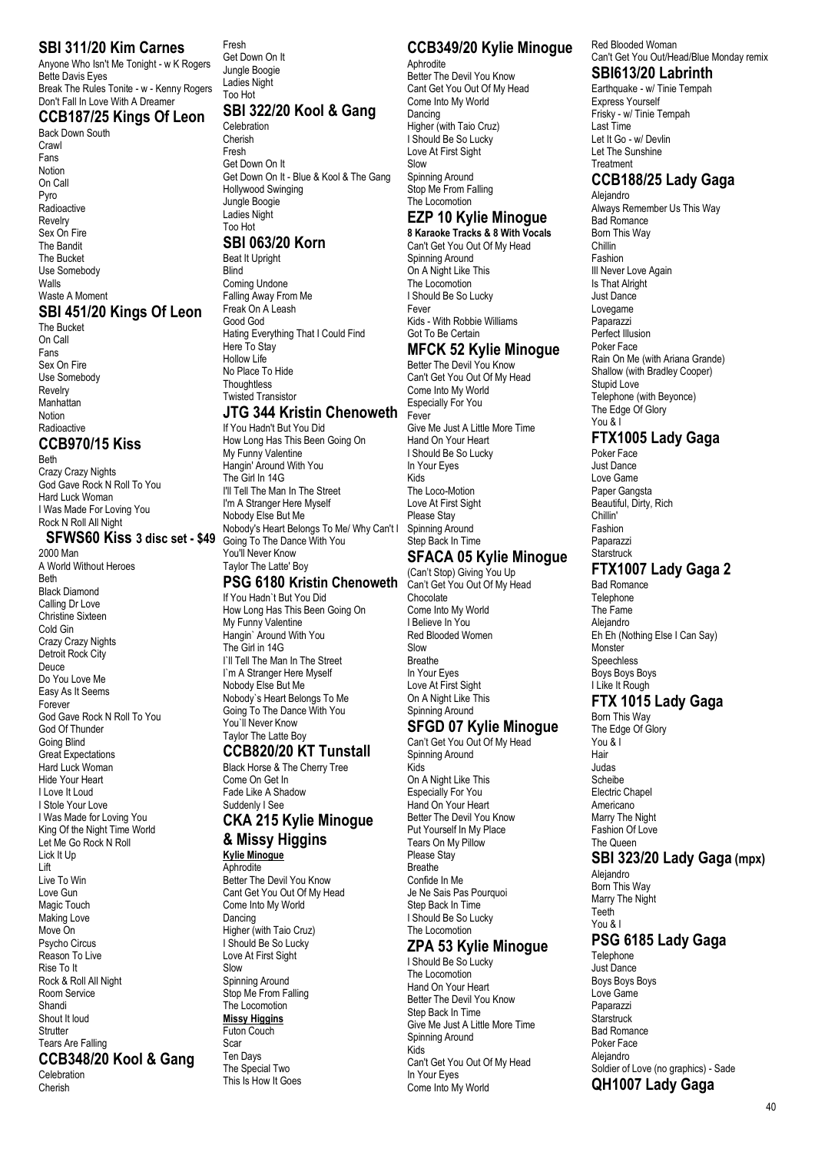#### **SBI 311/20 Kim Carnes**

Anyone Who Isn't Me Tonight - w K Rogers Bette Davis Eyes Break The Rules Tonite - w - Kenny Rogers Don't Fall In Love With A Dreamer

#### **CCB187/25 Kings Of Leon**

Back Down South Crawl Fans Notion On Call Pyro **Radioactive** Revelry Sex On Fire The Bandit The Bucket Use Somebody Walls Waste A Moment

## **SBI 451/20 Kings Of Leon**

The Bucket On Call Fans Sex On Fire Use Somebody Revelry Manhattan Notion **Radioactive** 

## **CCB970/15 Kiss**

Beth Crazy Crazy Nights God Gave Rock N Roll To You Hard Luck Woman I Was Made For Loving You Rock N Roll All Night

#### **SFWS60 Kiss 3 disc set - \$49**

2000 Man A World Without Heroes Beth Black Diamond Calling Dr Love Christine Sixteen Cold Gin Crazy Crazy Nights Detroit Rock City Deuce Do You Love Me Easy As It Seems Forever God Gave Rock N Roll To You God Of Thunder Going Blind Great Expectations Hard Luck Woman Hide Your Heart I Love It Loud I Stole Your Love I Was Made for Loving You King Of the Night Time World Let Me Go Rock N Roll Lick It Up Lift Live To Win Love Gun Magic Touch Making Love Move On Psycho Circus Reason To Live Rise To It Rock & Roll All Night Room Service Shandi Shout It loud Strutter Tears Are Falling **CCB348/20 Kool & Gang** Celebration Cherish

Fresh Get Down On It Jungle Boogie Ladies Night Too Hot

#### **SBI 322/20 Kool & Gang**

Celebration Cherish Fresh Get Down On It Get Down On It - Blue & Kool & The Gang Hollywood Swinging Jungle Boogie Ladies Night Too Hot

#### **SBI 063/20 Korn**

Beat It Upright **Rlind** Coming Undone Falling Away From Me Freak On A Leash Good God Hating Everything That I Could Find Here To Stay Hollow Life No Place To Hide **Thoughtless** Twisted Transistor

## **JTG 344 Kristin Chenoweth**

If You Hadn't But You Did How Long Has This Been Going On My Funny Valentine Hangin' Around With You The Girl In 14G I'll Tell The Man In The Street I'm A Stranger Here Myself Nobody Else But Me Nobody's Heart Belongs To Me/ Why Can't I Going To The Dance With You You'll Never Know Taylor The Latte' Boy

#### **PSG 6180 Kristin Chenoweth**

If You Hadn`t But You Did How Long Has This Been Going On My Funny Valentine Hangin` Around With You The Girl in 14G I`ll Tell The Man In The Street I`m A Stranger Here Myself Nobody Else But Me Nobody`s Heart Belongs To Me Going To The Dance With You You`ll Never Know Taylor The Latte Boy

# **CCB820/20 KT Tunstall**

Black Horse & The Cherry Tree Come On Get In Fade Like A Shadow Suddenly I See

#### **CKA 215 Kylie Minogue & Missy Higgins**

**Kylie Minogue Aphrodite** 

Better The Devil You Know Cant Get You Out Of My Head Come Into My World Dancing Higher (with Taio Cruz) I Should Be So Lucky Love At First Sight Slow Spinning Around Stop Me From Falling The Locomotion **Missy Higgins** Futon Couch Scar Ten Days The Special Two This Is How It Goes

# **CCB349/20 Kylie Minogue**

Aphrodite Better The Devil You Know Cant Get You Out Of My Head Come Into My World Dancing Higher (with Taio Cruz) I Should Be So Lucky Love At First Sight Slow Spinning Around

Stop Me From Falling The Locomotion

# **EZP 10 Kylie Minogue**

**8 Karaoke Tracks & 8 With Vocals** Can't Get You Out Of My Head Spinning Around On A Night Like This The Locomotion I Should Be So Lucky Fever Kids - With Robbie Williams Got To Be Certain

#### **MFCK 52 Kylie Minogue**

Better The Devil You Know Can't Get You Out Of My Head Come Into My World Especially For You Fever Give Me Just A Little More Time Hand On Your Heart I Should Be So Lucky In Your Eyes Kids The Loco-Motion Love At First Sight Please Stay Spinning Around

#### Step Back In Time **SFACA 05 Kylie Minogue**

(Can't Stop) Giving You Up Can't Get You Out Of My Head Chocolate Come Into My World I Believe In You Red Blooded Women **Slow** Breathe In Your Eyes Love At First Sight On A Night Like This Spinning Around

## **SFGD 07 Kylie Minogue**

Can't Get You Out Of My Head Spinning Around Kids On A Night Like This Especially For You Hand On Your Heart Better The Devil You Know Put Yourself In My Place Tears On My Pillow Please Stay Breathe Confide In Me Je Ne Sais Pas Pourquoi Step Back In Time I Should Be So Lucky The Locomotion

## **ZPA 53 Kylie Minogue**

I Should Be So Lucky The Locomotion Hand On Your Heart Better The Devil You Know Step Back In Time Give Me Just A Little More Time Spinning Around Kids Can't Get You Out Of My Head In Your Eyes Come Into My World

Red Blooded Woman Can't Get You Out/Head/Blue Monday remix

## **SBI613/20 Labrinth**

Earthquake - w/ Tinie Tempah Express Yourself Frisky - w/ Tinie Tempah Last Time Let It Go - w/ Devlin Let The Sunshine **Treatment** 

#### **CCB188/25 Lady Gaga**

Alejandro Always Remember Us This Way Bad Romance Born This Way Chillin Fashion Ill Never Love Again Is That Alright Just Dance Lovegame Paparazzi Perfect Illusion Poker Face Rain On Me (with Ariana Grande) Shallow (with Bradley Cooper) Stupid Love Telephone (with Beyonce) The Edge Of Glory You & I

# **FTX1005 Lady Gaga**

Poker Face Just Dance Love Game Paper Gangsta Beautiful, Dirty, Rich Chillin' Fashion Paparazzi **Starstruck** 

# **FTX1007 Lady Gaga 2**

Bad Romance **Telephone** The Fame Alejandro Eh Eh (Nothing Else I Can Say) **Monster** Speechless Boys Boys Boys I Like It Rough

# **FTX 1015 Lady Gaga**

Born This Way The Edge Of Glory You & I Hair Judas Scheibe Electric Chapel Americano Marry The Night Fashion Of Love The Queen

# **SBI 323/20 Lady Gaga (mpx)**

Alejandro Born This Way Marry The Night Teeth You & I

# **PSG 6185 Lady Gaga**

**Telephone** Just Dance Boys Boys Boys Love Game Paparazzi **Starstruck** Bad Romance Poker Face Alejandro Soldier of Love (no graphics) - Sade **QH1007 Lady Gaga**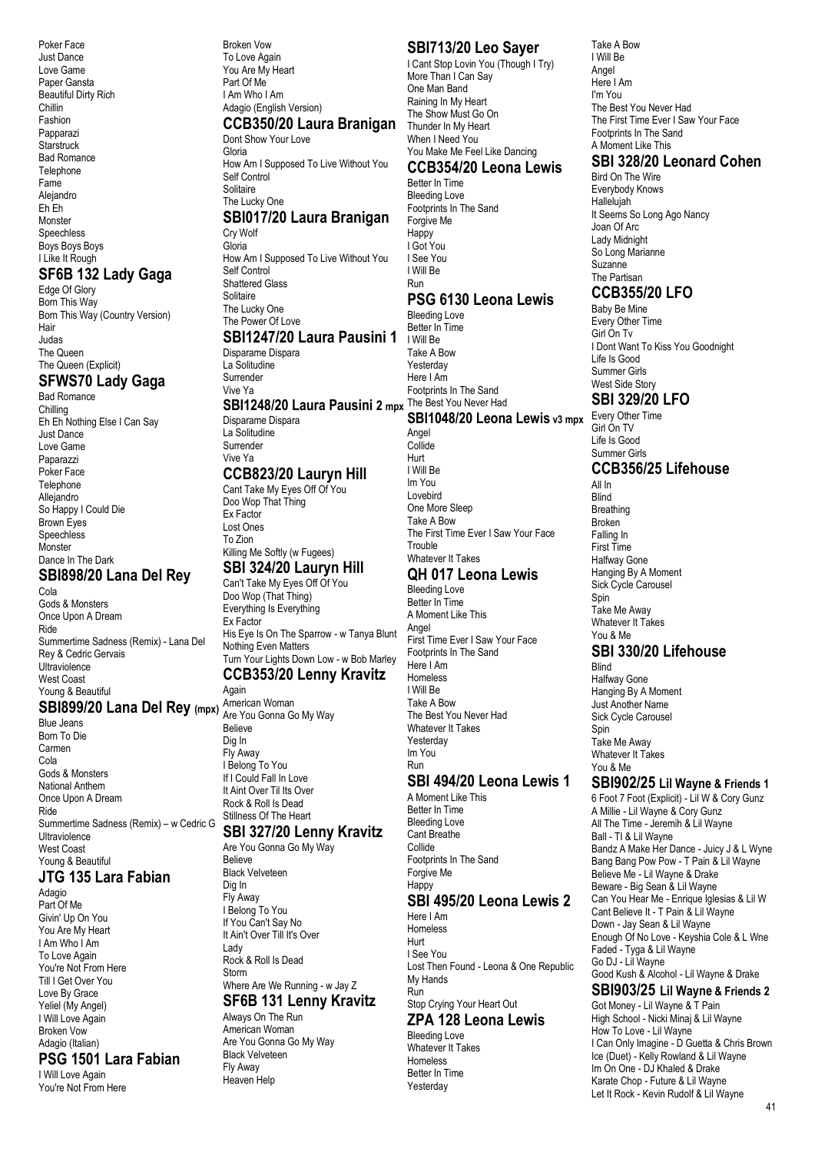Poker Face Just Dance Love Game Paper Gansta Beautiful Dirty Rich Chillin Fashion Papparazi **Starstruck** Bad Romance **Telenhone** Fame Alejandro Eh Eh Monster **Speechless** Boys Boys Boys I Like It Rough

#### **SF6B 132 Lady Gaga**

Edge Of Glory Born This Way Born This Way (Country Version) Hair Judas The Queen The Queen (Explicit)

## **SFWS70 Lady Gaga**

Bad Romance Chilling Eh Eh Nothing Else I Can Say Just Dance Love Game Paparazzi Poker Face **Telephone** Allejandro So Happy I Could Die Brown Eyes Speechless Monster Dance In The Dark **SBI898/20 Lana Del Rey** Cola Gods & Monsters Once Upon A Dream Ride Summertime Sadness (Remix) - Lana Del Rey & Cedric Gervais Ultraviolence West Coast

#### Young & Beautiful **SBI899/20 Lana Del Rey (mpx)** American Woman

Blue Jeans Born To Die Carmen Cola Gods & Monsters National Anthem Once Upon A Dream Ride Summertime Sadness (Remix) – w Cedric G Ultraviolence West Coast Young & Beautiful

# **JTG 135 Lara Fabian**

Adagio Part Of Me Givin' Up On You You Are My Heart I Am Who I Am To Love Again You're Not From Here Till I Get Over You Love By Grace Yeliel (My Angel) I Will Love Again Broken Vow Adagio (Italian)

#### **PSG 1501 Lara Fabian**

I Will Love Again You're Not From Here

#### Broken Vow To Love Again You Are My Heart Part Of Me I Am Who I Am Adagio (English Version) **CCB350/20 Laura Branigan** Dont Show Your Love Gloria How Am I Supposed To Live Without You Self Control Solitaire

The Lucky One

#### **SBI017/20 Laura Branigan** Cry Wolf

Gloria How Am I Supposed To Live Without You Self Control Shattered Glass Solitaire The Lucky One The Power Of Love **SBI1247/20 Laura Pausini 1**

## Disparame Dispara

La Solitudine Surrender Vive Ya

## **SBI1248/20 Laura Pausini 2 mpx** The Best You Never Had

Disparame Dispara La Solitudine Surrender Vive Ya

#### **CCB823/20 Lauryn Hill**

Cant Take My Eyes Off Of You Doo Wop That Thing Ex Factor Lost Ones To Zion Killing Me Softly (w Fugees) **SBI 324/20 Lauryn Hill**

#### Can't Take My Eyes Off Of You Doo Wop (That Thing) Everything Is Everything Ex Factor His Eye Is On The Sparrow - w Tanya Blunt Nothing Even Matters Turn Your Lights Down Low - w Bob Marley **CCB353/20 Lenny Kravitz**

Again Are You Gonna Go My Way

Believe Dig In Fly Away I Belong To You If I Could Fall In Love It Aint Over Til Its Over Rock & Roll Is Dead Stillness Of The Heart

#### **SBI 327/20 Lenny Kravitz**

Are You Gonna Go My Way Believe Black Velveteen Dig In Fly Away I Belong To You If You Can't Say No It Ain't Over Till It's Over Lady Rock & Roll Is Dead Storm Where Are We Running - w Jay Z **SF6B 131 Lenny Kravitz**

Always On The Run American Woman Are You Gonna Go My Way Black Velveteen Fly Away Heaven Help

#### **SBI713/20 Leo Sayer**

I Cant Stop Lovin You (Though I Try) More Than I Can Say One Man Band Raining In My Heart The Show Must Go On Thunder In My Heart When I Need You You Make Me Feel Like Dancing

#### **CCB354/20 Leona Lewis** Better In Time

Bleeding Love Footprints In The Sand Forgive Me Happy I Got You I See You I Will Be Run

#### **PSG 6130 Leona Lewis**

Bleeding Love Better In Time I Will Be Take A Bow Yesterday Here I Am Footprints In The Sand

## **SBI1048/20 Leona Lewis** v3 mpx Every Other Time

Angel **Collide** Hurt I Will Be Im You Lovebird One More Sleep Take A Bow The First Time Ever I Saw Your Face Trouble Whatever It Takes

#### **QH 017 Leona Lewis** Bleeding Love

Better In Time A Moment Like This Angel First Time Ever I Saw Your Face Footprints In The Sand Here I Am Homeless I Will Be Take A Bow The Best You Never Had Whatever It Takes Yesterday Im You Run

# **SBI 494/20 Leona Lewis 1**

A Moment Like This Better In Time Bleeding Love Cant Breathe Collide Footprints In The Sand Forgive Me Happy **SBI 495/20 Leona Lewis 2** Here I Am Homeless Hurt

I See You Lost Then Found - Leona & One Republic My Hands Run Stop Crying Your Heart Out

# **ZPA 128 Leona Lewis**

Bleeding Love Whatever It Takes Homeless Better In Time Yesterday

Take A Bow I Will Be Angel Here I Am I'm You The Best You Never Had The First Time Ever I Saw Your Face Footprints In The Sand A Moment Like This

## **SBI 328/20 Leonard Cohen**

Bird On The Wire Everybody Knows Hallelujah It Seems So Long Ago Nancy Joan Of Arc Lady Midnight So Long Marianne **Suzanne** The Partisan

## **CCB355/20 LFO**

Baby Be Mine Every Other Time Girl On Tv I Dont Want To Kiss You Goodnight Life Is Good Summer Girls West Side Story **SBI 329/20 LFO**

Girl On TV Life Is Good Summer Girls

# **CCB356/25 Lifehouse**

All In Blind **Breathing** Broken Falling In First Time Halfway Gone Hanging By A Moment Sick Cycle Carousel Spin Take Me Away Whatever It Takes You & Me

#### **SBI 330/20 Lifehouse** Blind

Halfway Gone Hanging By A Moment Just Another Name Sick Cycle Carousel Spin Take Me Away Whatever It Takes You & Me

#### **SBI902/25 Lil Wayne & Friends 1**

6 Foot 7 Foot (Explicit) - Lil W & Cory Gunz A Millie - Lil Wayne & Cory Gunz All The Time - Jeremih & Lil Wayne Ball - TI & Lil Wayne Bandz A Make Her Dance - Juicy J & L Wyne Bang Bang Pow Pow - T Pain & Lil Wayne Believe Me - Lil Wayne & Drake Beware - Big Sean & Lil Wayne Can You Hear Me - Enrique Iglesias & Lil W Cant Believe It - T Pain & Lil Wayne Down - Jay Sean & Lil Wayne Enough Of No Love - Keyshia Cole & L Wne Faded - Tyga & Lil Wayne Go DJ - Lil Wayne Good Kush & Alcohol - Lil Wayne & Drake **SBI903/25 Lil Wayne & Friends 2**

Got Money - Lil Wayne & T Pain High School - Nicki Minaj & Lil Wayne How To Love - Lil Wayne I Can Only Imagine - D Guetta & Chris Brown Ice (Duet) - Kelly Rowland & Lil Wayne Im On One - DJ Khaled & Drake Karate Chop - Future & Lil Wayne Let It Rock - Kevin Rudolf & Lil Wayne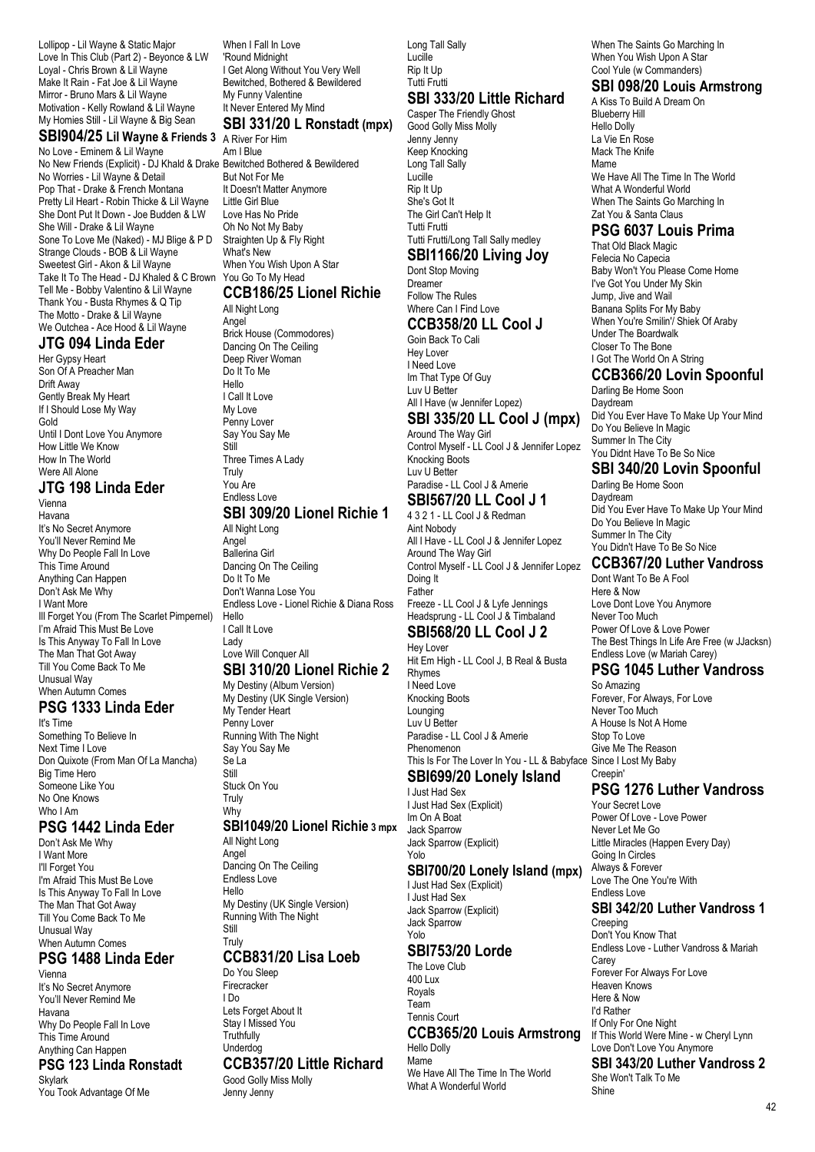Lollipop - Lil Wayne & Static Major Love In This Club (Part 2) - Beyonce & LW Loyal - Chris Brown & Lil Wayne Make It Rain - Fat Joe & Lil Wayne Mirror - Bruno Mars & Lil Wayne Motivation - Kelly Rowland & Lil Wayne My Homies Still - Lil Wayne & Big Sean

# **SBI904/25 Lil Wayne & Friends 3** A River For Him

No Love - Eminem & Lil Wayne No New Friends (Explicit) - DJ Khald & Drake Bewitched Bothered & Bewildered No Worries - Lil Wayne & Detail Pop That - Drake & French Montana Pretty Lil Heart - Robin Thicke & Lil Wayne She Dont Put It Down - Joe Budden & LW She Will - Drake & Lil Wayne Sone To Love Me (Naked) - MJ Blige & P D Strange Clouds - BOB & Lil Wayne Sweetest Girl - Akon & Lil Wayne Take It To The Head - DJ Khaled & C Brown Tell Me - Bobby Valentino & Lil Wayne Thank You - Busta Rhymes & Q Tip The Motto - Drake & Lil Wayne We Outchea - Ace Hood & Lil Wayne

#### **JTG 094 Linda Eder**

Her Gypsy Heart Son Of A Preacher Man Drift Away Gently Break My Heart If I Should Lose My Way Gold Until I Dont Love You Anymore How Little We Know How In The World Were All Alone

#### **JTG 198 Linda Eder** Vienna

Havana It's No Secret Anymore You'll Never Remind Me Why Do People Fall In Love This Time Around Anything Can Happen Don't Ask Me Why I Want More Ill Forget You (From The Scarlet Pimpernel) I'm Afraid This Must Be Love Is This Anyway To Fall In Love The Man That Got Away Till You Come Back To Me Unusual Way When Autumn Comes

## **PSG 1333 Linda Eder**

It's Time Something To Believe In Next Time I Love Don Quixote (From Man Of La Mancha) Big Time Hero Someone Like You No One Knows Who I Am

#### **PSG 1442 Linda Eder**

Don't Ask Me Why I Want More I'll Forget You I'm Afraid This Must Be Love Is This Anyway To Fall In Love The Man That Got Away Till You Come Back To Me Unusual Way When Autumn Comes

## **PSG 1488 Linda Eder**

Vienna It's No Secret Anymore You'll Never Remind Me Havana Why Do People Fall In Love This Time Around Anything Can Happen **PSG 123 Linda Ronstadt**

# Skylark

You Took Advantage Of Me

When I Fall In Love 'Round Midnight I Get Along Without You Very Well Bewitched, Bothered & Bewildered My Funny Valentine It Never Entered My Mind **SBI 331/20 L Ronstadt (mpx)**

Am I Blue But Not For Me It Doesn't Matter Anymore Little Girl Blue Love Has No Pride Oh No Not My Baby Straighten Up & Fly Right What's New When You Wish Upon A Star You Go To My Head

#### **CCB186/25 Lionel Richie** All Night Long

Angel Brick House (Commodores) Dancing On The Ceiling Deep River Woman Do It To Me Hello I Call It Love My Love Penny Lover Say You Say Me **CHIL** Three Times A Lady **Truly** You Are Endless Love **SBI 309/20 Lionel Richie 1**

# All Night Long

Angel Ballerina Girl Dancing On The Ceiling Do It To Me Don't Wanna Lose You Endless Love - Lionel Richie & Diana Ross Hello I Call It Love Lady Love Will Conquer All

# **SBI 310/20 Lionel Richie 2**

My Destiny (Album Version) My Destiny (UK Single Version) My Tender Heart Penny Lover Running With The Night Say You Say Me Se La Still

Stuck On You Truly Why

#### **SBI1049/20 Lionel Richie 3 mpx**

All Night Long Angel Dancing On The Ceiling Endless Love Hello My Destiny (UK Single Version) Running With The Night Still Truly

## **CCB831/20 Lisa Loeb**

Do You Sleep Firecracker I Do Lets Forget About It Stay I Missed You **Truthfully** Underdog **CCB357/20 Little Richard** Good Golly Miss Molly

Jenny Jenny

Long Tall Sally Lucille Rip It Up Tutti Frutti

# **SBI 333/20 Little Richard**

Casper The Friendly Ghost Good Golly Miss Molly Jenny Jenny Keep Knocking Long Tall Sally Lucille Rip It Up She's Got It The Girl Can't Help It Tutti Frutti Tutti Frutti/Long Tall Sally medley

# **SBI1166/20 Living Joy**

#### Dont Stop Moving Dreamer Follow The Rules Where Can I Find Love

**CCB358/20 LL Cool J** Goin Back To Cali

Hey Lover I Need Love Im That Type Of Guy Luv U Better All I Have (w Jennifer Lopez)

## **SBI 335/20 LL Cool J (mpx)**

Around The Way Girl Control Myself - LL Cool J & Jennifer Lopez Knocking Boots Luv U Better Paradise - LL Cool J & Amerie **SBI567/20 LL Cool J 1**

# 4 3 2 1 - LL Cool J & Redman

Aint Nobody All I Have - LL Cool J & Jennifer Lopez Around The Way Girl Control Myself - LL Cool J & Jennifer Lopez Doing It Father Freeze - LL Cool J & Lyfe Jennings Headsprung - LL Cool J & Timbaland

#### **SBI568/20 LL Cool J 2** Hey Lover

Hit Em High - LL Cool J, B Real & Busta Rhymes I Need Love Knocking Boots Lounging Luv U Better Paradise - LL Cool J & Amerie Phenomenon This Is For The Lover In You - LL & Babyface Since I Lost My Baby

# **SBI699/20 Lonely Island**

I Just Had Sex I Just Had Sex (Explicit) Im On A Boat Jack Sparrow Jack Sparrow (Explicit) Yolo

#### **SBI700/20 Lonely Island (mpx)**

I Just Had Sex (Explicit) I Just Had Sex Jack Sparrow (Explicit)

#### Yolo **SBI753/20 Lorde**

Jack Sparrow

The Love Club 400 Lux Royals Team Tennis Court **CCB365/20 Louis Armstrong** Hello Dolly Mame We Have All The Time In The World What A Wonderful World

When The Saints Go Marching In When You Wish Upon A Star Cool Yule (w Commanders)

#### **SBI 098/20 Louis Armstrong**

A Kiss To Build A Dream On Blueberry Hill Hello Dolly La Vie En Rose Mack The Knife Mame We Have All The Time In The World What A Wonderful World When The Saints Go Marching In Zat You & Santa Claus

# **PSG 6037 Louis Prima**

That Old Black Magic Felecia No Capecia Baby Won't You Please Come Home I've Got You Under My Skin Jump, Jive and Wail Banana Splits For My Baby When You're Smilin'/ Shiek Of Araby Under The Boardwalk Closer To The Bone I Got The World On A String

#### **CCB366/20 Lovin Spoonful**

Darling Be Home Soon **Davdream** Did You Ever Have To Make Up Your Mind Do You Believe In Magic Summer In The City You Didnt Have To Be So Nice

## **SBI 340/20 Lovin Spoonful**

Darling Be Home Soon Daydream Did You Ever Have To Make Up Your Mind Do You Believe In Magic Summer In The City You Didn't Have To Be So Nice

#### **CCB367/20 Luther Vandross**

Dont Want To Be A Fool Here & Now Love Dont Love You Anymore Never Too Much Power Of Love & Love Power The Best Things In Life Are Free (w JJacksn) Endless Love (w Mariah Carey)

#### **PSG 1045 Luther Vandross**

So Amazing Forever, For Always, For Love Never Too Much A House Is Not A Home Stop To Love Give Me The Reason Creepin'

#### **PSG 1276 Luther Vandross**

Your Secret Love Power Of Love - Love Power Never Let Me Go Little Miracles (Happen Every Day) Going In Circles Always & Forever Love The One You're With Endless Love **SBI 342/20 Luther Vandross 1 Creeping** Don't You Know That Endless Love - Luther Vandross & Mariah **Carey** Forever For Always For Love Heaven Knows Here & Now I'd Rather If Only For One Night If This World Were Mine - w Cheryl Lynn Love Don't Love You Anymore **SBI 343/20 Luther Vandross 2** She Won't Talk To Me Shine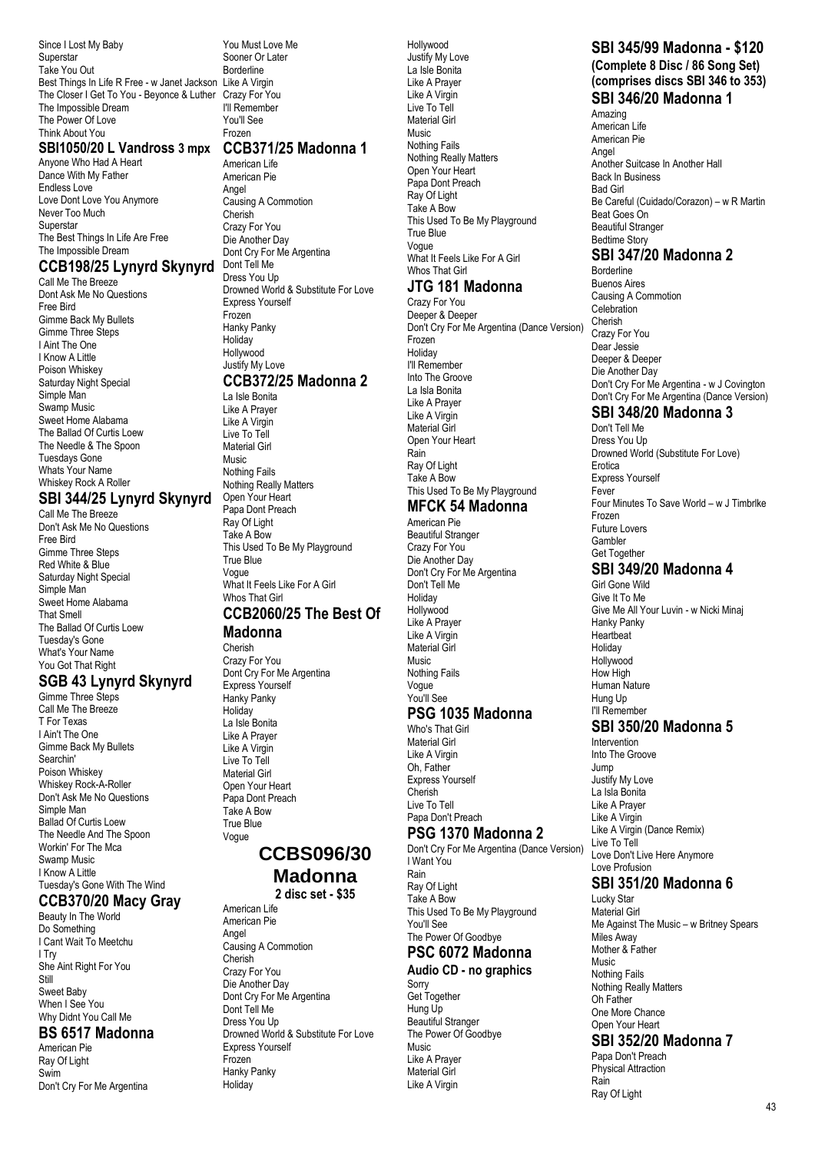Since I Lost My Baby Superstar Take You Out Best Things In Life R Free - w Janet Jackson Like A Virgin The Closer I Get To You - Beyonce & Luther Crazy For You The Impossible Dream The Power Of Love Think About You Frozen

#### **SBI1050/20 L Vandross 3 mpx CCB371/25 Madonna 1**

Anyone Who Had A Heart Dance With My Father Endless Love Love Dont Love You Anymore Never Too Much Superstar The Best Things In Life Are Free The Impossible Dream

#### **CCB198/25 Lynyrd Skynyrd**

Call Me The Breeze Dont Ask Me No Questions Free Bird Gimme Back My Bullets Gimme Three Steps I Aint The One I Know A Little Poison Whiskey Saturday Night Special Simple Man Swamp Music Sweet Home Alabama The Ballad Of Curtis Loew The Needle & The Spoon Tuesdays Gone Whats Your Name Whiskey Rock A Roller

#### **SBI 344/25 Lynyrd Skynyrd**

Call Me The Breeze Don't Ask Me No Questions Free Bird Gimme Three Steps Red White & Blue Saturday Night Special Simple Man Sweet Home Alabama That Smell The Ballad Of Curtis Loew Tuesday's Gone What's Your Name You Got That Right

## **SGB 43 Lynyrd Skynyrd**

Gimme Three Steps Call Me The Breeze T For Texas I Ain't The One Gimme Back My Bullets Searchin' Poison Whiskey Whiskey Rock-A-Roller Don't Ask Me No Questions Simple Man Ballad Of Curtis Loew The Needle And The Spoon Workin' For The Mca Swamp Music I Know A Little Tuesday's Gone With The Wind

#### **CCB370/20 Macy Gray**

Beauty In The World Do Something I Cant Wait To Meetchu I Try She Aint Right For You Still Sweet Baby When I See You Why Didnt You Call Me

#### **BS 6517 Madonna**

American Pie Ray Of Light Swim Don't Cry For Me Argentina You Must Love Me Sooner Or Later Borderline I'll Remember You'll See

American Life American Pie Angel Causing A Commotion Cherish Crazy For You Die Another Day Dont Cry For Me Argentina Dont Tell Me Dress You Up Drowned World & Substitute For Love Express Yourself Frozen Hanky Panky **Holiday** Hollywood Justify My Love **CCB372/25 Madonna 2** La Isle Bonita Like A Prayer

#### Like A Virgin Live To Tell Material Girl Music Nothing Fails Nothing Really Matters Open Your Heart Papa Dont Preach Ray Of Light Take A Bow This Used To Be My Playground True Blue Vogue What It Feels Like For A Girl Whos That Girl **CCB2060/25 The Best Of**

#### **Madonna**

Cherish Crazy For You Dont Cry For Me Argentina Express Yourself Hanky Panky **Holiday** La Isle Bonita Like A Prayer Like A Virgin Live To Tell Material Girl Open Your Heart Papa Dont Preach Take A Bow True Blue Vogue

#### **CCBS096/30 Madonna**

**2 disc set - \$35**

American Life American Pie Angel Causing A Commotion Cherish Crazy For You Die Another Day Dont Cry For Me Argentina Dont Tell Me Dress You Up Drowned World & Substitute For Love Express Yourself Frozen Hanky Panky Holiday

Hollywood Justify My Love La Isle Bonita Like A Prayer Like A Virgin Live To Tell Material Girl Music Nothing Fails Nothing Really Matters Open Your Heart Papa Dont Preach Ray Of Light Take A Bow This Used To Be My Playground True Blue Vogue What It Feels Like For A Girl Whos That Girl

## **JTG 181 Madonna**

Crazy For You Deeper & Deeper Don't Cry For Me Argentina (Dance Version) Frozen **Holiday** I'll Remember Into The Groove La Isla Bonita Like A Prayer Like A Virgin Material Girl Open Your Heart Rain Ray Of Light Take A Bow This Used To Be My Playground

# **MFCK 54 Madonna**

American Pie Beautiful Stranger Crazy For You Die Another Day Don't Cry For Me Argentina Don't Tell Me Holiday Hollywood Like A Prayer Like A Virgin Material Girl Music Nothing Fails Vogue You'll See

## **PSG 1035 Madonna**

Who's That Girl Material Girl Like A Virgin Oh, Father Express Yourself Cherish Live To Tell Papa Don't Preach

# **PSG 1370 Madonna 2**

Don't Cry For Me Argentina (Dance Version) I Want You Rain Ray Of Light Take A Bow This Used To Be My Playground You'll See The Power Of Goodbye

## **PSC 6072 Madonna**

#### **Audio CD - no graphics** Sorry Get Together

Hung Up Beautiful Stranger The Power Of Goodbye Music Like A Prayer Material Girl Like A Virgin

# **SBI 345/99 Madonna - \$120**

**(Complete 8 Disc / 86 Song Set) (comprises discs SBI 346 to 353) SBI 346/20 Madonna 1**

Amazing American Life American Pie Angel Another Suitcase In Another Hall Back In Business Bad Girl Be Careful (Cuidado/Corazon) – w R Martin Beat Goes On Beautiful Stranger Bedtime Story

# **SBI 347/20 Madonna 2**

Borderline Buenos Aires Causing A Commotion **Celebration** Cherish Crazy For You Dear Jessie Deeper & Deeper Die Another Day Don't Cry For Me Argentina - w J Covington Don't Cry For Me Argentina (Dance Version)

## **SBI 348/20 Madonna 3**

Don't Tell Me Dress You Un Drowned World (Substitute For Love) Erotica Express Yourself Fever Four Minutes To Save World – w J Timbrlke Frozen Future Lovers **Gambler** Get Together

# **SBI 349/20 Madonna 4**

Girl Gone Wild Give It To Me Give Me All Your Luvin - w Nicki Minaj Hanky Panky **Heartbeat** Holiday Hollywood How High Human Nature Hung Up I'll Remember **SBI 350/20 Madonna 5** Intervention Into The Groove Jump

Justify My Love La Isla Bonita Like A Prayer Like A Virgin Like A Virgin (Dance Remix) Live To Tell Love Don't Live Here Anymore Love Profusion

## **SBI 351/20 Madonna 6**

Lucky Star Material Girl Me Against The Music – w Britney Spears Miles Away Mother & Father Music Nothing Fails Nothing Really Matters Oh Father One More Chance Open Your Heart **SBI 352/20 Madonna 7** Papa Don't Preach

Physical Attraction

Rain Ray Of Light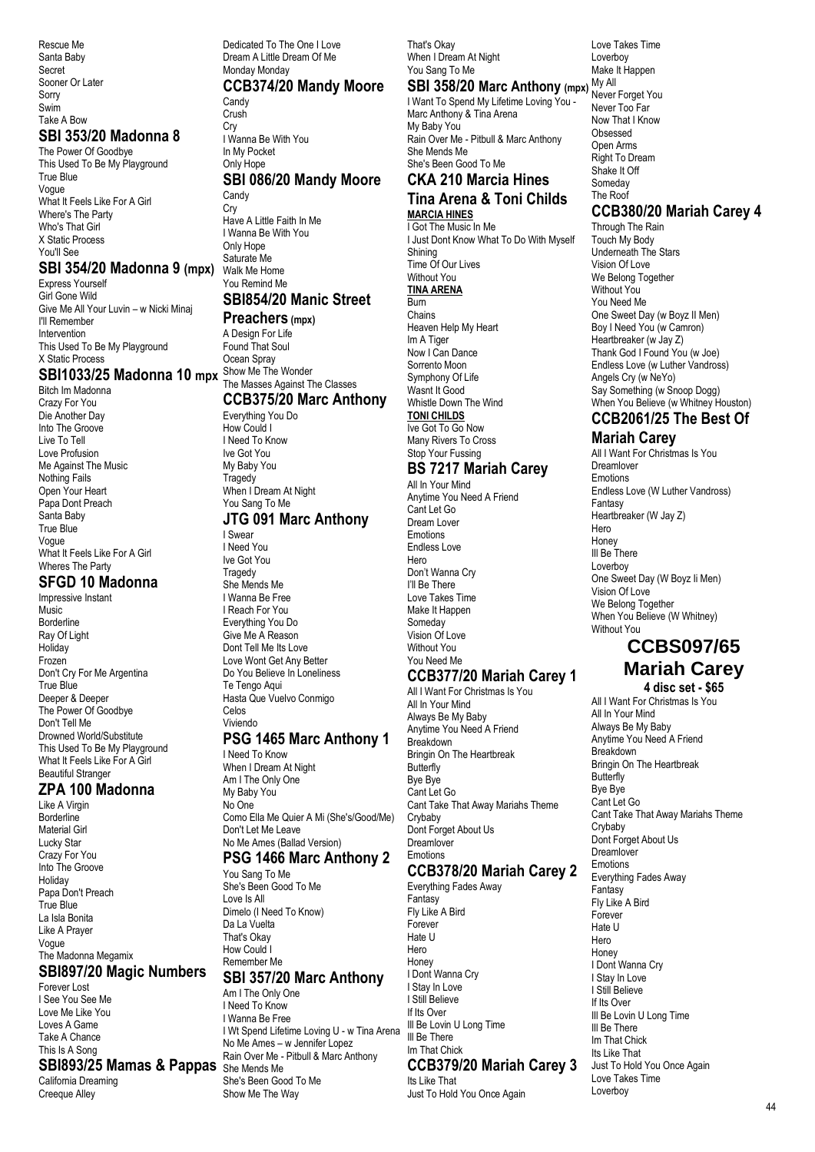Rescue Me Santa Baby Secret Sooner Or Later Sorry Swim Take A Bow

#### **SBI 353/20 Madonna 8**

The Power Of Goodbye This Used To Be My Playground True Blue Vogue What It Feels Like For A Girl Where's The Party Who's That Girl X Static Process You'll See

#### **SBI 354/20 Madonna 9 (mpx)**

Express Yourself Girl Gone Wild Give Me All Your Luvin – w Nicki Minaj I'll Remember Intervention This Used To Be My Playground X Static Process

Bitch Im Madonna Crazy For You Die Another Day Into The Groove Live To Tell Love Profusion Me Against The Music Nothing Fails Open Your Heart Papa Dont Preach Santa Baby True Blue Vogue What It Feels Like For A Girl Wheres The Party

# **SFGD 10 Madonna**

Impressive Instant **Music** Borderline Ray Of Light Holiday Frozen Don't Cry For Me Argentina True Blue Deeper & Deeper The Power Of Goodbye Don't Tell Me Drowned World/Substitute This Used To Be My Playground What It Feels Like For A Girl Beautiful Stranger

#### **ZPA 100 Madonna**

Like A Virgin **Borderline** Material Girl Lucky Star Crazy For You Into The Groove Holiday Papa Don't Preach True Blue La Isla Bonita Like A Prayer Vogue The Madonna Megamix

#### **SBI897/20 Magic Numbers**

Forever Lost I See You See Me Love Me Like You Loves A Game Take A Chance This Is A Song

#### **SBI893/25 Mamas & Pappas** She Mends Me

California Dreaming Creeque Alley

**SBI1033/25 Madonna 10 mpx** Show Me The Wonder Dedicated To The One I Love Dream A Little Dream Of Me Monday Monday **CCB374/20 Mandy Moore Candy** Crush Cry I Wanna Be With You In My Pocket Only Hope **SBI 086/20 Mandy Moore Candy Cry** Have A Little Faith In Me I Wanna Be With You Only Hope Saturate Me Walk Me Home You Remind Me **SBI854/20 Manic Street Preachers (mpx)** A Design For Life Found That Soul Ocean Spray The Masses Against The Classes **CCB375/20 Marc Anthony** Everything You Do How Could I I Need To Know Ive Got You My Baby You

**Tragedy** When I Dream At Night You Sang To Me

# **JTG 091 Marc Anthony**

I Swear I Need You Ive Got You **Tragedy** She Mends Me I Wanna Be Free I Reach For You Everything You Do Give Me A Reason Dont Tell Me Its Love Love Wont Get Any Better Do You Believe In Loneliness Te Tengo Aqui Hasta Que Vuelvo Conmigo Celos Viviendo

#### **PSG 1465 Marc Anthony 1**

I Need To Know When I Dream At Night Am I The Only One My Baby You No One Como Ella Me Quier A Mi (She's/Good/Me) Don't Let Me Leave No Me Ames (Ballad Version)

# **PSG 1466 Marc Anthony 2**

You Sang To Me She's Been Good To Me Love Is All Dimelo (I Need To Know) Da La Vuelta That's Okay How Could I Remember Me

#### **SBI 357/20 Marc Anthony** Am I The Only One

I Need To Know I Wanna Be Free I Wt Spend Lifetime Loving U - w Tina Arena No Me Ames – w Jennifer Lopez Rain Over Me - Pitbull & Marc Anthony She's Been Good To Me Show Me The Way

That's Okay When I Dream At Night You Sang To Me

#### **SBI 358/20 Marc Anthony (mpx) My All**

I Want To Spend My Lifetime Loving You - Marc Anthony & Tina Arena My Baby You Rain Over Me - Pitbull & Marc Anthony She Mends Me She's Been Good To Me

# **CKA 210 Marcia Hines Tina Arena & Toni Childs**

**MARCIA HINES** I Got The Music In Me

I Just Dont Know What To Do With Myself Shining Time Of Our Lives Without You **TINA ARENA** Burn **Chains** Heaven Help My Heart Im A Tiger Now I Can Dance Sorrento Moon Symphony Of Life Wasnt It Good Whistle Down The Wind **TONI CHILDS** Ive Got To Go Now Many Rivers To Cross Stop Your Fussing

## **BS 7217 Mariah Carey**

All In Your Mind Anytime You Need A Friend Cant Let Go Dream Lover Emotions Endless Love Hero Don't Wanna Cry I'll Be There Love Takes Time Make It Happen Someday Vision Of Love Without You You Need Me

# **CCB377/20 Mariah Carey 1**

All I Want For Christmas Is You All In Your Mind Always Be My Baby Anytime You Need A Friend Breakdown Bringin On The Heartbreak **Butterfly** Bye Bye Cant Let Go Cant Take That Away Mariahs Theme Crybaby Dont Forget About Us **Dreamlover** Emotions **CCB378/20 Mariah Carey 2** Everything Fades Away

**Fantasy** Fly Like A Bird Forever Hate U Hero **Honey** I Dont Wanna Cry I Stay In Love I Still Believe If Its Over III Be Lovin U Long Time Ill Be There Im That Chick **CCB379/20 Mariah Carey 3** Its Like That

Just To Hold You Once Again

#### Love Takes Time Loverboy Make It Happen Never Forget You Never Too Far Now That I Know **Obsessed** Open Arms Right To Dream Shake It Off Someday

#### The Roof **CCB380/20 Mariah Carey 4**

Through The Rain Touch My Body Underneath The Stars Vision Of Love We Belong Together Without You You Need Me One Sweet Day (w Boyz II Men) Boy I Need You (w Camron) Heartbreaker (w Jay Z) Thank God I Found You (w Joe) Endless Love (w Luther Vandross) Angels Cry (w NeYo) Say Something (w Snoop Dogg) When You Believe (w Whitney Houston)

# **CCB2061/25 The Best Of**

**Mariah Carey** All I Want For Christmas Is You Dreamlover Emotions Endless Love (W Luther Vandross) Fantasy Heartbreaker (W Jay Z) Hero Honey III Be There Loverboy One Sweet Day (W Boyz Ii Men) Vision Of Love We Belong Together When You Believe (W Whitney) Without You

# **CCBS097/65 Mariah Carey**

**4 disc set - \$65** All I Want For Christmas Is You All In Your Mind Always Be My Baby Anytime You Need A Friend Breakdown Bringin On The Heartbreak **Butterfly** Bye Bye Cant Let Go Cant Take That Away Mariahs Theme Crybaby Dont Forget About Us **Dreamlover** Emotions Everything Fades Away **Fantasy** Fly Like A Bird Forever Hate U **Hero Honey** I Dont Wanna Cry I Stay In Love I Still Believe If Its Over Ill Be Lovin U Long Time Ill Be There Im That Chick Its Like That Just To Hold You Once Again Love Takes Time Loverboy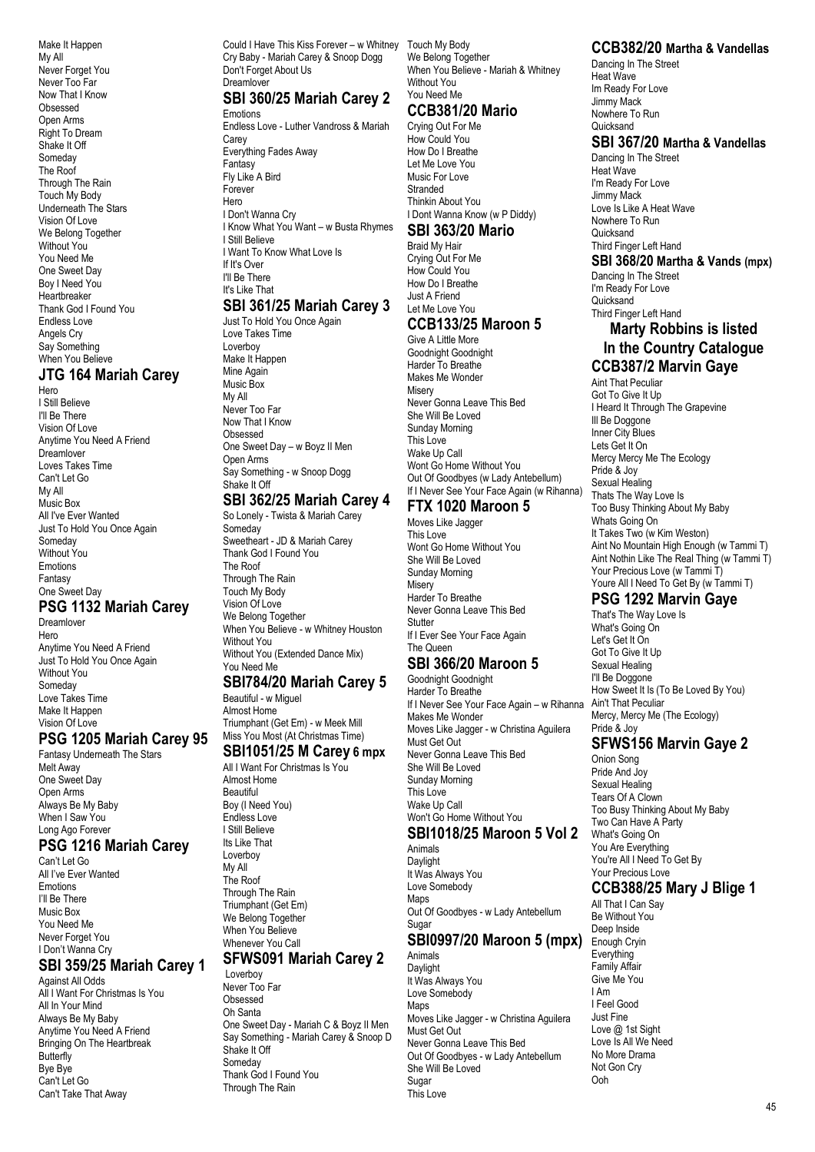Make It Happen My All Never Forget You Never Too Far Now That I Know **Obsessed** Open Arms Right To Dream Shake It Off Someday The Roof Through The Rain Touch My Body Underneath The Stars Vision Of Love We Belong Together Without You You Need Me One Sweet Day Boy I Need You Heartbreaker Thank God I Found You Endless Love Angels Cry Say Something When You Believe

## **JTG 164 Mariah Carey**

Hero I Still Believe I'll Be There Vision Of Love Anytime You Need A Friend Dreamlover Loves Takes Time Can't Let Go My All Music Box All I've Ever Wanted Just To Hold You Once Again Someday Without You Emotions Fantasy One Sweet Day

# **PSG 1132 Mariah Carey**

Dreamlover Hero Anytime You Need A Friend Just To Hold You Once Again Without You Someday Love Takes Time Make It Happen Vision Of Love

#### **PSG 1205 Mariah Carey 95**

Fantasy Underneath The Stars Melt Away One Sweet Day Open Arms Always Be My Baby When I Saw You Long Ago Forever

# **PSG 1216 Mariah Carey**

Can't Let Go All I've Ever Wanted Emotions I'll Be There Music Box You Need Me Never Forget You I Don't Wanna Cry

## **SBI 359/25 Mariah Carey 1**

Against All Odds All I Want For Christmas Is You All In Your Mind Always Be My Baby Anytime You Need A Friend Bringing On The Heartbreak **Butterfly** Bye Bye Can't Let Go Can't Take That Away

Could I Have This Kiss Forever – w Whitney Touch My Body Cry Baby - Mariah Carey & Snoop Dogg Don't Forget About Us Dreamlover

# **SBI 360/25 Mariah Carey 2**

Emotions Endless Love - Luther Vandross & Mariah Carey Everything Fades Away Fantasy Fly Like A Bird Forever Hero I Don't Wanna Cry I Know What You Want – w Busta Rhymes I Still Believe I Want To Know What Love Is If It's Over I'll Be There It's Like That **SBI 361/25 Mariah Carey 3**

Just To Hold You Once Again Love Takes Time Loverboy Make It Happen Mine Again Music Box My All Never Too Far Now That I Know Obsessed One Sweet Day – w Boyz II Men Open Arms Say Something - w Snoop Dogg Shake It Off

# **SBI 362/25 Mariah Carey 4**

So Lonely - Twista & Mariah Carey Someday Sweetheart - JD & Mariah Carey Thank God I Found You The Roof Through The Rain Touch My Body Vision Of Love We Belong Together When You Believe - w Whitney Houston Without You Without You (Extended Dance Mix) You Need Me

#### **SBI784/20 Mariah Carey 5**

Beautiful - w Miguel Almost Home Triumphant (Get Em) - w Meek Mill Miss You Most (At Christmas Time)

# **SBI1051/25 M Carey 6 mpx**

All I Want For Christmas Is You Almost Home **Beautiful** Boy (I Need You) Endless Love I Still Believe Its Like That Loverboy My All The Roof Through The Rain Triumphant (Get Em) We Belong Together When You Believe Whenever You Call

## **SFWS091 Mariah Carey 2**

Loverboy Never Too Far **Obsessed** Oh Santa One Sweet Day - Mariah C & Boyz II Men Say Something - Mariah Carey & Snoop D Shake It Off Someday Thank God I Found You Through The Rain

We Belong Together When You Believe - Mariah & Whitney Without You You Need Me

## **CCB381/20 Mario**

Crying Out For Me How Could You How Do I Breathe Let Me Love You Music For Love Stranded Thinkin About You I Dont Wanna Know (w P Diddy)

#### **SBI 363/20 Mario**

Braid My Hair Crying Out For Me How Could You How Do I Breathe Just A Friend Let Me Love You **CCB133/25 Maroon 5**

#### Give A Little More Goodnight Goodnight

Harder To Breathe Makes Me Wonder Misery Never Gonna Leave This Bed She Will Be Loved Sunday Morning This Love Wake Up Call Wont Go Home Without You Out Of Goodbyes (w Lady Antebellum) If I Never See Your Face Again (w Rihanna)

## **FTX 1020 Maroon 5**

Moves Like Jagger This Love Wont Go Home Without You She Will Be Loved Sunday Morning **Misery** Harder To Breathe Never Gonna Leave This Bed Stutter If I Ever See Your Face Again The Queen

#### **SBI 366/20 Maroon 5**

Goodnight Goodnight Harder To Breathe If I Never See Your Face Again – w Rihanna Makes Me Wonder Moves Like Jagger - w Christina Aguilera Must Get Out Never Gonna Leave This Bed She Will Be Loved Sunday Morning This Love Wake Up Call Won't Go Home Without You

#### **SBI1018/25 Maroon 5 Vol 2**

Animals Daylight It Was Always You Love Somebody Mans Out Of Goodbyes - w Lady Antebellum Sugar **SBI0997/20 Maroon 5 (mpx)**

Animals **Daylight** It Was Always You Love Somebody Maps Moves Like Jagger - w Christina Aguilera Must Get Out Never Gonna Leave This Bed Out Of Goodbyes - w Lady Antebellum She Will Be Loved Sugar This Love

#### **CCB382/20 Martha & Vandellas**

Dancing In The Street Heat Wave Im Ready For Love Jimmy Mack Nowhere To Run Quicksand

#### **SBI 367/20 Martha & Vandellas**

Dancing In The Street Heat Wave I'm Ready For Love Jimmy Mack Love Is Like A Heat Wave Nowhere To Run **Quicksand** Third Finger Left Hand

#### **SBI 368/20 Martha & Vands (mpx)**

Dancing In The Street I'm Ready For Love **Quicksand** Third Finger Left Hand

#### **Marty Robbins is listed In the Country Catalogue CCB387/2 Marvin Gaye**

Aint That Peculiar Got To Give It Up I Heard It Through The Grapevine Ill Be Doggone Inner City Blues Lets Get It On Mercy Mercy Me The Ecology Pride & Joy Sexual Healing Thats The Way Love Is Too Busy Thinking About My Baby Whats Going On It Takes Two (w Kim Weston) Aint No Mountain High Enough (w Tammi T) Aint Nothin Like The Real Thing (w Tammi T) Your Precious Love (w Tammi T) Youre All I Need To Get By (w Tammi T)

## **PSG 1292 Marvin Gaye**

That's The Way Love Is What's Going On Let's Get It On Got To Give It Up Sexual Healing I'll Be Doggone How Sweet It Is (To Be Loved By You) Ain't That Peculiar Mercy, Mercy Me (The Ecology) Pride & Joy

# **SFWS156 Marvin Gaye 2**

Onion Song Pride And Joy Sexual Healing Tears Of A Clown Too Busy Thinking About My Baby Two Can Have A Party What's Going On You Are Everything You're All I Need To Get By Your Precious Love

#### **CCB388/25 Mary J Blige 1**

All That I Can Say Be Without You Deep Inside Enough Cryin Everything Family Affair Give Me You I Am I Feel Good Just Fine Love @ 1st Sight Love Is All We Need No More Drama Not Gon Cry Ooh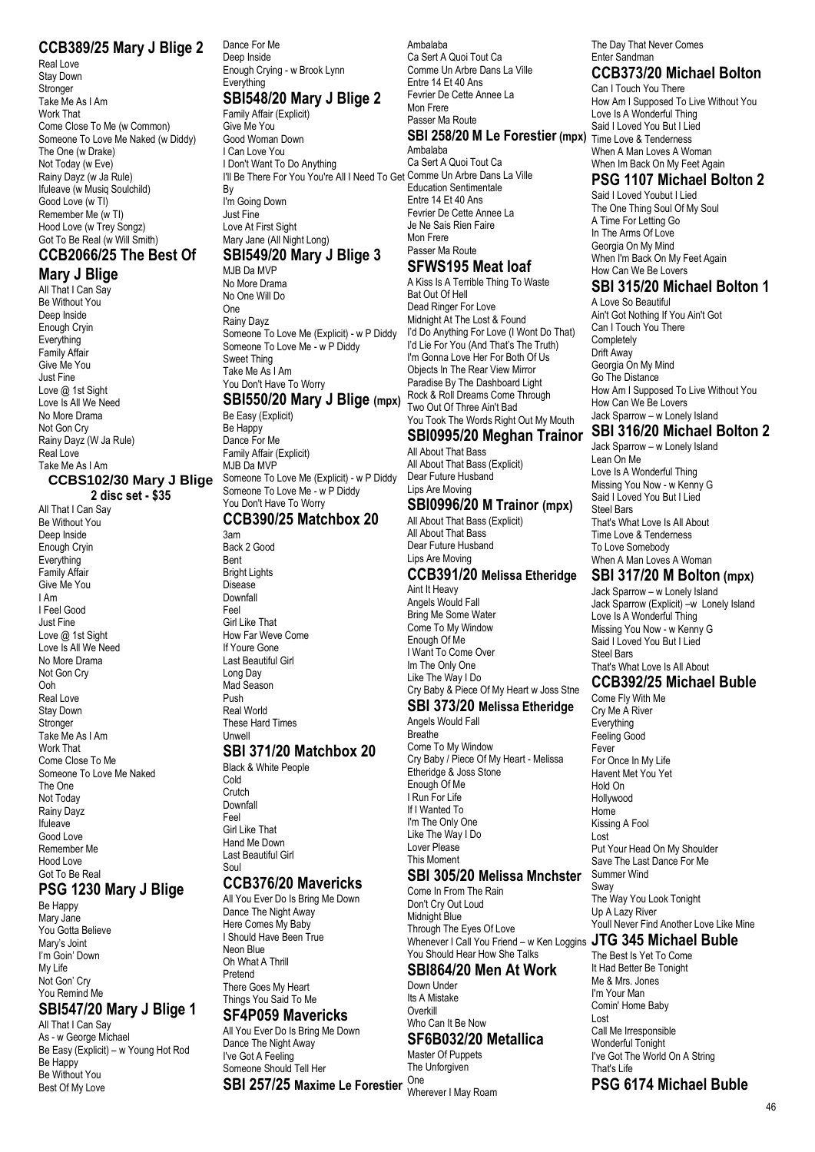#### **CCB389/25 Mary J Blige 2**

Real Love Stay Down Stronger Take Me As I Am Work That Come Close To Me (w Common) Someone To Love Me Naked (w Diddy) The One (w Drake) Not Today (w Eve) Rainy Dayz (w Ja Rule) Ifuleave (w Musiq Soulchild) Good Love (w TI) Remember Me (w TI) Hood Love (w Trey Songz) Got To Be Real (w Will Smith)

# **CCB2066/25 The Best Of**

**Mary J Blige** All That I Can Say Be Without You Deep Inside Enough Cryin **Everything** Family Affair Give Me You Just Fine Love @ 1st Sight Love Is All We Need No More Drama Not Gon Cry Rainy Dayz (W Ja Rule) Real Love Take Me As I Am **CCBS102/30 Mary J Blige**

**2 disc set - \$35**

All That I Can Say Be Without You Deep Inside Enough Cryin **Everything** Family Affair Give Me You I Am I Feel Good Just Fine Love @ 1st Sight Love Is All We Need No More Drama Not Gon Cry Ooh Real Love Stay Down Stronger Take Me As I Am Work That Come Close To Me Someone To Love Me Naked The One Not Today Rainy Dayz Ifuleave Good Love Remember Me Hood Love Got To Be Real

## **PSG 1230 Mary J Blige**

Be Happy Mary Jane You Gotta Believe Mary's Joint I'm Goin' Down My Life Not Gon' Cry You Remind Me

# **SBI547/20 Mary J Blige 1**

All That I Can Say As - w George Michael Be Easy (Explicit) – w Young Hot Rod Be Happy Be Without You Best Of My Love

Dance For Me Deep Inside Enough Crying - w Brook Lynn Everything

#### **SBI548/20 Mary J Blige 2** Family Affair (Explicit)

Give Me You Good Woman Down I Can Love You I Don't Want To Do Anything I'll Be There For You You're All I Need To Get Comme Un Arbre Dans La Ville By I'm Going Down Just Fine Love At First Sight

#### Mary Jane (All Night Long) **SBI549/20 Mary J Blige 3**

MJB Da MVP No More Drama No One Will Do One Rainy Dayz Someone To Love Me (Explicit) - w P Diddy Someone To Love Me - w P Diddy Sweet Thing Take Me As I Am You Don't Have To Worry

## **SBI550/20 Mary J Blige (mpx)**

Be Easy (Explicit) Be Happy Dance For Me Family Affair (Explicit) MJB Da MVP Someone To Love Me (Explicit) - w P Diddy Someone To Love Me - w P Diddy You Don't Have To Worry

#### **CCB390/25 Matchbox 20**

3am Back 2 Good Bent Bright Lights Disease **Downfall** Feel Girl Like That How Far Weve Come If Youre Gone Last Beautiful Girl Long Day Mad Season Push Real World These Hard Times Unwell

#### **SBI 371/20 Matchbox 20**

Black & White People Cold **Crutch** Downfall Feel Girl Like That Hand Me Down Last Beautiful Girl Soul

#### **CCB376/20 Mavericks**

All You Ever Do Is Bring Me Down Dance The Night Away Here Comes My Baby I Should Have Been True Neon Blue Oh What A Thrill Pretend There Goes My Heart Things You Said To Me

#### **SF4P059 Mavericks**

All You Ever Do Is Bring Me Down Dance The Night Away I've Got A Feeling Someone Should Tell Her **SBI 257/25 Maxime Le Forestier** One

Ambalaba Ca Sert A Quoi Tout Ca Comme Un Arbre Dans La Ville Entre 14 Et 40 Ans Fevrier De Cette Annee La Mon Frere Passer Ma Route **SBI 258/20 M Le Forestier (mpx)** Time Love & Tenderness Ambalaba

Ca Sert A Quoi Tout Ca Education Sentimentale Entre 14 Et 40 Ans Fevrier De Cette Annee La Je Ne Sais Rien Faire Mon Frere Passer Ma Route

#### **SFWS195 Meat loaf**

A Kiss Is A Terrible Thing To Waste Bat Out Of Hell Dead Ringer For Love Midnight At The Lost & Found I'd Do Anything For Love (I Wont Do That) I'd Lie For You (And That's The Truth) I'm Gonna Love Her For Both Of Us Objects In The Rear View Mirror Paradise By The Dashboard Light Rock & Roll Dreams Come Through Two Out Of Three Ain't Bad

#### You Took The Words Right Out My Mouth **SBI0995/20 Meghan Trainor**

All About That Bass All About That Bass (Explicit) Dear Future Husband Lips Are Moving

# **SBI0996/20 M Trainor (mpx)**

All About That Bass (Explicit) All About That Bass Dear Future Husband Lips Are Moving

#### **CCB391/20 Melissa Etheridge** Aint It Heavy

Angels Would Fall Bring Me Some Water Come To My Window Enough Of Me I Want To Come Over Im The Only One Like The Way I Do Cry Baby & Piece Of My Heart w Joss Stne

#### **SBI 373/20 Melissa Etheridge**

Angels Would Fall Breathe Come To My Window Cry Baby / Piece Of My Heart - Melissa Etheridge & Joss Stone Enough Of Me I Run For Life If I Wanted To I'm The Only One Like The Way I Do Lover Please This Moment **SBI 305/20 Melissa Mnchster**

Come In From The Rain Don't Cry Out Loud Midnight Blue Through The Eyes Of Love Whenever I Call You Friend – w Ken Loggins **JTG 345 Michael Buble** You Should Hear How She Talks

#### **SBI864/20 Men At Work** Down Under

Its A Mistake Overkill Who Can It Be Now **SF6B032/20 Metallica**

Master Of Puppets The Unforgiven

Wherever I May Roam

The Day That Never Comes Enter Sandman

## **CCB373/20 Michael Bolton**

Can I Touch You There How Am I Supposed To Live Without You Love Is A Wonderful Thing Said I Loved You But I Lied When A Man Loves A Woman When Im Back On My Feet Again

#### **PSG 1107 Michael Bolton 2**

Said I Loved Youbut I Lied The One Thing Soul Of My Soul A Time For Letting Go In The Arms Of Love Georgia On My Mind When I'm Back On My Feet Again How Can We Be Lovers

#### **SBI 315/20 Michael Bolton 1**

A Love So Beautiful Ain't Got Nothing If You Ain't Got Can I Touch You There **Completely** Drift Away Georgia On My Mind Go The Distance How Am I Supposed To Live Without You How Can We Be Lovers Jack Sparrow – w Lonely Island

#### **SBI 316/20 Michael Bolton 2**

Jack Sparrow – w Lonely Island Lean On Me Love Is A Wonderful Thing Missing You Now - w Kenny G Said I Loved You But I Lied Steel Bars That's What Love Is All About Time Love & Tenderness To Love Somebody When A Man Loves A Woman

## **SBI 317/20 M Bolton (mpx)**

Jack Sparrow – w Lonely Island Jack Sparrow (Explicit) –w Lonely Island Love Is A Wonderful Thing Missing You Now - w Kenny G Said I Loved You But I Lied Steel Bars That's What Love Is All About

# **CCB392/25 Michael Buble**

Come Fly With Me Cry Me A River **Everything** Feeling Good Fever For Once In My Life Havent Met You Yet Hold On Hollywood Home Kissing A Fool Lost Put Your Head On My Shoulder Save The Last Dance For Me Summer Wind Sway The Way You Look Tonight Up A Lazy River Youll Never Find Another Love Like Mine

The Best Is Yet To Come It Had Better Be Tonight Me & Mrs. Jones I'm Your Man Comin' Home Baby Lost Call Me Irresponsible Wonderful Tonight I've Got The World On A String That's Life

#### **PSG 6174 Michael Buble**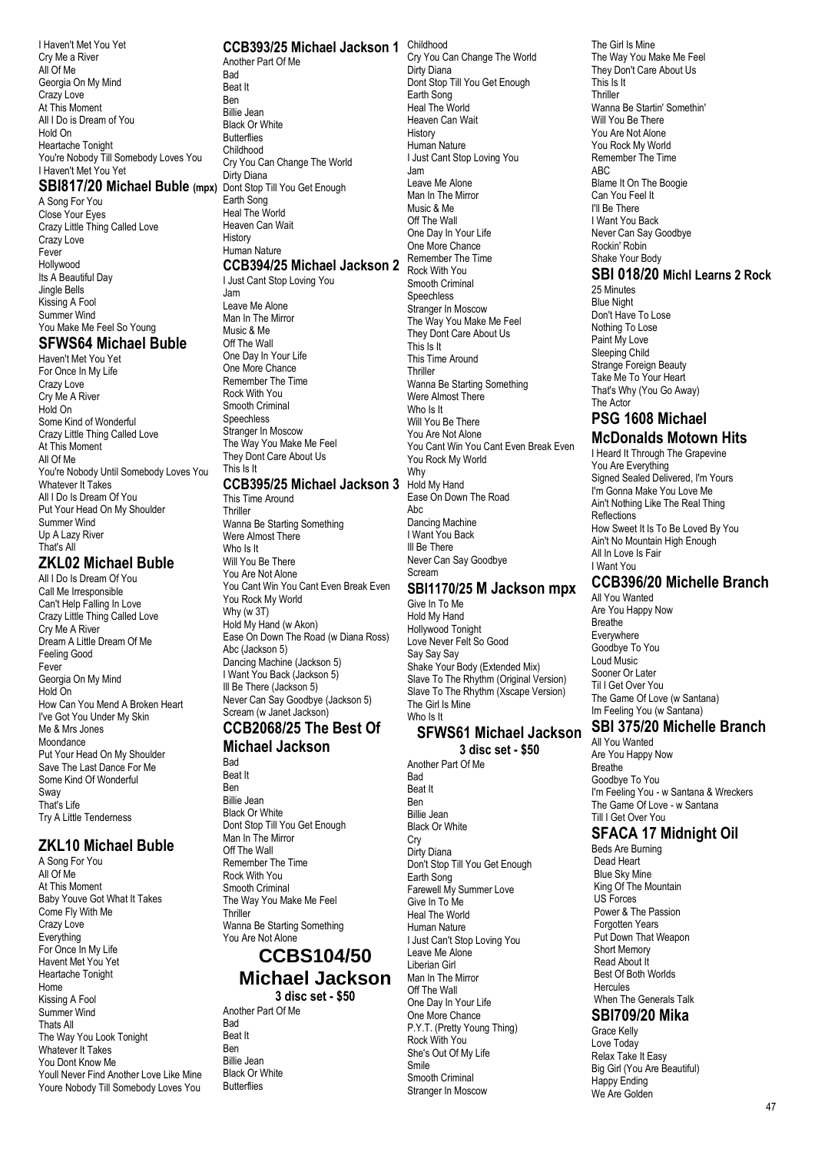I Haven't Met You Yet Cry Me a River All Of Me Georgia On My Mind Crazy Love At This Moment All I Do is Dream of You Hold On Heartache Tonight You're Nobody Till Somebody Loves You I Haven't Met You Yet

A Song For You Close Your Eyes Crazy Little Thing Called Love Crazy Love Fever Hollywood Its A Beautiful Day Jingle Bells Kissing A Fool Summer Wind You Make Me Feel So Young

#### **SFWS64 Michael Buble**

Haven't Met You Yet For Once In My Life Crazy Love Cry Me A River Hold On Some Kind of Wonderful Crazy Little Thing Called Love At This Moment All Of Me You're Nobody Until Somebody Loves You Whatever It Takes All I Do Is Dream Of You Put Your Head On My Shoulder Summer Wind Up A Lazy River That's All

## **ZKL02 Michael Buble**

All I Do Is Dream Of You Call Me Irresponsible Can't Help Falling In Love Crazy Little Thing Called Love Cry Me A River Dream A Little Dream Of Me Feeling Good Fever Georgia On My Mind Hold On How Can You Mend A Broken Heart I've Got You Under My Skin Me & Mrs Jones Moondance Put Your Head On My Shoulder Save The Last Dance For Me Some Kind Of Wonderful Sway That's Life Try A Little Tenderness

#### **ZKL10 Michael Buble**

A Song For You All Of Me At This Moment Baby Youve Got What It Takes Come Fly With Me Crazy Love **Everything** For Once In My Life Havent Met You Yet Heartache Tonight Home Kissing A Fool Summer Wind Thats All The Way You Look Tonight Whatever It Takes You Dont Know Me Youll Never Find Another Love Like Mine Youre Nobody Till Somebody Loves You

#### **CCB393/25 Michael Jackson 1** Childhood

**SBI817/20 Michael Buble (mpx)** Dont Stop Till You Get Enough Another Part Of Me Rad Beat It Ben Billie Jean Black Or White **Butterflies** Childhood Cry You Can Change The World Dirty Diana Earth Song Heal The World Heaven Can Wait History Human Nature

#### **CCB394/25 Michael Jackson 2**

I Just Cant Stop Loving You Jam Leave Me Alone Man In The Mirror Music & Me Off The Wall One Day In Your Life One More Chance Remember The Time Rock With You Smooth Criminal Speechless Stranger In Moscow The Way You Make Me Feel They Dont Care About Us This Is It **CCB395/25 Michael Jackson 3**

This Time Around **Thriller** Wanna Be Starting Something Were Almost There Who Is It Will You Be There You Are Not Alone You Cant Win You Cant Even Break Even You Rock My World Why (w 3T) Hold My Hand (w Akon) Ease On Down The Road (w Diana Ross) Abc (Jackson 5) Dancing Machine (Jackson 5) I Want You Back (Jackson 5) Ill Be There (Jackson 5) Never Can Say Goodbye (Jackson 5) Scream (w Janet Jackson)

#### **CCB2068/25 The Best Of Michael Jackson**

Bad Beat It

Ben Billie Jean Black Or White Dont Stop Till You Get Enough Man In The Mirror Off The Wall Remember The Time Rock With You Smooth Criminal The Way You Make Me Feel **Thrillor** Wanna Be Starting Something You Are Not Alone

## **CCBS104/50 Michael Jackson**

**3 disc set - \$50**

Another Part Of Me **Bad** Beat It Ben Billie Jean Black Or White **Butterflies** 

Cry You Can Change The World Dirty Diana Dont Stop Till You Get Enough Earth Song Heal The World Heaven Can Wait History Human Nature I Just Cant Stop Loving You Jam Leave Me Alone Man In The Mirror Music & Me Off The Wall One Day In Your Life One More Chance Remember The Time Rock With You Smooth Criminal Speechless Stranger In Moscow The Way You Make Me Feel They Dont Care About Us This Is It This Time Around Thriller Wanna Be Starting Something Were Almost There Who Is It Will You Be There You Are Not Alone You Cant Win You Cant Even Break Even You Rock My World Why Hold My Hand Ease On Down The Road Abc Dancing Machine I Want You Back Ill Be There

Never Can Say Goodbye Scream

#### **SBI1170/25 M Jackson mpx**

Give In To Me Hold My Hand Hollywood Tonight Love Never Felt So Good Say Say Say Shake Your Body (Extended Mix) Slave To The Rhythm (Original Version) Slave To The Rhythm (Xscape Version) The Girl Is Mine Who Is It

#### **SFWS61 Michael Jackson**

**3 disc set - \$50**

Another Part Of Me Bad Beat It Ben Billie Jean Black Or White Cry Dirty Diana Don't Stop Till You Get Enough Earth Song Farewell My Summer Love Give In To Me Heal The World Human Nature I Just Can't Stop Loving You Leave Me Alone Liberian Girl Man In The Mirror Off The Wall One Day In Your Life One More Chance P.Y.T. (Pretty Young Thing) Rock With You She's Out Of My Life Smile Smooth Criminal Stranger In Moscow

The Girl Is Mine The Way You Make Me Feel They Don't Care About Us This Is It **Thriller** Wanna Be Startin' Somethin' Will You Be There You Are Not Alone You Rock My World Remember The Time ABC Blame It On The Boogie Can You Feel It I'll Be There I Want You Back Never Can Say Goodbye Rockin' Robin Shake Your Body

#### **SBI 018/20 Michl Learns 2 Rock**

25 Minutes Blue Night Don't Have To Lose Nothing To Lose Paint My Love Sleeping Child Strange Foreign Beauty Take Me To Your Heart That's Why (You Go Away) The Actor

#### **PSG 1608 Michael McDonalds Motown Hits**

I Heard It Through The Grapevine You Are Everything Signed Sealed Delivered, I'm Yours I'm Gonna Make You Love Me Ain't Nothing Like The Real Thing **Reflections** How Sweet It Is To Be Loved By You Ain't No Mountain High Enough All In Love Is Fair I Want You **CCB396/20 Michelle Branch**

# All You Wanted

Are You Happy Now Breathe Everywhere Goodbye To You Loud Music Sooner Or Later Til I Get Over You The Game Of Love (w Santana) Im Feeling You (w Santana)

# **SBI 375/20 Michelle Branch**

All You Wanted Are You Happy Now Breathe Goodbye To You I'm Feeling You - w Santana & Wreckers The Game Of Love - w Santana Till I Get Over You

#### **SFACA 17 Midnight Oil**

Beds Are Burning Dead Heart Blue Sky Mine King Of The Mountain US Forces Power & The Passion Forgotten Years Put Down That Weapon Short Memory Read About It Best Of Both Worlds **Hercules** When The Generals Talk

## **SBI709/20 Mika**

Grace Kelly Love Today Relax Take It Easy Big Girl (You Are Beautiful) Happy Ending We Are Golden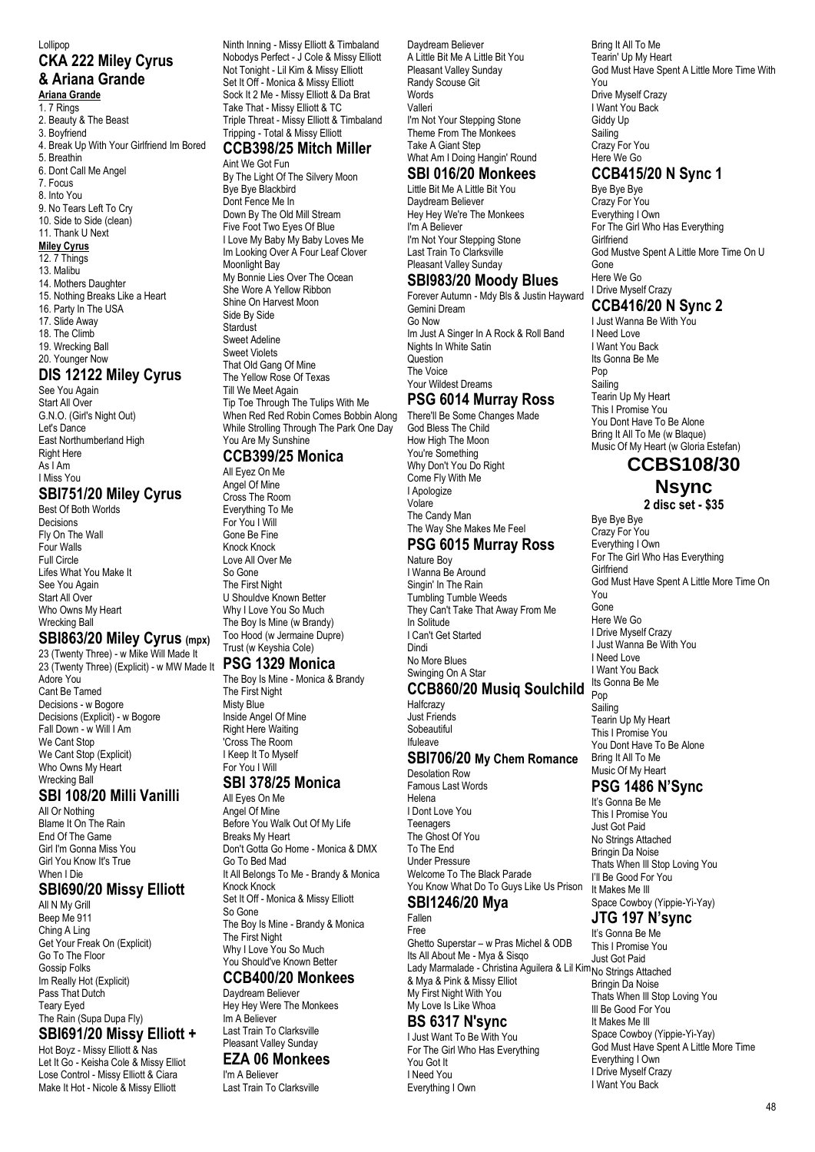#### Lollipop **CKA 222 Miley Cyrus & Ariana Grande Ariana Grande**

#### 1. 7 Rings

- 2. Beauty & The Beast
- 3. Boyfriend
- 4. Break Up With Your Girlfriend Im Bored
- 5. Breathin

6. Dont Call Me Angel

7. Focus

8. Into You

- 9. No Tears Left To Cry 10. Side to Side (clean)
- 11. Thank U Next

#### **Miley Cyrus**

#### 12. 7 Things

- 13. Malibu
- 14. Mothers Daughter
- 15. Nothing Breaks Like a Heart
- 16. Party In The USA
- 17. Slide Away
- 18. The Climb
- 19. Wrecking Ball

#### 20. Younger Now **DIS 12122 Miley Cyrus**

See You Again Start All Over G.N.O. (Girl's Night Out) Let's Dance East Northumberland High Right Here As I Am I Miss You

# **SBI751/20 Miley Cyrus**

Best Of Both Worlds Decisions Fly On The Wall Four Walls Full Circle Lifes What You Make It See You Again Start All Over Who Owns My Heart Wrecking Ball

#### **SBI863/20 Miley Cyrus (mpx)**

23 (Twenty Three) - w Mike Will Made It 23 (Twenty Three) (Explicit) - w MW Made It Adore You Cant Be Tamed Decisions - w Bogore Decisions (Explicit) - w Bogore Fall Down - w Will I Am We Cant Stop We Cant Stop (Explicit) Who Owns My Heart Wrecking Ball

#### **SBI 108/20 Milli Vanilli**

All Or Nothing Blame It On The Rain End Of The Game Girl I'm Gonna Miss You Girl You Know It's True When I Die

#### **SBI690/20 Missy Elliott**

All N My Grill Beep Me 911 Ching A Ling Get Your Freak On (Explicit) Go To The Floor Gossip Folks Im Really Hot (Explicit) Pass That Dutch Teary Eyed The Rain (Supa Dupa Fly)

#### **SBI691/20 Missy Elliott +** Hot Boyz - Missy Elliott & Nas

Let It Go - Keisha Cole & Missy Elliot Lose Control - Missy Elliott & Ciara Make It Hot - Nicole & Missy Elliott

Ninth Inning - Missy Elliott & Timbaland Nobodys Perfect - J Cole & Missy Elliott Not Tonight - Lil Kim & Missy Elliott Set It Off - Monica & Missy Elliott Sock It 2 Me - Missy Elliott & Da Brat Take That - Missy Elliott & TC Triple Threat - Missy Elliott & Timbaland Tripping - Total & Missy Elliott

#### **CCB398/25 Mitch Miller** Aint We Got Fun

By The Light Of The Silvery Moon Bye Bye Blackbird Dont Fence Me In Down By The Old Mill Stream Five Foot Two Eyes Of Blue I Love My Baby My Baby Loves Me Im Looking Over A Four Leaf Clover Moonlight Bay My Bonnie Lies Over The Ocean She Wore A Yellow Ribbon Shine On Harvest Moon Side By Side **Stardust** Sweet Adeline Sweet Violets That Old Gang Of Mine The Yellow Rose Of Texas Till We Meet Again Tip Toe Through The Tulips With Me When Red Red Robin Comes Bobbin Along While Strolling Through The Park One Day You Are My Sunshine

#### **CCB399/25 Monica**

All Eyez On Me Angel Of Mine Cross The Room Everything To Me For You I Will Gone Be Fine Knock Knock Love All Over Me So Gone The First Night U Shouldve Known Better Why I Love You So Much The Boy Is Mine (w Brandy) Too Hood (w Jermaine Dupre) Trust (w Keyshia Cole)

#### **PSG 1329 Monica**

The Boy Is Mine - Monica & Brandy The First Night Misty Blue Inside Angel Of Mine Right Here Waiting 'Cross The Room I Keep It To Myself For You I Will **SBI 378/25 Monica**

All Eyes On Me Angel Of Mine Before You Walk Out Of My Life Breaks My Heart Don't Gotta Go Home - Monica & DMX Go To Bed Mad It All Belongs To Me - Brandy & Monica Knock Knock Set It Off - Monica & Missy Elliott So Gone The Boy Is Mine - Brandy & Monica The First Night Why I Love You So Much You Should've Known Better **CCB400/20 Monkees** Daydream Believer

Hey Hey Were The Monkees Im A Believer Last Train To Clarksville Pleasant Valley Sunday **EZA 06 Monkees**

#### I'm A Believer

Last Train To Clarksville

Daydream Believer A Little Bit Me A Little Bit You Pleasant Valley Sunday Randy Scouse Git Words Valleri I'm Not Your Stepping Stone Theme From The Monkees Take A Giant Step What Am I Doing Hangin' Round

## **SBI 016/20 Monkees**

Little Bit Me A Little Bit You Daydream Believer Hey Hey We're The Monkees I'm A Believer I'm Not Your Stepping Stone Last Train To Clarksville Pleasant Valley Sunday

#### **SBI983/20 Moody Blues**

Forever Autumn - Mdy Bls & Justin Hayward Gemini Dream Go Now Im Just A Singer In A Rock & Roll Band Nights In White Satin  $O$ uestion The Voice Your Wildest Dreams

## **PSG 6014 Murray Ross**

There'll Be Some Changes Made God Bless The Child How High The Moon You're Something Why Don't You Do Right Come Fly With Me I Apologize Volare The Candy Man The Way She Makes Me Feel **PSG 6015 Murray Ross**

Nature Boy I Wanna Be Around Singin' In The Rain Tumbling Tumble Weeds They Can't Take That Away From Me In Solitude I Can't Get Started Dindi No More Blues Swinging On A Star

#### **CCB860/20 Musiq Soulchild**

**Halfcrazy** Just Friends Sobeautiful Ifuleave

#### **SBI706/20 My Chem Romance**

Desolation Row Famous Last Words Helena I Dont Love You **Teenagers** The Ghost Of You To The End Under Pressure Welcome To The Black Parade You Know What Do To Guys Like Us Prison

#### **SBI1246/20 Mya**

Fallen Free Ghetto Superstar – w Pras Michel & ODB Its All About Me - Mya & Sisqo Lady Marmalade - Christina Aguilera & Lil Kim No Strings Attached & Mya & Pink & Missy Elliot My First Night With You

#### My Love Is Like Whoa **BS 6317 N'sync**

I Just Want To Be With You For The Girl Who Has Everything You Got It I Need You Everything I Own

Bring It All To Me Tearin' Up My Heart God Must Have Spent A Little More Time With You Drive Myself Crazy I Want You Back Giddy Up Sailing Crazy For You Here We Go

# **CCB415/20 N Sync 1**

Bye Bye Bye Crazy For You Everything I Own For The Girl Who Has Everything **Girlfriend** God Mustve Spent A Little More Time On U Gone Here We Go I Drive Myself Crazy **CCB416/20 N Sync 2**

# I Just Wanna Be With You

I Need Love I Want You Back Its Gonna Be Me Pop Sailing Tearin Up My Heart This I Promise You You Dont Have To Be Alone Bring It All To Me (w Blaque) Music Of My Heart (w Gloria Estefan)

# **CCBS108/30**

**Nsync**

**2 disc set - \$35**

Bye Bye Bye Crazy For You Everything I Own For The Girl Who Has Everything **Girlfriend** God Must Have Spent A Little More Time On You Gone Here We Go I Drive Myself Crazy I Just Wanna Be With You I Need Love I Want You Back Its Gonna Be Me Pop Sailing Tearin Up My Heart This I Promise You You Dont Have To Be Alone Bring It All To Me Music Of My Heart

## **PSG 1486 N'Sync**

It's Gonna Be Me This I Promise You Just Got Paid No Strings Attached Bringin Da Noise Thats When Ill Stop Loving You I'll Be Good For You It Makes Me Ill Space Cowboy (Yippie-Yi-Yay)

## **JTG 197 N'sync**

It's Gonna Be Me This I Promise You Just Got Paid Bringin Da Noise Thats When Ill Stop Loving You Ill Be Good For You It Makes Me Ill Space Cowboy (Yippie-Yi-Yay) God Must Have Spent A Little More Time Everything I Own I Drive Myself Crazy I Want You Back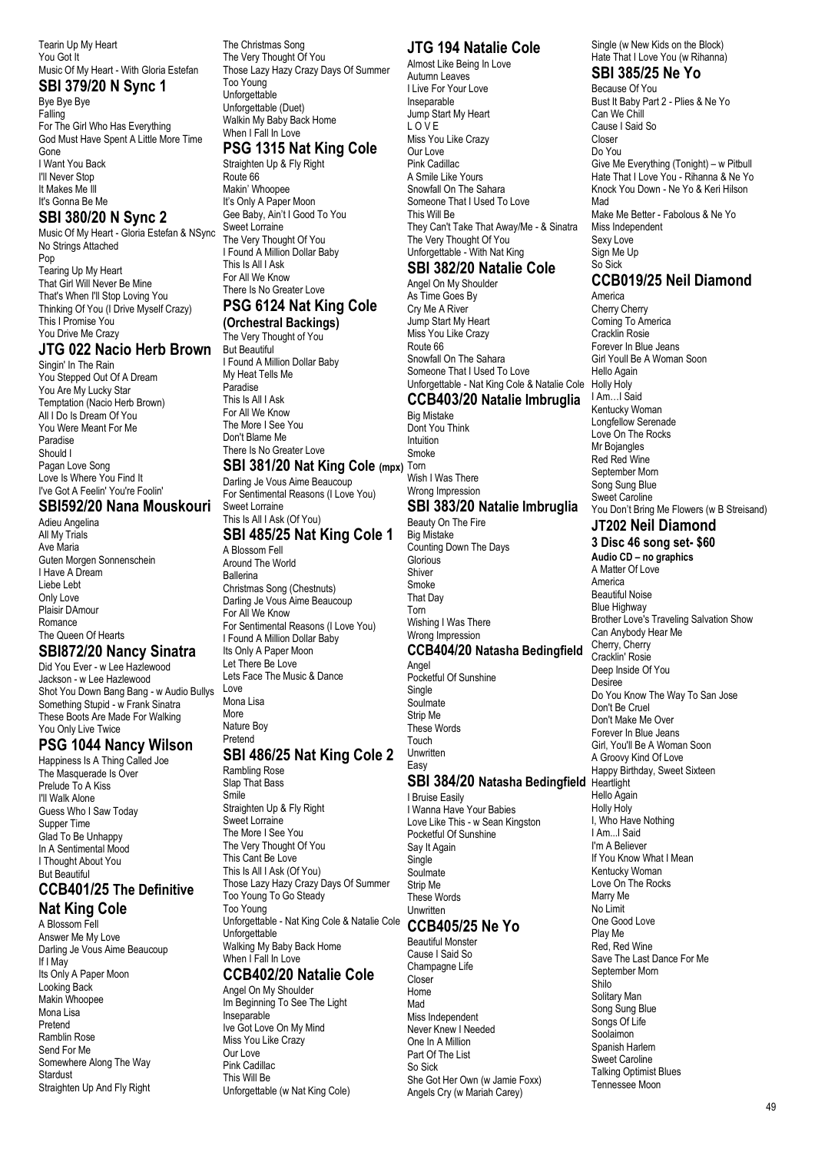Tearin Up My Heart You Got It Music Of My Heart - With Gloria Estefan

## **SBI 379/20 N Sync 1**

Bye Bye Bye Falling For The Girl Who Has Everything God Must Have Spent A Little More Time Gone I Want You Back I'll Never Stop It Makes Me Ill It's Gonna Be Me

#### **SBI 380/20 N Sync 2**

Music Of My Heart - Gloria Estefan & NSync No Strings Attached Pop Tearing Up My Heart That Girl Will Never Be Mine That's When I'll Stop Loving You Thinking Of You (I Drive Myself Crazy) This I Promise You You Drive Me Crazy

#### **JTG 022 Nacio Herb Brown**

Singin' In The Rain You Stepped Out Of A Dream You Are My Lucky Star Temptation (Nacio Herb Brown) All I Do Is Dream Of You You Were Meant For Me Paradise Should I Pagan Love Song Love Is Where You Find It I've Got A Feelin' You're Foolin'

#### **SBI592/20 Nana Mouskouri**

Adieu Angelina All My Trials Ave Maria Guten Morgen Sonnenschein I Have A Dream Liebe Lebt Only Love Plaisir DAmour Romance The Queen Of Hearts

#### **SBI872/20 Nancy Sinatra**

Did You Ever - w Lee Hazlewood Jackson - w Lee Hazlewood Shot You Down Bang Bang - w Audio Bullys Something Stupid - w Frank Sinatra These Boots Are Made For Walking You Only Live Twice

#### **PSG 1044 Nancy Wilson**

Happiness Is A Thing Called Joe The Masquerade Is Over Prelude To A Kiss I'll Walk Alone Guess Who I Saw Today Supper Time Glad To Be Unhappy In A Sentimental Mood I Thought About You But Beautiful

#### **CCB401/25 The Definitive Nat King Cole**

A Blossom Fell Answer Me My Love Darling Je Vous Aime Beaucoup If I May Its Only A Paper Moon Looking Back Makin Whoopee Mona Lisa Pretend Ramblin Rose Send For Me Somewhere Along The Way **Stardust** Straighten Up And Fly Right

The Christmas Song The Very Thought Of You Those Lazy Hazy Crazy Days Of Summer Too Young Unforgettable Unforgettable (Duet) Walkin My Baby Back Home When I Fall In Love **PSG 1315 Nat King Cole**

Straighten Up & Fly Right Route 66 Makin' Whoopee It's Only A Paper Moon Gee Baby, Ain't I Good To You Sweet Lorraine The Very Thought Of You I Found A Million Dollar Baby This Is All I Ask For All We Know There Is No Greater Love **PSG 6124 Nat King Cole** 

#### **(Orchestral Backings)**

The Very Thought of You But Beautiful I Found A Million Dollar Baby My Heat Tells Me Paradise This Is All I Ask For All We Know The More I See You Don't Blame Me There Is No Greater Love

#### **SBI 381/20 Nat King Cole (mpx)** Torn

Darling Je Vous Aime Beaucoup For Sentimental Reasons (I Love You) Sweet Lorraine

#### This Is All I Ask (Of You) **SBI 485/25 Nat King Cole 1**

A Blossom Fell Around The World Ballerina Christmas Song (Chestnuts) Darling Je Vous Aime Beaucoup For All We Know For Sentimental Reasons (I Love You) I Found A Million Dollar Baby Its Only A Paper Moon Let There Be Love Lets Face The Music & Dance Love Mona Lisa More Nature Boy Pretend

#### **SBI 486/25 Nat King Cole 2**

Rambling Rose Slap That Bass Smile Straighten Up & Fly Right Sweet Lorraine The More I See You The Very Thought Of You This Cant Be Love This Is All I Ask (Of You) Those Lazy Hazy Crazy Days Of Summer Too Young To Go Steady Too Young Unforgettable - Nat King Cole & Natalie Cole Unforgettable Walking My Baby Back Home When LEalLIn Love

#### **CCB402/20 Natalie Cole**

Angel On My Shoulder Im Beginning To See The Light Insenarable Ive Got Love On My Mind Miss You Like Crazy Our Love Pink Cadillac This Will Be Unforgettable (w Nat King Cole)

#### **JTG 194 Natalie Cole**

Almost Like Being In Love Autumn Leaves I Live For Your Love Inseparable Jump Start My Heart L O V E Miss You Like Crazy Our Love Pink Cadillac A Smile Like Yours Snowfall On The Sahara Someone That I Used To Love This Will Be They Can't Take That Away/Me - & Sinatra The Very Thought Of You Unforgettable - With Nat King **SBI 382/20 Natalie Cole**

## Angel On My Shoulder

As Time Goes By Cry Me A River Jump Start My Heart Miss You Like Crazy Route 66 Snowfall On The Sahara Someone That I Used To Love Unforgettable - Nat King Cole & Natalie Cole

#### **CCB403/20 Natalie Imbruglia**

Big Mistake Dont You Think Intuition Smoke Wish I Was There

#### Wrong Impression **SBI 383/20 Natalie Imbruglia** Beauty On The Fire

Big Mistake Counting Down The Days **Glorious Shiver** Smoke That Day Torn Wishing I Was There Wrong Impression

# **CCB404/20 Natasha Bedingfield**

Angel Pocketful Of Sunshine Single Soulmate Strip Me These Words Touch **Unwritten** Easy

#### **SBI 384/20 Natasha Bedingfield** Heartlight

I Bruise Easily I Wanna Have Your Babies Love Like This - w Sean Kingston Pocketful Of Sunshine Say It Again Single Soulmate Strip Me These Words Unwritten

## **CCB405/25 Ne Yo**

Beautiful Monster Cause I Said So Champagne Life Closer Home Mad Miss Independent Never Knew I Needed One In A Million Part Of The List So Sick She Got Her Own (w Jamie Foxx) Angels Cry (w Mariah Carey)

Single (w New Kids on the Block) Hate That I Love You (w Rihanna)

# **SBI 385/25 Ne Yo**

Because Of You Bust It Baby Part 2 - Plies & Ne Yo Can We Chill Cause I Said So Closer Do You Give Me Everything (Tonight) – w Pitbull Hate That I Love You - Rihanna & Ne Yo Knock You Down - Ne Yo & Keri Hilson Mad Make Me Better - Fabolous & Ne Yo Miss Independent Sexy Love Sign Me Up So Sick

## **CCB019/25 Neil Diamond**

America Cherry Cherry Coming To America Cracklin Rosie Forever In Blue Jeans Girl Youll Be A Woman Soon Hello Again Holly Holy I Am…I Said Kentucky Woman Longfellow Serenade Love On The Rocks Mr Bojangles Red Red Wine September Morn Song Sung Blue Sweet Caroline You Don't Bring Me Flowers (w B Streisand)

# **JT202 Neil Diamond**

**3 Disc 46 song set- \$60 Audio CD – no graphics** A Matter Of Love America Beautiful Noise Blue Highway Brother Love's Traveling Salvation Show Can Anybody Hear Me Cherry, Cherry Cracklin' Rosie Deep Inside Of You Desiree Do You Know The Way To San Jose Don't Be Cruel Don't Make Me Over Forever In Blue Jeans Girl, You'll Be A Woman Soon A Groovy Kind Of Love Happy Birthday, Sweet Sixteen Hello Again Holly Holy I, Who Have Nothing I Am...I Said I'm A Believer If You Know What I Mean Kentucky Woman Love On The Rocks Marry Me No Limit One Good Love Play Me Red, Red Wine Save The Last Dance For Me September Morn Shilo Solitary Man Song Sung Blue Songs Of Life Soolaimon Spanish Harlem Sweet Caroline Talking Optimist Blues Tennessee Moon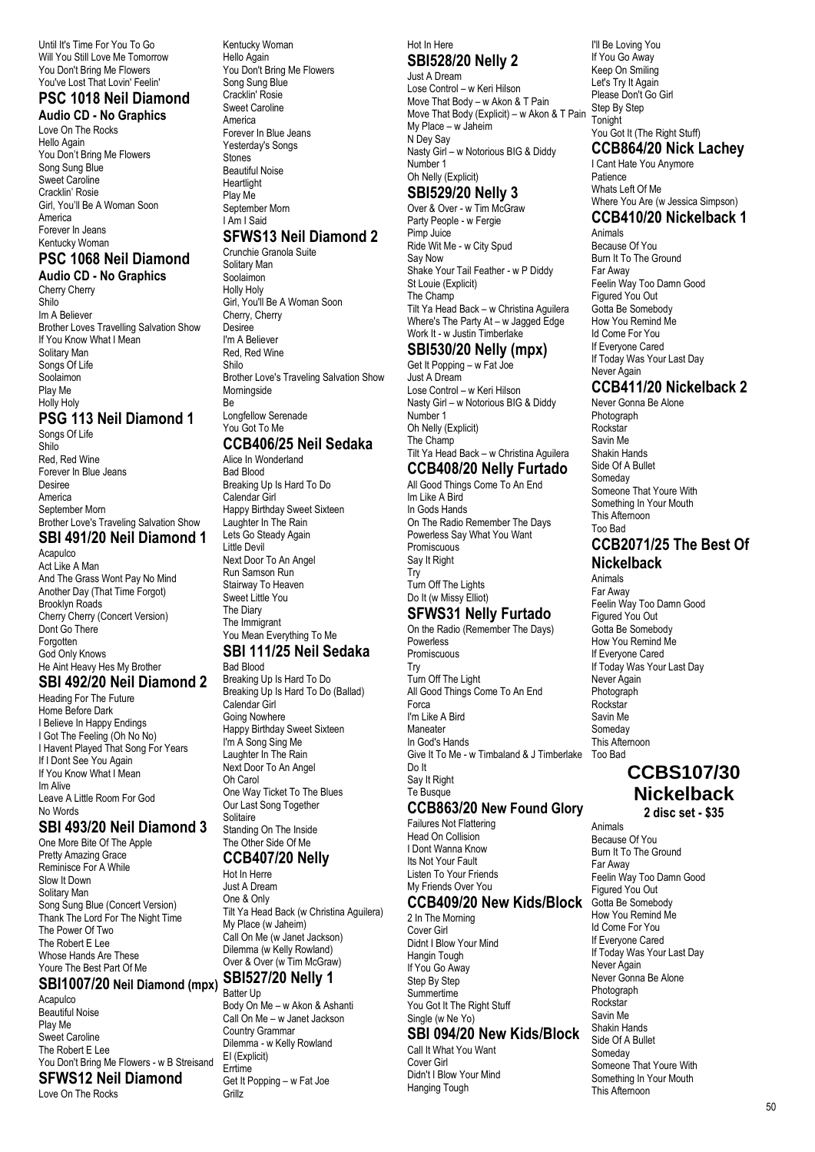Until It's Time For You To Go Will You Still Love Me Tomorrow You Don't Bring Me Flowers You've Lost That Lovin' Feelin'

#### **PSC 1018 Neil Diamond Audio CD - No Graphics**

Love On The Rocks Hello Again You Don't Bring Me Flowers Song Sung Blue Sweet Caroline Cracklin' Rosie Girl, You'll Be A Woman Soon America Forever In Jeans Kentucky Woman

#### **PSC 1068 Neil Diamond Audio CD - No Graphics**

Cherry Cherry Shilo Im A Believer Brother Loves Travelling Salvation Show If You Know What I Mean Solitary Man Songs Of Life Soolaimon Play Me Holly Holy

# **PSG 113 Neil Diamond 1**

Songs Of Life Shilo Red, Red Wine Forever In Blue Jeans Desiree America September Morn Brother Love's Traveling Salvation Show **SBI 491/20 Neil Diamond 1**

Acapulco Act Like A Man And The Grass Wont Pay No Mind Another Day (That Time Forgot) Brooklyn Roads Cherry Cherry (Concert Version) Dont Go There Forgotten God Only Knows He Aint Heavy Hes My Brother

# **SBI 492/20 Neil Diamond 2**

Heading For The Future Home Before Dark I Believe In Happy Endings I Got The Feeling (Oh No No) I Havent Played That Song For Years If I Dont See You Again If You Know What I Mean Im Alive Leave A Little Room For God No Words

## **SBI 493/20 Neil Diamond 3**

One More Bite Of The Apple Pretty Amazing Grace Reminisce For A While Slow It Down Solitary Man Song Sung Blue (Concert Version) Thank The Lord For The Night Time The Power Of Two The Robert E Lee Whose Hands Are These Youre The Best Part Of Me

#### **SBI1007/20 Neil Diamond (mpx) Acapulco**

Beautiful Noise Play Me Sweet Caroline The Robert E Lee You Don't Bring Me Flowers - w B Streisand **SFWS12 Neil Diamond**

Love On The Rocks

Kentucky Woman Hello Again You Don't Bring Me Flowers Song Sung Blue Cracklin' Rosie Sweet Caroline America Forever In Blue Jeans Yesterday's Songs Stones Beautiful Noise **Heartlight** Play Me September Morn I Am I Said

## **SFWS13 Neil Diamond 2**

Crunchie Granola Suite Solitary Man Soolaimon Holly Holy Girl, You'll Be A Woman Soon Cherry, Cherry **Desiree** I'm A Believer Red, Red Wine Shilo Brother Love's Traveling Salvation Show Morningside Be Longfellow Serenade You Got To Me

# **CCB406/25 Neil Sedaka**

Alice In Wonderland Bad Blood Breaking Up Is Hard To Do Calendar Girl Happy Birthday Sweet Sixteen Laughter In The Rain Lets Go Steady Again Little Devil Next Door To An Angel Run Samson Run Stairway To Heaven Sweet Little You The Diary The Immigrant You Mean Everything To Me **SBI 111/25 Neil Sedaka**

# Bad Blood

Breaking Up Is Hard To Do Breaking Up Is Hard To Do (Ballad) Calendar Girl Going Nowhere Happy Birthday Sweet Sixteen I'm A Song Sing Me Laughter In The Rain Next Door To An Angel Oh Carol One Way Ticket To The Blues Our Last Song Together Solitaire Standing On The Inside The Other Side Of Me

#### **CCB407/20 Nelly** Hot In Herre

Just A Dream One & Only Tilt Ya Head Back (w Christina Aguilera) My Place (w Jaheim) Call On Me (w Janet Jackson) Dilemma (w Kelly Rowland) Over & Over (w Tim McGraw) **SBI527/20 Nelly 1** Batter Up

Body On Me – w Akon & Ashanti Call On Me – w Janet Jackson Country Grammar Dilemma - w Kelly Rowland EI (Explicit) Errtime Get It Popping – w Fat Joe **Grillz** 

Hot In Here

# **SBI528/20 Nelly 2**

Just A Dream Lose Control – w Keri Hilson Move That Body – w Akon & T Pain Move That Body (Explicit) – w Akon & T Pain My Place – w Jaheim N Dey Say Nasty Girl – w Notorious BIG & Diddy Number 1 Oh Nelly (Explicit)

#### **SBI529/20 Nelly 3**

Over & Over - w Tim McGraw Party People - w Fergie Pimp Juice Ride Wit Me - w City Spud Say Now Shake Your Tail Feather - w P Diddy St Louie (Explicit) The Champ Tilt Ya Head Back – w Christina Aguilera Where's The Party At – w Jagged Edge Work It - w Justin Timberlake

#### **SBI530/20 Nelly (mpx)**

Get It Popping – w Fat Joe Just A Dream Lose Control – w Keri Hilson Nasty Girl – w Notorious BIG & Diddy Number 1 Oh Nelly (Explicit) The Champ Tilt Ya Head Back – w Christina Aguilera

#### **CCB408/20 Nelly Furtado**

All Good Things Come To An End Im Like A Bird In Gods Hands On The Radio Remember The Days Powerless Say What You Want **Promiscuous** Say It Right

#### Try Turn Off The Lights Do It (w Missy Elliot)

# **SFWS31 Nelly Furtado**

On the Radio (Remember The Days) Powerless Promiscuous Try Turn Off The Light All Good Things Come To An End Forca I'm Like A Bird Maneater In God's Hands Give It To Me - w Timbaland & J Timberlake Too Bad Do It Say It Right Te Busque

## **CCB863/20 New Found Glory**

Failures Not Flattering Head On Collision I Dont Wanna Know Its Not Your Fault Listen To Your Friends My Friends Over You

## **CCB409/20 New Kids/Block**

2 In The Morning Cover Girl Didnt I Blow Your Mind Hangin Tough If You Go Away Step By Step Summertime You Got It The Right Stuff Single (w Ne Yo)

## **SBI 094/20 New Kids/Block**

Call It What You Want Cover Girl Didn't I Blow Your Mind Hanging Tough

I'll Be Loving You If You Go Away Keep On Smiling Let's Try It Again Please Don't Go Girl Step By Step Tonight You Got It (The Right Stuff)

# **CCB864/20 Nick Lachey**

I Cant Hate You Anymore Patience Whats Left Of Me Where You Are (w Jessica Simpson) **CCB410/20 Nickelback 1**

## Animals

Because Of You Burn It To The Ground Far Away Feelin Way Too Damn Good Figured You Out Gotta Be Somebody How You Remind Me Id Come For You If Everyone Cared If Today Was Your Last Day Never Again

# **CCB411/20 Nickelback 2**

Never Gonna Be Alone Photograph Rockstar Savin Me Shakin Hands Side Of A Bullet **Someday** Someone That Youre With Something In Your Mouth This Afternoon Too Bad

#### **CCB2071/25 The Best Of Nickelback**

Animals Far Away Feelin Way Too Damn Good Figured You Out Gotta Be Somebody How You Remind Me If Everyone Cared If Today Was Your Last Day Never Again Photograph Rockstar Savin Me Someday This Afternoon

# **CCBS107/30 Nickelback**

**2 disc set - \$35**

Animals Because Of You Burn It To The Ground Far Away Feelin Way Too Damn Good Figured You Out Gotta Be Somebody How You Remind Me Id Come For You If Everyone Cared If Today Was Your Last Day Never Again Never Gonna Be Alone Photograph Rockstar Savin Me Shakin Hands Side Of A Bullet Someday Someone That Youre With Something In Your Mouth This Afternoon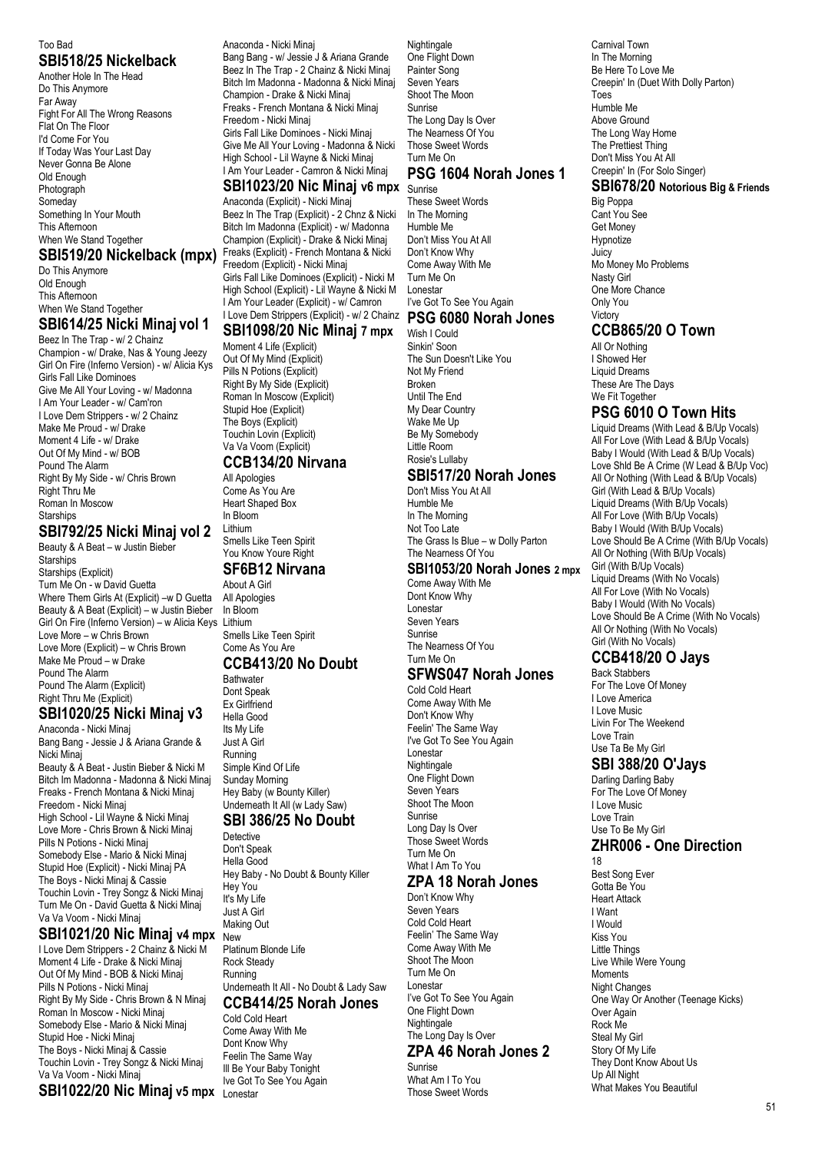#### Too Bad **SBI518/25 Nickelback**

Another Hole In The Head Do This Anymore Far Away Fight For All The Wrong Reasons Flat On The Floor I'd Come For You If Today Was Your Last Day Never Gonna Be Alone Old Enough Photograph Someday Something In Your Mouth This Afternoon When We Stand Together

Do This Anymore Old Enough This Afternoon When We Stand Together

#### **SBI614/25 Nicki Minaj vol 1**

Beez In The Trap - w/ 2 Chainz Champion - w/ Drake, Nas & Young Jeezy Girl On Fire (Inferno Version) - w/ Alicia Kys Girls Fall Like Dominoes Give Me All Your Loving - w/ Madonna I Am Your Leader - w/ Cam'ron I Love Dem Strippers - w/ 2 Chainz Make Me Proud - w/ Drake Moment 4 Life - w/ Drake Out Of My Mind - w/ BOB Pound The Alarm Right By My Side - w/ Chris Brown Right Thru Me Roman In Moscow **Starships** 

# **SBI792/25 Nicki Minaj vol 2**

Beauty & A Beat – w Justin Bieber **Starships** Starships (Explicit) Turn Me On - w David Guetta Where Them Girls At (Explicit) –w D Guetta Beauty & A Beat (Explicit) – w Justin Bieber Girl On Fire (Inferno Version) – w Alicia Keys Lithium Love More – w Chris Brown Love More (Explicit) – w Chris Brown Make Me Proud – w Drake Pound The Alarm Pound The Alarm (Explicit) Right Thru Me (Explicit) **SBI1020/25 Nicki Minaj v3**

# Anaconda - Nicki Minaj

Bang Bang - Jessie J & Ariana Grande & Nicki Minaj

Beauty & A Beat - Justin Bieber & Nicki M Bitch Im Madonna - Madonna & Nicki Minaj Freaks - French Montana & Nicki Minaj Freedom - Nicki Minaj High School - Lil Wayne & Nicki Minaj Love More - Chris Brown & Nicki Minaj Pills N Potions - Nicki Minaj Somebody Else - Mario & Nicki Minaj Stupid Hoe (Explicit) - Nicki Minaj PA

The Boys - Nicki Minaj & Cassie Touchin Lovin - Trey Songz & Nicki Minaj Turn Me On - David Guetta & Nicki Minaj Va Va Voom - Nicki Minaj

#### **SBI1021/20 Nic Minaj v4 mpx** New

I Love Dem Strippers - 2 Chainz & Nicki M Moment 4 Life - Drake & Nicki Minaj Out Of My Mind - BOB & Nicki Minaj Pills N Potions - Nicki Minaj Right By My Side - Chris Brown & N Minaj Roman In Moscow - Nicki Minaj Somebody Else - Mario & Nicki Minaj Stupid Hoe - Nicki Minaj The Boys - Nicki Minaj & Cassie Touchin Lovin - Trey Songz & Nicki Minaj Va Va Voom - Nicki Minaj

#### **SBI1022/20 Nic Minaj v5 mpx** Lonestar

Anaconda - Nicki Minaj Bang Bang - w/ Jessie J & Ariana Grande Beez In The Trap - 2 Chainz & Nicki Minaj Bitch Im Madonna - Madonna & Nicki Minaj Champion - Drake & Nicki Minaj Freaks - French Montana & Nicki Minaj Freedom - Nicki Minaj Girls Fall Like Dominoes - Nicki Minaj Give Me All Your Loving - Madonna & Nicki High School - Lil Wayne & Nicki Minaj I Am Your Leader - Camron & Nicki Minaj

#### **SBI1023/20 Nic Minaj v6 mpx** Sunrise Anaconda (Explicit) - Nicki Minaj

**SBI519/20 Nickelback (mpx)** Freaks (Explicit) - French Montana & Nicki Beez In The Trap (Explicit) - 2 Chnz & Nicki Bitch Im Madonna (Explicit) - w/ Madonna Champion (Explicit) - Drake & Nicki Minaj Freedom (Explicit) - Nicki Minaj Girls Fall Like Dominoes (Explicit) - Nicki M High School (Explicit) - Lil Wayne & Nicki M I Am Your Leader (Explicit) - w/ Camron I Love Dem Strippers (Explicit) - w/ 2 Chainz

#### **SBI1098/20 Nic Minaj 7 mpx**

Moment 4 Life (Explicit) Out Of My Mind (Explicit) Pills N Potions (Explicit) Right By My Side (Explicit) Roman In Moscow (Explicit) Stupid Hoe (Explicit) The Boys (Explicit) Touchin Lovin (Explicit) Va Va Voom (Explicit) **CCB134/20 Nirvana**

# All Apologies

Come As You Are Heart Shaped Box In Bloom Lithium Smells Like Teen Spirit You Know Youre Right

#### **SF6B12 Nirvana**

About A Girl All Apologies In Bloom Smells Like Teen Spirit Come As You Are

# **CCB413/20 No Doubt**

**Bathwater** Dont Speak Ex Girlfriend Hella Good Its My Life Just A Girl Running Simple Kind Of Life Sunday Morning Hey Baby (w Bounty Killer) Underneath It All (w Lady Saw) **SBI 386/25 No Doubt**

#### **Detective**

Don't Speak Hella Good Hey Baby - No Doubt & Bounty Killer Hey You It's My Life Just A Girl Making Out Platinum Blonde Life Rock Steady Running Underneath It All - No Doubt & Lady Saw **CCB414/25 Norah Jones**

# Cold Cold Heart

Come Away With Me Dont Know Why Feelin The Same Way Ill Be Your Baby Tonight Ive Got To See You Again

Nightingale One Flight Down Painter Song Seven Years Shoot The Moon Sunrise The Long Day Is Over The Nearness Of You Those Sweet Words Turn Me On

# **PSG 1604 Norah Jones 1**

These Sweet Words In The Morning Humble Me Don't Miss You At All Don't Know Why Come Away With Me Turn Me On Lonestar I've Got To See You Again

#### **PSG 6080 Norah Jones**

Wish I Could Sinkin' Soon The Sun Doesn't Like You Not My Friend Broken Until The End My Dear Country Wake Me Up Be My Somebody Little Room Rosie's Lullaby

#### **SBI517/20 Norah Jones**

Don't Miss You At All Humble Me In The Morning Not Too Late The Grass Is Blue – w Dolly Parton The Nearness Of You

#### **SBI1053/20 Norah Jones 2 mpx**

Come Away With Me Dont Know Why Lonestar Seven Years Sunrise The Nearness Of You Turn Me On

# **SFWS047 Norah Jones**

Cold Cold Heart Come Away With Me Don't Know Why Feelin' The Same Way I've Got To See You Again Lonestar Nightingale One Flight Down Seven Years Shoot The Moon Sunrise Long Day Is Over Those Sweet Words Turn Me On What I Am To You

# **ZPA 18 Norah Jones**

Don't Know Why Seven Years Cold Cold Heart Feelin' The Same Way Come Away With Me Shoot The Moon Turn Me On Lonestar I've Got To See You Again One Flight Down **Nightingale** The Long Day Is Over

#### **ZPA 46 Norah Jones 2**

Sunrise What Am I To You Those Sweet Words Carnival Town In The Morning Be Here To Love Me Creepin' In (Duet With Dolly Parton) Toes Humble Me Above Ground The Long Way Home The Prettiest Thing Don't Miss You At All Creepin' In (For Solo Singer)

#### **SBI678/20 Notorious Big & Friends**

Big Poppa Cant You See Get Money Hypnotize **Juicy** Mo Money Mo Problems Nasty Girl One More Chance Only You Victory

# **CCB865/20 O Town**

All Or Nothing I Showed Her Liquid Dreams These Are The Days We Fit Together

## **PSG 6010 O Town Hits**

Liquid Dreams (With Lead & B/Up Vocals) All For Love (With Lead & B/Up Vocals) Baby I Would (With Lead & B/Up Vocals) Love Shld Be A Crime (W Lead & B/Up Voc) All Or Nothing (With Lead & B/Up Vocals) Girl (With Lead & B/Up Vocals) Liquid Dreams (With B/Up Vocals) All For Love (With B/Up Vocals) Baby I Would (With B/Up Vocals) Love Should Be A Crime (With B/Up Vocals) All Or Nothing (With B/Up Vocals) Girl (With B/Up Vocals) Liquid Dreams (With No Vocals) All For Love (With No Vocals) Baby I Would (With No Vocals) Love Should Be A Crime (With No Vocals) All Or Nothing (With No Vocals) Girl (With No Vocals)

# **CCB418/20 O Jays**

Back Stabbers For The Love Of Money I Love America I Love Music Livin For The Weekend Love Train Use Ta Be My Girl

## **SBI 388/20 O'Jays**

Darling Darling Baby For The Love Of Money I Love Music Love Train Use To Be My Girl **ZHR006 - One Direction**

18 Best Song Ever Gotta Be You Heart Attack I Want I Would Kiss You Little Things Live While Were Young Moments Night Changes One Way Or Another (Teenage Kicks) Over Again Rock Me Steal My Girl Story Of My Life They Dont Know About Us Up All Night What Makes You Beautiful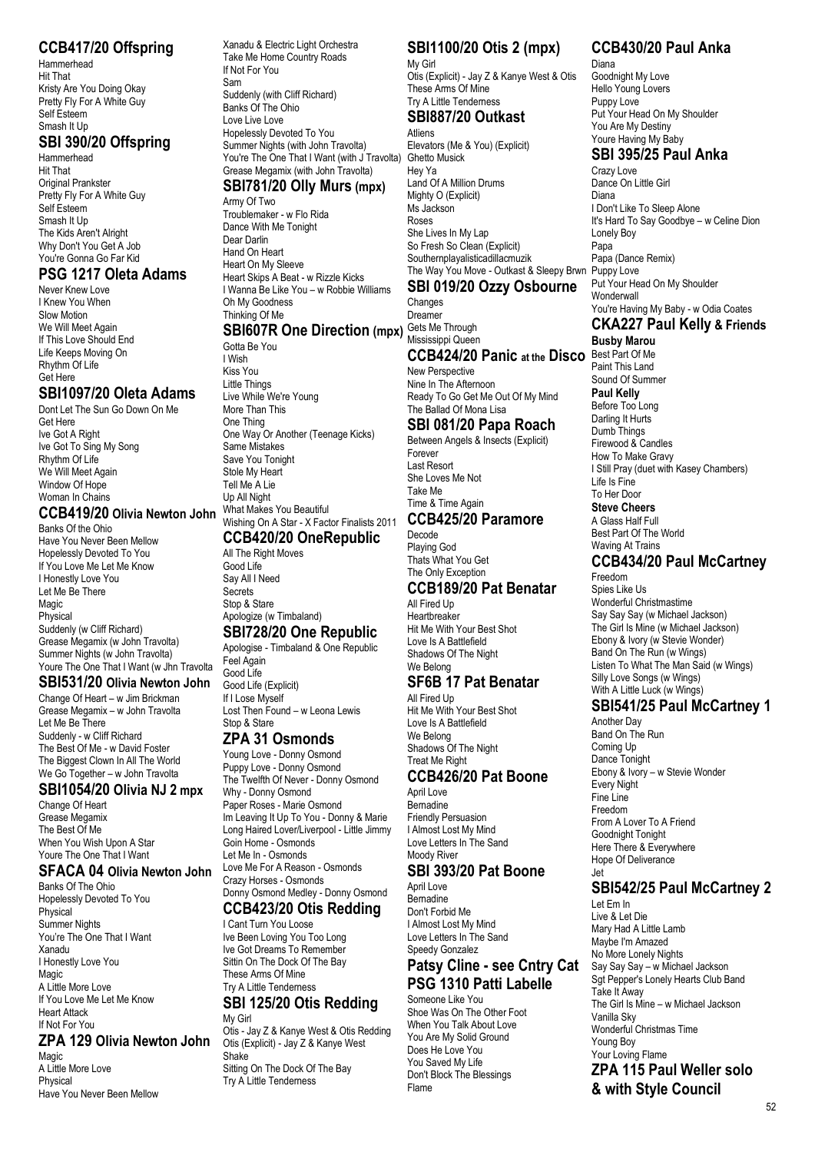#### **CCB417/20 Offspring**

Hammerhead Hit That Kristy Are You Doing Okay Pretty Fly For A White Guy Self Esteem Smash It Up

#### **SBI 390/20 Offspring**

Hammerhead Hit That **Original Prankster** Pretty Fly For A White Guy Self Esteem Smash It Up The Kids Aren't Alright Why Don't You Get A Job You're Gonna Go Far Kid

#### **PSG 1217 Oleta Adams**

Never Knew Love I Knew You When Slow Motion We Will Meet Again If This Love Should End Life Keeps Moving On Rhythm Of Life Get Here

## **SBI1097/20 Oleta Adams**

Dont Let The Sun Go Down On Me Get Here Ive Got A Right Ive Got To Sing My Song Rhythm Of Life We Will Meet Again Window Of Hope Woman In Chains

#### **CCB419/20 Olivia Newton John**

Banks Of the Ohio Have You Never Been Mellow Hopelessly Devoted To You If You Love Me Let Me Know I Honestly Love You Let Me Be There Magic Physical Suddenly (w Cliff Richard) Grease Megamix (w John Travolta) Summer Nights (w John Travolta) Youre The One That I Want (w Jhn Travolta

#### **SBI531/20 Olivia Newton John**

Change Of Heart – w Jim Brickman Grease Megamix – w John Travolta Let Me Be There Suddenly - w Cliff Richard The Best Of Me - w David Foster The Biggest Clown In All The World We Go Together – w John Travolta

#### **SBI1054/20 Olivia NJ 2 mpx**

Change Of Heart Grease Megamix The Best Of Me When You Wish Upon A Star Youre The One That I Want

#### **SFACA 04 Olivia Newton John**

Banks Of The Ohio Hopelessly Devoted To You Physical Summer Nights You're The One That I Want Xanadu I Honestly Love You Magic A Little More Love If You Love Me Let Me Know Heart Attack If Not For You **ZPA 129 Olivia Newton John**

Magic A Little More Love Physical Have You Never Been Mellow Xanadu & Electric Light Orchestra Take Me Home Country Roads If Not For You Sam Suddenly (with Cliff Richard) Banks Of The Ohio Love Live Love Hopelessly Devoted To You Summer Nights (with John Travolta) You're The One That I Want (with J Travolta) Ghetto Musick Grease Megamix (with John Travolta)

# **SBI781/20 Olly Murs (mpx)**

Army Of Two Troublemaker - w Flo Rida Dance With Me Tonight Dear Darlin Hand On Heart Heart On My Sleeve Heart Skips A Beat - w Rizzle Kicks I Wanna Be Like You – w Robbie Williams Oh My Goodness Thinking Of Me

#### **SBI607R One Direction (mpx)** Gets Me Through

Gotta Be You I Wish Kiss You Little Things Live While We're Young More Than This One Thing One Way Or Another (Teenage Kicks) Same Mistakes Save You Tonight Stole My Heart Tell Me A Lie Up All Night What Makes You Beautiful Wishing On A Star - X Factor Finalists 2011 **CCB420/20 OneRepublic**

# All The Right Moves

Good Life Say All I Need **Secrets** Stop & Stare Apologize (w Timbaland)

#### **SBI728/20 One Republic**

Apologise - Timbaland & One Republic Feel Again Good Life Good Life (Explicit) If I Lose Myself Lost Then Found – w Leona Lewis Stop & Stare

#### **ZPA 31 Osmonds**

Young Love - Donny Osmond Puppy Love - Donny Osmond The Twelfth Of Never - Donny Osmond Why - Donny Osmond Paper Roses - Marie Osmond Im Leaving It Up To You - Donny & Marie Long Haired Lover/Liverpool - Little Jimmy Goin Home - Osmonds Let Me In - Osmonds Love Me For A Reason - Osmonds Crazy Horses - Osmonds Donny Osmond Medley - Donny Osmond **CCB423/20 Otis Redding**

I Cant Turn You Loose Ive Been Loving You Too Long Ive Got Dreams To Remember Sittin On The Dock Of The Bay These Arms Of Mine Try A Little Tenderness

#### **SBI 125/20 Otis Redding**

My Girl Otis - Jay Z & Kanye West & Otis Redding Otis (Explicit) - Jay Z & Kanye West Shake Sitting On The Dock Of The Bay Try A Little Tenderness

# **SBI1100/20 Otis 2 (mpx)**

My Girl Otis (Explicit) - Jay Z & Kanye West & Otis These Arms Of Mine Try A Little Tenderness

#### **SBI887/20 Outkast** Atliens

Elevators (Me & You) (Explicit) Hey Ya Land Of A Million Drums Mighty O (Explicit) Ms Jackson Roses She Lives In My Lap So Fresh So Clean (Explicit) Southernplayalisticadillacmuzik The Way You Move - Outkast & Sleepy Brwn Puppy Love

**SBI 019/20 Ozzy Osbourne Changes** Dreamer

#### Mississippi Queen **CCB424/20 Panic at the Disco**

New Perspective Nine In The Afternoon Ready To Go Get Me Out Of My Mind The Ballad Of Mona Lisa **SBI 081/20 Papa Roach**

Between Angels & Insects (Explicit) Forever Last Resort She Loves Me Not Take Me Time & Time Again

# **CCB425/20 Paramore**

Decode Playing God Thats What You Get The Only Exception

#### **CCB189/20 Pat Benatar**

All Fired Un Heartbreaker Hit Me With Your Best Shot Love Is A Battlefield Shadows Of The Night We Belong

#### **SF6B 17 Pat Benatar**

All Fired Un Hit Me With Your Best Shot Love Is A Battlefield We Belong Shadows Of The Night Treat Me Right

#### **CCB426/20 Pat Boone**

April Love Bernadine Friendly Persuasion I Almost Lost My Mind Love Letters In The Sand Moody River

#### **SBI 393/20 Pat Boone**

April Love Bernadine Don't Forbid Me I Almost Lost My Mind Love Letters In The Sand Speedy Gonzalez

## **Patsy Cline - see Cntry Cat PSG 1310 Patti Labelle**

Someone Like You Shoe Was On The Other Foot When You Talk About Love You Are My Solid Ground Does He Love You You Saved My Life Don't Block The Blessings Flame

# **CCB430/20 Paul Anka**

Diana Goodnight My Love Hello Young Lovers Puppy Love Put Your Head On My Shoulder You Are My Destiny Youre Having My Baby

## **SBI 395/25 Paul Anka**

Crazy Love Dance On Little Girl Diana I Don't Like To Sleep Alone It's Hard To Say Goodbye – w Celine Dion Lonely Boy Papa Papa (Dance Remix) Put Your Head On My Shoulder **Wonderwall** You're Having My Baby - w Odia Coates

**CKA227 Paul Kelly & Friends Busby Marou**

Best Part Of Me Paint This Land

Sound Of Summer **Paul Kelly** Before Too Long Darling It Hurts Dumb Things Firewood & Candles How To Make Gravy I Still Pray (duet with Kasey Chambers) Life Is Fine To Her Door **Steve Cheers**

A Glass Half Full Best Part Of The World Waving At Trains

## **CCB434/20 Paul McCartney**

Freedom Spies Like Us Wonderful Christmastime Say Say Say (w Michael Jackson) The Girl Is Mine (w Michael Jackson) Ebony & Ivory (w Stevie Wonder) Band On The Run (w Wings) Listen To What The Man Said (w Wings) Silly Love Songs (w Wings) With A Little Luck (w Wings)

## **SBI541/25 Paul McCartney 1**

Another Day Band On The Run Coming Up Dance Tonight Ebony & Ivory – w Stevie Wonder Every Night Fine Line Freedom From A Lover To A Friend Goodnight Tonight Here There & Everywhere Hope Of Deliverance Jet

# **SBI542/25 Paul McCartney 2**

Let Em In Live & Let Die Mary Had A Little Lamb Maybe I'm Amazed No More Lonely Nights Say Say Say – w Michael Jackson Sgt Pepper's Lonely Hearts Club Band Take It Away The Girl Is Mine – w Michael Jackson Vanilla Sky Wonderful Christmas Time Young Boy Your Loving Flame **ZPA 115 Paul Weller solo & with Style Council**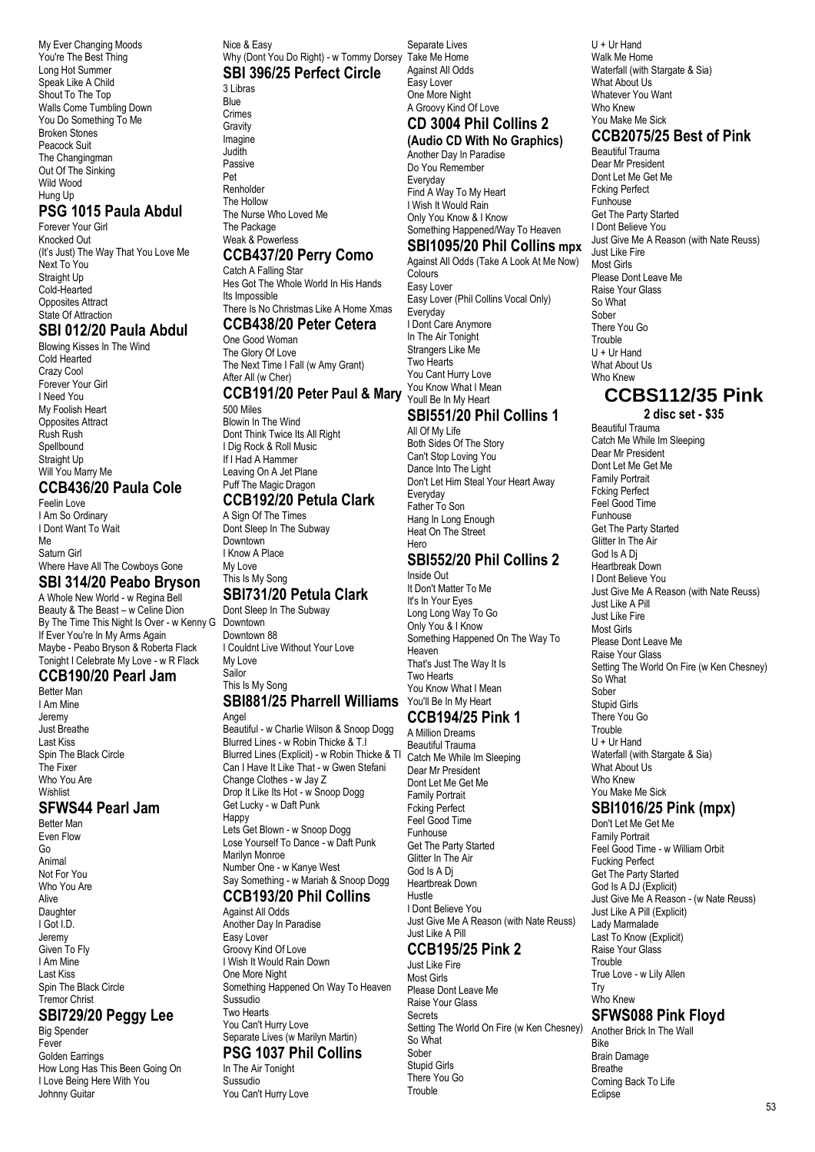My Ever Changing Moods You're The Best Thing Long Hot Summer Speak Like A Child Shout To The Top Walls Come Tumbling Down You Do Something To Me Broken Stones Peacock Suit The Changingman Out Of The Sinking Wild Wood Hung Up

## **PSG 1015 Paula Abdul**

Forever Your Girl Knocked Out (It's Just) The Way That You Love Me Next To You Straight Up Cold-Hearted Opposites Attract State Of Attraction

#### **SBI 012/20 Paula Abdul**

Blowing Kisses In The Wind Cold Hearted Crazy Cool Forever Your Girl I Need You My Foolish Heart Opposites Attract Rush Rush **Spellbound** Straight Up Will You Marry Me **CCB436/20 Paula Cole**

#### Feelin Love I Am So Ordinary I Dont Want To Wait Me Saturn Girl

#### Where Have All The Cowboys Gone **SBI 314/20 Peabo Bryson**

A Whole New World - w Regina Bell Beauty & The Beast – w Celine Dion By The Time This Night Is Over - w Kenny G Downtown If Ever You're In My Arms Again Maybe - Peabo Bryson & Roberta Flack Tonight I Celebrate My Love - w R Flack

#### **CCB190/20 Pearl Jam** Better Man

I Am Mine Jeremy Just Breathe Last Kiss Spin The Black Circle The Fixer Who You Are W*i*shlist

## **SFWS44 Pearl Jam**

Better Man Even Flow Go Animal Not For You Who You Are Alive **Daughter** I Got I.D. Jeremy Given To Fly I Am Mine Last Kiss Spin The Black Circle Tremor Christ

#### **SBI729/20 Peggy Lee**

Big Spender Fever Golden Earrings How Long Has This Been Going On I Love Being Here With You Johnny Guitar

#### Nice & Easy Why (Dont You Do Right) - w Tommy Dorsey Take Me Home **SBI 396/25 Perfect Circle**

3 Libras Blue Crimes Gravity Imagine Judith Passive

Pet **Renholder** The Hollow The Nurse Who Loved Me The Package Weak & Powerless

#### **CCB437/20 Perry Como**

Catch A Falling Star Hes Got The Whole World In His Hands Its Impossible There Is No Christmas Like A Home Xmas

#### **CCB438/20 Peter Cetera**

One Good Woman The Glory Of Love The Next Time I Fall (w Amy Grant) After All (w Cher)

## **CCB191/20 Peter Paul & Mary**

500 Miles Blowin In The Wind Dont Think Twice Its All Right I Dig Rock & Roll Music If I Had A Hammer Leaving On A Jet Plane Puff The Magic Dragon **CCB192/20 Petula Clark**

#### A Sign Of The Times

Dont Sleep In The Subway Downtown I Know A Place My Love This Is My Song

#### **SBI731/20 Petula Clark** Dont Sleep In The Subway

Downtown 88 I Couldnt Live Without Your Love My Love Sailor This Is My Song

# **SBI881/25 Pharrell Williams** You'll Be In My Heart

Angel Beautiful - w Charlie Wilson & Snoop Dogg Blurred Lines - w Robin Thicke & T.I Blurred Lines (Explicit) - w Robin Thicke & TI Can I Have It Like That - w Gwen Stefani Change Clothes - w Jay Z Drop It Like Its Hot - w Snoop Dogg Get Lucky - w Daft Punk Happy Lets Get Blown - w Snoop Dogg Lose Yourself To Dance - w Daft Punk Marilyn Monroe Number One - w Kanye West Say Something - w Mariah & Snoop Dogg

#### **CCB193/20 Phil Collins** Against All Odds

Another Day In Paradise Easy Lover Groovy Kind Of Love I Wish It Would Rain Down One More Night Something Happened On Way To Heaven Sussudio Two Hearts You Can't Hurry Love Separate Lives (w Marilyn Martin) **PSG 1037 Phil Collins**

#### In The Air Tonight Sussudio You Can't Hurry Love

Separate Lives Against All Odds Easy Lover One More Night A Groovy Kind Of Love **CD 3004 Phil Collins 2**

# **(Audio CD With No Graphics)**

Another Day In Paradise Do You Remember Everyday Find A Way To My Heart I Wish It Would Rain Only You Know & I Know Something Happened/Way To Heaven

## **SBI1095/20 Phil Collins mpx**

Against All Odds (Take A Look At Me Now) **Colours** Easy Lover Easy Lover (Phil Collins Vocal Only) **Everyday** I Dont Care Anymore In The Air Tonight Strangers Like Me Two Hearts You Cant Hurry Love You Know What I Mean Youll Be In My Heart

#### **SBI551/20 Phil Collins 1** All Of My Life

Both Sides Of The Story Can't Stop Loving You Dance Into The Light Don't Let Him Steal Your Heart Away Everyday Father To Son Hang In Long Enough Heat On The Street Hero

## **SBI552/20 Phil Collins 2**

Inside Out It Don't Matter To Me It's In Your Eyes Long Long Way To Go Only You & I Know Something Happened On The Way To Heaven That's Just The Way It Is Two Hearts You Know What I Mean **CCB194/25 Pink 1**

A Million Dreams Beautiful Trauma Catch Me While Im Sleeping Dear Mr President Dont Let Me Get Me Family Portrait Fcking Perfect Feel Good Time Funhouse Get The Party Started Glitter In The Air God Is A Dj Heartbreak Down Hustle I Dont Believe You Just Give Me A Reason (with Nate Reuss) Just Like A Pill

# **CCB195/25 Pink 2**

Just Like Fire Most Girls Please Dont Leave Me Raise Your Glass Secrets Setting The World On Fire (w Ken Chesney) So What Sober Stupid Girls There You Go Trouble

U + Ur Hand Walk Me Home Waterfall (with Stargate & Sia) What About Us Whatever You Want Who Knew You Make Me Sick

## **CCB2075/25 Best of Pink**

Beautiful Trauma Dear Mr President Dont Let Me Get Me Fcking Perfect Funhouse Get The Party Started I Dont Believe You Just Give Me A Reason (with Nate Reuss) Just Like Fire Most Girls Please Dont Leave Me Raise Your Glass So What Sober There You Go Trouble U + Ur Hand What About Us Who Knew

# **CCBS112/35 Pink**

**2 disc set - \$35**

Beautiful Trauma Catch Me While Im Sleeping Dear Mr President Dont Let Me Get Me Family Portrait Fcking Perfect Feel Good Time Funhouse Get The Party Started Glitter In The Air God Is A Dj Heartbreak Down I Dont Believe You Just Give Me A Reason (with Nate Reuss) Just Like A Pill Just Like Fire Most Girls Please Dont Leave Me Raise Your Glass Setting The World On Fire (w Ken Chesney) So What Sober Stupid Girls There You Go **Trouble** U + Ur Hand Waterfall (with Stargate & Sia) What About Us Who Knew You Make Me Sick

# **SBI1016/25 Pink (mpx)**

Don't Let Me Get Me Family Portrait Feel Good Time - w William Orbit Fucking Perfect Get The Party Started God Is A DJ (Explicit) Just Give Me A Reason - (w Nate Reuss) Just Like A Pill (Explicit) Lady Marmalade Last To Know (Explicit) Raise Your Glass **Trouble** True Love - w Lily Allen Try Who Knew **SFWS088 Pink Floyd**

Another Brick In The Wall Bike Brain Damage **Breathe** Coming Back To Life **Eclipse**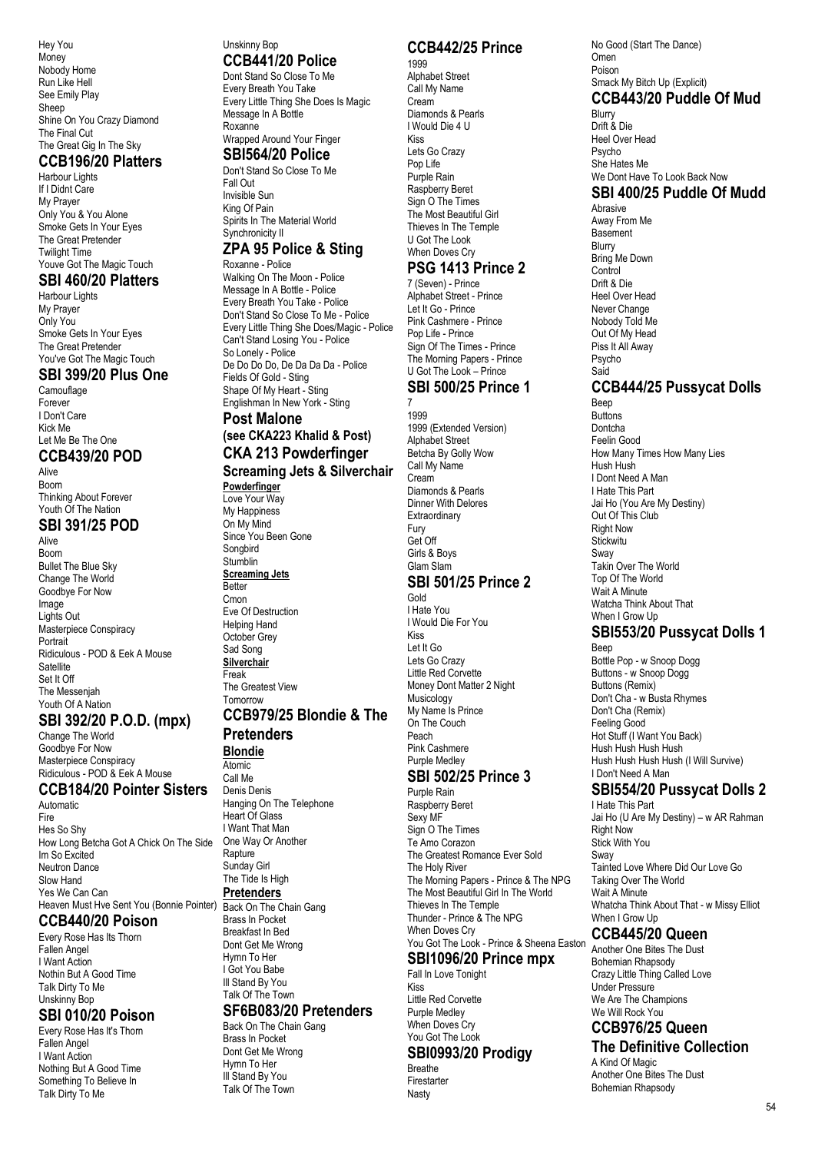Hey You **Money** Nobody Home Run Like Hell See Emily Play Sheep Shine On You Crazy Diamond The Final Cut The Great Gig In The Sky

#### **CCB196/20 Platters**

Harbour Lights If I Didnt Care My Prayer Only You & You Alone Smoke Gets In Your Eyes The Great Pretender Twilight Time Youve Got The Magic Touch

#### **SBI 460/20 Platters**

Harbour Lights My Praver Only You Smoke Gets In Your Eyes The Great Pretender You've Got The Magic Touch

#### **SBI 399/20 Plus One**

Camouflage Forever I Don't Care Kick Me Let Me Be The One

#### **CCB439/20 POD**

Alive Boom Thinking About Forever Youth Of The Nation

#### **SBI 391/25 POD**

Alive Boom Bullet The Blue Sky Change The World Goodbye For Now Image Lights Out Masterpiece Conspiracy Portrait Ridiculous - POD & Eek A Mouse **Satellite** Set It Off The Messenjah Youth Of A Nation

## **SBI 392/20 P.O.D. (mpx)**

Change The World Goodbye For Now Masterpiece Conspiracy Ridiculous - POD & Eek A Mouse

#### **CCB184/20 Pointer Sisters**

Automatic Fire Hes So Shy How Long Betcha Got A Chick On The Side Im So Excited Neutron Dance Slow Hand Yes We Can Can Heaven Must Hve Sent You (Bonnie Pointer)

#### **CCB440/20 Poison**

Every Rose Has Its Thorn Fallen Angel I Want Action Nothin But A Good Time Talk Dirty To Me Unskinny Bop

#### **SBI 010/20 Poison**

Every Rose Has It's Thorn Fallen Angel I Want Action Nothing But A Good Time Something To Believe In Talk Dirty To Me

#### Unskinny Bop **CCB441/20 Police**

Dont Stand So Close To Me Every Breath You Take Every Little Thing She Does Is Magic Message In A Bottle Roxanne Wrapped Around Your Finger

#### **SBI564/20 Police**

Don't Stand So Close To Me Fall Out Invisible Sun King Of Pain Spirits In The Material World Synchronicity II

#### **ZPA 95 Police & Sting** Roxanne - Police

Walking On The Moon - Police Message In A Bottle - Police Every Breath You Take - Police Don't Stand So Close To Me - Police Every Little Thing She Does/Magic - Police Can't Stand Losing You - Police So Lonely - Police De Do Do Do, De Da Da Da - Police Fields Of Gold - Sting Shape Of My Heart - Sting Englishman In New York - Sting

#### **Post Malone (see CKA223 Khalid & Post) CKA 213 Powderfinger**

**Screaming Jets & Silverchair Powderfinger** Love Your Way My Happiness On My Mind

Since You Been Gone Songbird Stumblin **Screaming Jets** Better **Cmon** Eve Of Destruction Helping Hand October Grey Sad Song **Silverchair** Freak

The Greatest View Tomorrow

#### **CCB979/25 Blondie & The Pretenders**

# **Blondie**

Atomic

Call Me Denis Denis Hanging On The Telephone Heart Of Glass I Want That Man One Way Or Another Rapture Sunday Girl The Tide Is High **Pretenders** Back On The Chain Gang Brass In Pocket Breakfast In Bed Dont Get Me Wrong Hymn To Her I Got You Babe Ill Stand By You Talk Of The Town **SF6B083/20 Pretenders**

Back On The Chain Gang Brass In Pocket Dont Get Me Wrong Hymn To Her Ill Stand By You Talk Of The Town

## **CCB442/25 Prince**

1999 Alphabet Street Call My Name Cream Diamonds & Pearls I Would Die 4 U Kiss Lets Go Crazy Pop Life Purple Rain Raspberry Beret Sign O The Times The Most Beautiful Girl Thieves In The Temple U Got The Look When Doves Cry **PSG 1413 Prince 2**

7 (Seven) - Prince Alphabet Street - Prince Let It Go - Prince Pink Cashmere - Prince Pop Life - Prince Sign Of The Times - Prince The Morning Papers - Prince U Got The Look – Prince **SBI 500/25 Prince 1**

# 7

1999 1999 (Extended Version) Alphabet Street Betcha By Golly Wow Call My Name Cream Diamonds & Pearls Dinner With Delores **Extraordinary** Get Off Girls & Boys **SBI 501/25 Prince 2** I Would Die For You Kiss Let It Go Lets Go Crazy Little Red Corvette Money Dont Matter 2 Night

Musicology My Name Is Prince On The Couch Peach Pink Cashmere Purple Medley

# **SBI 502/25 Prince 3**

Purple Rain Raspberry Beret Sexy MF Sign O The Times Te Amo Corazon The Greatest Romance Ever Sold The Holy River The Morning Papers - Prince & The NPG The Most Beautiful Girl In The World Thieves In The Temple Thunder - Prince & The NPG When Doves Cry You Got The Look - Prince & Sheena Easton

# **SBI1096/20 Prince mpx**

Fall In Love Tonight Kiss Little Red Corvette Purple Medley

#### When Doves Cry You Got The Look **SBI0993/20 Prodigy**

Breathe

#### Firestarter Nasty

#### No Good (Start The Dance) Omen Poison Smack My Bitch Up (Explicit) **CCB443/20 Puddle Of Mud** Blurry

Drift & Die Heel Over Head Psycho She Hates Me We Dont Have To Look Back Now **SBI 400/25 Puddle Of Mudd** Abrasive Away From Me **Basement Blurry** Bring Me Down Control Drift & Die

Heel Over Head Never Change Nobody Told Me Out Of My Head Piss It All Away Psycho Said

## **CCB444/25 Pussycat Dolls**

Beep **Buttons** Dontcha Feelin Good How Many Times How Many Lies Hush Hush I Dont Need A Man I Hate This Part Jai Ho (You Are My Destiny) Out Of This Club Right Now **Stickwitu** Sway Takin Over The World Top Of The World Wait A Minute Watcha Think About That When I Grow Up **SBI553/20 Pussycat Dolls 1**

Beep Bottle Pop - w Snoop Dogg Buttons - w Snoop Dogg Buttons (Remix) Don't Cha - w Busta Rhymes Don't Cha (Remix) Feeling Good Hot Stuff (I Want You Back) Hush Hush Hush Hush Hush Hush Hush Hush (I Will Survive) I Don't Need A Man

#### **SBI554/20 Pussycat Dolls 2** I Hate This Part

Jai Ho (U Are My Destiny) – w AR Rahman Right Now Stick With You Sway Tainted Love Where Did Our Love Go Taking Over The World Wait A Minute Whatcha Think About That - w Missy Elliot When I Grow Up

#### **CCB445/20 Queen**

Another One Bites The Dust Bohemian Rhapsody Crazy Little Thing Called Love Under Pressure We Are The Champions We Will Rock You

#### **CCB976/25 Queen The Definitive Collection**

A Kind Of Magic Another One Bites The Dust Bohemian Rhapsody

# Fury

# Glam Slam Gold I Hate You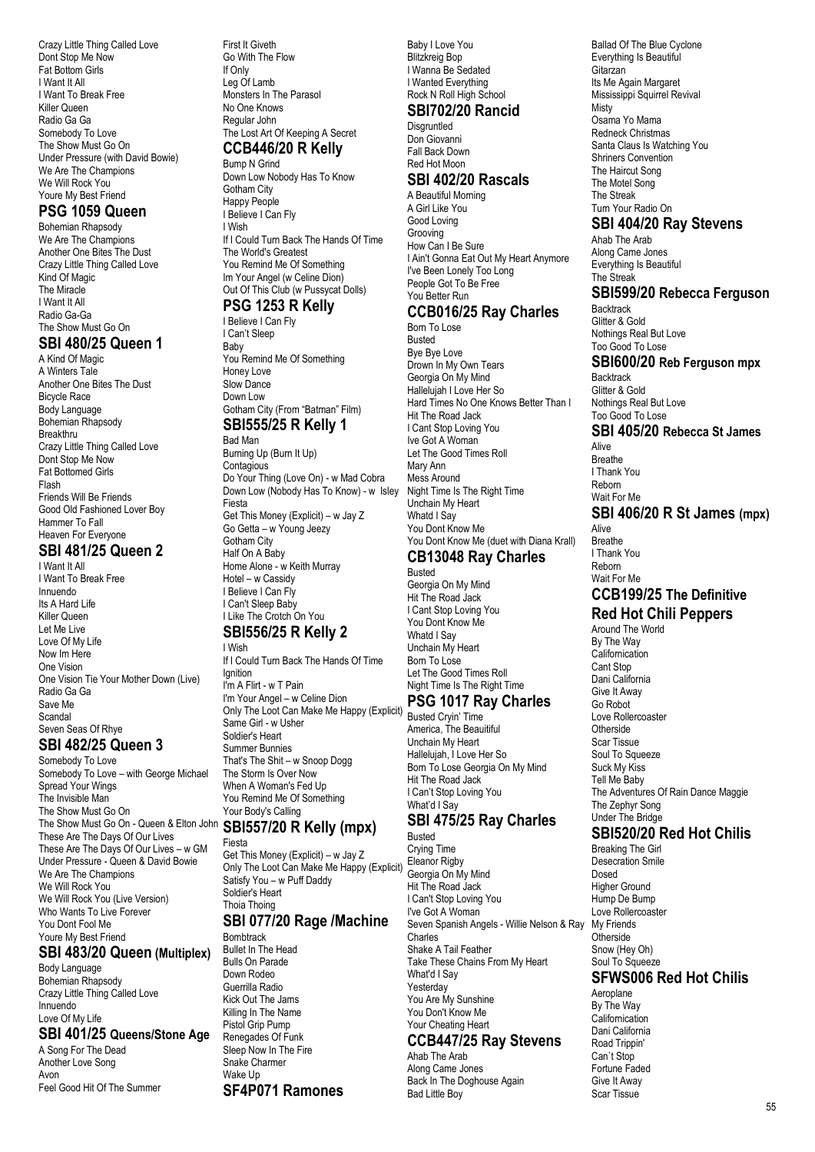Crazy Little Thing Called Love Dont Stop Me Now Fat Bottom Girls I Want It All I Want To Break Free Killer Queen Radio Ga Ga Somebody To Love The Show Must Go On Under Pressure (with David Bowie) We Are The Champions We Will Rock You Youre My Best Friend

#### **PSG 1059 Queen**

Bohemian Rhapsody We Are The Champions Another One Bites The Dust Crazy Little Thing Called Love Kind Of Magic The Miracle I Want It All Radio Ga-Ga The Show Must Go On

#### **SBI 480/25 Queen 1**

A Kind Of Magic A Winters Tale Another One Bites The Dust Bicycle Race Body Language Bohemian Rhapsody Breakthru Crazy Little Thing Called Love Dont Stop Me Now Fat Bottomed Girls Flash Friends Will Be Friends Good Old Fashioned Lover Boy Hammer To Fall Heaven For Everyone

#### **SBI 481/25 Queen 2**

I Want It All I Want To Break Free Innuendo Its A Hard Life Killer Queen Let Me Live Love Of My Life Now Im Here One Vision One Vision Tie Your Mother Down (Live) Radio Ga Ga Save Me Scandal Seven Seas Of Rhye

#### **SBI 482/25 Queen 3**

Somebody To Love Somebody To Love – with George Michael Spread Your Wings The Invisible Man The Show Must Go On The Show Must Go On - Queen & Elton John **SBI557/20 R Kelly (mpx)** These Are The Days Of Our Lives These Are The Days Of Our Lives – w GM Under Pressure - Queen & David Bowie We Are The Champions We Will Rock You We Will Rock You (Live Version) Who Wants To Live Forever You Dont Fool Me Youre My Best Friend

## **SBI 483/20 Queen (Multiplex)**

Body Language Bohemian Rhapsody Crazy Little Thing Called Love Innuendo Love Of My Life

#### **SBI 401/25 Queens/Stone Age**

A Song For The Dead Another Love Song Avon Feel Good Hit Of The Summer First It Giveth Go With The Flow If Only Leg Of Lamb Monsters In The Parasol No One Knows Regular John The Lost Art Of Keeping A Secret **CCB446/20 R Kelly**

# Bump N Grind

Down Low Nobody Has To Know Gotham City Happy People I Believe I Can Fly I Wish If I Could Turn Back The Hands Of Time The World's Greatest You Remind Me Of Something Im Your Angel (w Celine Dion) Out Of This Club (w Pussycat Dolls)

#### **PSG 1253 R Kelly**

I Believe I Can Fly I Can't Sleep Baby You Remind Me Of Something Honey Love Slow Dance Down Low Gotham City (From "Batman" Film) **SBI555/25 R Kelly 1**

#### Bad Man Burning Up (Burn It Up) **Contagious** Do Your Thing (Love On) - w Mad Cobra Down Low (Nobody Has To Know) - w Isley Fiesta Get This Money (Explicit) – w Jay Z Go Getta – w Young Jeezy Gotham City Half On A Baby Home Alone - w Keith Murray Hotel – w Cassidy I Believe I Can Fly I Can't Sleep Baby I Like The Crotch On You

# **SBI556/25 R Kelly 2**

I Wish If I Could Turn Back The Hands Of Time Ignition I'm A Flirt - w T Pain I'm Your Angel – w Celine Dion Only The Loot Can Make Me Happy (Explicit) Busted Cryin' Time Same Girl - w Usher Soldier's Heart Summer Bunnies That's The Shit – w Snoop Dogg The Storm Is Over Now When A Woman's Fed Up You Remind Me Of Something Your Body's Calling

# Fiesta

Get This Money (Explicit) – w Jay Z Only The Loot Can Make Me Happy (Explicit) Satisfy You – w Puff Daddy Soldier's Heart Thoia Thoing **SBI 077/20 Rage /Machine**

**Bombtrack** Bullet In The Head Bulls On Parade Down Rodeo Guerrilla Radio Kick Out The Jams Killing In The Name Pistol Grip Pump Renegades Of Funk Sleep Now In The Fire Snake Charmer Wake Un **SF4P071 Ramones** Baby I Love You Blitzkreig Bop I Wanna Be Sedated I Wanted Everything Rock N Roll High School

#### **SBI702/20 Rancid**

**Disgruntled** Don Giovanni Fall Back Down Red Hot Moon

#### **SBI 402/20 Rascals**

A Beautiful Morning A Girl Like You Good Loving Grooving How Can I Be Sure I Ain't Gonna Eat Out My Heart Anymore I've Been Lonely Too Long People Got To Be Free You Better Run

#### **CCB016/25 Ray Charles** Born To Lose

Busted Bye Bye Love Drown In My Own Tears Georgia On My Mind Hallelujah I Love Her So Hard Times No One Knows Better Than I Hit The Road Jack I Cant Stop Loving You Ive Got A Woman Let The Good Times Roll Mary Ann Mess Around Night Time Is The Right Time Unchain My Heart Whatd I Say You Dont Know Me You Dont Know Me (duet with Diana Krall)

# **CB13048 Ray Charles**

Busted Georgia On My Mind Hit The Road Jack I Cant Stop Loving You You Dont Know Me Whatd I Say Unchain My Heart Born To Lose Let The Good Times Roll Night Time Is The Right Time **PSG 1017 Ray Charles**

America, The Beauitiful Unchain My Heart Hallelujah, I Love Her So Born To Lose Georgia On My Mind Hit The Road Jack I Can't Stop Loving You What'd I Say

#### **SBI 475/25 Ray Charles** Busted

Crying Time Eleanor Rigby Georgia On My Mind Hit The Road Jack I Can't Stop Loving You I've Got A Woman Seven Spanish Angels - Willie Nelson & Ray Charles Shake A Tail Feather Take These Chains From My Heart What'd I Say Yesterday You Are My Sunshine You Don't Know Me Your Cheating Heart **CCB447/25 Ray Stevens**

# Ahab The Arab

Along Came Jones Back In The Doghouse Again Bad Little Boy

Ballad Of The Blue Cyclone Everything Is Beautiful Gitarzan Its Me Again Margaret Mississippi Squirrel Revival Misty Osama Yo Mama Redneck Christmas Santa Claus Is Watching You Shriners Convention The Haircut Song The Motel Song The Streak Turn Your Radio On

#### **SBI 404/20 Ray Stevens**

Ahab The Arab Along Came Jones Everything Is Beautiful The Streak

# **SBI599/20 Rebecca Ferguson**

**Backtrack** Glitter & Gold Nothings Real But Love Too Good To Lose

#### **SBI600/20 Reb Ferguson mpx**

**Backtrack** Glitter & Gold Nothings Real But Love Too Good To Lose

# **SBI 405/20 Rebecca St James**

Alive Breathe I Thank You Reborn Wait For Me

## **SBI 406/20 R St James (mpx)**

Alive Breathe I Thank You Reborn Wait For Me

#### **CCB199/25 The Definitive Red Hot Chili Peppers**

Around The World By The Way Californication Cant Stop Dani California Give It Away Go Robot Love Rollercoaster **Otherside** Scar Tissue Soul To Squeeze Suck My Kiss Tell Me Baby The Adventures Of Rain Dance Maggie The Zephyr Song Under The Bridge

## **SBI520/20 Red Hot Chilis**

Breaking The Girl Desecration Smile Dosed Higher Ground Hump De Bump Love Rollercoaster My Friends **Otherside** Snow (Hey Oh) Soul To Squeeze

#### **SFWS006 Red Hot Chilis**

Aeroplane By The Way Californication Dani California Road Trippin' Can`t Stop Fortune Faded Give It Away Scar Tissue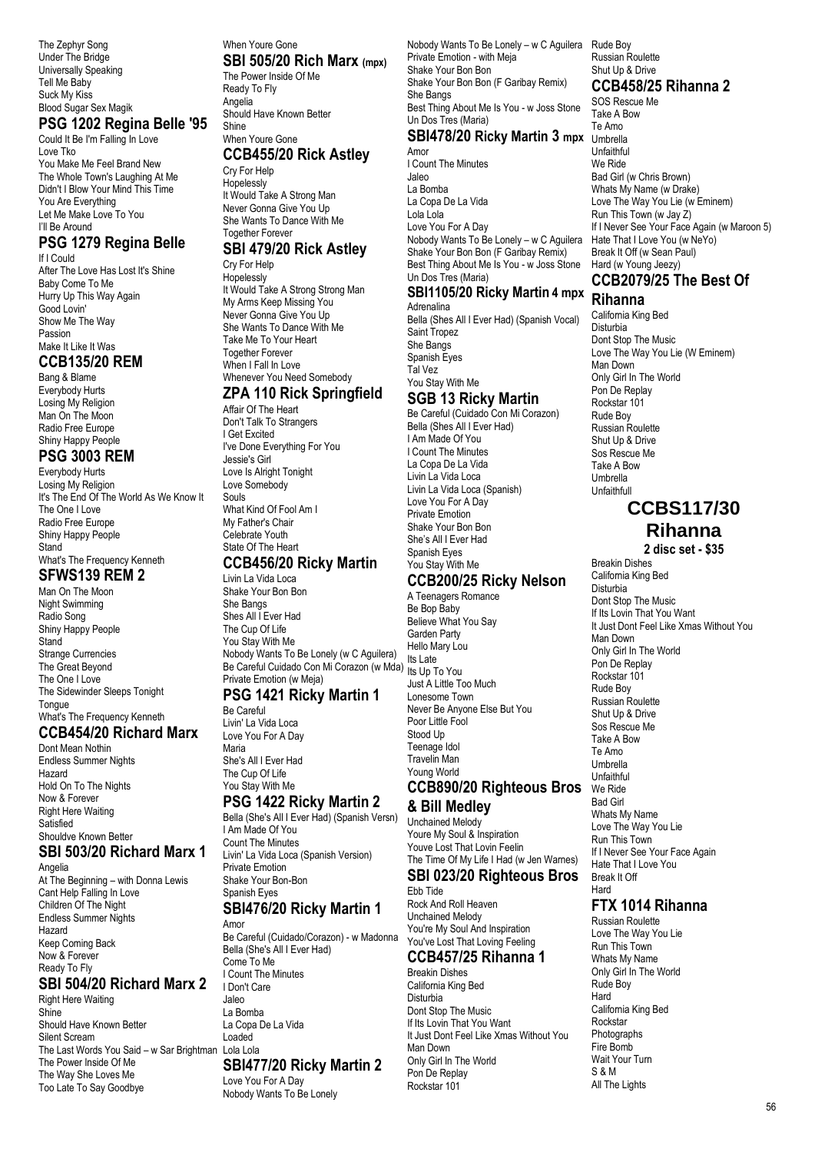The Zephyr Song Under The Bridge Universally Speaking Tell Me Baby Suck My Kiss Blood Sugar Sex Magik

#### **PSG 1202 Regina Belle '95**

Could It Be I'm Falling In Love Love Tko You Make Me Feel Brand New The Whole Town's Laughing At Me Didn't I Blow Your Mind This Time You Are Everything Let Me Make Love To You I'll Be Around

#### **PSG 1279 Regina Belle**

If I Could After The Love Has Lost It's Shine Baby Come To Me Hurry Up This Way Again Good Lovin' Show Me The Way Passion Make It Like It Was

#### **CCB135/20 REM**

Bang & Blame Everybody Hurts Losing My Religion Man On The Moon Radio Free Europe Shiny Happy People

#### **PSG 3003 REM**

Everybody Hurts Losing My Religion It's The End Of The World As We Know It The One I Love Radio Free Europe Shiny Happy People Stand What's The Frequency Kenneth **SFWS139 REM 2**

#### Man On The Moon

Night Swimming Radio Song Shiny Happy People **Stand** Strange Currencies The Great Beyond The One I Love The Sidewinder Sleeps Tonight **Tongue** What's The Frequency Kenneth

#### **CCB454/20 Richard Marx**

Dont Mean Nothin Endless Summer Nights Hazard Hold On To The Nights Now & Forever Right Here Waiting Satisfied Shouldve Known Better

#### **SBI 503/20 Richard Marx 1**

Angelia At The Beginning – with Donna Lewis Cant Help Falling In Love Children Of The Night Endless Summer Nights Hazard Keep Coming Back Now & Forever Ready To Fly

## **SBI 504/20 Richard Marx 2**

Right Here Waiting Shine Should Have Known Better Silent Scream The Last Words You Said – w Sar Brightman Lola Lola The Power Inside Of Me The Way She Loves Me Too Late To Say Goodbye

#### When Youre Gone **SBI 505/20 Rich Marx (mpx)**

The Power Inside Of Me Ready To Fly Angelia Should Have Known Better Shine

#### When Youre Gone **CCB455/20 Rick Astley**

Cry For Help **Hopelessly** It Would Take A Strong Man Never Gonna Give You Up She Wants To Dance With Me Together Forever

#### **SBI 479/20 Rick Astley**

Cry For Help **Hopelessly** It Would Take A Strong Strong Man My Arms Keep Missing You Never Gonna Give You Up She Wants To Dance With Me Take Me To Your Heart Together Forever When I Fall In Love Whenever You Need Somebody

## **ZPA 110 Rick Springfield**

Affair Of The Heart Don't Talk To Strangers I Get Excited I've Done Everything For You Jessie's Girl Love Is Alright Tonight Love Somebody Souls What Kind Of Fool Am I My Father's Chair Celebrate Youth State Of The Heart

#### **CCB456/20 Ricky Martin**

Livin La Vida Loca Shake Your Bon Bon She Bangs Shes All I Ever Had The Cup Of Life You Stay With Me Nobody Wants To Be Lonely (w C Aguilera) Nobody wants To be Lonely (w C Aguliera) Its Late<br>Be Careful Cuidado Con Mi Corazon (w Mda) <sub>Its Lin</sub> Private Emotion (w Meja)

#### **PSG 1421 Ricky Martin 1** Be Careful

Livin' La Vida Loca Love You For A Day Maria She's All I Ever Had The Cup Of Life You Stay With Me

# **PSG 1422 Ricky Martin 2**

Bella (She's All I Ever Had) (Spanish Versn) I Am Made Of You Count The Minutes Livin' La Vida Loca (Spanish Version) Private Emotion Shake Your Bon-Bon Spanish Eyes **SBI476/20 Ricky Martin 1**

Amor Be Careful (Cuidado/Corazon) - w Madonna Bella (She's All I Ever Had) Come To Me I Count The Minutes I Don't Care Jaleo La Bomba La Copa De La Vida Loaded

#### **SBI477/20 Ricky Martin 2**

Love You For A Day Nobody Wants To Be Lonely

Nobody Wants To Be Lonely – w C Aguilera Rude Boy Private Emotion - with Meja Shake Your Bon Bon Shake Your Bon Bon (F Garibay Remix) She Bangs Best Thing About Me Is You - w Joss Stone Un Dos Tres (Maria)

#### **SBI478/20 Ricky Martin 3 mpx** Umbrella

Amor I Count The Minutes Jaleo La Bomba La Copa De La Vida Lola Lola Love You For A Day Nobody Wants To Be Lonely – w C Aguilera Shake Your Bon Bon (F Garibay Remix) Best Thing About Me Is You - w Joss Stone Un Dos Tres (Maria) **SBI1105/20 Ricky Martin 4 mpx** Adrenalina

Bella (Shes All I Ever Had) (Spanish Vocal) Saint Tropez She Bangs Spanish Eyes Tal Vez You Stay With Me

#### **SGB 13 Ricky Martin** Be Careful (Cuidado Con Mi Corazon)

Bella (Shes All I Ever Had) I Am Made Of You I Count The Minutes La Copa De La Vida Livin La Vida Loca Livin La Vida Loca (Spanish) Love You For A Day Private Emotion Shake Your Bon Bon She's All I Ever Had Spanish Eyes You Stay With Me

# **CCB200/25 Ricky Nelson**

A Teenagers Romance Be Bop Baby Believe What You Say Garden Party Hello Mary Lou Its Up To You Just A Little Too Much Lonesome Town Never Be Anyone Else But You Poor Little Fool Stood Up Teenage Idol Travelin Man Young World **CCB890/20 Righteous Bros**

## **& Bill Medley**

Unchained Melody Youre My Soul & Inspiration Youve Lost That Lovin Feelin The Time Of My Life I Had (w Jen Warnes)

#### **SBI 023/20 Righteous Bros** Ebb Tide

Rock And Roll Heaven Unchained Melody You're My Soul And Inspiration You've Lost That Loving Feeling

#### **CCB457/25 Rihanna 1** Breakin Dishes

California King Bed Disturbia Dont Stop The Music If Its Lovin That You Want It Just Dont Feel Like Xmas Without You Man Down Only Girl In The World Pon De Replay Rockstar 101

Russian Roulette Shut Up & Drive **CCB458/25 Rihanna 2** SOS Rescue Me Take A Bow Te Amo Unfaithful We Ride Bad Girl (w Chris Brown) Whats My Name (w Drake) Love The Way You Lie (w Eminem) Run This Town (w Jay Z) If I Never See Your Face Again (w Maroon 5) Hate That I Love You (w NeYo) Break It Off (w Sean Paul) Hard (w Young Jeezy)

# **CCB2079/25 The Best Of**

# **Rihanna**

California King Bed Disturbia Dont Stop The Music Love The Way You Lie (W Eminem) Man Down Only Girl In The World Pon De Replay Rockstar 101 Rude Boy Russian Roulette Shut Up & Drive Sos Rescue Me Take A Bow Umbrella Unfaithfull

#### **CCBS117/30 Rihanna 2 disc set - \$35**

Breakin Dishes California King Bed Disturbia Dont Stop The Music If Its Lovin That You Want It Just Dont Feel Like Xmas Without You Man Down Only Girl In The World Pon De Replay Rockstar 101 Rude Boy Russian Roulette Shut Up & Drive Sos Rescue Me Take A Bow Te Amo Umbrella **Unfaithful** We Ride Bad Girl Whats My Name Love The Way You Lie Run This Town If I Never See Your Face Again Hate That I Love You Break It Off Hard

# **FTX 1014 Rihanna**

Russian Roulette Love The Way You Lie Run This Town Whats My Name Only Girl In The World Rude Boy Hard California King Bed Rockstar **Photographs** Fire Bomb Wait Your Turn S & M All The Lights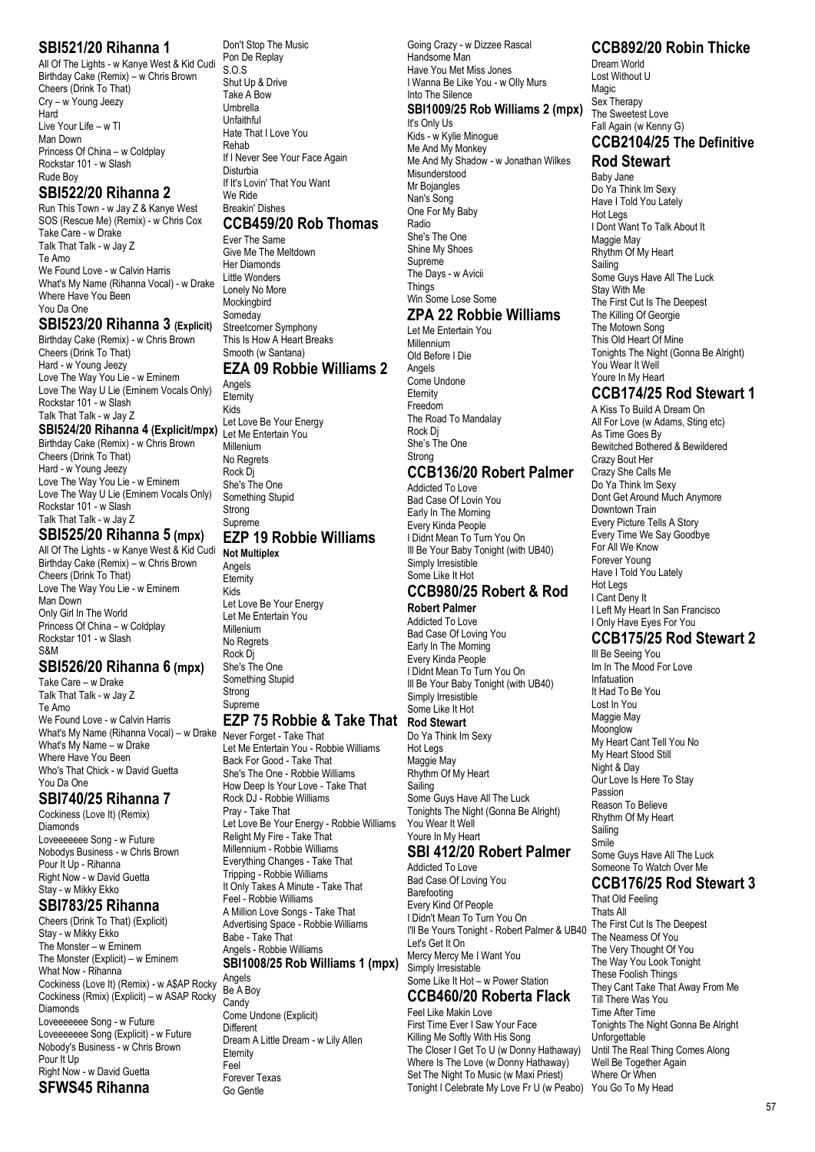#### **SBI521/20 Rihanna 1**

All Of The Lights - w Kanye West & Kid Cudi Birthday Cake (Remix) – w Chris Brown Cheers (Drink To That) Cry – w Young Jeezy Hard Live Your Life – w TI Man Down Princess Of China – w Coldplay Rockstar 101 - w Slash Rude Boy

#### **SBI522/20 Rihanna 2**

Run This Town - w Jay Z & Kanye West SOS (Rescue Me) (Remix) - w Chris Cox Take Care - w Drake Talk That Talk - w Jay Z Te Amo We Found Love - w Calvin Harris What's My Name (Rihanna Vocal) - w Drake Where Have You Been You Da One

#### **SBI523/20 Rihanna 3 (Explicit)**

Birthday Cake (Remix) - w Chris Brown Cheers (Drink To That) Hard - w Young Jeezy Love The Way You Lie - w Eminem Love The Way U Lie (Eminem Vocals Only) Rockstar 101 - w Slash Talk That Talk - w Jay Z **SBI524/20 Rihanna 4 (Explicit/mpx)**

Birthday Cake (Remix) - w Chris Brown Cheers (Drink To That) Hard - w Young Jeezy Love The Way You Lie - w Eminem Love The Way U Lie (Eminem Vocals Only) Rockstar 101 - w Slash Talk That Talk - w Jay Z

#### **SBI525/20 Rihanna 5 (mpx)**

All Of The Lights - w Kanye West & Kid Cudi Birthday Cake (Remix) – w Chris Brown Cheers (Drink To That) Love The Way You Lie - w Eminem Man Down Only Girl In The World Princess Of China – w Coldplay Rockstar 101 - w Slash S&M

#### **SBI526/20 Rihanna 6 (mpx)**

Take Care – w Drake Talk That Talk - w Jay Z Te Amo We Found Love - w Calvin Harris What's My Name (Rihanna Vocal) – w Drake What's My Name – w Drake Where Have You Been Who's That Chick - w David Guetta You Da One

#### **SBI740/25 Rihanna 7**

Cockiness (Love It) (Remix) Diamonds Loveeeeeee Song - w Future Nobodys Business - w Chris Brown Pour It Up - Rihanna Right Now - w David Guetta Stay - w Mikky Ekko

## **SBI783/25 Rihanna**

Cheers (Drink To That) (Explicit) Stay - w Mikky Ekko The Monster – w Eminem The Monster (Explicit) – w Eminem What Now - Rihanna Cockiness (Love It) (Remix) - w A\$AP Rocky Cockiness (Rmix) (Explicit) – w ASAP Rocky **Diamonds** Loveeeeeee Song - w Future Loveeeeeee Song (Explicit) - w Future Nobody's Business - w Chris Brown Pour It Up Right Now - w David Guetta **SFWS45 Rihanna**

#### Don't Stop The Music Pon De Replay S.O.S Shut Up & Drive Take A Bow Umbrella Unfaithful **Hate That I Love You** Rehab If I Never See Your Face Again Disturbia If It's Lovin' That You Want We Ride Breakin' Dishes

#### **CCB459/20 Rob Thomas**

Ever The Same Give Me The Meltdown Her Diamonds Little Wonders Lonely No More **Mockingbird Someday** Streetcorner Symphony This Is How A Heart Breaks Smooth (w Santana) **EZA 09 Robbie Williams 2**

Angels **Eternity** Kids Let Love Be Your Energy Let Me Entertain You Millenium No Regrets Rock Dj She's The One Something Stupid Strong **Supreme EZP 19 Robbie Williams**

# **Not Multiplex**

Angels **Eternity** Kids Let Love Be Your Energy Let Me Entertain You Millenium No Regrets Rock Dj She's The One Something Stupid Strong Supreme

#### **EZP 75 Robbie & Take That Rod Stewart**

Never Forget - Take That Let Me Entertain You - Robbie Williams Back For Good - Take That She's The One - Robbie Williams How Deep Is Your Love - Take That Rock DJ - Robbie Williams Pray - Take That Let Love Be Your Energy - Robbie Williams Relight My Fire - Take That Millennium - Robbie Williams Everything Changes - Take That Tripping - Robbie Williams It Only Takes A Minute - Take That Feel - Robbie Williams A Million Love Songs - Take That Advertising Space - Robbie Williams Babe - Take That Angels - Robbie Williams **SBI1008/25 Rob Williams 1 (mpx)** Angels Be A Boy Candy

Come Undone (Explicit) **Different** Dream A Little Dream - w Lily Allen Eternity Feel Forever Texas Go Gentle

Going Crazy - w Dizzee Rascal Handsome Man Have You Met Miss Jones I Wanna Be Like You - w Olly Murs Into The Silence **SBI1009/25 Rob Williams 2 (mpx)** It's Only Us Kids - w Kylie Minogue

Me And My Monkey Me And My Shadow - w Jonathan Wilkes Misunderstood Mr Bojangles Nan's Song One For My Baby Radio She's The One Shine My Shoes Supreme The Days - w Avicii **Things** Win Some Lose Some **ZPA 22 Robbie Williams** Let Me Entertain You

Millennium Old Before I Die Angels Come Undone Eternity Freedom The Road To Mandalay Rock Dj She's The One Strong

## **CCB136/20 Robert Palmer**

Addicted To Love Bad Case Of Lovin You Early In The Morning Every Kinda People I Didnt Mean To Turn You On Ill Be Your Baby Tonight (with UB40) Simply Irresistible Some Like It Hot

# **CCB980/25 Robert & Rod**

**Robert Palmer**

Addicted To Love Bad Case Of Loving You Early In The Morning Every Kinda People I Didnt Mean To Turn You On Ill Be Your Baby Tonight (with UB40) Simply Irresistible Some Like It Hot

Do Ya Think Im Sexy

Hot Legs Maggie May Rhythm Of My Heart **Sailing** Some Guys Have All The Luck Tonights The Night (Gonna Be Alright) You Wear It Well Youre In My Heart

#### **SBI 412/20 Robert Palmer**

Addicted To Love Bad Case Of Loving You Barefooting Every Kind Of People I Didn't Mean To Turn You On I'll Be Yours Tonight - Robert Palmer & UB40 Let's Get It On Mercy Mercy Me I Want You Simply Irresistable Some Like It Hot – w Power Station

#### **CCB460/20 Roberta Flack** Feel Like Makin Love

First Time Ever I Saw Your Face Killing Me Softly With His Song The Closer I Get To U (w Donny Hathaway) Where Is The Love (w Donny Hathaway) Set The Night To Music (w Maxi Priest) Tonight I Celebrate My Love Fr U (w Peabo) You Go To My Head

#### **CCB892/20 Robin Thicke**

Dream World Lost Without U Magic Sex Therapy The Sweetest Love Fall Again (w Kenny G)

## **CCB2104/25 The Definitive**

## **Rod Stewart**

Baby Jane Do Ya Think Im Sexy Have I Told You Lately Hot Legs I Dont Want To Talk About It Maggie May Rhythm Of My Heart **Sailing** Some Guys Have All The Luck Stay With Me The First Cut Is The Deepest The Killing Of Georgie The Motown Song This Old Heart Of Mine Tonights The Night (Gonna Be Alright) You Wear It Well Youre In My Heart

#### **CCB174/25 Rod Stewart 1**

A Kiss To Build A Dream On All For Love (w Adams, Sting etc) As Time Goes By Bewitched Bothered & Bewildered Crazy Bout Her Crazy She Calls Me Do Ya Think Im Sexy Dont Get Around Much Anymore Downtown Train Every Picture Tells A Story Every Time We Say Goodbye For All We Know Forever Young Have I Told You Lately Hot Legs I Cant Deny It I Left My Heart In San Francisco I Only Have Eyes For You

# **CCB175/25 Rod Stewart 2**

Ill Be Seeing You Im In The Mood For Love Infatuation It Had To Be You Lost In You Maggie May **Moonglow** My Heart Cant Tell You No My Heart Stood Still Night & Day Our Love Is Here To Stay Passion Reason To Believe Rhythm Of My Heart **Sailing** Smile Some Guys Have All The Luck Someone To Watch Over Me

## **CCB176/25 Rod Stewart 3**

That Old Feeling Thats All The First Cut Is The Deepest The Nearness Of You The Very Thought Of You The Way You Look Tonight These Foolish Things They Cant Take That Away From Me Till There Was You Time After Time Tonights The Night Gonna Be Alright Unforgettable Until The Real Thing Comes Along Well Be Together Again Where Or When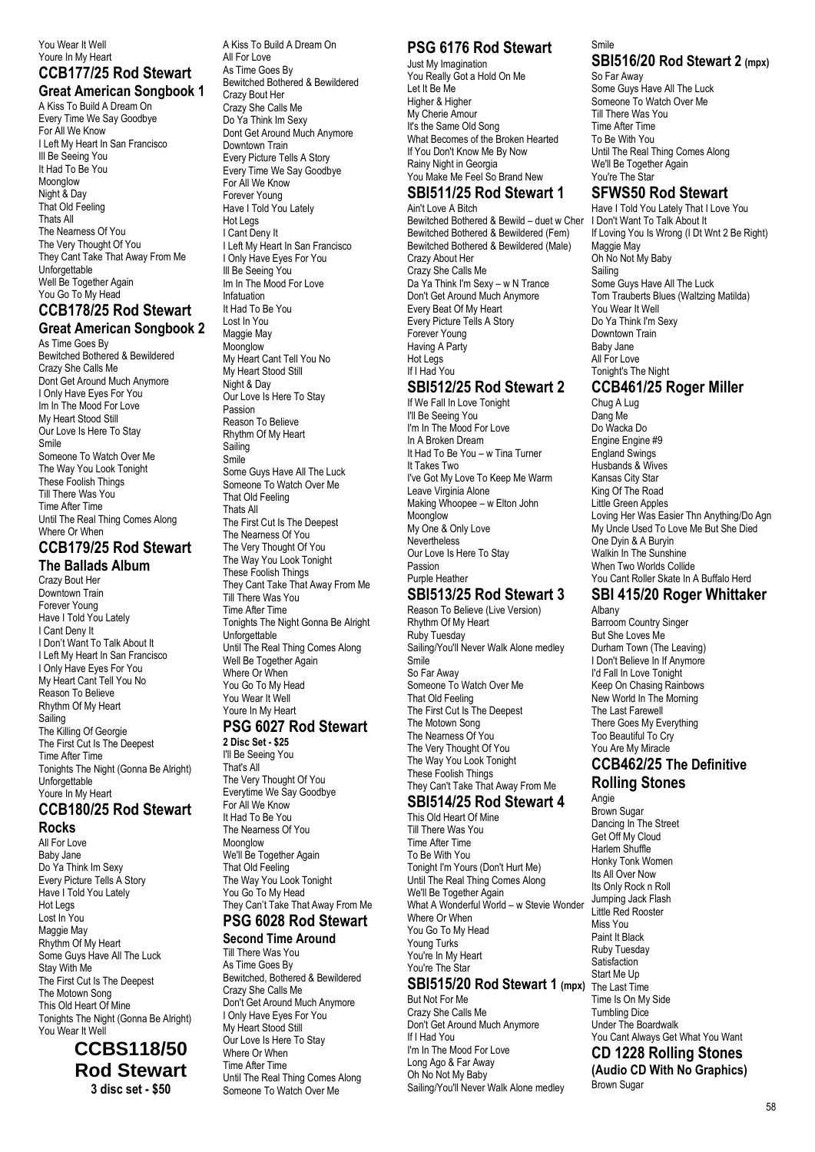#### You Wear It Well Youre In My Heart

#### **CCB177/25 Rod Stewart Great American Songbook 1**

A Kiss To Build A Dream On Every Time We Say Goodbye For All We Know I Left My Heart In San Francisco Ill Be Seeing You It Had To Be You Moonglow Night & Day That Old Feeling Thats All The Nearness Of You The Very Thought Of You They Cant Take That Away From Me Unforgettable Well Be Together Again You Go To My Head

#### **CCB178/25 Rod Stewart Great American Songbook 2**

As Time Goes By Bewitched Bothered & Bewildered Crazy She Calls Me Dont Get Around Much Anymore I Only Have Eyes For You Im In The Mood For Love My Heart Stood Still Our Love Is Here To Stay Smile Someone To Watch Over Me The Way You Look Tonight These Foolish Things Till There Was You Time After Time Until The Real Thing Comes Along Where Or When

# **CCB179/25 Rod Stewart**

**The Ballads Album** Crazy Bout Her Downtown Train Forever Young Have I Told You Lately I Cant Deny It I Don't Want To Talk About It I Left My Heart In San Francisco I Only Have Eyes For You My Heart Cant Tell You No Reason To Believe Rhythm Of My Heart Sailing The Killing Of Georgie The First Cut Is The Deepest Time After Time Tonights The Night (Gonna Be Alright) Unforgettable Youre In My Heart

#### **CCB180/25 Rod Stewart Rocks**

All For Love Baby Jane Do Ya Think Im Sexy Every Picture Tells A Story Have I Told You Lately Hot Legs Lost In You Maggie May Rhythm Of My Heart Some Guys Have All The Luck Stay With Me The First Cut Is The Deepest The Motown Song This Old Heart Of Mine Tonights The Night (Gonna Be Alright) You Wear It Well

## **CCBS118/50 Rod Stewart 3 disc set - \$50**

A Kiss To Build A Dream On All For Love As Time Goes By Bewitched Bothered & Bewildered Crazy Bout Her Crazy She Calls Me Do Ya Think Im Sexy Dont Get Around Much Anymore Downtown Train Every Picture Tells A Story Every Time We Say Goodbye For All We Know Forever Young Have I Told You Lately Hot Legs I Cant Deny It I Left My Heart In San Francisco I Only Have Eyes For You III Be Seeing You Im In The Mood For Love Infatuation It Had To Be You Lost In You Maggie May Moonglow My Heart Cant Tell You No My Heart Stood Still Night & Day Our Love Is Here To Stav Passion Reason To Believe Rhythm Of My Heart Sailing Smile Some Guys Have All The Luck Someone To Watch Over Me That Old Feeling Thats All The First Cut Is The Deepest The Nearness Of You The Very Thought Of You The Way You Look Tonight These Foolish Things They Cant Take That Away From Me Till There Was You Time After Time Tonights The Night Gonna Be Alright Unforgettable Until The Real Thing Comes Along Well Be Together Again Where Or When You Go To My Head You Wear It Well Youre In My Heart

## **PSG 6027 Rod Stewart**

**2 Disc Set - \$25** I'll Be Seeing You That's All The Very Thought Of You Everytime We Say Goodbye For All We Know It Had To Be You The Nearness Of You Moonglow We'll Be Together Again That Old Feeling The Way You Look Tonight You Go To My Head They Can't Take That Away From Me

## **PSG 6028 Rod Stewart**

**Second Time Around** Till There Was You As Time Goes By Bewitched, Bothered & Bewildered Crazy She Calls Me Don't Get Around Much Anymore I Only Have Eyes For You My Heart Stood Still Our Love Is Here To Stay Where Or When Time After Time Until The Real Thing Comes Along Someone To Watch Over Me

# **PSG 6176 Rod Stewart**

Just My Imagination You Really Got a Hold On Me Let It Be Me Higher & Higher My Cherie Amour It's the Same Old Song What Becomes of the Broken Hearted If You Don't Know Me By Now Rainy Night in Georgia You Make Me Feel So Brand New

#### **SBI511/25 Rod Stewart 1** Ain't Love A Bitch

Bewitched Bothered & Bewild – duet w Cher Bewitched Bothered & Bewildered (Fem) Bewitched Bothered & Bewildered (Male) Crazy About Her Crazy She Calls Me Da Ya Think I'm Sexy – w N Trance Don't Get Around Much Anymore Every Beat Of My Heart Every Picture Tells A Story Forever Young Having A Party Hot Legs If I Had You

# **SBI512/25 Rod Stewart 2**

If We Fall In Love Tonight I'll Be Seeing You I'm In The Mood For Love In A Broken Dream It Had To Be You – w Tina Turner It Takes Two I've Got My Love To Keep Me Warm Leave Virginia Alone Making Whoopee – w Elton John **Moonglow** My One & Only Love **Nevertheless** Our Love Is Here To Stay Passion Purple Heather

#### **SBI513/25 Rod Stewart 3**

Reason To Believe (Live Version) Rhythm Of My Heart Ruby Tuesday Sailing/You'll Never Walk Alone medley Smile<sup>1</sup> So Far Away Someone To Watch Over Me That Old Feeling The First Cut Is The Deepest The Motown Song The Nearness Of You The Very Thought Of You The Way You Look Tonight These Foolish Things They Can't Take That Away From Me

# **SBI514/25 Rod Stewart 4**

This Old Heart Of Mine Till There Was You Time After Time To Be With You Tonight I'm Yours (Don't Hurt Me) Until The Real Thing Comes Along We'll Be Together Again What A Wonderful World – w Stevie Wonder Where Or When You Go To My Head Young Turks You're In My Heart You're The Star

# **SBI515/20 Rod Stewart 1 (mpx)**

But Not For Me Crazy She Calls Me Don't Get Around Much Anymore If I Had You I'm In The Mood For Love Long Ago & Far Away Oh No Not My Baby Sailing/You'll Never Walk Alone medley

#### Smile **SBI516/20 Rod Stewart 2 (mpx)**

So Far Away Some Guys Have All The Luck Someone To Watch Over Me Till There Was You Time After Time To Be With You Until The Real Thing Comes Along We'll Be Together Again You're The Star

#### **SFWS50 Rod Stewart**

Have I Told You Lately That I Love You I Don't Want To Talk About It If Loving You Is Wrong (I Dt Wnt 2 Be Right) Maggie May Oh No Not My Baby Sailing Some Guys Have All The Luck Tom Trauberts Blues (Waltzing Matilda) You Wear It Well Do Ya Think I'm Sexy Downtown Train Baby Jane All For Love Tonight's The Night **CCB461/25 Roger Miller**

Chug A Lug Dang Me Do Wacka Do Engine Engine #9 England Swings Husbands & Wives Kansas City Star King Of The Road Little Green Apples Loving Her Was Easier Thn Anything/Do Agn My Uncle Used To Love Me But She Died One Dyin & A Buryin Walkin In The Sunshine When Two Worlds Collide You Cant Roller Skate In A Buffalo Herd

## **SBI 415/20 Roger Whittaker**

Albany Barroom Country Singer But She Loves Me Durham Town (The Leaving) I Don't Believe In If Anymore I'd Fall In Love Tonight Keep On Chasing Rainbows New World In The Morning The Last Farewell There Goes My Everything Too Beautiful To Cry You Are My Miracle **CCB462/25 The Definitive**

# **Rolling Stones**

Angie Brown Sugar Dancing In The Street Get Off My Cloud Harlem Shuffle Honky Tonk Women Its All Over Now Its Only Rock n Roll Jumping Jack Flash Little Red Rooster Miss You Paint It Black Ruby Tuesday **Satisfaction** Start Me Up The Last Time Time Is On My Side Tumbling Dice Under The Boardwalk You Cant Always Get What You Want

**CD 1228 Rolling Stones (Audio CD With No Graphics)** Brown Sugar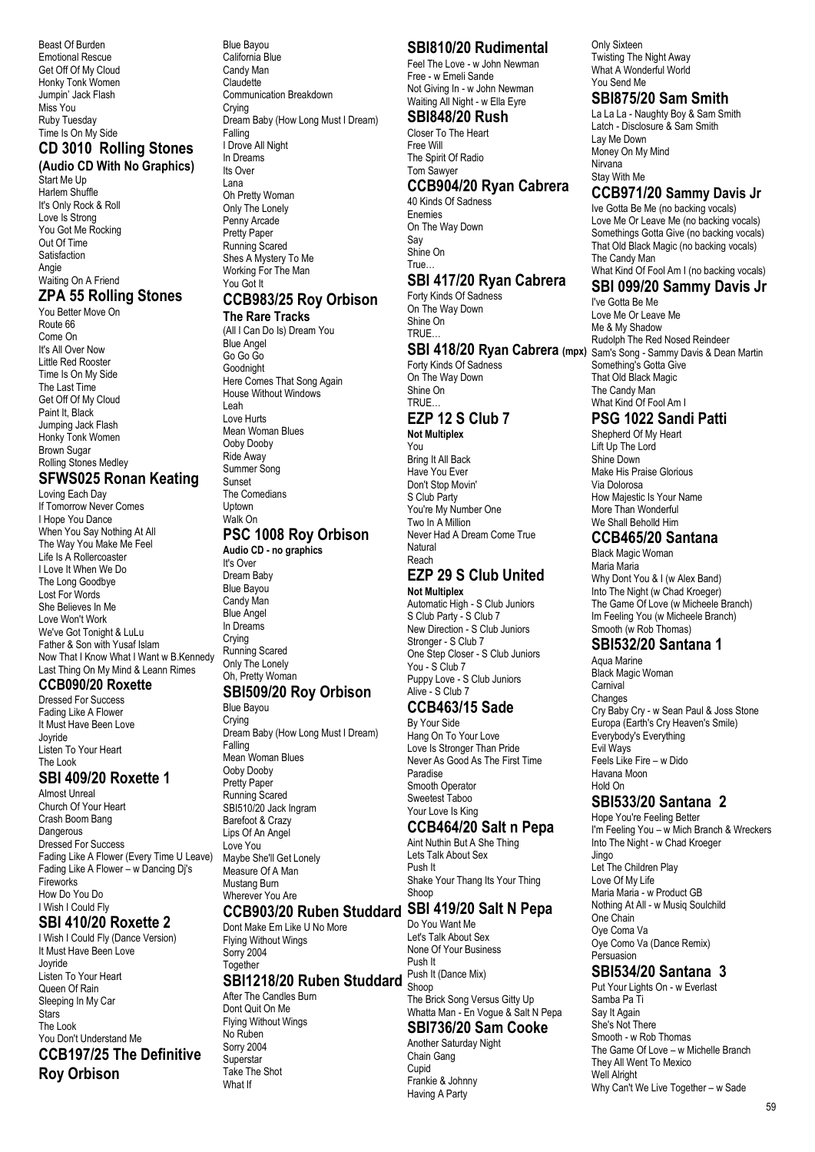Beast Of Burden Emotional Rescue Get Off Of My Cloud Honky Tonk Women Jumpin' Jack Flash Miss You Ruby Tuesday Time Is On My Side **CD 3010 Rolling Stones**

# **(Audio CD With No Graphics)**

Start Me Up Harlem Shuffle It's Only Rock & Roll Love Is Strong You Got Me Rocking Out Of Time Satisfaction Angie Waiting On A Friend

# **ZPA 55 Rolling Stones**

You Better Move On Route 66 Come On It's All Over Now Little Red Rooster Time Is On My Side The Last Time Get Off Of My Cloud Paint It, Black Jumping Jack Flash Honky Tonk Women Brown Sugar Rolling Stones Medley

# **SFWS025 Ronan Keating**

Loving Each Day If Tomorrow Never Comes I Hope You Dance When You Say Nothing At All The Way You Make Me Feel Life Is A Rollercoaster I Love It When We Do The Long Goodbye Lost For Words She Believes In Me Love Won't Work We've Got Tonight & LuLu Father & Son with Yusaf Islam Now That I Know What I Want w B.Kennedy Last Thing On My Mind & Leann Rimes

#### **CCB090/20 Roxette**

Dressed For Success Fading Like A Flower It Must Have Been Love Joyride Listen To Your Heart The Look

# **SBI 409/20 Roxette 1**

Almost Unreal Church Of Your Heart Crash Boom Bang Dangerous Dressed For Success Fading Like A Flower (Every Time U Leave) Fading Like A Flower – w Dancing Dj's Fireworks How Do You Do I Wish I Could Fly

# **SBI 410/20 Roxette 2**

I Wish I Could Fly (Dance Version) It Must Have Been Love Joyride Listen To Your Heart Queen Of Rain Sleeping In My Car **Stars** The Look You Don't Understand Me **CCB197/25 The Definitive Roy Orbison**

#### Blue Bayou California Blue Candy Man Claudette Communication Breakdown Crying Dream Baby (How Long Must I Dream) Falling I Drove All Night In Dreams Its Over Lana Oh Pretty Woman Only The Lonely Penny Arcade Pretty Paper Running Scared Shes A Mystery To Me Working For The Man

# **CCB983/25 Roy Orbison**

#### **The Rare Tracks**

You Got It

(All I Can Do Is) Dream You Blue Angel Go Go Go Goodnight Here Comes That Song Again House Without Windows Leah Love Hurts Mean Woman Blues Ooby Dooby Ride Away Summer Song Sunset The Comedians Uptown Walk On **PSC 1008 Roy Orbison Audio CD - no graphics** It's Over Dream Baby Blue Bayou

Candy Man Blue Angel In Dreams Crying Running Scared Only The Lonely Oh, Pretty Woman **SBI509/20 Roy Orbison**

# Blue Bayou

Crying Dream Baby (How Long Must I Dream) Falling Mean Woman Blues Ooby Dooby Pretty Paper Running Scared SBI510/20 Jack Ingram Barefoot & Crazy Lips Of An Angel Love You Maybe She'll Get Lonely Measure Of A Man Mustang Burn Wherever You Are

## **CCB903/20 Ruben Studdard SBI 419/20 Salt N Pepa**

Dont Make Em Like U No More Flying Without Wings Sorry 2004 Together

#### **SBI1218/20 Ruben Studdard** After The Candles Burn

Dont Quit On Me Flying Without Wings No Ruben Sorry 2004 **Superstar** Take The Shot What If

# **SBI810/20 Rudimental**

Feel The Love - w John Newman Free - w Emeli Sande Not Giving In - w John Newman Waiting All Night - w Ella Eyre

#### **SBI848/20 Rush** Closer To The Heart

Free Will The Spirit Of Radio Tom Sawyer

## **CCB904/20 Ryan Cabrera**

40 Kinds Of Sadness Enemies On The Way Down Say Shine On True…

## **SBI 417/20 Ryan Cabrera**

Forty Kinds Of Sadness On The Way Down Shine On TRUE…

# Forty Kinds Of Sadness

#### On The Way Down Shine On TRUE… **EZP 12 S Club 7 Not Multiplex**

You Bring It All Back Have You Ever Don't Stop Movin' S Club Party You're My Number One Two In A Million Never Had A Dream Come True Natural Reach

#### **EZP 29 S Club United Not Multiplex**

Automatic High - S Club Juniors S Club Party - S Club 7 New Direction - S Club Juniors Stronger - S Club 7 One Step Closer - S Club Juniors You - S Club 7 Puppy Love - S Club Juniors Alive - S Club 7

# **CCB463/15 Sade**

By Your Side Hang On To Your Love Love Is Stronger Than Pride Never As Good As The First Time Paradise Smooth Operator Sweetest Taboo Your Love Is King

# **CCB464/20 Salt n Pepa**

Aint Nuthin But A She Thing Lets Talk About Sex Push It Shake Your Thang Its Your Thing Shoop

# Do You Want Me

Let's Talk About Sex None Of Your Business Push It Push It (Dance Mix) Shoop The Brick Song Versus Gitty Up

#### Whatta Man - En Vogue & Salt N Pepa **SBI736/20 Sam Cooke**

# Another Saturday Night

Chain Gang Cupid Frankie & Johnny Having A Party

Only Sixteen Twisting The Night Away What A Wonderful World You Send Me

#### **SBI875/20 Sam Smith**

La La La - Naughty Boy & Sam Smith Latch - Disclosure & Sam Smith Lay Me Down Money On My Mind Nirvana Stay With Me

# **CCB971/20 Sammy Davis Jr**

Ive Gotta Be Me (no backing vocals) Love Me Or Leave Me (no backing vocals) Somethings Gotta Give (no backing vocals) That Old Black Magic (no backing vocals) The Candy Man What Kind Of Fool Am I (no backing vocals)

# **SBI 099/20 Sammy Davis Jr**

**SBI 418/20 Ryan Cabrera (mpx)** Sam's Song - Sammy Davis & Dean Martin I've Gotta Be Me Love Me Or Leave Me Me & My Shadow Rudolph The Red Nosed Reindeer Something's Gotta Give That Old Black Magic The Candy Man What Kind Of Fool Am I

## **PSG 1022 Sandi Patti**

Shepherd Of My Heart Lift Up The Lord Shine Down Make His Praise Glorious Via Dolorosa How Majestic Is Your Name More Than Wonderful We Shall Beholld Him

## **CCB465/20 Santana**

Black Magic Woman Maria Maria Why Dont You & I (w Alex Band) Into The Night (w Chad Kroeger) The Game Of Love (w Micheele Branch) Im Feeling You (w Micheele Branch) Smooth (w Rob Thomas)

#### **SBI532/20 Santana 1**

Aqua Marine Black Magic Woman Carnival Changes Cry Baby Cry - w Sean Paul & Joss Stone Europa (Earth's Cry Heaven's Smile) Everybody's Everything Evil Ways Feels Like Fire – w Dido Havana Moon Hold On

# **SBI533/20 Santana 2**

Hope You're Feeling Better I'm Feeling You – w Mich Branch & Wreckers Into The Night - w Chad Kroeger Jingo Let The Children Play Love Of My Life Maria Maria - w Product GB Nothing At All - w Musiq Soulchild One Chain Oye Coma Va Oye Como Va (Dance Remix) Persuasion

#### **SBI534/20 Santana 3**

Put Your Lights On - w Everlast Samba Pa Ti Say It Again She's Not There Smooth - w Rob Thomas The Game Of Love – w Michelle Branch They All Went To Mexico Well Alright Why Can't We Live Together – w Sade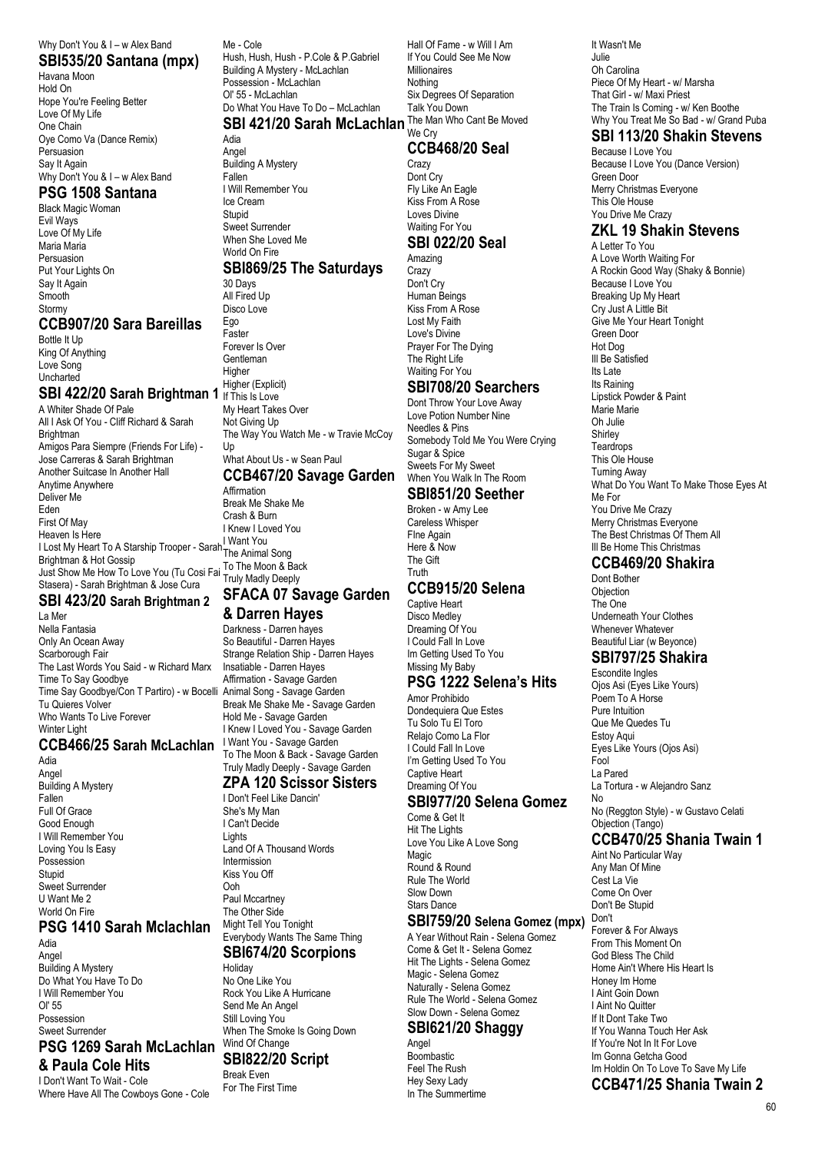#### Why Don't You & I – w Alex Band

**SBI535/20 Santana (mpx)** Havana Moon Hold On Hope You're Feeling Better Love Of My Life One Chain Oye Como Va (Dance Remix) Persuasion Say It Again Why Don't You & I – w Alex Band

#### **PSG 1508 Santana**

Black Magic Woman Evil Ways Love Of My Life Maria Maria Persuasion Put Your Lights On Say It Again Smooth Stormy

#### **CCB907/20 Sara Bareillas**

Bottle It Up King Of Anything Love Song **Uncharted** 

#### **SBI 422/20 Sarah Brightman 1**

A Whiter Shade Of Pale All I Ask Of You - Cliff Richard & Sarah **Brightman** Amigos Para Siempre (Friends For Life) - Jose Carreras & Sarah Brightman Another Suitcase In Another Hall Anytime Anywhere Deliver Me Eden First Of May<br>Heaven Is Here Heaven Is Here I Lost My Heart To A Starship Trooper - Sarah The Anime Brightman & Hot Gossip Just Show Me How To Love You (Tu Cosi Fai Stasera) - Sarah Brightman & Jose Cura

# **SBI 423/20 Sarah Brightman 2**

La Mer Nella Fantasia Only An Ocean Away Scarborough Fair The Last Words You Said - w Richard Marx Time To Say Goodbye Time Say Goodbye/Con T Partiro) - w Bocelli Tu Quieres Volver Who Wants To Live Forever Winter Light

#### **CCB466/25 Sarah McLachlan** I Want You - Savage Garden

Adia Angel Building A Mystery Fallen Full Of Grace Good Enough I Will Remember You Loving You Is Easy Possession Stupid Sweet Surrender U Want Me 2 World On Fire

## **PSG 1410 Sarah Mclachlan**

Adia Angel Building A Mystery Do What You Have To Do I Will Remember You Ol' 55 Possession Sweet Surrender

#### **PSG 1269 Sarah McLachlan & Paula Cole Hits**

I Don't Want To Wait - Cole Where Have All The Cowboys Gone - Cole Me - Cole Hush, Hush, Hush - P.Cole & P.Gabriel Building A Mystery - McLachlan Possession - McLachlan Ol' 55 - McLachlan Do What You Have To Do – McLachlan **SBI 421/20 Sarah McLachlan**

# Adia

Angel Building A Mystery Fallen I Will Remember You Ice Cream Stupid Sweet Surrender When She Loved Me World On Fire

# **SBI869/25 The Saturdays**

30 Days All Fired Up Disco Love Ego Faster Forever Is Over Gentleman Higher Higher (Explicit) If This Is Love My Heart Takes Over Not Giving Up The Way You Watch Me - w Travie McCoy Up What About Us - w Sean Paul

#### **CCB467/20 Savage Garden** Affirmation

Break Me Shake Me Crash & Burn I Knew I Loved You The Animal Song To The Moon & Back Truly Madly Deeply

#### **SFACA 07 Savage Garden**

#### **& Darren Hayes**

Darkness - Darren hayes So Beautiful - Darren Hayes Strange Relation Ship - Darren Hayes Insatiable - Darren Hayes Affirmation - Savage Garden Animal Song - Savage Garden Break Me Shake Me - Savage Garden Hold Me - Savage Garden I Knew I Loved You - Savage Garden To The Moon & Back - Savage Garden Truly Madly Deeply - Savage Garden **ZPA 120 Scissor Sisters**

#### I Don't Feel Like Dancin'

She's My Man I Can't Decide Lights Land Of A Thousand Words Intermission Kiss You Off Ooh Paul Mccartney The Other Side Might Tell You Tonight Everybody Wants The Same Thing

#### **SBI674/20 Scorpions Holidav**

No One Like You Rock You Like A Hurricane Send Me An Angel Still Loving You When The Smoke Is Going Down Wind Of Change **SBI822/20 Script** Break Even

For The First Time

If You Could See Me Now Millionaires Nothing Six Degrees Of Separation Talk You Down The Man Who Cant Be Moved We Cry

Hall Of Fame - w Will I Am

# **CCB468/20 Seal**

Crazy Dont Cry Fly Like An Eagle Kiss From A Rose Loves Divine Waiting For You

## **SBI 022/20 Seal**

Amazing **Crazy** Don't Cry Human Beings Kiss From A Rose Lost My Faith Love's Divine Prayer For The Dying The Right Life Waiting For You

#### **SBI708/20 Searchers**

Dont Throw Your Love Away Love Potion Number Nine Needles & Pins Somebody Told Me You Were Crying Sugar & Spice Sweets For My Sweet When You Walk In The Room

#### **SBI851/20 Seether**

Broken - w Amy Lee Careless Whisper FIne Again Here & Now The Gift **Truth** 

#### **CCB915/20 Selena**

Captive Heart Disco Medley Dreaming Of You I Could Fall In Love Im Getting Used To You Missing My Baby

#### **PSG 1222 Selena's Hits**

Amor Prohibido Dondequiera Que Estes Tu Solo Tu El Toro Relajo Como La Flor I Could Fall In Love I'm Getting Used To You Captive Heart Dreaming Of You

#### **SBI977/20 Selena Gomez**

Come & Get It Hit The Lights Love You Like A Love Song Magic Round & Round Rule The World Slow Down Stars Dance

## **SBI759/20 Selena Gomez (mpx)**

A Year Without Rain - Selena Gomez Come & Get It - Selena Gomez Hit The Lights - Selena Gomez Magic - Selena Gomez Naturally - Selena Gomez Rule The World - Selena Gomez Slow Down - Selena Gomez

## **SBI621/20 Shaggy**

Angel Boombastic Feel The Rush Hey Sexy Lady In The Summertime It Wasn't Me Julie Oh Carolina Piece Of My Heart - w/ Marsha That Girl - w/ Maxi Priest The Train Is Coming - w/ Ken Boothe Why You Treat Me So Bad - w/ Grand Puba

# **SBI 113/20 Shakin Stevens**

Because I Love You Because I Love You (Dance Version) Green Door Merry Christmas Everyone This Ole House You Drive Me Crazy

# **ZKL 19 Shakin Stevens**

A Letter To You A Love Worth Waiting For A Rockin Good Way (Shaky & Bonnie) Because I Love You Breaking Up My Heart Cry Just A Little Bit Give Me Your Heart Tonight Green Door Hot Dog Ill Be Satisfied Its Late Its Raining Lipstick Powder & Paint Marie Marie Oh Julie Shirley **Teardrops** This Ole House Turning Away What Do You Want To Make Those Eyes At Me For You Drive Me Crazy Merry Christmas Everyone The Best Christmas Of Them All Ill Be Home This Christmas

#### **CCB469/20 Shakira**

Dont Bother **Objection** The One Underneath Your Clothes Whenever Whatever Beautiful Liar (w Beyonce)

## **SBI797/25 Shakira**

Escondite Ingles Ojos Asi (Eyes Like Yours) Poem To A Horse Pure Intuition Que Me Quedes Tu Estoy Aqui Eyes Like Yours (Ojos Asi) Fool La Pared La Tortura - w Alejandro Sanz No No (Reggton Style) - w Gustavo Celati Objection (Tango)

#### **CCB470/25 Shania Twain 1**

Aint No Particular Way Any Man Of Mine Cest La Vie Come On Over Don't Be Stupid Don't Forever & For Always From This Moment On God Bless The Child Home Ain't Where His Heart Is Honey Im Home I Aint Goin Down I Aint No Quitter If It Dont Take Two If You Wanna Touch Her Ask If You're Not In It For Love Im Gonna Getcha Good Im Holdin On To Love To Save My Life **CCB471/25 Shania Twain 2**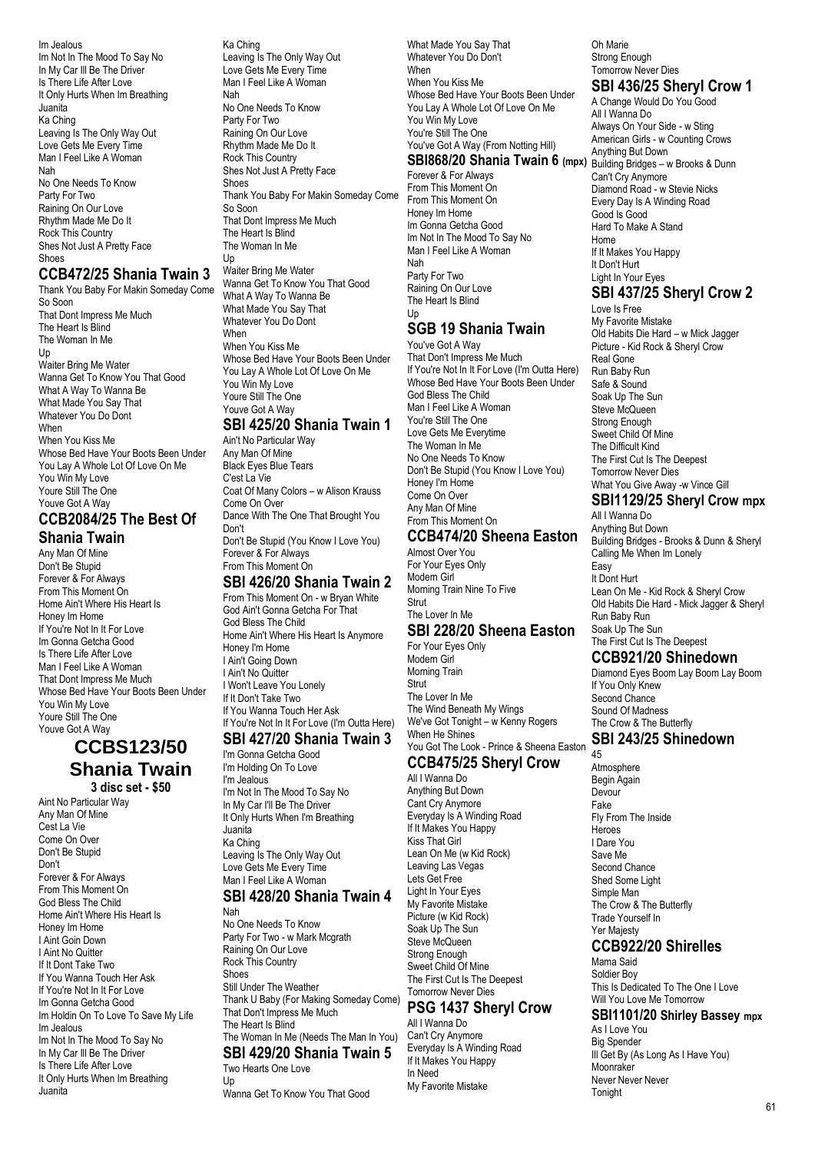Im Jealous Im Not In The Mood To Say No In My Car Ill Be The Driver Is There Life After Love It Only Hurts When Im Breathing Juanita Ka Ching Leaving Is The Only Way Out Love Gets Me Every Time Man I Feel Like A Woman Nah No One Needs To Know Party For Two Raining On Our Love Rhythm Made Me Do It Rock This Country Shes Not Just A Pretty Face **Shoes** 

#### **CCB472/25 Shania Twain 3**

Thank You Baby For Makin Someday Come So Soon That Dont Impress Me Much The Heart Is Blind The Woman In Me Up Waiter Bring Me Water Wanna Get To Know You That Good What A Way To Wanna Be What Made You Say That Whatever You Do Dont When When You Kiss Me Whose Bed Have Your Boots Been Under You Lay A Whole Lot Of Love On Me You Win My Love Youre Still The One Youve Got A Way

# **CCB2084/25 The Best Of**

**Shania Twain** Any Man Of Mine Don't Be Stupid Forever & For Always From This Moment On Home Ain't Where His Heart Is Honey Im Home If You're Not In It For Love Im Gonna Getcha Good Is There Life After Love Man I Feel Like A Woman That Dont Impress Me Much Whose Bed Have Your Boots Been Under You Win My Love Youre Still The One Youve Got A Way

# **CCBS123/50 Shania Twain**

**3 disc set - \$50** Aint No Particular Way Any Man Of Mine Cest La Vie Come On Over Don't Be Stupid Don't Forever & For Always From This Moment On God Bless The Child Home Ain't Where His Heart Is Honey Im Home I Aint Goin Down I Aint No Quitter If It Dont Take Two If You Wanna Touch Her Ask If You're Not In It For Love Im Gonna Getcha Good Im Holdin On To Love To Save My Life Im Jealous Im Not In The Mood To Say No In My Car Ill Be The Driver Is There Life After Love It Only Hurts When Im Breathing Juanita

Ka Ching Leaving Is The Only Way Out Love Gets Me Every Time Man I Feel Like A Woman Nah No One Needs To Know Party For Two Raining On Our Love Rhythm Made Me Do It Rock This Country Shes Not Just A Pretty Face **Shoes** Thank You Baby For Makin Someday Come So Soon That Dont Impress Me Much The Heart Is Blind The Woman In Me Up

Waiter Bring Me Water Wanna Get To Know You That Good What A Way To Wanna Be What Made You Say That Whatever You Do Dont When When You Kiss Me Whose Bed Have Your Boots Been Under You Lay A Whole Lot Of Love On Me

You Win My Love Youre Still The One Youve Got A Way

#### **SBI 425/20 Shania Twain 1**

Ain't No Particular Way Any Man Of Mine Black Eyes Blue Tears C'est La Vie Coat Of Many Colors – w Alison Krauss Come On Over Dance With The One That Brought You Don't Don't Be Stupid (You Know I Love You)

Forever & For Always From This Moment On

#### **SBI 426/20 Shania Twain 2**

From This Moment On - w Bryan White God Ain't Gonna Getcha For That God Bless The Child Home Ain't Where His Heart Is Anymore Honey I'm Home I Ain't Going Down I Ain't No Quitter I Won't Leave You Lonely If It Don't Take Two If You Wanna Touch Her Ask If You're Not In It For Love (I'm Outta Here) **SBI 427/20 Shania Twain 3**

# I'm Gonna Getcha Good

I'm Holding On To Love I'm Jealous I'm Not In The Mood To Say No In My Car I'll Be The Driver It Only Hurts When I'm Breathing **Juanita** Ka Ching Leaving Is The Only Way Out Love Gets Me Every Time Man I Feel Like A Woman **SBI 428/20 Shania Twain 4**

#### Nah No One Needs To Know Party For Two - w Mark Mcgrath Raining On Our Love Rock This Country **Shoes** Still Under The Weather Thank U Baby (For Making Someday Come) That Don't Impress Me Much The Heart Is Blind

#### The Woman In Me (Needs The Man In You) **SBI 429/20 Shania Twain 5**

Two Hearts One Love Up

Wanna Get To Know You That Good

What Made You Say That Whatever You Do Don't When When You Kiss Me Whose Bed Have Your Boots Been Under You Lay A Whole Lot Of Love On Me You Win My Love You're Still The One You've Got A Way (From Notting Hill)

Forever & For Always From This Moment On From This Moment On Honey Im Home Im Gonna Getcha Good Im Not In The Mood To Say No Man I Feel Like A Woman Nah Party For Two Raining On Our Love The Heart Is Blind

# **SGB 19 Shania Twain**

Up

You've Got A Way That Don't Impress Me Much If You're Not In It For Love (I'm Outta Here) Whose Bed Have Your Boots Been Under God Bless The Child Man I Feel Like A Woman You're Still The One Love Gets Me Everytime The Woman In Me No One Needs To Know Don't Be Stupid (You Know I Love You) Honey I'm Home Come On Over Any Man Of Mine From This Moment On

#### **CCB474/20 Sheena Easton**

Almost Over You For Your Eyes Only Modern Girl Morning Train Nine To Five **Strut** The Lover In Me

## **SBI 228/20 Sheena Easton**

For Your Eyes Only Modern Girl Morning Train Strut The Lover In Me The Wind Beneath My Wings We've Got Tonight – w Kenny Rogers When He Shines You Got The Look - Prince & Sheena Easton

#### **CCB475/25 Sheryl Crow** All I Wanna Do

Anything But Down Cant Cry Anymore Everyday Is A Winding Road If It Makes You Happy Kiss That Girl Lean On Me (w Kid Rock) Leaving Las Vegas Lets Get Free Light In Your Eyes My Favorite Mistake Picture (w Kid Rock) Soak Up The Sun Steve McQueen Strong Enough Sweet Child Of Mine The First Cut Is The Deepest Tomorrow Never Dies

# **PSG 1437 Sheryl Crow**

All I Wanna Do Can't Cry Anymore Everyday Is A Winding Road If It Makes You Happy In Need My Favorite Mistake

Oh Marie Strong Enough Tomorrow Never Dies

# **SBI 436/25 Sheryl Crow 1**

**SBI868/20 Shania Twain 6** (mpx) Building Bridges – w Brooks & Dunn A Change Would Do You Good All I Wanna Do Always On Your Side - w Sting American Girls - w Counting Crows Anything But Down Can't Cry Anymore Diamond Road - w Stevie Nicks Every Day Is A Winding Road Good Is Good Hard To Make A Stand Home If It Makes You Happy It Don't Hurt Light In Your Eyes

#### **SBI 437/25 Sheryl Crow 2** Love Is Free

My Favorite Mistake Old Habits Die Hard – w Mick Jagger Picture - Kid Rock & Sheryl Crow Real Gone Run Baby Run Safe & Sound Soak Up The Sun Steve McQueen Strong Enough Sweet Child Of Mine The Difficult Kind The First Cut Is The Deepest Tomorrow Never Dies What You Give Away -w Vince Gill

#### **SBI1129/25 Sheryl Crow mpx**

All I Wanna Do Anything But Down Building Bridges - Brooks & Dunn & Sheryl Calling Me When Im Lonely Easy It Dont Hurt Lean On Me - Kid Rock & Sheryl Crow Old Habits Die Hard - Mick Jagger & Sheryl Run Baby Run Soak Up The Sun The First Cut Is The Deepest

# **CCB921/20 Shinedown**

Diamond Eyes Boom Lay Boom Lay Boom If You Only Knew Second Chance Sound Of Madness The Crow & The Butterfly

#### **SBI 243/25 Shinedown** 45

Atmosphere Begin Again Devour Fake Fly From The Inside Heroes I Dare You Save Me Second Chance Shed Some Light Simple Man The Crow & The Butterfly Trade Yourself In Yer Majesty

# **CCB922/20 Shirelles**

Mama Said Soldier Boy This Is Dedicated To The One I Love Will You Love Me Tomorrow

## **SBI1101/20 Shirley Bassey mpx**

As I Love You Big Spender Ill Get By (As Long As I Have You) Moonraker Never Never Never Tonight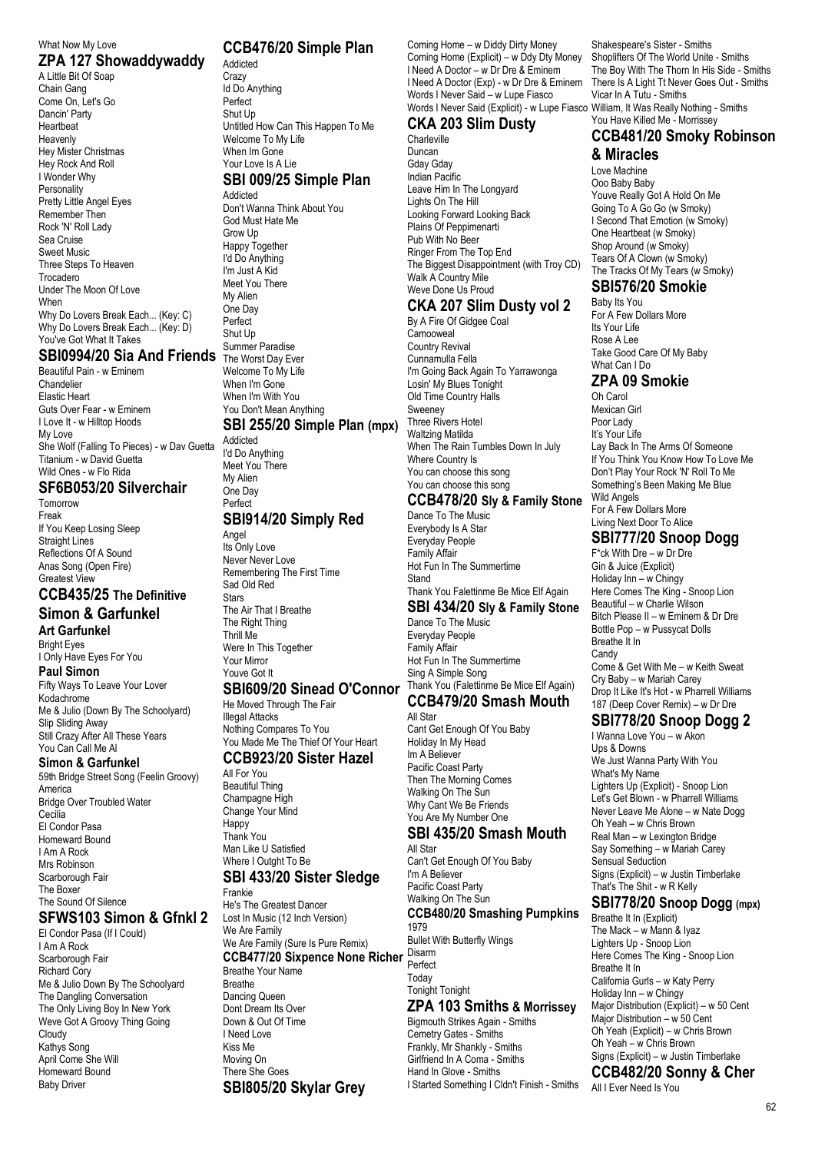#### What Now My Love **ZPA 127 Showaddywaddy**

A Little Bit Of Soap Chain Gang Come On, Let's Go Dancin' Party Heartbeat Heavenly Hey Mister Christmas Hey Rock And Roll I Wonder Why **Personality** Pretty Little Angel Eyes Remember Then Rock 'N' Roll Lady Sea Cruise Sweet Music Three Steps To Heaven Trocadero Under The Moon Of Love When Why Do Lovers Break Each... (Key: C) Why Do Lovers Break Each... (Key: D) You've Got What It Takes

# **SBI0994/20 Sia And Friends**

Beautiful Pain - w Eminem Chandelier Elastic Heart Guts Over Fear - w Eminem I Love It - w Hilltop Hoods My Love She Wolf (Falling To Pieces) - w Dav Guetta Titanium - w David Guetta Wild Ones - w Flo Rida

# **SF6B053/20 Silverchair**

Tomorrow Freak If You Keep Losing Sleep Straight Lines Reflections Of A Sound Anas Song (Open Fire) Greatest View

#### **CCB435/25 The Definitive Simon & Garfunkel**

**Art Garfunkel** Bright Eyes I Only Have Eyes For You **Paul Simon** Fifty Ways To Leave Your Lover Kodachrome Me & Julio (Down By The Schoolyard) Slip Sliding Away Still Crazy After All These Years

#### You Can Call Me Al **Simon & Garfunkel**

59th Bridge Street Song (Feelin Groovy) America Bridge Over Troubled Water **Cecilia** El Condor Pasa Homeward Bound I Am A Rock Mrs Robinson Scarborough Fair The Boxer The Sound Of Silence

# **SFWS103 Simon & Gfnkl 2**

El Condor Pasa (If I Could) I Am A Rock Scarborough Fair Richard Cory Me & Julio Down By The Schoolyard The Dangling Conversation The Only Living Boy In New York Weve Got A Groovy Thing Going Cloudy Kathys Song April Come She Will Homeward Bound Baby Driver

#### **CCB476/20 Simple Plan**

Addicted **Crazy** Id Do Anything Perfect Shut Up Untitled How Can This Happen To Me Welcome To My Life When Im Gone Your Love Is A Lie **SBI 009/25 Simple Plan** Addicted

Don't Wanna Think About You God Must Hate Me Grow Up Happy Together I'd Do Anything I'm Just A Kid Meet You There My Alien One Day Perfect Shut Up Summer Paradise The Worst Day Ever Welcome To My Life When I'm Gone When I'm With You You Don't Mean Anything **SBI 255/20 Simple Plan (mpx)** Addicted

I'd Do Anything Meet You There My Alien One Day Perfect

#### **SBI914/20 Simply Red**

Angel Its Only Love Never Never Love Remembering The First Time Sad Old Red **Stare** The Air That I Breathe The Right Thing Thrill Me Were In This Together Your Mirror Youve Got It

#### **SBI609/20 Sinead O'Connor**

He Moved Through The Fair Illegal Attacks Nothing Compares To You You Made Me The Thief Of Your Heart

## **CCB923/20 Sister Hazel**

All For You Beautiful Thing Champagne High Change Your Mind **Happy** Thank You Man Like U Satisfied Where I Outght To Be

# **SBI 433/20 Sister Sledge**

Frankie He's The Greatest Dancer Lost In Music (12 Inch Version) We Are Family We Are Family (Sure Is Pure Remix) **CCB477/20 Sixpence None Richer** Disarm Breathe Your Name Breathe Dancing Queen Dont Dream Its Over Down & Out Of Time I Need Love Kiss Me Moving On There She Goes **SBI805/20 Skylar Grey**

Coming Home – w Diddy Dirty Money Coming Home (Explicit) – w Ddy Dty Money I Need A Doctor – w Dr Dre & Eminem I Need A Doctor (Exp) - w Dr Dre & Eminem Words I Never Said – w Lupe Fiasco Words I Never Said (Explicit) - w Lupe Fiasco William, It Was Really Nothing - Smiths

# **CKA 203 Slim Dusty**

Charleville Duncan Gday Gday Indian Pacific Leave Him In The Longyard Lights On The Hill Looking Forward Looking Back Plains Of Peppimenarti Pub With No Beer Ringer From The Top End The Biggest Disappointment (with Troy CD) Walk A Country Mile Weve Done Us Proud

# **CKA 207 Slim Dusty vol 2**

By A Fire Of Gidgee Coal Camooweal Country Revival Cunnamulla Fella I'm Going Back Again To Yarrawonga Losin' My Blues Tonight Old Time Country Halls **Sweeney** Three Rivers Hotel Waltzing Matilda When The Rain Tumbles Down In July Where Country Is You can choose this song You can choose this song

## **CCB478/20 Sly & Family Stone**

Dance To The Music Everybody Is A Star Everyday People Family Affair Hot Fun In The Summertime **Stand** Thank You Falettinme Be Mice Elf Again

# **SBI 434/20 Sly & Family Stone**

Dance To The Music Everyday People Family Affair Hot Fun In The Summertime Sing A Simple Song Thank You (Falettinme Be Mice Elf Again) **CCB479/20 Smash Mouth**

# All Star

Cant Get Enough Of You Baby Holiday In My Head Im A Believer Pacific Coast Party Then The Morning Comes Walking On The Sun Why Cant We Be Friends You Are My Number One

# **SBI 435/20 Smash Mouth**

All Star Can't Get Enough Of You Baby I'm A Believer Pacific Coast Party Walking On The Sun **CCB480/20 Smashing Pumpkins** 1979 Bullet With Butterfly Wings Perfect Today Tonight Tonight

# **ZPA 103 Smiths & Morrissey**

Bigmouth Strikes Again - Smiths Cemetry Gates - Smiths Frankly, Mr Shankly - Smiths Girlfriend In A Coma - Smiths Hand In Glove - Smiths I Started Something I Cldn't Finish - Smiths

Shakespeare's Sister - Smiths Shoplifters Of The World Unite - Smiths The Boy With The Thorn In His Side - Smiths There Is A Light Tt Never Goes Out - Smiths Vicar In A Tutu - Smiths

## You Have Killed Me - Morrissey **CCB481/20 Smoky Robinson**

**& Miracles**

Love Machine Ooo Baby Baby Youve Really Got A Hold On Me Going To A Go Go (w Smoky) I Second That Emotion (w Smoky) One Heartbeat (w Smoky) Shop Around (w Smoky) Tears Of A Clown (w Smoky) The Tracks Of My Tears (w Smoky)

# **SBI576/20 Smokie**

Baby Its You For A Few Dollars More Its Your Life Rose A Lee Take Good Care Of My Baby What Can I Do

## **ZPA 09 Smokie**

Oh Carol Mexican Girl Poor Lady It's Your Life Lay Back In The Arms Of Someone If You Think You Know How To Love Me Don't Play Your Rock 'N' Roll To Me Something's Been Making Me Blue Wild Angels For A Few Dollars More Living Next Door To Alice

# **SBI777/20 Snoop Dogg**

F\*ck With Dre – w Dr Dre Gin & Juice (Explicit) Holiday Inn – w Chingy Here Comes The King - Snoop Lion Beautiful – w Charlie Wilson Bitch Please II – w Eminem & Dr Dre Bottle Pop – w Pussycat Dolls Breathe It In **Candy** Come & Get With Me – w Keith Sweat Cry Baby – w Mariah Carey Drop It Like It's Hot - w Pharrell Williams 187 (Deep Cover Remix) – w Dr Dre

# **SBI778/20 Snoop Dogg 2**

I Wanna Love You – w Akon Ups & Downs We Just Wanna Party With You What's My Name Lighters Up (Explicit) - Snoop Lion Let's Get Blown - w Pharrell Williams Never Leave Me Alone – w Nate Dogg Oh Yeah – w Chris Brown Real Man – w Lexington Bridge Say Something – w Mariah Carey Sensual Seduction Signs (Explicit) – w Justin Timberlake That's The Shit - w R Kelly

## **SBI778/20 Snoop Dogg (mpx)**

Breathe It In (Explicit) The Mack –  $\mathbf{\dot{w}}$  Mann & Iyaz Lighters Up - Snoop Lion Here Comes The King - Snoop Lion Breathe It In California Gurls – w Katy Perry Holiday Inn – w Chingy Major Distribution (Explicit) – w 50 Cent Major Distribution – w 50 Cent Oh Yeah (Explicit) – w Chris Brown Oh Yeah – w Chris Brown Signs (Explicit) – w Justin Timberlake

**CCB482/20 Sonny & Cher** All I Ever Need Is You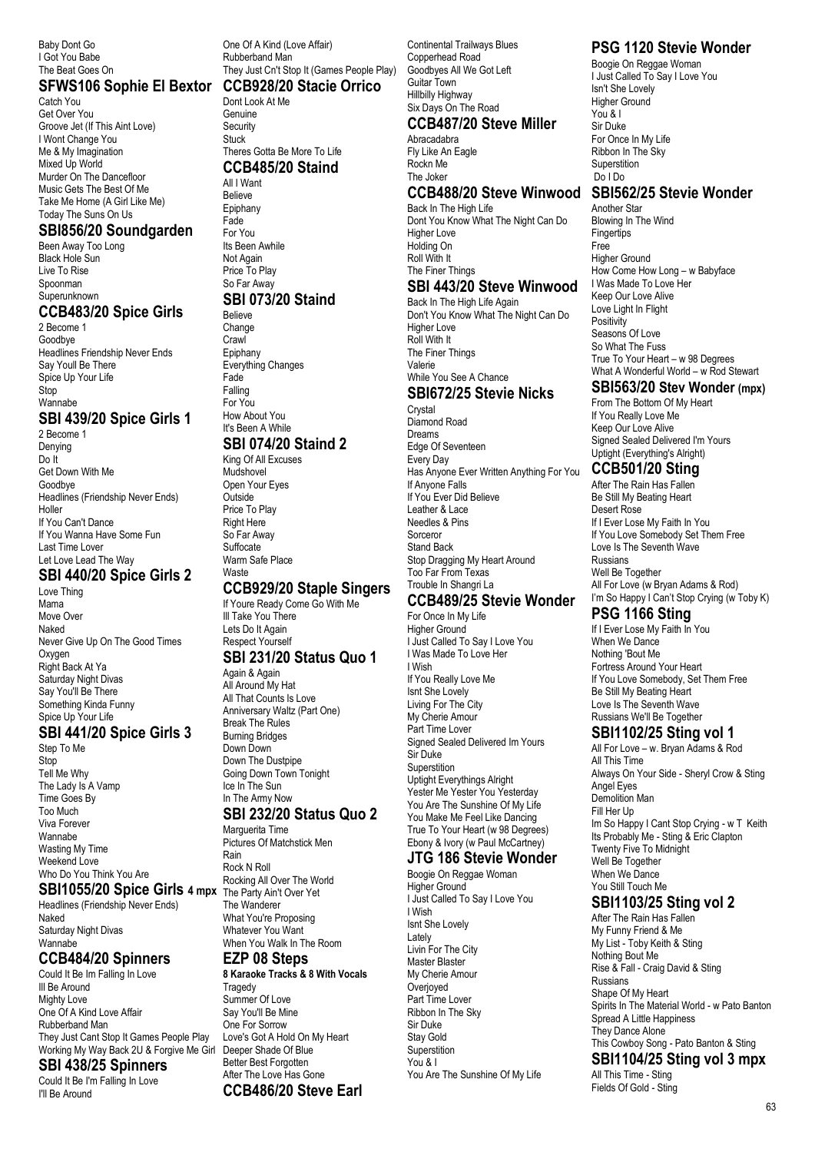Baby Dont Go I Got You Babe The Beat Goes On

#### **SFWS106 Sophie El Bextor CCB928/20 Stacie Orrico**

Catch You Get Over You Groove Jet (If This Aint Love) I Wont Change You Me & My Imagination Mixed Up World Murder On The Dancefloor Music Gets The Best Of Me Take Me Home (A Girl Like Me) Today The Suns On Us

#### **SBI856/20 Soundgarden**

Been Away Too Long Black Hole Sun Live To Rise Spoonman Superunknown

#### **CCB483/20 Spice Girls**

2 Become 1 **Goodbye** Headlines Friendship Never Ends Say Youll Be There Spice Up Your Life Ston Wannabe

## **SBI 439/20 Spice Girls 1**

2 Become 1 Denying Do It Get Down With Me Goodbye Headlines (Friendship Never Ends) Holler If You Can't Dance If You Wanna Have Some Fun Last Time Lover Let Love Lead The Way

#### **SBI 440/20 Spice Girls 2**

Love Thing Mama Move Over Naked Never Give Up On The Good Times Oxygen Right Back At Ya Saturday Night Divas Say You'll Be There Something Kinda Funny Spice Up Your Life

#### **SBI 441/20 Spice Girls 3**

Step To Me **Stop** Tell Me Why The Lady Is A Vamp Time Goes By Too Much Viva Forever Wannabe Wasting My Time Weekend Love Who Do You Think You Are

#### **SBI1055/20 Spice Girls 4 mpx**

Headlines (Friendship Never Ends) Naked Saturday Night Divas Wannabe

#### **CCB484/20 Spinners**

Could It Be Im Falling In Love Ill Be Around Mighty Love One Of A Kind Love Affair Rubberband Man They Just Cant Stop It Games People Play Working My Way Back 2U & Forgive Me Girl

## **SBI 438/25 Spinners**

Could It Be I'm Falling In Love I'll Be Around

One Of A Kind (Love Affair) Rubberband Man They Just Cn't Stop It (Games People Play)

Dont Look At Me Genuine Security Stuck Theres Gotta Be More To Life

#### **CCB485/20 Staind**

All I Want Believe Epiphany Fade For You Its Been Awhile Not Again Price To Play So Far Away **SBI 073/20 Staind** Believe Change Crawl Epiphany Everything Changes Fade

Falling For You How About You It's Been A While

# **SBI 074/20 Staind 2**

King Of All Excuses Mudshovel Open Your Eyes **Outside** Price To Play Right Here So Far Away Suffocate Warm Safe Place **Waste** 

#### **CCB929/20 Staple Singers**

If Youre Ready Come Go With Me Ill Take You There Lets Do It Again Respect Yourself

## **SBI 231/20 Status Quo 1**

Again & Again All Around My Hat All That Counts Is Love Anniversary Waltz (Part One) Break The Rules Burning Bridges Down Down Down The Dustpipe Going Down Town Tonight

Pictures Of Matchstick Men

#### **EZP 08 Steps**

Better Best Forgotten After The Love Has Gone **CCB486/20 Steve Earl**

**8 Karaoke Tracks & 8 With Vocals Tragedy** Summer Of Love Say You'll Be Mine One For Sorrow Love's Got A Hold On My Heart Deeper Shade Of Blue

**CCB487/20 Steve Miller Abracadabra** Fly Like An Eagle Rockn Me The Joker Back In The High Life Dont You Know What The Night Can Do Higher Love

Guitar Town Hillbilly Highway Six Days On The Road

#### Holding On Roll With It The Finer Things

Continental Trailways Blues Copperhead Road Goodbyes All We Got Left

# **SBI 443/20 Steve Winwood**

Back In The High Life Again Don't You Know What The Night Can Do Higher Love Roll With It The Finer Things Valerie While You See A Chance

#### **SBI672/25 Stevie Nicks** Crystal

Diamond Road Dreams Edge Of Seventeen Every Day Has Anyone Ever Written Anything For You If Anyone Falls If You Ever Did Believe Leather & Lace Needles & Pins Sorceror Stand Back Stop Dragging My Heart Around Too Far From Texas Trouble In Shangri La

# **CCB489/25 Stevie Wonder**

For Once In My Life Higher Ground I Just Called To Say I Love You I Was Made To Love Her I Wish If You Really Love Me Isnt She Lovely Living For The City My Cherie Amour Part Time Lover Signed Sealed Delivered Im Yours Sir Duke **Superstition** Uptight Everythings Alright Yester Me Yester You Yesterday You Are The Sunshine Of My Life You Make Me Feel Like Dancing True To Your Heart (w 98 Degrees) Ebony & Ivory (w Paul McCartney)

#### **JTG 186 Stevie Wonder** Boogie On Reggae Woman

Higher Ground I Just Called To Say I Love You I Wish Isnt She Lovely Lately Livin For The City Master Blaster My Cherie Amour **Overjoyed** Part Time Lover Ribbon In The Sky Sir Duke Stay Gold **Superstition** You & I You Are The Sunshine Of My Life

# **PSG 1120 Stevie Wonder**

Boogie On Reggae Woman I Just Called To Say I Love You Isn't She Lovely Higher Ground You & I Sir Duke For Once In My Life Ribbon In The Sky **Superstition** Do I Do

#### **CCB488/20 Steve Winwood SBI562/25 Stevie Wonder**

Another Star Blowing In The Wind **Fingertips** Free Higher Ground How Come How Long – w Babyface I Was Made To Love Her Keep Our Love Alive Love Light In Flight **Positivity** Seasons Of Love So What The Fuss True To Your Heart – w 98 Degrees What A Wonderful World – w Rod Stewart

## **SBI563/20 Stev Wonder (mpx)**

From The Bottom Of My Heart If You Really Love Me Keep Our Love Alive Signed Sealed Delivered I'm Yours Uptight (Everything's Alright)

## **CCB501/20 Sting**

After The Rain Has Fallen Be Still My Beating Heart Desert Rose If I Ever Lose My Faith In You If You Love Somebody Set Them Free Love Is The Seventh Wave Russians Well Be Together All For Love (w Bryan Adams & Rod) I'm So Happy I Can't Stop Crying (w Toby K)

#### **PSG 1166 Sting**

If I Ever Lose My Faith In You When We Dance Nothing 'Bout Me Fortress Around Your Heart If You Love Somebody, Set Them Free Be Still My Beating Heart Love Is The Seventh Wave Russians We'll Be Together

## **SBI1102/25 Sting vol 1**

All For Love – w. Bryan Adams & Rod All This Time Always On Your Side - Sheryl Crow & Sting Angel Eyes Demolition Man Fill Her Up Im So Happy I Cant Stop Crying - w T Keith Its Probably Me - Sting & Eric Clapton Twenty Five To Midnight Well Be Together When We Dance You Still Touch Me

# **SBI1103/25 Sting vol 2**

After The Rain Has Fallen My Funny Friend & Me My List - Toby Keith & Sting Nothing Bout Me Rise & Fall - Craig David & Sting Russians Shape Of My Heart Spirits In The Material World - w Pato Banton Spread A Little Happiness They Dance Alone This Cowboy Song - Pato Banton & Sting **SBI1104/25 Sting vol 3 mpx**

All This Time - Sting Fields Of Gold - Sting

#### Ice In The Sun In The Army Now **SBI 232/20 Status Quo 2** Marguerita Time Rain Rock N Roll

Rocking All Over The World The Party Ain't Over Yet The Wanderer What You're Proposing Whatever You Want When You Walk In The Room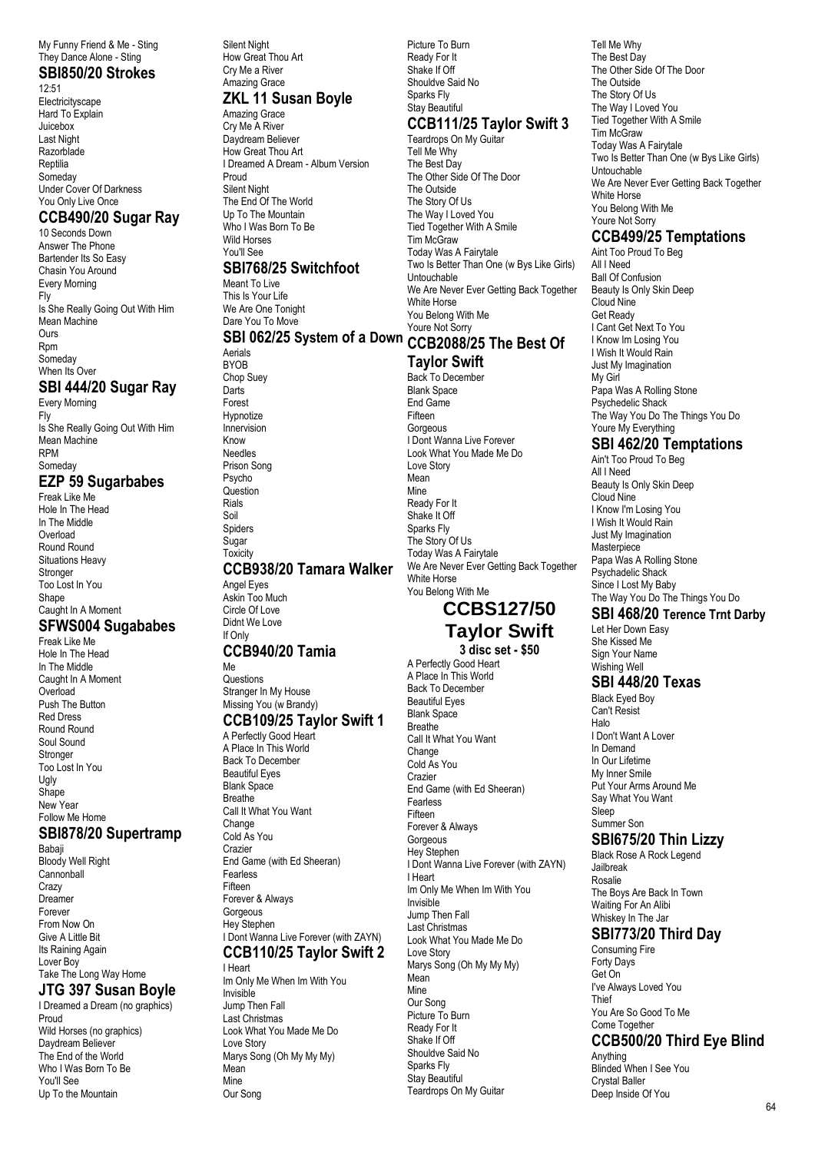My Funny Friend & Me - Sting They Dance Alone - Sting

#### **SBI850/20 Strokes** 12:51

Electricityscape Hard To Explain Juicebox Last Night **Razorblade** Reptilia Someday Under Cover Of Darkness You Only Live Once

#### **CCB490/20 Sugar Ray**

10 Seconds Down Answer The Phone Bartender Its So Easy Chasin You Around Every Morning Fly Is She Really Going Out With Him Mean Machine Ours Rpm Someday When Its Over

## **SBI 444/20 Sugar Ray**

Every Morning Fly Is She Really Going Out With Him Mean Machine RPM Someday **EZP 59 Sugarbabes** Freak Like Me

Hole In The Head In The Middle Overload Round Round Situations Heavy **Stronger** Too Lost In You Shape Caught In A Moment **SFWS004 Sugababes**

Freak Like Me Hole In The Head In The Middle Caught In A Moment Overload Push The Button Red Dress Round Round Soul Sound Stronger Too Lost In You Ugly Shape New Year Follow Me Home

#### **SBI878/20 Supertramp**

Babaji Bloody Well Right **Cannonball Crazy** Dreamer Forever From Now On Give A Little Bit Its Raining Again Lover Boy Take The Long Way Home

#### **JTG 397 Susan Boyle**

I Dreamed a Dream (no graphics) Proud Wild Horses (no graphics) Daydream Believer The End of the World Who I Was Born To Be You'll See Up To the Mountain

Silent Night How Great Thou Art Cry Me a River Amazing Grace

# **ZKL 11 Susan Boyle**

Amazing Grace Cry Me A River Daydream Believer How Great Thou Art I Dreamed A Dream - Album Version Proud Silent Night The End Of The World Up To The Mountain Who I Was Born To Be Wild Horses You'll See **SBI768/25 Switchfoot** Meant To Live

This Is Your Life We Are One Tonight Dare You To Move **SBI 062/25 System of a Down** Youre Not Sorry Aerials **BYOB** 

Chop Suey Darts Forest Hypnotize Innervision Know Needles Prison Song Psycho  $O$ uestion Rials Soil **Spiders** Sugar Toxicity **CCB938/20 Tamara Walker** Angel Eyes

#### Askin Too Much Circle Of Love Didnt We Love If Only

## **CCB940/20 Tamia**

Me Questions Stranger In My House Missing You (w Brandy)

# **CCB109/25 Taylor Swift 1**

A Perfectly Good Heart A Place In This World Back To December Beautiful Eyes Blank Space Breathe Call It What You Want Change Cold As You Crazier End Game (with Ed Sheeran) Fearless Fifteen Forever & Always **Gorgeous** Hey Stephen I Dont Wanna Live Forever (with ZAYN) **CCB110/25 Taylor Swift 2**

I Heart Im Only Me When Im With You Invisible Jump Then Fall Last Christmas Look What You Made Me Do Love Story Marys Song (Oh My My My) Mean Mine Our Song

Picture To Burn Ready For It Shake If Off Shouldve Said No Sparks Fly Stay Beautiful **CCB111/25 Taylor Swift 3** Teardrops On My Guitar

Tell Me Why The Best Day The Other Side Of The Door The Outside The Story Of Us The Way I Loved You Tied Together With A Smile Tim McGraw Today Was A Fairytale Two Is Better Than One (w Bys Like Girls) Untouchable We Are Never Ever Getting Back Together White Horse You Belong With Me<br>Youre Not Sorry **CCB2088/25 The Best Of**

#### **Taylor Swift**

Back To December Blank Space End Game Fifteen Gorgeous I Dont Wanna Live Forever Look What You Made Me Do Love Story Mean Mine Ready For It Shake It Off Sparks Fly The Story Of Us Today Was A Fairytale We Are Never Ever Getting Back Together White Horse You Belong With Me

# **CCBS127/50 Taylor Swift**

#### **3 disc set - \$50**

A Perfectly Good Heart A Place In This World Back To December Beautiful Eyes Blank Space **Breathe** Call It What You Want Change Cold As You Crazier End Game (with Ed Sheeran) Fearless Fifteen Forever & Always **Gorgeous** Hey Stephen I Dont Wanna Live Forever (with ZAYN) I Heart Im Only Me When Im With You Invisible Jump Then Fall Last Christmas Look What You Made Me Do Love Story Marys Song (Oh My My My) Mean Mine Our Song Picture To Burn Ready For It Shake If Off Shouldve Said No Sparks Fly Stay Beautiful

Teardrops On My Guitar

Tell Me Why The Best Day The Other Side Of The Door The Outside The Story Of Us The Way I Loved You Tied Together With A Smile Tim McGraw Today Was A Fairytale Two Is Better Than One (w Bys Like Girls) Untouchable We Are Never Ever Getting Back Together White Horse You Belong With Me Youre Not Sorry

# **CCB499/25 Temptations**

Aint Too Proud To Beg All I Need Ball Of Confusion Beauty Is Only Skin Deep Cloud Nine Get Ready I Cant Get Next To You I Know Im Losing You I Wish It Would Rain Just My Imagination My Girl Papa Was A Rolling Stone Psychedelic Shack The Way You Do The Things You Do Youre My Everything

# **SBI 462/20 Temptations**

Ain't Too Proud To Beg All I Need Beauty Is Only Skin Deep Cloud Nine I Know I'm Losing You I Wish It Would Rain Just My Imagination Masterpiece Papa Was A Rolling Stone Psychadelic Shack Since I Lost My Baby The Way You Do The Things You Do

## **SBI 468/20 Terence Trnt Darby**

Let Her Down Easy She Kissed Me Sign Your Name Wishing Well

# **SBI 448/20 Texas**

Black Eyed Boy Can't Resist Halo I Don't Want A Lover In Demand In Our Lifetime My Inner Smile Put Your Arms Around Me Say What You Want Sleep Summer Son

## **SBI675/20 Thin Lizzy**

Black Rose A Rock Legend Jailbreak Rosalie The Boys Are Back In Town Waiting For An Alibi Whiskey In The Jar

#### **SBI773/20 Third Day**

Consuming Fire Forty Days Get On I've Always Loved You **Thief** You Are So Good To Me Come Together

# **CCB500/20 Third Eye Blind**

Anything Blinded When I See You Crystal Baller Deep Inside Of You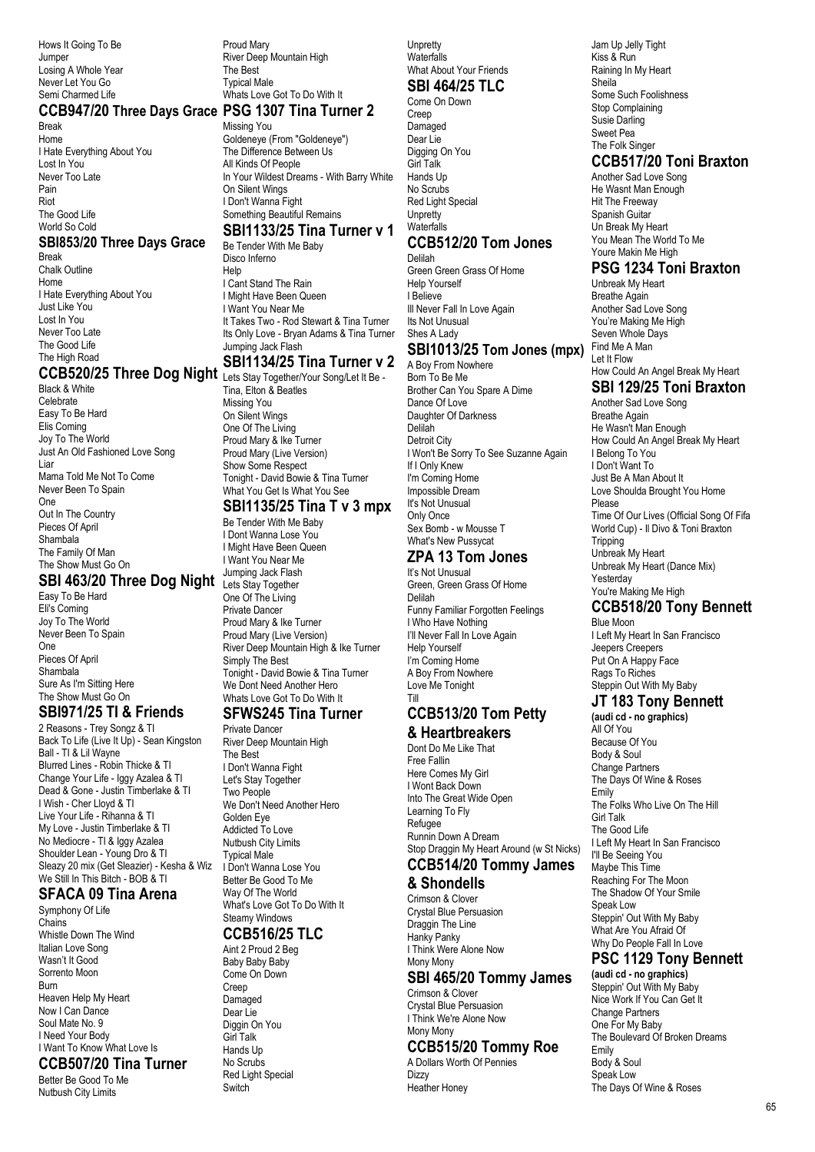Hows It Going To Be Jumper Losing A Whole Year Never Let You Go Semi Charmed Life

#### **CCB947/20 Three Days Grace PSG 1307 Tina Turner 2**

Break Home I Hate Everything About You Lost In You Never Too Late Pain Riot The Good Life World So Cold

#### **SBI853/20 Three Days Grace**

Break Chalk Outline Home I Hate Everything About You Just Like You Lost In You Never Too Late The Good Life The High Road

## **CCB520/25 Three Dog Night** Lets Stay Together/Your Song/Let It Be -

Black & White Celebrate Easy To Be Hard Elis Coming Joy To The World Just An Old Fashioned Love Song Liar Mama Told Me Not To Come Never Been To Spain One Out In The Country Pieces Of April Shambala The Family Of Man<br>The Show Must Go On The Show Must Go On

#### **SBI 463/20 Three Dog Night**

Easy To Be Hard Eli's Coming Joy To The World Never Been To Spain One Pieces Of April Shambala Sure As I'm Sitting Here The Show Must Go On

## **SBI971/25 TI & Friends**

2 Reasons - Trey Songz & TI Back To Life (Live It Up) - Sean Kingston Ball - TI & Lil Wayne Blurred Lines - Robin Thicke & TI Change Your Life - Iggy Azalea & TI Dead & Gone - Justin Timberlake & TI I Wish - Cher Lloyd & TI Live Your Life - Rihanna & TI My Love - Justin Timberlake & TI No Mediocre - TI & Iggy Azalea Shoulder Lean - Young Dro & TI Sleazy 20 mix (Get Sleazier) - Kesha & Wiz We Still In This Bitch - BOB & TI

#### **SFACA 09 Tina Arena**

Symphony Of Life Chains Whistle Down The Wind Italian Love Song Wasn't It Good Sorrento Moon Burn Heaven Help My Heart Now I Can Dance Soul Mate No. 9 I Need Your Body I Want To Know What Love Is **CCB507/20 Tina Turner** Better Be Good To Me Nutbush City Limits

Proud Mary River Deep Mountain High The Best Typical Male Whats Love Got To Do With It

Missing You Goldeneye (From "Goldeneye") The Difference Between Us All Kinds Of People In Your Wildest Dreams - With Barry White On Silent Wings I Don't Wanna Fight Something Beautiful Remains

#### **SBI1133/25 Tina Turner v 1**

Be Tender With Me Baby Disco Inferno Help I Cant Stand The Rain **I Might Have Been Queen** I Want You Near Me It Takes Two - Rod Stewart & Tina Turner Its Only Love - Bryan Adams & Tina Turner Jumping Jack Flash

## **SBI1134/25 Tina Turner v 2**

Tina, Elton & Beatles Missing You On Silent Wings One Of The Living Proud Mary & Ike Turner Proud Mary (Live Version) Show Some Respect Tonight - David Bowie & Tina Turner What You Get Is What You See

#### **SBI1135/25 Tina T v 3 mpx**

Be Tender With Me Baby I Dont Wanna Lose You I Might Have Been Queen I Want You Near Me Jumping Jack Flash Lets Stay Together One Of The Living Private Dancer Proud Mary & Ike Turner Proud Mary (Live Version) River Deep Mountain High & Ike Turner Simply The Best Tonight - David Bowie & Tina Turner We Dont Need Another Hero Whats Love Got To Do With It **SFWS245 Tina Turner**

#### Private Dancer

River Deep Mountain High The Best I Don't Wanna Fight Let's Stay Together Two People We Don't Need Another Hero Golden Eye Addicted To Love Nutbush City Limits Typical Male I Don't Wanna Lose You Better Be Good To Me Way Of The World What's Love Got To Do With It Steamy Windows

#### **CCB516/25 TLC**

Aint 2 Proud 2 Beg Baby Baby Baby Come On Down Creep Damaged Dear Lie Diggin On You Girl Talk Hands Up No Scrubs Red Light Special **Switch** 

**Unpretty Waterfalls** What About Your Friends

#### **SBI 464/25 TLC**

Come On Down Creep Damaged Dear Lie Digging On You Girl Talk Hands Up No Scrubs Red Light Special **Unpretty Waterfalls** 

#### **CCB512/20 Tom Jones**

Delilah Green Green Grass Of Home Help Yourself I Believe III Never Fall In Love Again Its Not Unusual Shes A Lady

#### **SBI1013/25 Tom Jones (mpx)**

A Boy From Nowhere Born To Be Me Brother Can You Spare A Dime Dance Of Love Daughter Of Darkness Delilah Detroit City I Won't Be Sorry To See Suzanne Again If I Only Knew I'm Coming Home Impossible Dream It's Not Unusual Only Once Sex Bomb - w Mousse T What's New Pussycat

#### **ZPA 13 Tom Jones**

It's Not Unusual Green, Green Grass Of Home Delilah Funny Familiar Forgotten Feelings I Who Have Nothing I'll Never Fall In Love Again Help Yourself I'm Coming Home A Boy From Nowhere Love Me Tonight Till

# **CCB513/20 Tom Petty**

#### **& Heartbreakers**

Dont Do Me Like That Free Fallin Here Comes My Girl I Wont Back Down Into The Great Wide Open Learning To Fly Refugee Runnin Down A Dream Stop Draggin My Heart Around (w St Nicks)

# **CCB514/20 Tommy James**

#### **& Shondells**

Crimson & Clover Crystal Blue Persuasion Draggin The Line Hanky Panky I Think Were Alone Now Mony Mony

#### **SBI 465/20 Tommy James**

Crimson & Clover Crystal Blue Persuasion I Think We're Alone Now Mony Mony

#### **CCB515/20 Tommy Roe**

A Dollars Worth Of Pennies **Dizzy** Heather Honey

Jam Up Jelly Tight Kiss & Run Raining In My Heart Sheila Some Such Foolishness Stop Complaining Susie Darling Sweet Pea The Folk Singer

## **CCB517/20 Toni Braxton**

Another Sad Love Song He Wasnt Man Enough Hit The Freeway Spanish Guitar Un Break My Heart You Mean The World To Me Youre Makin Me High

#### **PSG 1234 Toni Braxton**

Unbreak My Heart Breathe Again Another Sad Love Song You're Making Me High Seven Whole Days Find Me A Man Let It Flow How Could An Angel Break My Heart **SBI 129/25 Toni Braxton**

Another Sad Love Song Breathe Again He Wasn't Man Enough How Could An Angel Break My Heart I Belong To You I Don't Want To Just Be A Man About It Love Shoulda Brought You Home Please Time Of Our Lives (Official Song Of Fifa World Cup) - Il Divo & Toni Braxton **Tripping** Unbreak My Heart Unbreak My Heart (Dance Mix) Yesterday You're Making Me High

## **CCB518/20 Tony Bennett**

Blue Moon I Left My Heart In San Francisco Jeepers Creepers Put On A Happy Face Rags To Riches Steppin Out With My Baby

# **JT 183 Tony Bennett**

**(audi cd - no graphics)** All Of You Because Of You Body & Soul Change Partners The Days Of Wine & Roses Emily The Folks Who Live On The Hill Girl Talk The Good Life I Left My Heart In San Francisco I'll Be Seeing You Maybe This Time Reaching For The Moon The Shadow Of Your Smile Speak Low Steppin' Out With My Baby What Are You Afraid Of Why Do People Fall In Love

## **PSC 1129 Tony Bennett**

**(audi cd - no graphics)** Steppin' Out With My Baby Nice Work If You Can Get It Change Partners One For My Baby The Boulevard Of Broken Dreams Emily Body & Soul Speak Low The Days Of Wine & Roses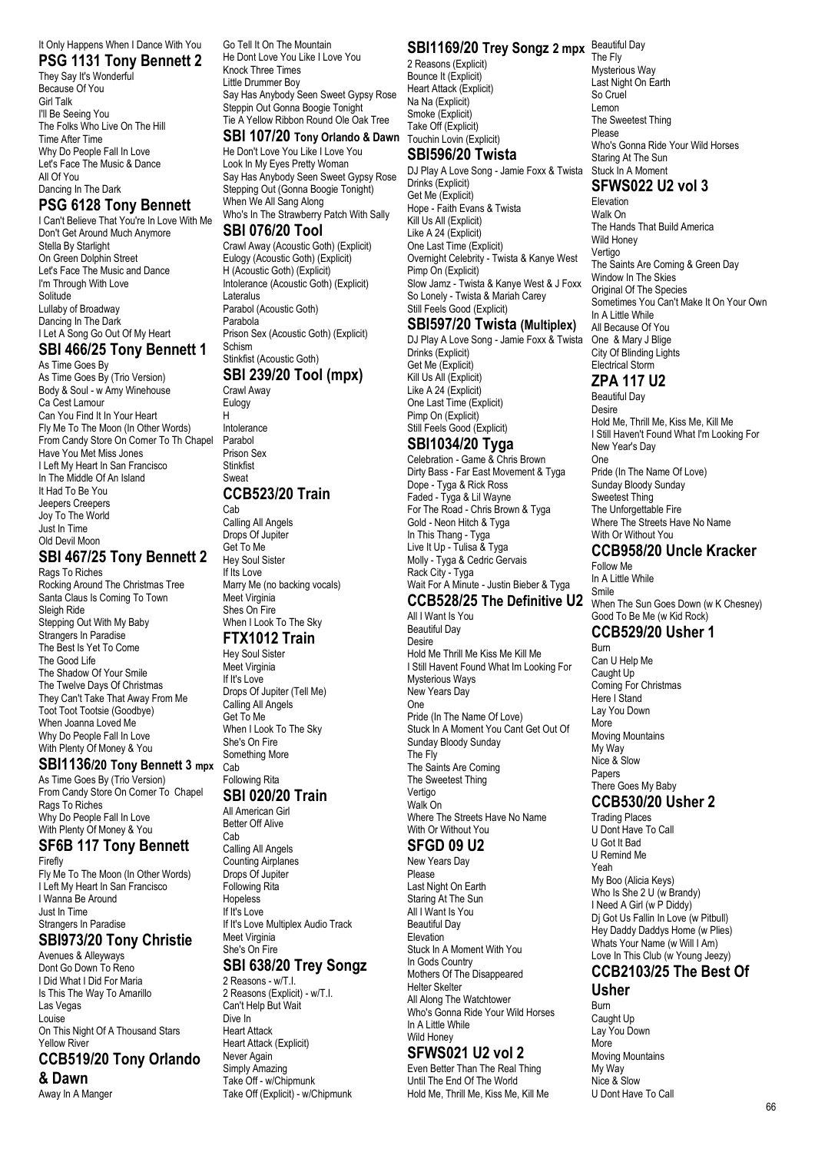# It Only Happens When I Dance With You

**PSG 1131 Tony Bennett 2** They Say It's Wonderful Because Of You Girl Talk I'll Be Seeing You The Folks Who Live On The Hill Time After Time Why Do People Fall In Love Let's Face The Music & Dance All Of You Dancing In The Dark

## **PSG 6128 Tony Bennett**

I Can't Believe That You're In Love With Me Don't Get Around Much Anymore Stella By Starlight On Green Dolphin Street Let's Face The Music and Dance I'm Through With Love Solitude Lullaby of Broadway Dancing In The Dark I Let A Song Go Out Of My Heart

#### **SBI 466/25 Tony Bennett 1**

As Time Goes By As Time Goes By (Trio Version) Body & Soul - w Amy Winehouse Ca Cest Lamour Can You Find It In Your Heart Fly Me To The Moon (In Other Words) From Candy Store On Corner To Th Chapel Have You Met Miss Jones I Left My Heart In San Francisco In The Middle Of An Island It Had To Be You Jeepers Creepers Joy To The World Just In Time Old Devil Moon

#### **SBI 467/25 Tony Bennett 2**

Rags To Riches Rocking Around The Christmas Tree Santa Claus Is Coming To Town Sleigh Ride Stepping Out With My Baby Strangers In Paradise The Best Is Yet To Come The Good Life The Shadow Of Your Smile The Twelve Days Of Christmas They Can't Take That Away From Me Toot Toot Tootsie (Goodbye) When Joanna Loved Me Why Do People Fall In Love With Plenty Of Money & You

#### **SBI1136/20 Tony Bennett 3 mpx**

As Time Goes By (Trio Version) From Candy Store On Corner To Chapel Rags To Riches Why Do People Fall In Love With Plenty Of Money & You

#### **SF6B 117 Tony Bennett** Firefly

Fly Me To The Moon (In Other Words) I Left My Heart In San Francisco I Wanna Be Around Just In Time Strangers In Paradise **SBI973/20 Tony Christie**

Avenues & Alleyways Dont Go Down To Reno I Did What I Did For Maria Is This The Way To Amarillo Las Vegas Louise On This Night Of A Thousand Stars Yellow River **CCB519/20 Tony Orlando**

# **& Dawn**

Away In A Manger

Go Tell It On The Mountain He Dont Love You Like I Love You Knock Three Times Little Drummer Boy Say Has Anybody Seen Sweet Gypsy Rose Steppin Out Gonna Boogie Tonight Tie A Yellow Ribbon Round Ole Oak Tree

**SBI 107/20 Tony Orlando & Dawn** He Don't Love You Like I Love You Look In My Eyes Pretty Woman Say Has Anybody Seen Sweet Gypsy Rose Stepping Out (Gonna Boogie Tonight) When We All Sang Along Who's In The Strawberry Patch With Sally

#### **SBI 076/20 Tool**

Crawl Away (Acoustic Goth) (Explicit) Eulogy (Acoustic Goth) (Explicit) H (Acoustic Goth) (Explicit) Intolerance (Acoustic Goth) (Explicit) Lateralus Parabol (Acoustic Goth) Parabola Prison Sex (Acoustic Goth) (Explicit) Schism Stinkfist (Acoustic Goth)

# **SBI 239/20 Tool (mpx)**

Crawl Away Eulogy H Intolerance Parabol Prison Sex **Stinkfist** Sweat **CCB523/20 Train** Cab Calling All Angels Drops Of Jupiter Get To Me

Hey Soul Sister If Its Love Marry Me (no backing vocals) Meet Virginia Shes On Fire When I Look To The Sky

#### **FTX1012 Train**

Hey Soul Sister Meet Virginia If It's Love Drops Of Jupiter (Tell Me) Calling All Angels Get To Me When I Look To The Sky She's On Fire Something More Cab

#### Following Rita **SBI 020/20 Train**

All American Girl Better Off Alive Cab

Calling All Angels Counting Airplanes Drops Of Jupiter Following Rita Hopeless If  $I$ <sup>t's</sup> Love If It's Love Multiplex Audio Track Meet Virginia She's On Fire **SBI 638/20 Trey Songz**

2 Reasons - w/T.I. 2 Reasons (Explicit) - w/T.I. Can't Help But Wait Dive In Heart Attack Heart Attack (Explicit) Never Again Simply Amazing Take Off - w/Chipmunk Take Off (Explicit) - w/Chipmunk

#### **SBI1169/20 Trey Songz 2 mpx** Beautiful Day

2 Reasons (Explicit) Bounce It (Explicit) Heart Attack (Explicit) Na Na (Explicit) Smoke (Explicit) Take Off (Explicit) Touchin Lovin (Explicit)

#### **SBI596/20 Twista**

DJ Play A Love Song - Jamie Foxx & Twista Drinks (Explicit) Get Me (Explicit) Hope - Faith Evans & Twista Kill Us All (Explicit) Like A 24 (Explicit) One Last Time (Explicit) Overnight Celebrity - Twista & Kanye West Pimp On (Explicit) Slow Jamz - Twista & Kanye West & J Foxx So Lonely - Twista & Mariah Carey Still Feels Good (Explicit)

#### **SBI597/20 Twista (Multiplex)**

DJ Play A Love Song - Jamie Foxx & Twista Drinks (Explicit) Get Me (Explicit) Kill Us All (Explicit) Like A 24 (Explicit) One Last Time (Explicit) Pimp On (Explicit) Still Feels Good (Explicit)

#### **SBI1034/20 Tyga**

Celebration - Game & Chris Brown Dirty Bass - Far East Movement & Tyga Dope - Tyga & Rick Ross Faded - Tyga & Lil Wayne For The Road - Chris Brown & Tyga Gold - Neon Hitch & Tyga In This Thang - Tyga Live It Up - Tulisa & Tyga Molly - Tyga & Cedric Gervais Rack City - Tyga Wait For A Minute - Justin Bieber & Tyga

#### **CCB528/25 The Definitive U2**

All I Want Is You Beautiful Day Desire Hold Me Thrill Me Kiss Me Kill Me I Still Havent Found What Im Looking For Mysterious Ways New Years Day One Pride (In The Name Of Love) Stuck In A Moment You Cant Get Out Of Sunday Bloody Sunday The Fly The Saints Are Coming The Sweetest Thing Vertigo Walk On Where The Streets Have No Name With Or Without You

#### **SFGD 09 U2**

New Years Day Please Last Night On Earth Staring At The Sun All I Want Is You Beautiful Day Elevation Stuck In A Moment With You In Gods Country Mothers Of The Disappeared Helter Skelter All Along The Watchtower Who's Gonna Ride Your Wild Horses In A Little While Wild Honey

#### **SFWS021 U2 vol 2**

Even Better Than The Real Thing Until The End Of The World Hold Me, Thrill Me, Kiss Me, Kill Me

The Fly Mysterious Way Last Night On Earth So Cruel Lemon The Sweetest Thing Please Who's Gonna Ride Your Wild Horses Staring At The Sun Stuck In A Moment

## **SFWS022 U2 vol 3**

Elevation Walk On The Hands That Build America Wild Honey Vertigo The Saints Are Coming & Green Day Window In The Skies Original Of The Species Sometimes You Can't Make It On Your Own In A Little While All Because Of You One & Mary J Blige City Of Blinding Lights Electrical Storm

## **ZPA 117 U2**

Beautiful Day Desire Hold Me, Thrill Me, Kiss Me, Kill Me I Still Haven't Found What I'm Looking For New Year's Day One Pride (In The Name Of Love) Sunday Bloody Sunday Sweetest Thing The Unforgettable Fire Where The Streets Have No Name With Or Without You

#### **CCB958/20 Uncle Kracker**

Follow Me In A Little While Smile

When The Sun Goes Down (w K Chesney) Good To Be Me (w Kid Rock)

#### **CCB529/20 Usher 1** Burn

Can U Help Me Caught Up Coming For Christmas Here I Stand Lay You Down More Moving Mountains My Way Nice & Slow Papers There Goes My Baby **CCB530/20 Usher 2**

Trading Places U Dont Have To Call U Got It Bad U Remind Me Yeah My Boo (Alicia Keys) Who Is She 2 U (w Brandy) I Need A Girl (w P Diddy) Dj Got Us Fallin In Love (w Pitbull) Hey Daddy Daddys Home (w Plies) Whats Your Name (w Will I Am) Love In This Club (w Young Jeezy)

# **CCB2103/25 The Best Of**

#### **Usher**

Burn Caught Up Lay You Down More Moving Mountains My Way Nice & Slow U Dont Have To Call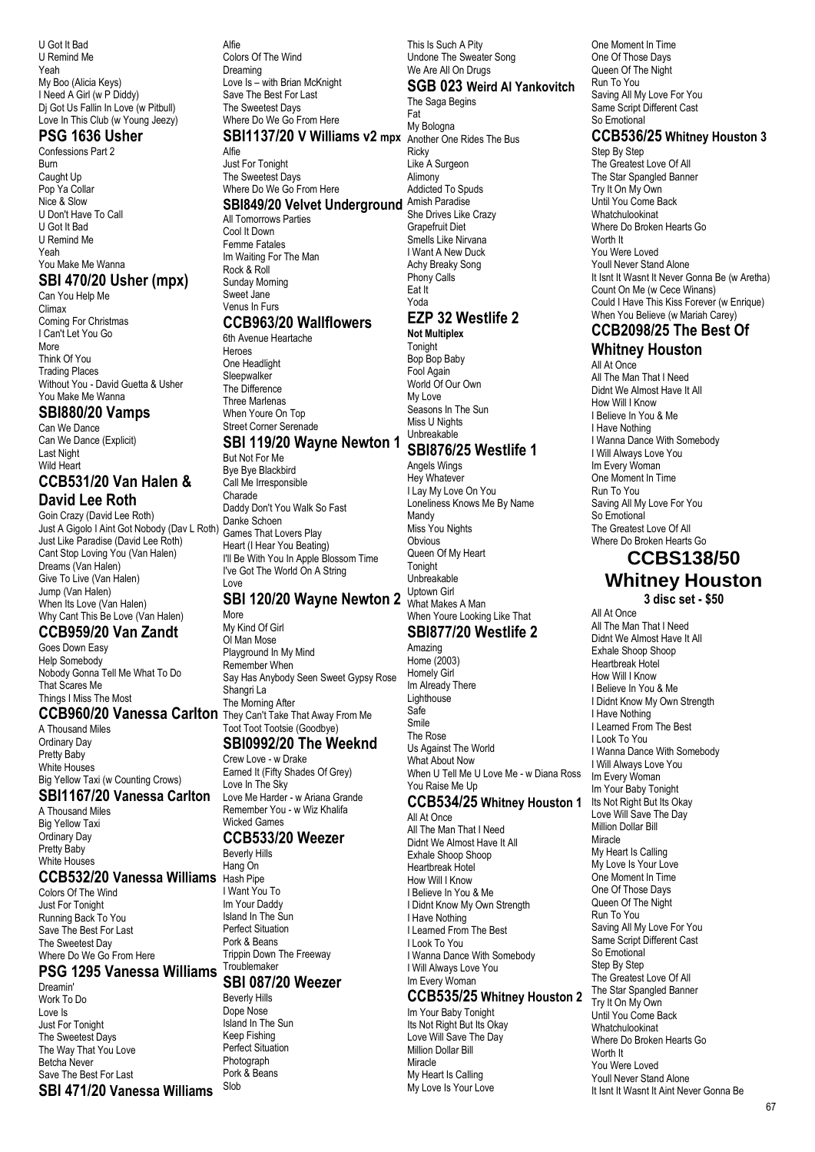U Got It Bad U Remind Me Yeah My Boo (Alicia Keys) I Need A Girl (w P Diddy) Di Got Us Fallin In Love (w Pitbull) Love In This Club (w Young Jeezy)

#### **PSG 1636 Usher**

Confessions Part 2 Burn Caught Up Pop Ya Collar Nice & Slow U Don't Have To Call U Got It Bad U Remind Me Yeah You Make Me Wanna **SBI 470/20 Usher (mpx)**

Can You Help Me Climax Coming For Christmas I Can't Let You Go More Think Of You Trading Places Without You - David Guetta & Usher You Make Me Wanna

#### **SBI880/20 Vamps**

Can We Dance Can We Dance (Explicit) Last Night Wild Heart

#### **CCB531/20 Van Halen & David Lee Roth**

Goin Crazy (David Lee Roth) Just A Gigolo I Aint Got Nobody (Dav L Roth) Just Like Paradise (David Lee Roth) Cant Stop Loving You (Van Halen) Dreams (Van Halen) Give To Live (Van Halen) Jump (Van Halen) When Its Love (Van Halen) Why Cant This Be Love (Van Halen)

# **CCB959/20 Van Zandt**

Goes Down Easy Help Somebody Nobody Gonna Tell Me What To Do That Scares Me Things I Miss The Most

#### **CCB960/20 Vanessa Carlton** They Can't Take That Away From Me

A Thousand Miles Ordinary Day Pretty Baby White Houses Big Yellow Taxi (w Counting Crows)

# **SBI1167/20 Vanessa Carlton**

A Thousand Miles Big Yellow Taxi Ordinary Day Pretty Baby White Houses

#### **CCB532/20 Vanessa Williams** Hash Pipe

Colors Of The Wind Just For Tonight Running Back To You Save The Best For Last The Sweetest Day Where Do We Go From Here

#### **PSG 1295 Vanessa Williams**

Dreamin' Work To Do Love Is Just For Tonight The Sweetest Days The Way That You Love Betcha Never Save The Best For Last **SBI 471/20 Vanessa Williams**

Alfie Colors Of The Wind Dreaming Love Is – with Brian McKnight Save The Best For Last The Sweetest Days Where Do We Go From Here

## **SBI1137/20 V Williams v2 mpx** Another One Rides The Bus

Alfie Just For Tonight The Sweetest Days Where Do We Go From Here **SBI849/20 Velvet Underground** Amish Paradise All Tomorrows Parties Cool It Down Femme Fatales Im Waiting For The Man Rock & Roll Sunday Morning Sweet Jane Venus In Furs

#### **CCB963/20 Wallflowers**

6th Avenue Heartache Heroes One Headlight **Sleepwalker** The Difference Three Marlenas When Youre On Top Street Corner Serenade

# **SBI 119/20 Wayne Newton 1**

But Not For Me Bye Bye Blackbird Call Me Irresponsible Charade Daddy Don't You Walk So Fast Danke Schoen Games That Lovers Play Heart (I Hear You Beating) I'll Be With You In Apple Blossom Time I've Got The World On A String Love

## **SBI 120/20 Wayne Newton 2** What Makes A Man

More My Kind Of Girl Ol Man Mose Playground In My Mind Remember When Say Has Anybody Seen Sweet Gypsy Rose Shangri La The Morning After Toot Toot Tootsie (Goodbye)

## **SBI0992/20 The Weeknd**

Crew Love - w Drake Earned It (Fifty Shades Of Grey) Love In The Sky Love Me Harder - w Ariana Grande Remember You - w Wiz Khalifa Wicked Games

#### **CCB533/20 Weezer**

Beverly Hills Hang On I Want You To Im Your Daddy Island In The Sun Perfect Situation Pork & Beans Trippin Down The Freeway **Troublemaker** 

# **SBI 087/20 Weezer**

Beverly Hills Dope Nose Island In The Sun Keep Fishing Perfect Situation Photograph Pork & Beans Slob

This Is Such A Pity Undone The Sweater Song We Are All On Drugs

#### **SGB 023 Weird Al Yankovitch**

The Saga Begins Fat My Bologna

**Ricky** Like A Surgeon Alimony Addicted To Spuds She Drives Like Crazy Grapefruit Diet Smells Like Nirvana I Want A New Duck Achy Breaky Song Phony Calls Eat It Yoda **EZP 32 Westlife 2**

#### **Not Multiplex** Tonight

Bop Bop Baby Fool Again World Of Our Own My Love Seasons In The Sun Miss U Nights Unbreakable **SBI876/25 Westlife 1**

#### Angels Wings Hey Whatever I Lay My Love On You Loneliness Knows Me By Name Mandy Miss You Nights Obvious Queen Of My Heart **Tonight** Unbreakable

When Youre Looking Like That **SBI877/20 Westlife 2** 

Uptown Girl

#### Amazing Home (2003) Homely Girl Im Already There **Lighthouse** Safe Smile The Rose Us Against The World What About Now When U Tell Me U Love Me - w Diana Ross You Raise Me Up **CCB534/25 Whitney Houston 1** All At Once

All The Man That I Need Didnt We Almost Have It All Exhale Shoop Shoop Heartbreak Hotel How Will I Know I Believe In You & Me I Didnt Know My Own Strength I Have Nothing I Learned From The Best I Look To You I Wanna Dance With Somebody I Will Always Love You Im Every Woman

#### **CCB535/25 Whitney Houston 2**

Im Your Baby Tonight Its Not Right But Its Okay Love Will Save The Day Million Dollar Bill Miracle My Heart Is Calling My Love Is Your Love

One Moment In Time One Of Those Days Queen Of The Night Run To You Saving All My Love For You Same Script Different Cast So Emotional

#### **CCB536/25 Whitney Houston 3**

Step By Step The Greatest Love Of All The Star Spangled Banner Try It On My Own Until You Come Back Whatchulookinat Where Do Broken Hearts Go Worth It You Were Loved Youll Never Stand Alone It Isnt It Wasnt It Never Gonna Be (w Aretha) Count On Me (w Cece Winans) Could I Have This Kiss Forever (w Enrique) When You Believe (w Mariah Carey)

# **CCB2098/25 The Best Of**

#### **Whitney Houston** All At Once All The Man That I Need Didnt We Almost Have It All How Will I Know I Believe In You & Me I Have Nothing I Wanna Dance With Somebody I Will Always Love You Im Every Woman One Moment In Time Run To You Saving All My Love For You So Emotional The Greatest Love Of All

Where Do Broken Hearts Go **CCBS138/50 Whitney Houston 3 disc set - \$50** All At Once

All The Man That I Need Didnt We Almost Have It All Exhale Shoop Shoop Heartbreak Hotel How Will I Know I Believe In You & Me I Didnt Know My Own Strength I Have Nothing I Learned From The Best I Look To You I Wanna Dance With Somebody I Will Always Love You Im Every Woman Im Your Baby Tonight Its Not Right But Its Okay Love Will Save The Day Million Dollar Bill **Miracle** My Heart Is Calling My Love Is Your Love One Moment In Time One Of Those Days Queen Of The Night Run To You Saving All My Love For You Same Script Different Cast So Emotional Step By Step The Greatest Love Of All The Star Spangled Banner Try It On My Own Until You Come Back Whatchulookinat Where Do Broken Hearts Go Worth It You Were Loved Youll Never Stand Alone It Isnt It Wasnt It Aint Never Gonna Be